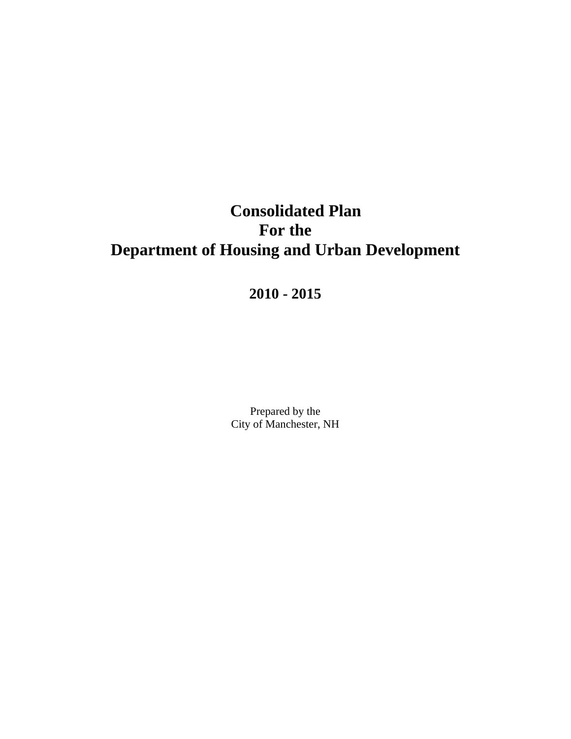# **Consolidated Plan For the Department of Housing and Urban Development**

**2010 - 2015** 

Prepared by the City of Manchester, NH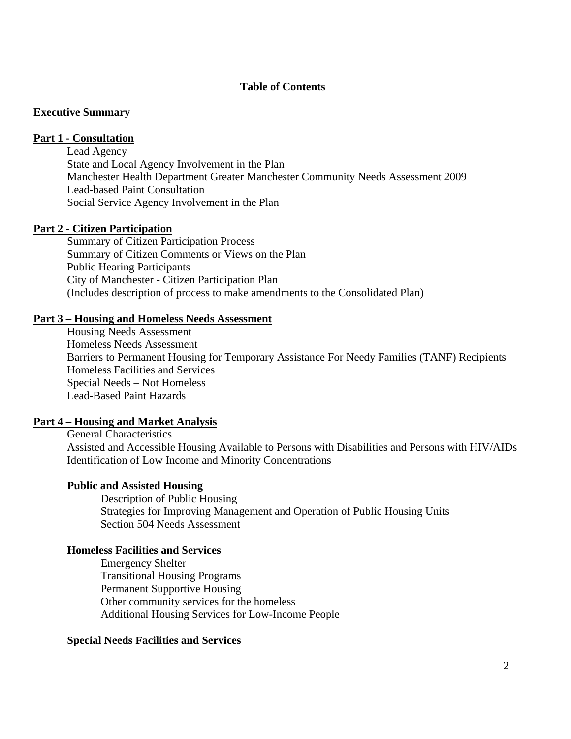#### **Table of Contents**

#### **Executive Summary**

#### **Part 1 - Consultation**

## Lead Agency

State and Local Agency Involvement in the Plan Manchester Health Department Greater Manchester Community Needs Assessment 2009 Lead-based Paint Consultation Social Service Agency Involvement in the Plan

#### **Part 2 - Citizen Participation**

Summary of Citizen Participation Process Summary of Citizen Comments or Views on the Plan Public Hearing Participants City of Manchester - Citizen Participation Plan (Includes description of process to make amendments to the Consolidated Plan)

#### **Part 3 – Housing and Homeless Needs Assessment**

Housing Needs Assessment Homeless Needs Assessment Barriers to Permanent Housing for Temporary Assistance For Needy Families (TANF) Recipients Homeless Facilities and Services Special Needs – Not Homeless Lead-Based Paint Hazards

#### **Part 4 – Housing and Market Analysis**

General Characteristics Assisted and Accessible Housing Available to Persons with Disabilities and Persons with HIV/AIDs Identification of Low Income and Minority Concentrations

#### **Public and Assisted Housing**

Description of Public Housing Strategies for Improving Management and Operation of Public Housing Units Section 504 Needs Assessment

#### **Homeless Facilities and Services**

Emergency Shelter Transitional Housing Programs Permanent Supportive Housing Other community services for the homeless Additional Housing Services for Low-Income People

#### **Special Needs Facilities and Services**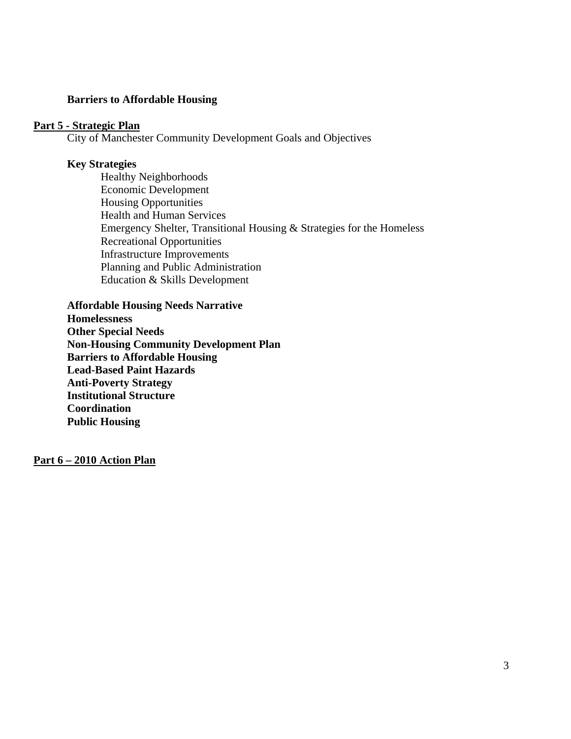#### **Barriers to Affordable Housing**

#### **Part 5 - Strategic Plan**

City of Manchester Community Development Goals and Objectives

#### **Key Strategies**

 Healthy Neighborhoods Economic Development Housing Opportunities Health and Human Services Emergency Shelter, Transitional Housing & Strategies for the Homeless Recreational Opportunities Infrastructure Improvements Planning and Public Administration Education & Skills Development

**Affordable Housing Needs Narrative Homelessness Other Special Needs Non-Housing Community Development Plan Barriers to Affordable Housing Lead-Based Paint Hazards Anti-Poverty Strategy Institutional Structure Coordination Public Housing** 

**Part 6 – 2010 Action Plan**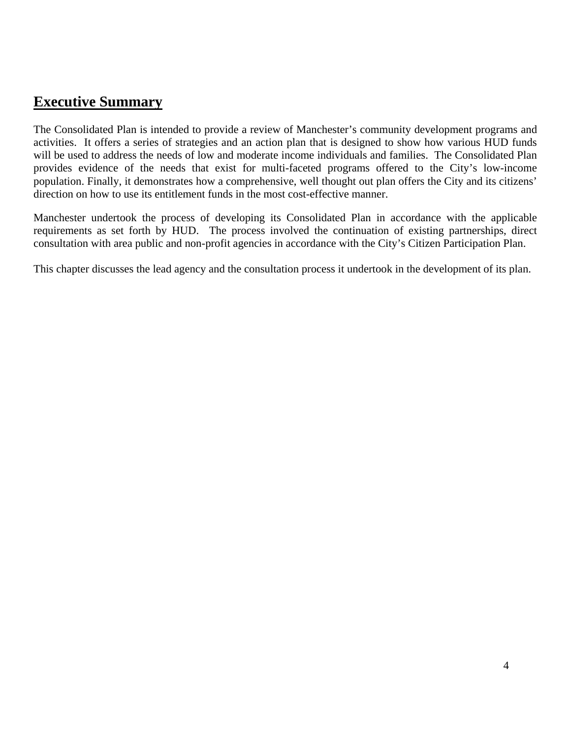# **Executive Summary**

The Consolidated Plan is intended to provide a review of Manchester's community development programs and activities. It offers a series of strategies and an action plan that is designed to show how various HUD funds will be used to address the needs of low and moderate income individuals and families. The Consolidated Plan provides evidence of the needs that exist for multi-faceted programs offered to the City's low-income population. Finally, it demonstrates how a comprehensive, well thought out plan offers the City and its citizens' direction on how to use its entitlement funds in the most cost-effective manner.

Manchester undertook the process of developing its Consolidated Plan in accordance with the applicable requirements as set forth by HUD. The process involved the continuation of existing partnerships, direct consultation with area public and non-profit agencies in accordance with the City's Citizen Participation Plan.

This chapter discusses the lead agency and the consultation process it undertook in the development of its plan.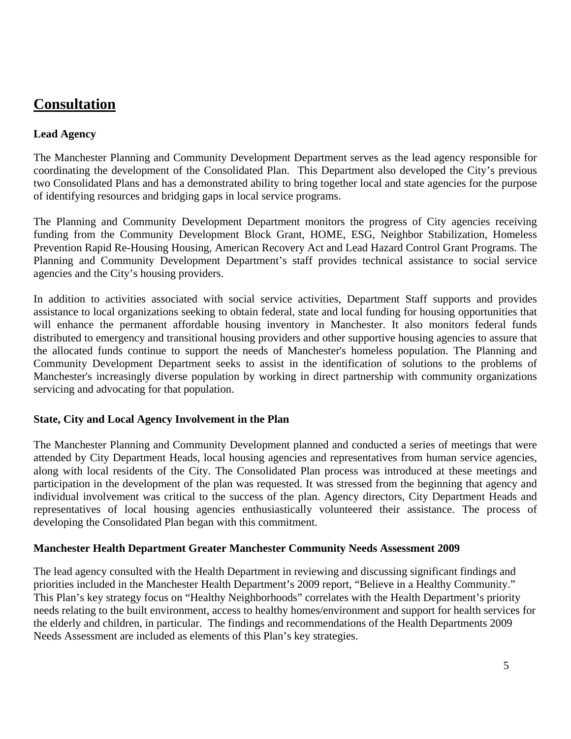# **Consultation**

## **Lead Agency**

The Manchester Planning and Community Development Department serves as the lead agency responsible for coordinating the development of the Consolidated Plan. This Department also developed the City's previous two Consolidated Plans and has a demonstrated ability to bring together local and state agencies for the purpose of identifying resources and bridging gaps in local service programs.

The Planning and Community Development Department monitors the progress of City agencies receiving funding from the Community Development Block Grant, HOME, ESG, Neighbor Stabilization, Homeless Prevention Rapid Re-Housing Housing, American Recovery Act and Lead Hazard Control Grant Programs. The Planning and Community Development Department's staff provides technical assistance to social service agencies and the City's housing providers.

In addition to activities associated with social service activities, Department Staff supports and provides assistance to local organizations seeking to obtain federal, state and local funding for housing opportunities that will enhance the permanent affordable housing inventory in Manchester. It also monitors federal funds distributed to emergency and transitional housing providers and other supportive housing agencies to assure that the allocated funds continue to support the needs of Manchester's homeless population. The Planning and Community Development Department seeks to assist in the identification of solutions to the problems of Manchester's increasingly diverse population by working in direct partnership with community organizations servicing and advocating for that population.

## **State, City and Local Agency Involvement in the Plan**

The Manchester Planning and Community Development planned and conducted a series of meetings that were attended by City Department Heads, local housing agencies and representatives from human service agencies, along with local residents of the City. The Consolidated Plan process was introduced at these meetings and participation in the development of the plan was requested. It was stressed from the beginning that agency and individual involvement was critical to the success of the plan. Agency directors, City Department Heads and representatives of local housing agencies enthusiastically volunteered their assistance. The process of developing the Consolidated Plan began with this commitment.

#### **Manchester Health Department Greater Manchester Community Needs Assessment 2009**

The lead agency consulted with the Health Department in reviewing and discussing significant findings and priorities included in the Manchester Health Department's 2009 report, "Believe in a Healthy Community." This Plan's key strategy focus on "Healthy Neighborhoods" correlates with the Health Department's priority needs relating to the built environment, access to healthy homes/environment and support for health services for the elderly and children, in particular. The findings and recommendations of the Health Departments 2009 Needs Assessment are included as elements of this Plan's key strategies.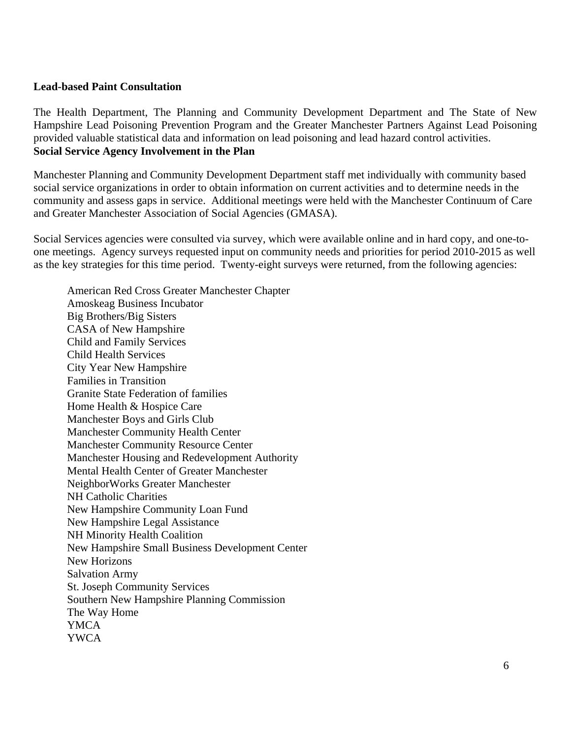#### **Lead-based Paint Consultation**

The Health Department, The Planning and Community Development Department and The State of New Hampshire Lead Poisoning Prevention Program and the Greater Manchester Partners Against Lead Poisoning provided valuable statistical data and information on lead poisoning and lead hazard control activities. **Social Service Agency Involvement in the Plan** 

Manchester Planning and Community Development Department staff met individually with community based social service organizations in order to obtain information on current activities and to determine needs in the community and assess gaps in service. Additional meetings were held with the Manchester Continuum of Care and Greater Manchester Association of Social Agencies (GMASA).

Social Services agencies were consulted via survey, which were available online and in hard copy, and one-toone meetings. Agency surveys requested input on community needs and priorities for period 2010-2015 as well as the key strategies for this time period. Twenty-eight surveys were returned, from the following agencies:

American Red Cross Greater Manchester Chapter Amoskeag Business Incubator Big Brothers/Big Sisters CASA of New Hampshire Child and Family Services Child Health Services City Year New Hampshire Families in Transition Granite State Federation of families Home Health & Hospice Care Manchester Boys and Girls Club Manchester Community Health Center Manchester Community Resource Center Manchester Housing and Redevelopment Authority Mental Health Center of Greater Manchester NeighborWorks Greater Manchester NH Catholic Charities New Hampshire Community Loan Fund New Hampshire Legal Assistance NH Minority Health Coalition New Hampshire Small Business Development Center New Horizons Salvation Army St. Joseph Community Services Southern New Hampshire Planning Commission The Way Home YMCA YWCA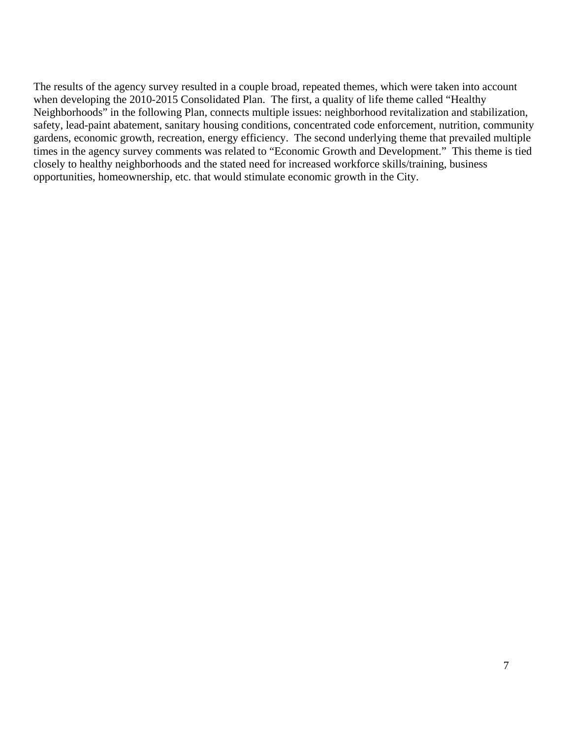The results of the agency survey resulted in a couple broad, repeated themes, which were taken into account when developing the 2010-2015 Consolidated Plan. The first, a quality of life theme called "Healthy Neighborhoods" in the following Plan, connects multiple issues: neighborhood revitalization and stabilization, safety, lead-paint abatement, sanitary housing conditions, concentrated code enforcement, nutrition, community gardens, economic growth, recreation, energy efficiency. The second underlying theme that prevailed multiple times in the agency survey comments was related to "Economic Growth and Development." This theme is tied closely to healthy neighborhoods and the stated need for increased workforce skills/training, business opportunities, homeownership, etc. that would stimulate economic growth in the City.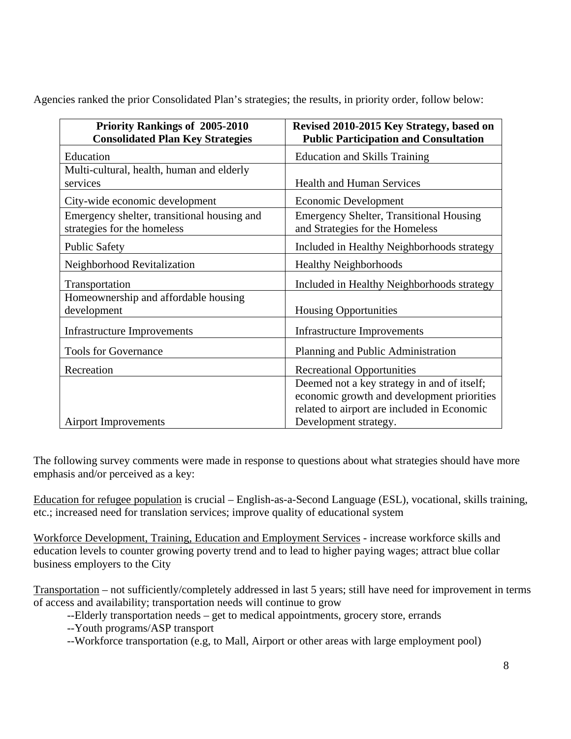Agencies ranked the prior Consolidated Plan's strategies; the results, in priority order, follow below:

| <b>Priority Rankings of 2005-2010</b>       | Revised 2010-2015 Key Strategy, based on       |
|---------------------------------------------|------------------------------------------------|
| <b>Consolidated Plan Key Strategies</b>     | <b>Public Participation and Consultation</b>   |
| Education                                   | <b>Education and Skills Training</b>           |
| Multi-cultural, health, human and elderly   |                                                |
| services                                    | <b>Health and Human Services</b>               |
| City-wide economic development              | Economic Development                           |
| Emergency shelter, transitional housing and | <b>Emergency Shelter, Transitional Housing</b> |
| strategies for the homeless                 | and Strategies for the Homeless                |
| <b>Public Safety</b>                        | Included in Healthy Neighborhoods strategy     |
| Neighborhood Revitalization                 | <b>Healthy Neighborhoods</b>                   |
| Transportation                              | Included in Healthy Neighborhoods strategy     |
| Homeownership and affordable housing        |                                                |
| development                                 | <b>Housing Opportunities</b>                   |
| <b>Infrastructure Improvements</b>          | <b>Infrastructure Improvements</b>             |
| <b>Tools for Governance</b>                 | Planning and Public Administration             |
| Recreation                                  | <b>Recreational Opportunities</b>              |
|                                             | Deemed not a key strategy in and of itself;    |
|                                             | economic growth and development priorities     |
|                                             | related to airport are included in Economic    |
| <b>Airport Improvements</b>                 | Development strategy.                          |

The following survey comments were made in response to questions about what strategies should have more emphasis and/or perceived as a key:

Education for refugee population is crucial – English-as-a-Second Language (ESL), vocational, skills training, etc.; increased need for translation services; improve quality of educational system

Workforce Development, Training, Education and Employment Services - increase workforce skills and education levels to counter growing poverty trend and to lead to higher paying wages; attract blue collar business employers to the City

Transportation – not sufficiently/completely addressed in last 5 years; still have need for improvement in terms of access and availability; transportation needs will continue to grow

--Elderly transportation needs – get to medical appointments, grocery store, errands

- --Youth programs/ASP transport
- --Workforce transportation (e.g, to Mall, Airport or other areas with large employment pool)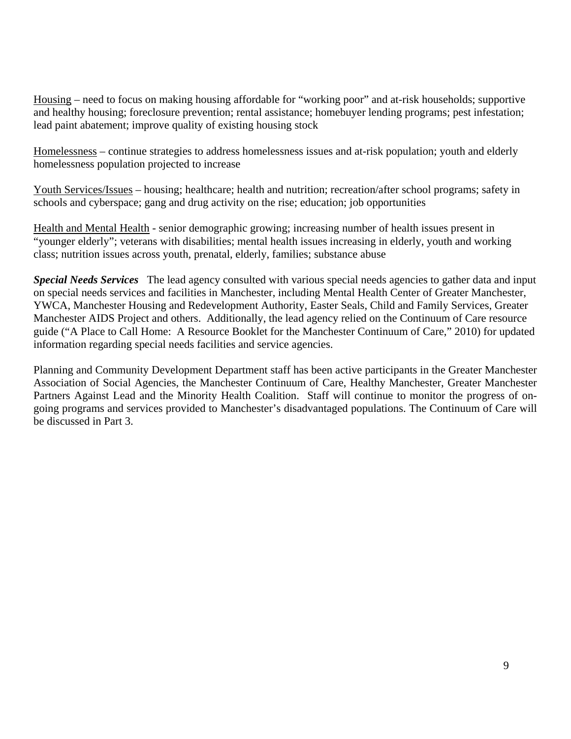Housing – need to focus on making housing affordable for "working poor" and at-risk households; supportive and healthy housing; foreclosure prevention; rental assistance; homebuyer lending programs; pest infestation; lead paint abatement; improve quality of existing housing stock

Homelessness – continue strategies to address homelessness issues and at-risk population; youth and elderly homelessness population projected to increase

Youth Services/Issues – housing; healthcare; health and nutrition; recreation/after school programs; safety in schools and cyberspace; gang and drug activity on the rise; education; job opportunities

Health and Mental Health - senior demographic growing; increasing number of health issues present in "younger elderly"; veterans with disabilities; mental health issues increasing in elderly, youth and working class; nutrition issues across youth, prenatal, elderly, families; substance abuse

*Special Needs Services* The lead agency consulted with various special needs agencies to gather data and input on special needs services and facilities in Manchester, including Mental Health Center of Greater Manchester, YWCA, Manchester Housing and Redevelopment Authority, Easter Seals, Child and Family Services, Greater Manchester AIDS Project and others. Additionally, the lead agency relied on the Continuum of Care resource guide ("A Place to Call Home: A Resource Booklet for the Manchester Continuum of Care," 2010) for updated information regarding special needs facilities and service agencies.

Planning and Community Development Department staff has been active participants in the Greater Manchester Association of Social Agencies, the Manchester Continuum of Care, Healthy Manchester, Greater Manchester Partners Against Lead and the Minority Health Coalition. Staff will continue to monitor the progress of ongoing programs and services provided to Manchester's disadvantaged populations. The Continuum of Care will be discussed in Part 3.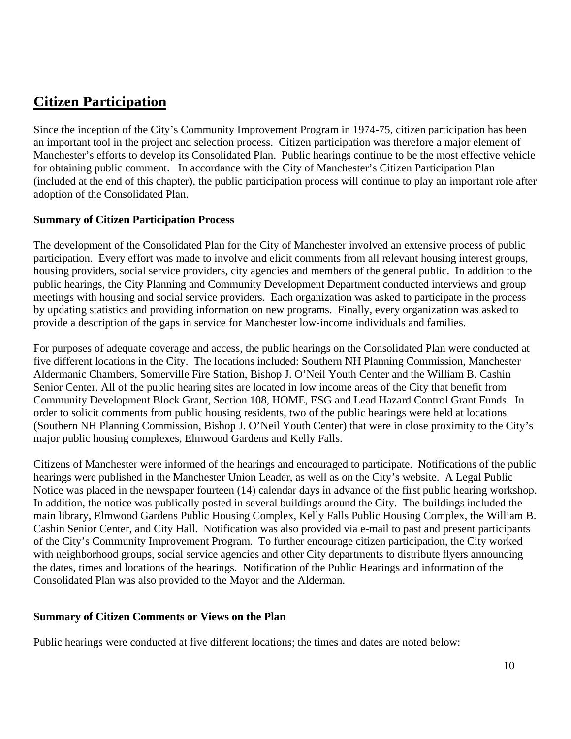# **Citizen Participation**

Since the inception of the City's Community Improvement Program in 1974-75, citizen participation has been an important tool in the project and selection process. Citizen participation was therefore a major element of Manchester's efforts to develop its Consolidated Plan. Public hearings continue to be the most effective vehicle for obtaining public comment. In accordance with the City of Manchester's Citizen Participation Plan (included at the end of this chapter), the public participation process will continue to play an important role after adoption of the Consolidated Plan.

## **Summary of Citizen Participation Process**

The development of the Consolidated Plan for the City of Manchester involved an extensive process of public participation. Every effort was made to involve and elicit comments from all relevant housing interest groups, housing providers, social service providers, city agencies and members of the general public. In addition to the public hearings, the City Planning and Community Development Department conducted interviews and group meetings with housing and social service providers. Each organization was asked to participate in the process by updating statistics and providing information on new programs. Finally, every organization was asked to provide a description of the gaps in service for Manchester low-income individuals and families.

For purposes of adequate coverage and access, the public hearings on the Consolidated Plan were conducted at five different locations in the City. The locations included: Southern NH Planning Commission, Manchester Aldermanic Chambers, Somerville Fire Station, Bishop J. O'Neil Youth Center and the William B. Cashin Senior Center. All of the public hearing sites are located in low income areas of the City that benefit from Community Development Block Grant, Section 108, HOME, ESG and Lead Hazard Control Grant Funds. In order to solicit comments from public housing residents, two of the public hearings were held at locations (Southern NH Planning Commission, Bishop J. O'Neil Youth Center) that were in close proximity to the City's major public housing complexes, Elmwood Gardens and Kelly Falls.

Citizens of Manchester were informed of the hearings and encouraged to participate. Notifications of the public hearings were published in the Manchester Union Leader, as well as on the City's website. A Legal Public Notice was placed in the newspaper fourteen (14) calendar days in advance of the first public hearing workshop. In addition, the notice was publically posted in several buildings around the City. The buildings included the main library, Elmwood Gardens Public Housing Complex, Kelly Falls Public Housing Complex, the William B. Cashin Senior Center, and City Hall. Notification was also provided via e-mail to past and present participants of the City's Community Improvement Program. To further encourage citizen participation, the City worked with neighborhood groups, social service agencies and other City departments to distribute flyers announcing the dates, times and locations of the hearings. Notification of the Public Hearings and information of the Consolidated Plan was also provided to the Mayor and the Alderman.

## **Summary of Citizen Comments or Views on the Plan**

Public hearings were conducted at five different locations; the times and dates are noted below: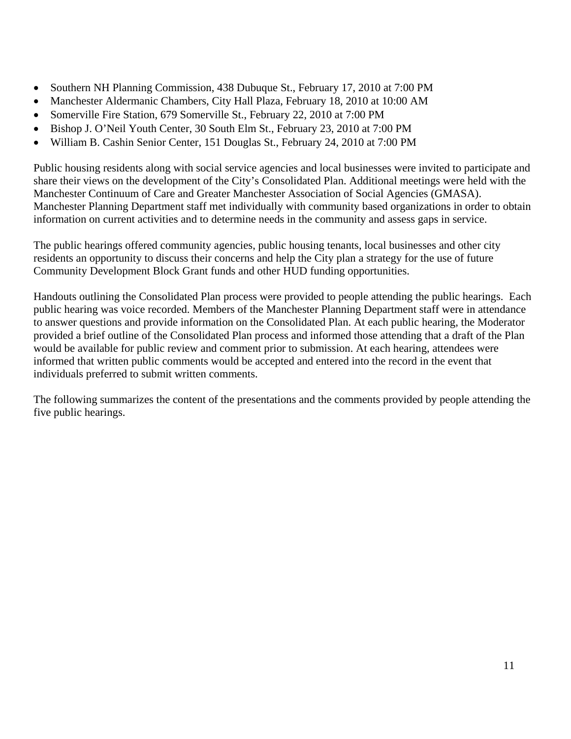- Southern NH Planning Commission, 438 Dubuque St., February 17, 2010 at 7:00 PM
- Manchester Aldermanic Chambers, City Hall Plaza, February 18, 2010 at 10:00 AM
- Somerville Fire Station, 679 Somerville St., February 22, 2010 at 7:00 PM
- Bishop J. O'Neil Youth Center, 30 South Elm St., February 23, 2010 at 7:00 PM
- William B. Cashin Senior Center, 151 Douglas St., February 24, 2010 at 7:00 PM

Public housing residents along with social service agencies and local businesses were invited to participate and share their views on the development of the City's Consolidated Plan. Additional meetings were held with the Manchester Continuum of Care and Greater Manchester Association of Social Agencies (GMASA). Manchester Planning Department staff met individually with community based organizations in order to obtain information on current activities and to determine needs in the community and assess gaps in service.

The public hearings offered community agencies, public housing tenants, local businesses and other city residents an opportunity to discuss their concerns and help the City plan a strategy for the use of future Community Development Block Grant funds and other HUD funding opportunities.

Handouts outlining the Consolidated Plan process were provided to people attending the public hearings. Each public hearing was voice recorded. Members of the Manchester Planning Department staff were in attendance to answer questions and provide information on the Consolidated Plan. At each public hearing, the Moderator provided a brief outline of the Consolidated Plan process and informed those attending that a draft of the Plan would be available for public review and comment prior to submission. At each hearing, attendees were informed that written public comments would be accepted and entered into the record in the event that individuals preferred to submit written comments.

The following summarizes the content of the presentations and the comments provided by people attending the five public hearings.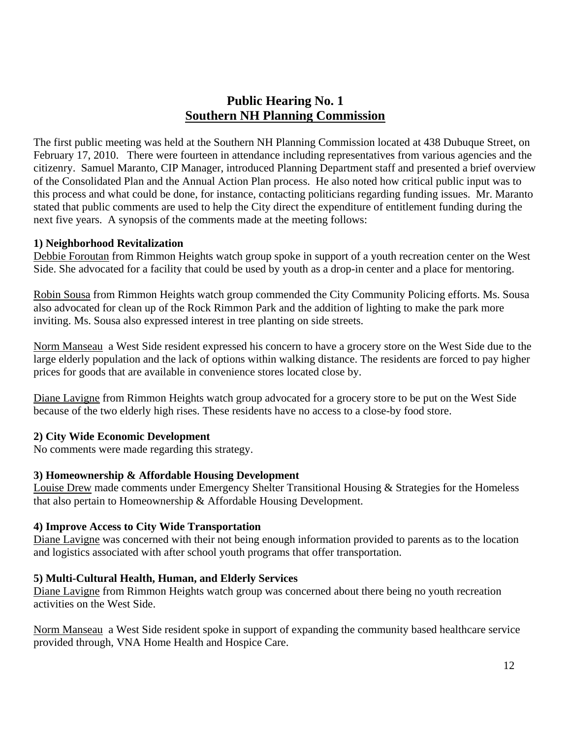## **Public Hearing No. 1 Southern NH Planning Commission**

The first public meeting was held at the Southern NH Planning Commission located at 438 Dubuque Street, on February 17, 2010. There were fourteen in attendance including representatives from various agencies and the citizenry. Samuel Maranto, CIP Manager, introduced Planning Department staff and presented a brief overview of the Consolidated Plan and the Annual Action Plan process. He also noted how critical public input was to this process and what could be done, for instance, contacting politicians regarding funding issues. Mr. Maranto stated that public comments are used to help the City direct the expenditure of entitlement funding during the next five years. A synopsis of the comments made at the meeting follows:

### **1) Neighborhood Revitalization**

Debbie Foroutan from Rimmon Heights watch group spoke in support of a youth recreation center on the West Side. She advocated for a facility that could be used by youth as a drop-in center and a place for mentoring.

Robin Sousa from Rimmon Heights watch group commended the City Community Policing efforts. Ms. Sousa also advocated for clean up of the Rock Rimmon Park and the addition of lighting to make the park more inviting. Ms. Sousa also expressed interest in tree planting on side streets.

Norm Manseau a West Side resident expressed his concern to have a grocery store on the West Side due to the large elderly population and the lack of options within walking distance. The residents are forced to pay higher prices for goods that are available in convenience stores located close by.

Diane Lavigne from Rimmon Heights watch group advocated for a grocery store to be put on the West Side because of the two elderly high rises. These residents have no access to a close-by food store.

## **2) City Wide Economic Development**

No comments were made regarding this strategy.

## **3) Homeownership & Affordable Housing Development**

Louise Drew made comments under Emergency Shelter Transitional Housing & Strategies for the Homeless that also pertain to Homeownership & Affordable Housing Development.

## **4) Improve Access to City Wide Transportation**

Diane Lavigne was concerned with their not being enough information provided to parents as to the location and logistics associated with after school youth programs that offer transportation.

## **5) Multi-Cultural Health, Human, and Elderly Services**

Diane Lavigne from Rimmon Heights watch group was concerned about there being no youth recreation activities on the West Side.

Norm Manseau a West Side resident spoke in support of expanding the community based healthcare service provided through, VNA Home Health and Hospice Care.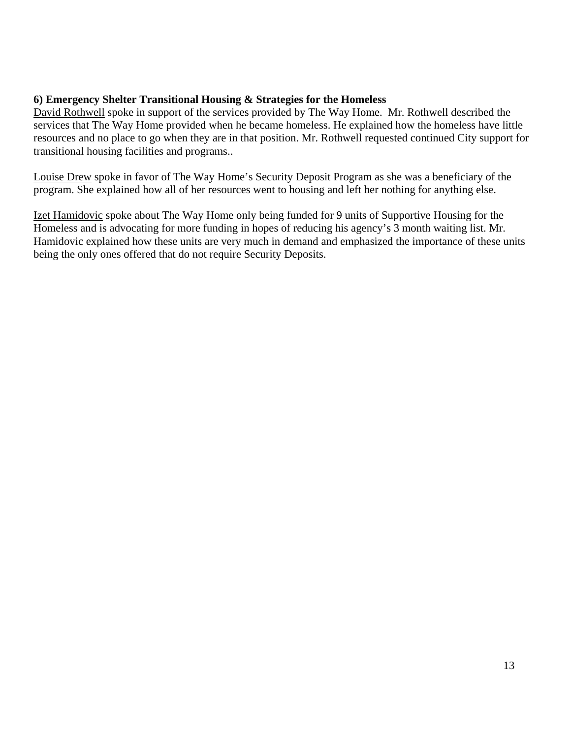## **6) Emergency Shelter Transitional Housing & Strategies for the Homeless**

David Rothwell spoke in support of the services provided by The Way Home. Mr. Rothwell described the services that The Way Home provided when he became homeless. He explained how the homeless have little resources and no place to go when they are in that position. Mr. Rothwell requested continued City support for transitional housing facilities and programs..

Louise Drew spoke in favor of The Way Home's Security Deposit Program as she was a beneficiary of the program. She explained how all of her resources went to housing and left her nothing for anything else.

Izet Hamidovic spoke about The Way Home only being funded for 9 units of Supportive Housing for the Homeless and is advocating for more funding in hopes of reducing his agency's 3 month waiting list. Mr. Hamidovic explained how these units are very much in demand and emphasized the importance of these units being the only ones offered that do not require Security Deposits.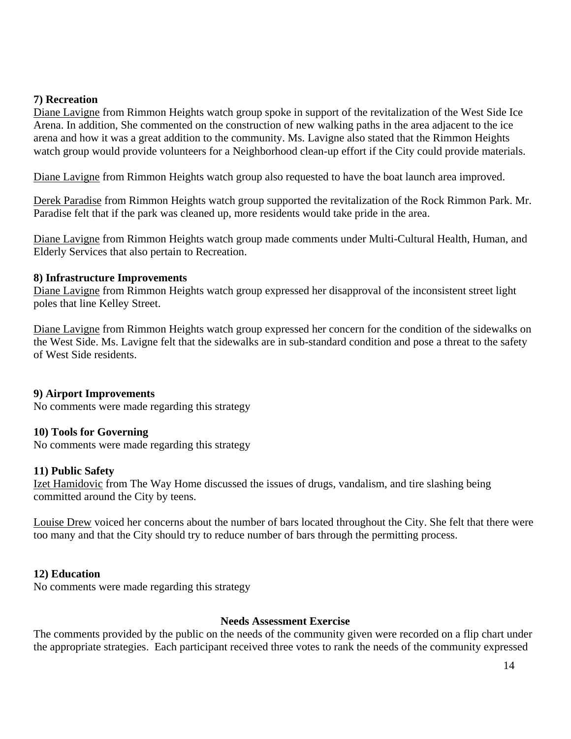### **7) Recreation**

Diane Lavigne from Rimmon Heights watch group spoke in support of the revitalization of the West Side Ice Arena. In addition, She commented on the construction of new walking paths in the area adjacent to the ice arena and how it was a great addition to the community. Ms. Lavigne also stated that the Rimmon Heights watch group would provide volunteers for a Neighborhood clean-up effort if the City could provide materials.

Diane Lavigne from Rimmon Heights watch group also requested to have the boat launch area improved.

Derek Paradise from Rimmon Heights watch group supported the revitalization of the Rock Rimmon Park. Mr. Paradise felt that if the park was cleaned up, more residents would take pride in the area.

Diane Lavigne from Rimmon Heights watch group made comments under Multi-Cultural Health, Human, and Elderly Services that also pertain to Recreation.

#### **8) Infrastructure Improvements**

Diane Lavigne from Rimmon Heights watch group expressed her disapproval of the inconsistent street light poles that line Kelley Street.

Diane Lavigne from Rimmon Heights watch group expressed her concern for the condition of the sidewalks on the West Side. Ms. Lavigne felt that the sidewalks are in sub-standard condition and pose a threat to the safety of West Side residents.

#### **9) Airport Improvements**

No comments were made regarding this strategy

#### **10) Tools for Governing**

No comments were made regarding this strategy

#### **11) Public Safety**

Izet Hamidovic from The Way Home discussed the issues of drugs, vandalism, and tire slashing being committed around the City by teens.

Louise Drew voiced her concerns about the number of bars located throughout the City. She felt that there were too many and that the City should try to reduce number of bars through the permitting process.

#### **12) Education**

No comments were made regarding this strategy

#### **Needs Assessment Exercise**

The comments provided by the public on the needs of the community given were recorded on a flip chart under the appropriate strategies. Each participant received three votes to rank the needs of the community expressed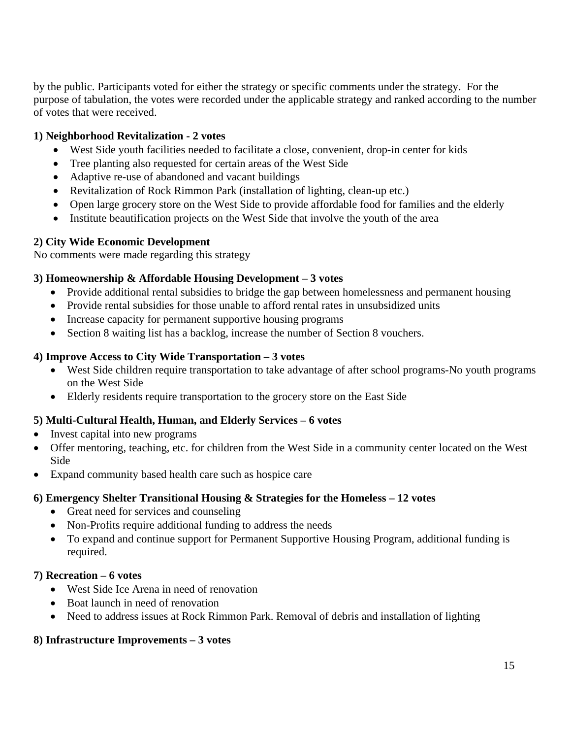by the public. Participants voted for either the strategy or specific comments under the strategy. For the purpose of tabulation, the votes were recorded under the applicable strategy and ranked according to the number of votes that were received.

## **1) Neighborhood Revitalization - 2 votes**

- West Side youth facilities needed to facilitate a close, convenient, drop-in center for kids
- Tree planting also requested for certain areas of the West Side
- Adaptive re-use of abandoned and vacant buildings
- Revitalization of Rock Rimmon Park (installation of lighting, clean-up etc.)
- Open large grocery store on the West Side to provide affordable food for families and the elderly
- Institute beautification projects on the West Side that involve the youth of the area

## **2) City Wide Economic Development**

No comments were made regarding this strategy

## **3) Homeownership & Affordable Housing Development – 3 votes**

- Provide additional rental subsidies to bridge the gap between homelessness and permanent housing
- Provide rental subsidies for those unable to afford rental rates in unsubsidized units
- Increase capacity for permanent supportive housing programs
- Section 8 waiting list has a backlog, increase the number of Section 8 vouchers.

## **4) Improve Access to City Wide Transportation – 3 votes**

- West Side children require transportation to take advantage of after school programs-No youth programs on the West Side
- Elderly residents require transportation to the grocery store on the East Side

## **5) Multi-Cultural Health, Human, and Elderly Services – 6 votes**

- Invest capital into new programs
- Offer mentoring, teaching, etc. for children from the West Side in a community center located on the West Side
- Expand community based health care such as hospice care

## **6) Emergency Shelter Transitional Housing & Strategies for the Homeless – 12 votes**

- Great need for services and counseling
- Non-Profits require additional funding to address the needs
- To expand and continue support for Permanent Supportive Housing Program, additional funding is required.

## **7) Recreation – 6 votes**

- West Side Ice Arena in need of renovation
- Boat launch in need of renovation
- Need to address issues at Rock Rimmon Park. Removal of debris and installation of lighting

## **8) Infrastructure Improvements – 3 votes**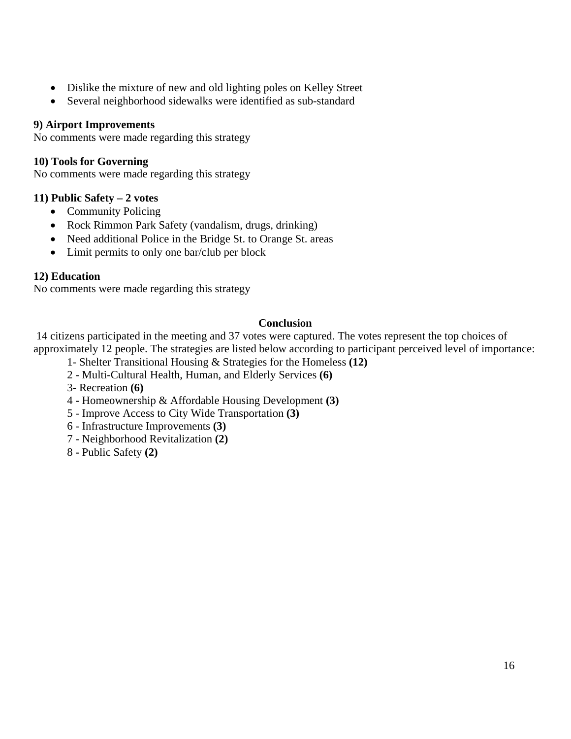- Dislike the mixture of new and old lighting poles on Kelley Street
- Several neighborhood sidewalks were identified as sub-standard

## **9) Airport Improvements**

No comments were made regarding this strategy

## **10) Tools for Governing**

No comments were made regarding this strategy

## **11) Public Safety – 2 votes**

- Community Policing
- Rock Rimmon Park Safety (vandalism, drugs, drinking)
- Need additional Police in the Bridge St. to Orange St. areas
- Limit permits to only one bar/club per block

## **12) Education**

No comments were made regarding this strategy

## **Conclusion**

 14 citizens participated in the meeting and 37 votes were captured. The votes represent the top choices of approximately 12 people. The strategies are listed below according to participant perceived level of importance:

- 1- Shelter Transitional Housing & Strategies for the Homeless **(12)**
- 2 Multi-Cultural Health, Human, and Elderly Services **(6)**
- 3- Recreation **(6)**
- 4 Homeownership & Affordable Housing Development **(3)**
- 5 Improve Access to City Wide Transportation **(3)**
- 6 Infrastructure Improvements **(3)**
- 7 Neighborhood Revitalization **(2)**
- 8 Public Safety **(2)**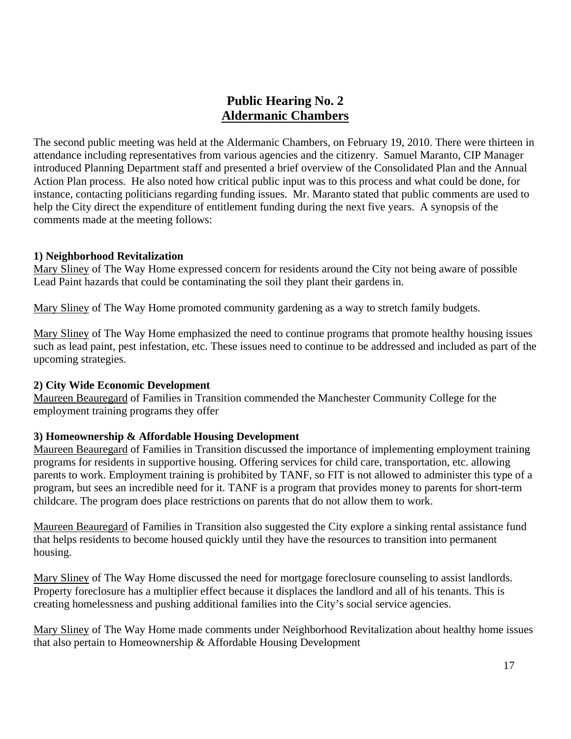## **Public Hearing No. 2 Aldermanic Chambers**

The second public meeting was held at the Aldermanic Chambers, on February 19, 2010. There were thirteen in attendance including representatives from various agencies and the citizenry. Samuel Maranto, CIP Manager introduced Planning Department staff and presented a brief overview of the Consolidated Plan and the Annual Action Plan process. He also noted how critical public input was to this process and what could be done, for instance, contacting politicians regarding funding issues. Mr. Maranto stated that public comments are used to help the City direct the expenditure of entitlement funding during the next five years. A synopsis of the comments made at the meeting follows:

#### **1) Neighborhood Revitalization**

Mary Sliney of The Way Home expressed concern for residents around the City not being aware of possible Lead Paint hazards that could be contaminating the soil they plant their gardens in.

Mary Sliney of The Way Home promoted community gardening as a way to stretch family budgets.

Mary Sliney of The Way Home emphasized the need to continue programs that promote healthy housing issues such as lead paint, pest infestation, etc. These issues need to continue to be addressed and included as part of the upcoming strategies.

## **2) City Wide Economic Development**

Maureen Beauregard of Families in Transition commended the Manchester Community College for the employment training programs they offer

## **3) Homeownership & Affordable Housing Development**

Maureen Beauregard of Families in Transition discussed the importance of implementing employment training programs for residents in supportive housing. Offering services for child care, transportation, etc. allowing parents to work. Employment training is prohibited by TANF, so FIT is not allowed to administer this type of a program, but sees an incredible need for it. TANF is a program that provides money to parents for short-term childcare. The program does place restrictions on parents that do not allow them to work.

Maureen Beauregard of Families in Transition also suggested the City explore a sinking rental assistance fund that helps residents to become housed quickly until they have the resources to transition into permanent housing.

Mary Sliney of The Way Home discussed the need for mortgage foreclosure counseling to assist landlords. Property foreclosure has a multiplier effect because it displaces the landlord and all of his tenants. This is creating homelessness and pushing additional families into the City's social service agencies.

Mary Sliney of The Way Home made comments under Neighborhood Revitalization about healthy home issues that also pertain to Homeownership & Affordable Housing Development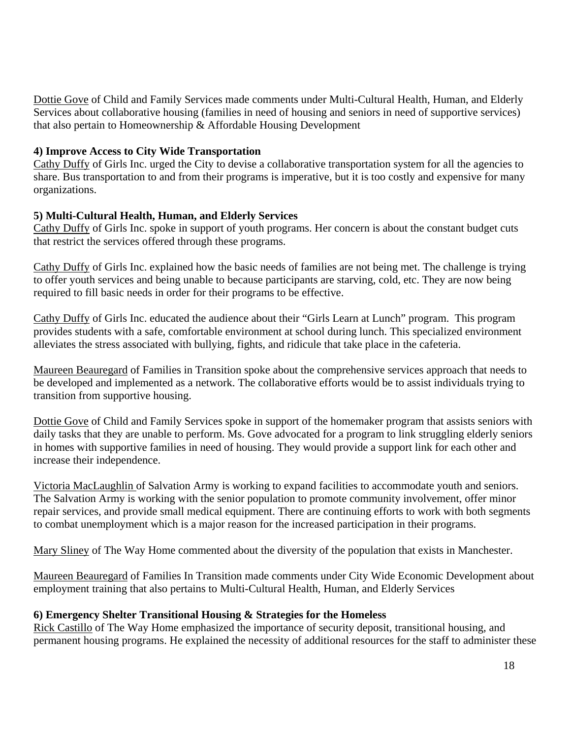Dottie Gove of Child and Family Services made comments under Multi-Cultural Health, Human, and Elderly Services about collaborative housing (families in need of housing and seniors in need of supportive services) that also pertain to Homeownership & Affordable Housing Development

## **4) Improve Access to City Wide Transportation**

Cathy Duffy of Girls Inc. urged the City to devise a collaborative transportation system for all the agencies to share. Bus transportation to and from their programs is imperative, but it is too costly and expensive for many organizations.

### **5) Multi-Cultural Health, Human, and Elderly Services**

Cathy Duffy of Girls Inc. spoke in support of youth programs. Her concern is about the constant budget cuts that restrict the services offered through these programs.

Cathy Duffy of Girls Inc. explained how the basic needs of families are not being met. The challenge is trying to offer youth services and being unable to because participants are starving, cold, etc. They are now being required to fill basic needs in order for their programs to be effective.

Cathy Duffy of Girls Inc. educated the audience about their "Girls Learn at Lunch" program. This program provides students with a safe, comfortable environment at school during lunch. This specialized environment alleviates the stress associated with bullying, fights, and ridicule that take place in the cafeteria.

Maureen Beauregard of Families in Transition spoke about the comprehensive services approach that needs to be developed and implemented as a network. The collaborative efforts would be to assist individuals trying to transition from supportive housing.

Dottie Gove of Child and Family Services spoke in support of the homemaker program that assists seniors with daily tasks that they are unable to perform. Ms. Gove advocated for a program to link struggling elderly seniors in homes with supportive families in need of housing. They would provide a support link for each other and increase their independence.

Victoria MacLaughlin of Salvation Army is working to expand facilities to accommodate youth and seniors. The Salvation Army is working with the senior population to promote community involvement, offer minor repair services, and provide small medical equipment. There are continuing efforts to work with both segments to combat unemployment which is a major reason for the increased participation in their programs.

Mary Sliney of The Way Home commented about the diversity of the population that exists in Manchester.

Maureen Beauregard of Families In Transition made comments under City Wide Economic Development about employment training that also pertains to Multi-Cultural Health, Human, and Elderly Services

#### **6) Emergency Shelter Transitional Housing & Strategies for the Homeless**

Rick Castillo of The Way Home emphasized the importance of security deposit, transitional housing, and permanent housing programs. He explained the necessity of additional resources for the staff to administer these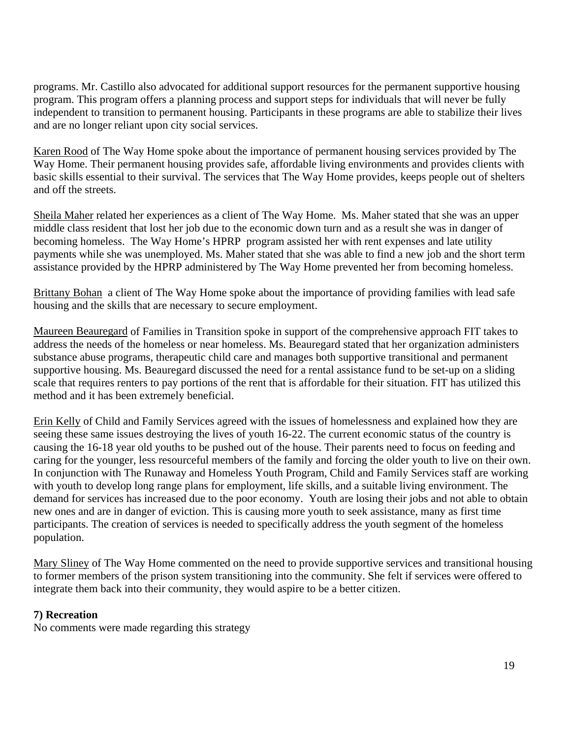programs. Mr. Castillo also advocated for additional support resources for the permanent supportive housing program. This program offers a planning process and support steps for individuals that will never be fully independent to transition to permanent housing. Participants in these programs are able to stabilize their lives and are no longer reliant upon city social services.

Karen Rood of The Way Home spoke about the importance of permanent housing services provided by The Way Home. Their permanent housing provides safe, affordable living environments and provides clients with basic skills essential to their survival. The services that The Way Home provides, keeps people out of shelters and off the streets.

Sheila Maher related her experiences as a client of The Way Home. Ms. Maher stated that she was an upper middle class resident that lost her job due to the economic down turn and as a result she was in danger of becoming homeless. The Way Home's HPRP program assisted her with rent expenses and late utility payments while she was unemployed. Ms. Maher stated that she was able to find a new job and the short term assistance provided by the HPRP administered by The Way Home prevented her from becoming homeless.

Brittany Bohan a client of The Way Home spoke about the importance of providing families with lead safe housing and the skills that are necessary to secure employment.

Maureen Beauregard of Families in Transition spoke in support of the comprehensive approach FIT takes to address the needs of the homeless or near homeless. Ms. Beauregard stated that her organization administers substance abuse programs, therapeutic child care and manages both supportive transitional and permanent supportive housing. Ms. Beauregard discussed the need for a rental assistance fund to be set-up on a sliding scale that requires renters to pay portions of the rent that is affordable for their situation. FIT has utilized this method and it has been extremely beneficial.

Erin Kelly of Child and Family Services agreed with the issues of homelessness and explained how they are seeing these same issues destroying the lives of youth 16-22. The current economic status of the country is causing the 16-18 year old youths to be pushed out of the house. Their parents need to focus on feeding and caring for the younger, less resourceful members of the family and forcing the older youth to live on their own. In conjunction with The Runaway and Homeless Youth Program, Child and Family Services staff are working with youth to develop long range plans for employment, life skills, and a suitable living environment. The demand for services has increased due to the poor economy. Youth are losing their jobs and not able to obtain new ones and are in danger of eviction. This is causing more youth to seek assistance, many as first time participants. The creation of services is needed to specifically address the youth segment of the homeless population.

Mary Sliney of The Way Home commented on the need to provide supportive services and transitional housing to former members of the prison system transitioning into the community. She felt if services were offered to integrate them back into their community, they would aspire to be a better citizen.

## **7) Recreation**

No comments were made regarding this strategy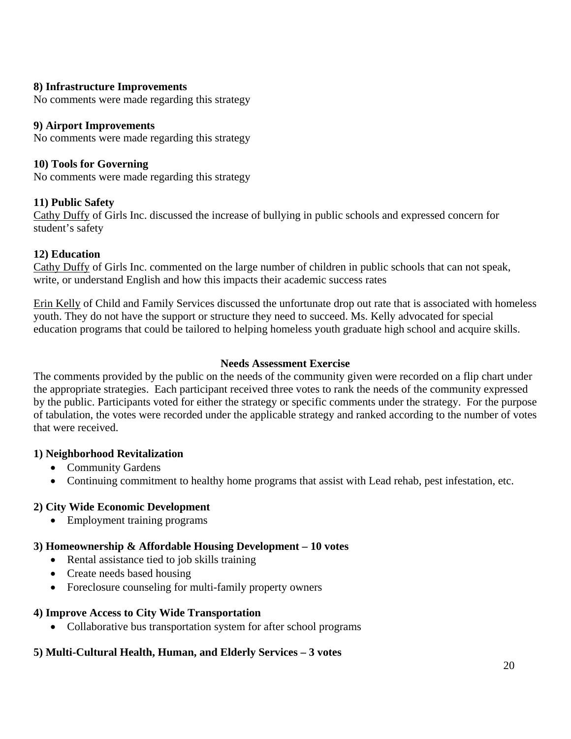## **8) Infrastructure Improvements**

No comments were made regarding this strategy

## **9) Airport Improvements**

No comments were made regarding this strategy

### **10) Tools for Governing**

No comments were made regarding this strategy

### **11) Public Safety**

Cathy Duffy of Girls Inc. discussed the increase of bullying in public schools and expressed concern for student's safety

### **12) Education**

Cathy Duffy of Girls Inc. commented on the large number of children in public schools that can not speak, write, or understand English and how this impacts their academic success rates

Erin Kelly of Child and Family Services discussed the unfortunate drop out rate that is associated with homeless youth. They do not have the support or structure they need to succeed. Ms. Kelly advocated for special education programs that could be tailored to helping homeless youth graduate high school and acquire skills.

### **Needs Assessment Exercise**

The comments provided by the public on the needs of the community given were recorded on a flip chart under the appropriate strategies. Each participant received three votes to rank the needs of the community expressed by the public. Participants voted for either the strategy or specific comments under the strategy. For the purpose of tabulation, the votes were recorded under the applicable strategy and ranked according to the number of votes that were received.

## **1) Neighborhood Revitalization**

- Community Gardens
- Continuing commitment to healthy home programs that assist with Lead rehab, pest infestation, etc.

## **2) City Wide Economic Development**

• Employment training programs

## **3) Homeownership & Affordable Housing Development – 10 votes**

- Rental assistance tied to job skills training
- Create needs based housing
- Foreclosure counseling for multi-family property owners

#### **4) Improve Access to City Wide Transportation**

• Collaborative bus transportation system for after school programs

## **5) Multi-Cultural Health, Human, and Elderly Services – 3 votes**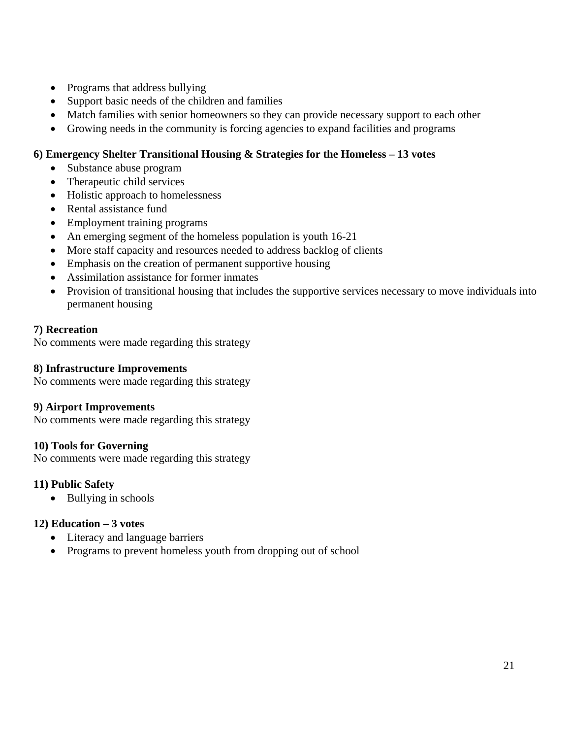- Programs that address bullying
- Support basic needs of the children and families
- Match families with senior homeowners so they can provide necessary support to each other
- Growing needs in the community is forcing agencies to expand facilities and programs

## **6) Emergency Shelter Transitional Housing & Strategies for the Homeless – 13 votes**

- Substance abuse program
- Therapeutic child services
- Holistic approach to homelessness
- Rental assistance fund
- Employment training programs
- An emerging segment of the homeless population is youth 16-21
- More staff capacity and resources needed to address backlog of clients
- Emphasis on the creation of permanent supportive housing
- Assimilation assistance for former inmates
- Provision of transitional housing that includes the supportive services necessary to move individuals into permanent housing

## **7) Recreation**

No comments were made regarding this strategy

### **8) Infrastructure Improvements**

No comments were made regarding this strategy

## **9) Airport Improvements**

No comments were made regarding this strategy

## **10) Tools for Governing**

No comments were made regarding this strategy

## **11) Public Safety**

• Bullying in schools

## **12) Education – 3 votes**

- Literacy and language barriers
- Programs to prevent homeless youth from dropping out of school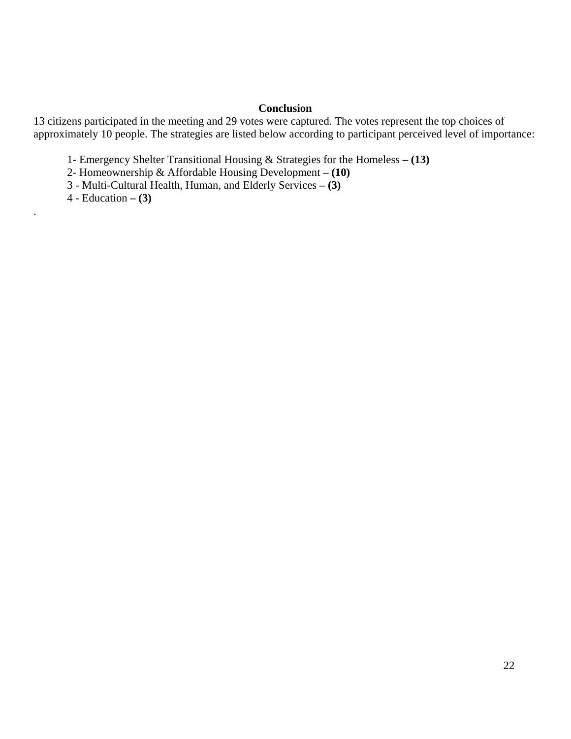### **Conclusion**

13 citizens participated in the meeting and 29 votes were captured. The votes represent the top choices of approximately 10 people. The strategies are listed below according to participant perceived level of importance:

1- Emergency Shelter Transitional Housing & Strategies for the Homeless **– (13)**

2- Homeownership & Affordable Housing Development **– (10)**

3 - Multi-Cultural Health, Human, and Elderly Services **– (3)**

4 - Education **– (3)**

.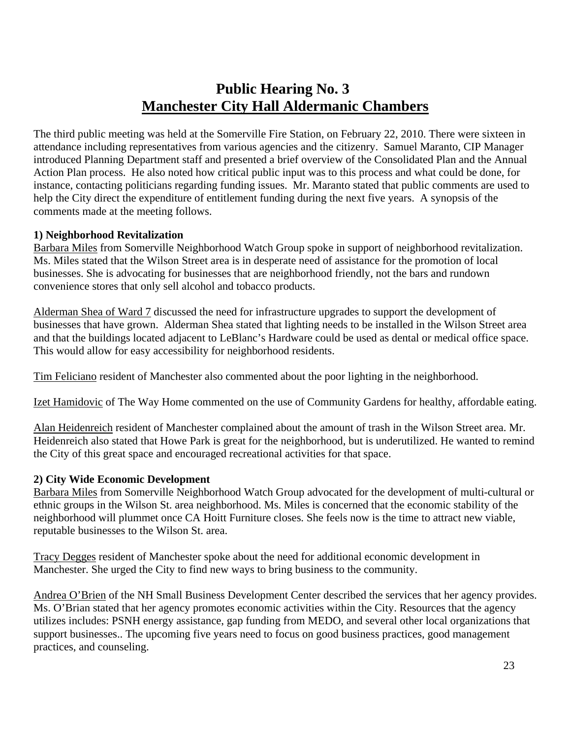# **Public Hearing No. 3 Manchester City Hall Aldermanic Chambers**

The third public meeting was held at the Somerville Fire Station, on February 22, 2010. There were sixteen in attendance including representatives from various agencies and the citizenry. Samuel Maranto, CIP Manager introduced Planning Department staff and presented a brief overview of the Consolidated Plan and the Annual Action Plan process. He also noted how critical public input was to this process and what could be done, for instance, contacting politicians regarding funding issues. Mr. Maranto stated that public comments are used to help the City direct the expenditure of entitlement funding during the next five years. A synopsis of the comments made at the meeting follows.

### **1) Neighborhood Revitalization**

Barbara Miles from Somerville Neighborhood Watch Group spoke in support of neighborhood revitalization. Ms. Miles stated that the Wilson Street area is in desperate need of assistance for the promotion of local businesses. She is advocating for businesses that are neighborhood friendly, not the bars and rundown convenience stores that only sell alcohol and tobacco products.

Alderman Shea of Ward 7 discussed the need for infrastructure upgrades to support the development of businesses that have grown. Alderman Shea stated that lighting needs to be installed in the Wilson Street area and that the buildings located adjacent to LeBlanc's Hardware could be used as dental or medical office space. This would allow for easy accessibility for neighborhood residents.

Tim Feliciano resident of Manchester also commented about the poor lighting in the neighborhood.

Izet Hamidovic of The Way Home commented on the use of Community Gardens for healthy, affordable eating.

Alan Heidenreich resident of Manchester complained about the amount of trash in the Wilson Street area. Mr. Heidenreich also stated that Howe Park is great for the neighborhood, but is underutilized. He wanted to remind the City of this great space and encouraged recreational activities for that space.

## **2) City Wide Economic Development**

Barbara Miles from Somerville Neighborhood Watch Group advocated for the development of multi-cultural or ethnic groups in the Wilson St. area neighborhood. Ms. Miles is concerned that the economic stability of the neighborhood will plummet once CA Hoitt Furniture closes. She feels now is the time to attract new viable, reputable businesses to the Wilson St. area.

Tracy Degges resident of Manchester spoke about the need for additional economic development in Manchester. She urged the City to find new ways to bring business to the community.

Andrea O'Brien of the NH Small Business Development Center described the services that her agency provides. Ms. O'Brian stated that her agency promotes economic activities within the City. Resources that the agency utilizes includes: PSNH energy assistance, gap funding from MEDO, and several other local organizations that support businesses.. The upcoming five years need to focus on good business practices, good management practices, and counseling.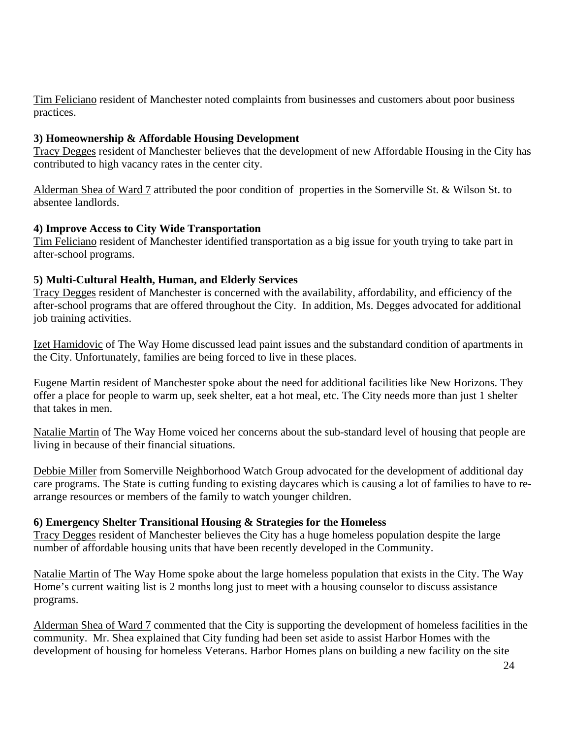Tim Feliciano resident of Manchester noted complaints from businesses and customers about poor business practices.

## **3) Homeownership & Affordable Housing Development**

Tracy Degges resident of Manchester believes that the development of new Affordable Housing in the City has contributed to high vacancy rates in the center city.

Alderman Shea of Ward 7 attributed the poor condition of properties in the Somerville St. & Wilson St. to absentee landlords.

## **4) Improve Access to City Wide Transportation**

Tim Feliciano resident of Manchester identified transportation as a big issue for youth trying to take part in after-school programs.

## **5) Multi-Cultural Health, Human, and Elderly Services**

Tracy Degges resident of Manchester is concerned with the availability, affordability, and efficiency of the after-school programs that are offered throughout the City. In addition, Ms. Degges advocated for additional job training activities.

Izet Hamidovic of The Way Home discussed lead paint issues and the substandard condition of apartments in the City. Unfortunately, families are being forced to live in these places.

Eugene Martin resident of Manchester spoke about the need for additional facilities like New Horizons. They offer a place for people to warm up, seek shelter, eat a hot meal, etc. The City needs more than just 1 shelter that takes in men.

Natalie Martin of The Way Home voiced her concerns about the sub-standard level of housing that people are living in because of their financial situations.

Debbie Miller from Somerville Neighborhood Watch Group advocated for the development of additional day care programs. The State is cutting funding to existing daycares which is causing a lot of families to have to rearrange resources or members of the family to watch younger children.

## **6) Emergency Shelter Transitional Housing & Strategies for the Homeless**

Tracy Degges resident of Manchester believes the City has a huge homeless population despite the large number of affordable housing units that have been recently developed in the Community.

Natalie Martin of The Way Home spoke about the large homeless population that exists in the City. The Way Home's current waiting list is 2 months long just to meet with a housing counselor to discuss assistance programs.

Alderman Shea of Ward 7 commented that the City is supporting the development of homeless facilities in the community. Mr. Shea explained that City funding had been set aside to assist Harbor Homes with the development of housing for homeless Veterans. Harbor Homes plans on building a new facility on the site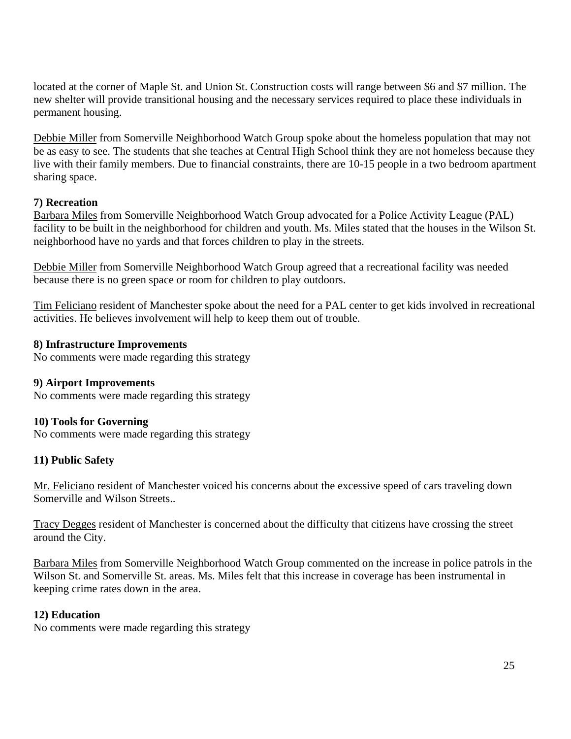located at the corner of Maple St. and Union St. Construction costs will range between \$6 and \$7 million. The new shelter will provide transitional housing and the necessary services required to place these individuals in permanent housing.

Debbie Miller from Somerville Neighborhood Watch Group spoke about the homeless population that may not be as easy to see. The students that she teaches at Central High School think they are not homeless because they live with their family members. Due to financial constraints, there are 10-15 people in a two bedroom apartment sharing space.

## **7) Recreation**

Barbara Miles from Somerville Neighborhood Watch Group advocated for a Police Activity League (PAL) facility to be built in the neighborhood for children and youth. Ms. Miles stated that the houses in the Wilson St. neighborhood have no yards and that forces children to play in the streets.

Debbie Miller from Somerville Neighborhood Watch Group agreed that a recreational facility was needed because there is no green space or room for children to play outdoors.

Tim Feliciano resident of Manchester spoke about the need for a PAL center to get kids involved in recreational activities. He believes involvement will help to keep them out of trouble.

## **8) Infrastructure Improvements**

No comments were made regarding this strategy

## **9) Airport Improvements**

No comments were made regarding this strategy

## **10) Tools for Governing**

No comments were made regarding this strategy

## **11) Public Safety**

Mr. Feliciano resident of Manchester voiced his concerns about the excessive speed of cars traveling down Somerville and Wilson Streets..

Tracy Degges resident of Manchester is concerned about the difficulty that citizens have crossing the street around the City.

Barbara Miles from Somerville Neighborhood Watch Group commented on the increase in police patrols in the Wilson St. and Somerville St. areas. Ms. Miles felt that this increase in coverage has been instrumental in keeping crime rates down in the area.

## **12) Education**

No comments were made regarding this strategy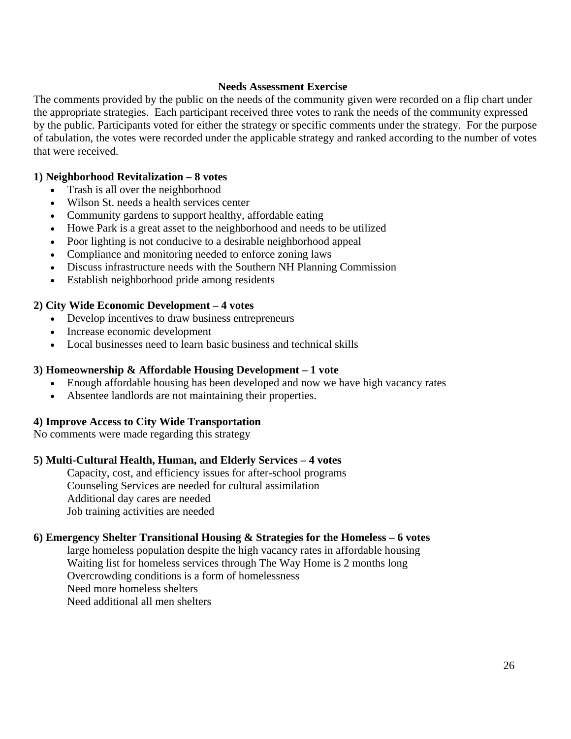### **Needs Assessment Exercise**

The comments provided by the public on the needs of the community given were recorded on a flip chart under the appropriate strategies. Each participant received three votes to rank the needs of the community expressed by the public. Participants voted for either the strategy or specific comments under the strategy. For the purpose of tabulation, the votes were recorded under the applicable strategy and ranked according to the number of votes that were received.

#### **1) Neighborhood Revitalization – 8 votes**

- Trash is all over the neighborhood
- Wilson St. needs a health services center
- Community gardens to support healthy, affordable eating
- Howe Park is a great asset to the neighborhood and needs to be utilized
- Poor lighting is not conducive to a desirable neighborhood appeal
- Compliance and monitoring needed to enforce zoning laws
- Discuss infrastructure needs with the Southern NH Planning Commission
- Establish neighborhood pride among residents

#### **2) City Wide Economic Development – 4 votes**

- Develop incentives to draw business entrepreneurs
- Increase economic development
- Local businesses need to learn basic business and technical skills

#### **3) Homeownership & Affordable Housing Development – 1 vote**

- Enough affordable housing has been developed and now we have high vacancy rates
- Absentee landlords are not maintaining their properties.

#### **4) Improve Access to City Wide Transportation**

No comments were made regarding this strategy

#### **5) Multi-Cultural Health, Human, and Elderly Services – 4 votes**

Capacity, cost, and efficiency issues for after-school programs Counseling Services are needed for cultural assimilation Additional day cares are needed Job training activities are needed

#### **6) Emergency Shelter Transitional Housing & Strategies for the Homeless – 6 votes**

large homeless population despite the high vacancy rates in affordable housing Waiting list for homeless services through The Way Home is 2 months long Overcrowding conditions is a form of homelessness Need more homeless shelters Need additional all men shelters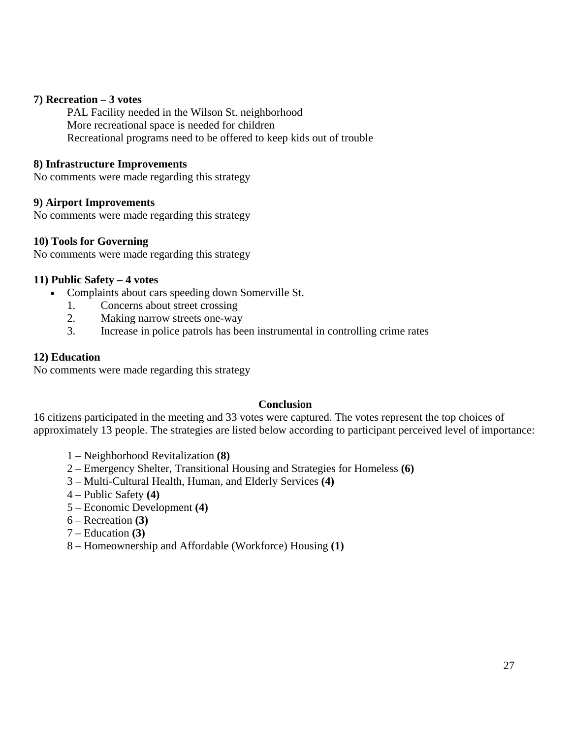#### **7) Recreation – 3 votes**

PAL Facility needed in the Wilson St. neighborhood More recreational space is needed for children Recreational programs need to be offered to keep kids out of trouble

#### **8) Infrastructure Improvements**

No comments were made regarding this strategy

### **9) Airport Improvements**

No comments were made regarding this strategy

### **10) Tools for Governing**

No comments were made regarding this strategy

### **11) Public Safety – 4 votes**

- Complaints about cars speeding down Somerville St.
	- 1. Concerns about street crossing
	- 2. Making narrow streets one-way
	- 3. Increase in police patrols has been instrumental in controlling crime rates

#### **12) Education**

No comments were made regarding this strategy

#### **Conclusion**

16 citizens participated in the meeting and 33 votes were captured. The votes represent the top choices of approximately 13 people. The strategies are listed below according to participant perceived level of importance:

- 1 Neighborhood Revitalization **(8)**
- 2 Emergency Shelter, Transitional Housing and Strategies for Homeless **(6)**
- 3 Multi-Cultural Health, Human, and Elderly Services **(4)**
- 4 Public Safety **(4)**
- 5 Economic Development **(4)**
- 6 Recreation **(3)**
- 7 Education **(3)**
- 8 Homeownership and Affordable (Workforce) Housing **(1)**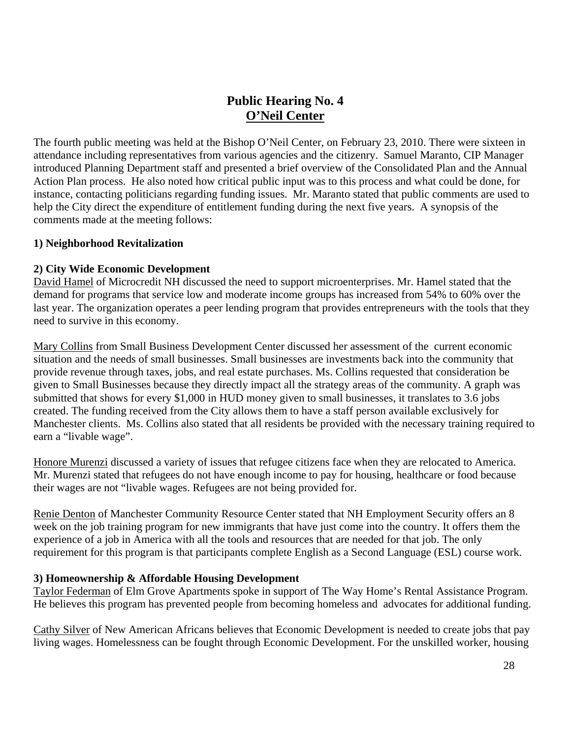## **Public Hearing No. 4 O'Neil Center**

The fourth public meeting was held at the Bishop O'Neil Center, on February 23, 2010. There were sixteen in attendance including representatives from various agencies and the citizenry. Samuel Maranto, CIP Manager introduced Planning Department staff and presented a brief overview of the Consolidated Plan and the Annual Action Plan process. He also noted how critical public input was to this process and what could be done, for instance, contacting politicians regarding funding issues. Mr. Maranto stated that public comments are used to help the City direct the expenditure of entitlement funding during the next five years. A synopsis of the comments made at the meeting follows:

#### **1) Neighborhood Revitalization**

### **2) City Wide Economic Development**

David Hamel of Microcredit NH discussed the need to support microenterprises. Mr. Hamel stated that the demand for programs that service low and moderate income groups has increased from 54% to 60% over the last year. The organization operates a peer lending program that provides entrepreneurs with the tools that they need to survive in this economy.

Mary Collins from Small Business Development Center discussed her assessment of the current economic situation and the needs of small businesses. Small businesses are investments back into the community that provide revenue through taxes, jobs, and real estate purchases. Ms. Collins requested that consideration be given to Small Businesses because they directly impact all the strategy areas of the community. A graph was submitted that shows for every \$1,000 in HUD money given to small businesses, it translates to 3.6 jobs created. The funding received from the City allows them to have a staff person available exclusively for Manchester clients. Ms. Collins also stated that all residents be provided with the necessary training required to earn a "livable wage".

Honore Murenzi discussed a variety of issues that refugee citizens face when they are relocated to America. Mr. Murenzi stated that refugees do not have enough income to pay for housing, healthcare or food because their wages are not "livable wages. Refugees are not being provided for.

Renie Denton of Manchester Community Resource Center stated that NH Employment Security offers an 8 week on the job training program for new immigrants that have just come into the country. It offers them the experience of a job in America with all the tools and resources that are needed for that job. The only requirement for this program is that participants complete English as a Second Language (ESL) course work.

#### **3) Homeownership & Affordable Housing Development**

Taylor Federman of Elm Grove Apartments spoke in support of The Way Home's Rental Assistance Program. He believes this program has prevented people from becoming homeless and advocates for additional funding.

Cathy Silver of New American Africans believes that Economic Development is needed to create jobs that pay living wages. Homelessness can be fought through Economic Development. For the unskilled worker, housing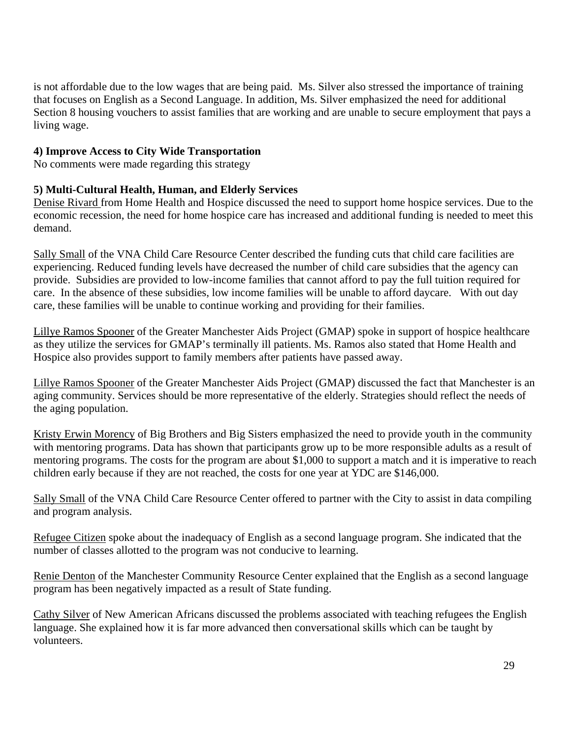is not affordable due to the low wages that are being paid. Ms. Silver also stressed the importance of training that focuses on English as a Second Language. In addition, Ms. Silver emphasized the need for additional Section 8 housing vouchers to assist families that are working and are unable to secure employment that pays a living wage.

## **4) Improve Access to City Wide Transportation**

No comments were made regarding this strategy

## **5) Multi-Cultural Health, Human, and Elderly Services**

Denise Rivard from Home Health and Hospice discussed the need to support home hospice services. Due to the economic recession, the need for home hospice care has increased and additional funding is needed to meet this demand.

Sally Small of the VNA Child Care Resource Center described the funding cuts that child care facilities are experiencing. Reduced funding levels have decreased the number of child care subsidies that the agency can provide. Subsidies are provided to low-income families that cannot afford to pay the full tuition required for care. In the absence of these subsidies, low income families will be unable to afford daycare. With out day care, these families will be unable to continue working and providing for their families.

Lillye Ramos Spooner of the Greater Manchester Aids Project (GMAP) spoke in support of hospice healthcare as they utilize the services for GMAP's terminally ill patients. Ms. Ramos also stated that Home Health and Hospice also provides support to family members after patients have passed away.

Lillye Ramos Spooner of the Greater Manchester Aids Project (GMAP) discussed the fact that Manchester is an aging community. Services should be more representative of the elderly. Strategies should reflect the needs of the aging population.

Kristy Erwin Morency of Big Brothers and Big Sisters emphasized the need to provide youth in the community with mentoring programs. Data has shown that participants grow up to be more responsible adults as a result of mentoring programs. The costs for the program are about \$1,000 to support a match and it is imperative to reach children early because if they are not reached, the costs for one year at YDC are \$146,000.

Sally Small of the VNA Child Care Resource Center offered to partner with the City to assist in data compiling and program analysis.

Refugee Citizen spoke about the inadequacy of English as a second language program. She indicated that the number of classes allotted to the program was not conducive to learning.

Renie Denton of the Manchester Community Resource Center explained that the English as a second language program has been negatively impacted as a result of State funding.

Cathy Silver of New American Africans discussed the problems associated with teaching refugees the English language. She explained how it is far more advanced then conversational skills which can be taught by volunteers.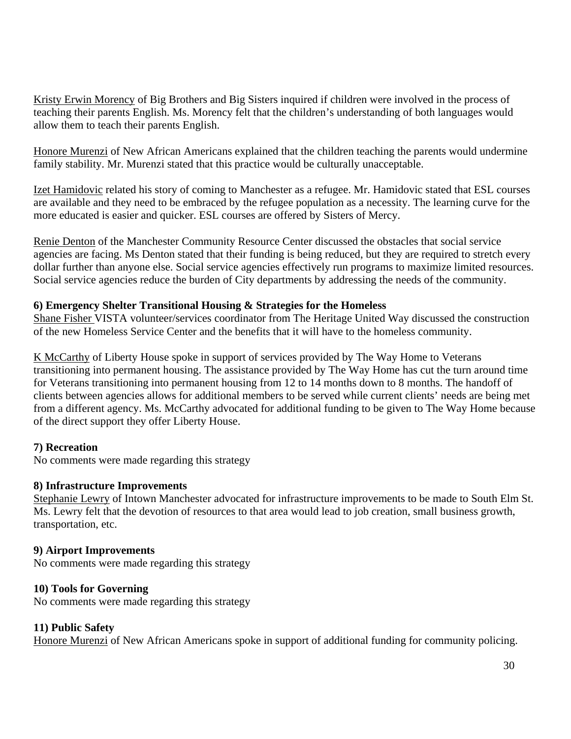Kristy Erwin Morency of Big Brothers and Big Sisters inquired if children were involved in the process of teaching their parents English. Ms. Morency felt that the children's understanding of both languages would allow them to teach their parents English.

Honore Murenzi of New African Americans explained that the children teaching the parents would undermine family stability. Mr. Murenzi stated that this practice would be culturally unacceptable.

Izet Hamidovic related his story of coming to Manchester as a refugee. Mr. Hamidovic stated that ESL courses are available and they need to be embraced by the refugee population as a necessity. The learning curve for the more educated is easier and quicker. ESL courses are offered by Sisters of Mercy.

Renie Denton of the Manchester Community Resource Center discussed the obstacles that social service agencies are facing. Ms Denton stated that their funding is being reduced, but they are required to stretch every dollar further than anyone else. Social service agencies effectively run programs to maximize limited resources. Social service agencies reduce the burden of City departments by addressing the needs of the community.

## **6) Emergency Shelter Transitional Housing & Strategies for the Homeless**

Shane Fisher VISTA volunteer/services coordinator from The Heritage United Way discussed the construction of the new Homeless Service Center and the benefits that it will have to the homeless community.

K McCarthy of Liberty House spoke in support of services provided by The Way Home to Veterans transitioning into permanent housing. The assistance provided by The Way Home has cut the turn around time for Veterans transitioning into permanent housing from 12 to 14 months down to 8 months. The handoff of clients between agencies allows for additional members to be served while current clients' needs are being met from a different agency. Ms. McCarthy advocated for additional funding to be given to The Way Home because of the direct support they offer Liberty House.

## **7) Recreation**

No comments were made regarding this strategy

## **8) Infrastructure Improvements**

Stephanie Lewry of Intown Manchester advocated for infrastructure improvements to be made to South Elm St. Ms. Lewry felt that the devotion of resources to that area would lead to job creation, small business growth, transportation, etc.

## **9) Airport Improvements**

No comments were made regarding this strategy

## **10) Tools for Governing**

No comments were made regarding this strategy

## **11) Public Safety**

Honore Murenzi of New African Americans spoke in support of additional funding for community policing.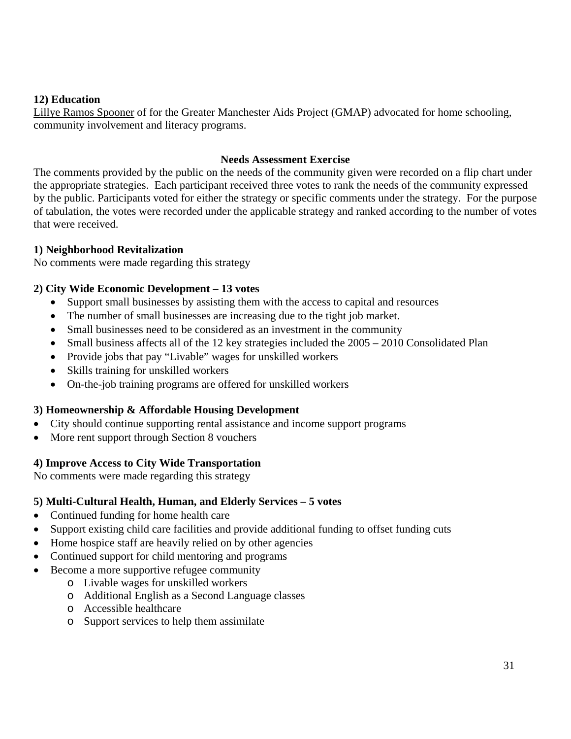## **12) Education**

Lillye Ramos Spooner of for the Greater Manchester Aids Project (GMAP) advocated for home schooling, community involvement and literacy programs.

#### **Needs Assessment Exercise**

The comments provided by the public on the needs of the community given were recorded on a flip chart under the appropriate strategies. Each participant received three votes to rank the needs of the community expressed by the public. Participants voted for either the strategy or specific comments under the strategy. For the purpose of tabulation, the votes were recorded under the applicable strategy and ranked according to the number of votes that were received.

### **1) Neighborhood Revitalization**

No comments were made regarding this strategy

### **2) City Wide Economic Development – 13 votes**

- Support small businesses by assisting them with the access to capital and resources
- The number of small businesses are increasing due to the tight job market.
- Small businesses need to be considered as an investment in the community
- Small business affects all of the 12 key strategies included the  $2005 2010$  Consolidated Plan
- Provide jobs that pay "Livable" wages for unskilled workers
- Skills training for unskilled workers
- On-the-job training programs are offered for unskilled workers

#### **3) Homeownership & Affordable Housing Development**

- City should continue supporting rental assistance and income support programs
- More rent support through Section 8 vouchers

## **4) Improve Access to City Wide Transportation**

No comments were made regarding this strategy

#### **5) Multi-Cultural Health, Human, and Elderly Services – 5 votes**

- Continued funding for home health care
- Support existing child care facilities and provide additional funding to offset funding cuts
- Home hospice staff are heavily relied on by other agencies
- Continued support for child mentoring and programs
- Become a more supportive refugee community
	- o Livable wages for unskilled workers
	- o Additional English as a Second Language classes
	- o Accessible healthcare
	- o Support services to help them assimilate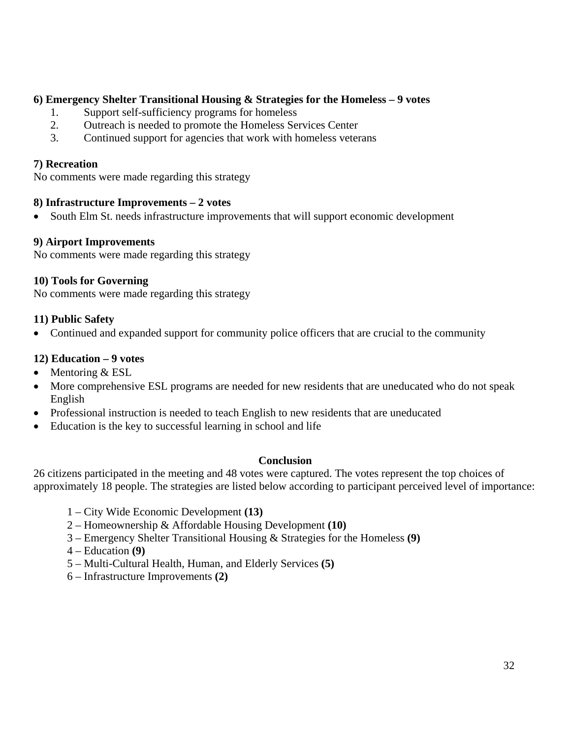## **6) Emergency Shelter Transitional Housing & Strategies for the Homeless – 9 votes**

- 1. Support self-sufficiency programs for homeless
- 2. Outreach is needed to promote the Homeless Services Center
- 3. Continued support for agencies that work with homeless veterans

#### **7) Recreation**

No comments were made regarding this strategy

#### **8) Infrastructure Improvements – 2 votes**

• South Elm St. needs infrastructure improvements that will support economic development

#### **9) Airport Improvements**

No comments were made regarding this strategy

#### **10) Tools for Governing**

No comments were made regarding this strategy

#### **11) Public Safety**

• Continued and expanded support for community police officers that are crucial to the community

#### **12) Education – 9 votes**

- Mentoring & ESL
- More comprehensive ESL programs are needed for new residents that are uneducated who do not speak English
- Professional instruction is needed to teach English to new residents that are uneducated
- Education is the key to successful learning in school and life

#### **Conclusion**

26 citizens participated in the meeting and 48 votes were captured. The votes represent the top choices of approximately 18 people. The strategies are listed below according to participant perceived level of importance:

- 1 City Wide Economic Development **(13)**
- 2 Homeownership & Affordable Housing Development **(10)**
- 3 Emergency Shelter Transitional Housing & Strategies for the Homeless **(9)**
- 4 Education **(9)**
- 5 Multi-Cultural Health, Human, and Elderly Services **(5)**
- 6 Infrastructure Improvements **(2)**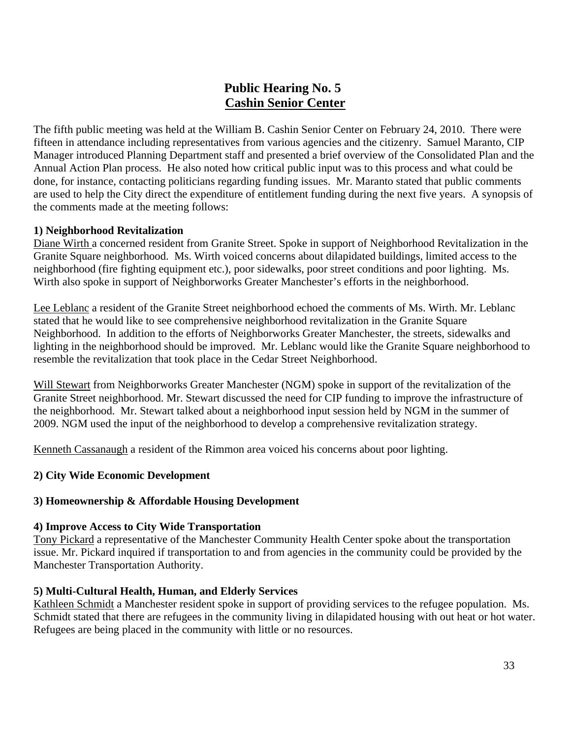## **Public Hearing No. 5 Cashin Senior Center**

The fifth public meeting was held at the William B. Cashin Senior Center on February 24, 2010. There were fifteen in attendance including representatives from various agencies and the citizenry. Samuel Maranto, CIP Manager introduced Planning Department staff and presented a brief overview of the Consolidated Plan and the Annual Action Plan process. He also noted how critical public input was to this process and what could be done, for instance, contacting politicians regarding funding issues. Mr. Maranto stated that public comments are used to help the City direct the expenditure of entitlement funding during the next five years. A synopsis of the comments made at the meeting follows:

### **1) Neighborhood Revitalization**

Diane Wirth a concerned resident from Granite Street. Spoke in support of Neighborhood Revitalization in the Granite Square neighborhood. Ms. Wirth voiced concerns about dilapidated buildings, limited access to the neighborhood (fire fighting equipment etc.), poor sidewalks, poor street conditions and poor lighting. Ms. Wirth also spoke in support of Neighborworks Greater Manchester's efforts in the neighborhood.

Lee Leblanc a resident of the Granite Street neighborhood echoed the comments of Ms. Wirth. Mr. Leblanc stated that he would like to see comprehensive neighborhood revitalization in the Granite Square Neighborhood. In addition to the efforts of Neighborworks Greater Manchester, the streets, sidewalks and lighting in the neighborhood should be improved. Mr. Leblanc would like the Granite Square neighborhood to resemble the revitalization that took place in the Cedar Street Neighborhood.

Will Stewart from Neighborworks Greater Manchester (NGM) spoke in support of the revitalization of the Granite Street neighborhood. Mr. Stewart discussed the need for CIP funding to improve the infrastructure of the neighborhood. Mr. Stewart talked about a neighborhood input session held by NGM in the summer of 2009. NGM used the input of the neighborhood to develop a comprehensive revitalization strategy.

Kenneth Cassanaugh a resident of the Rimmon area voiced his concerns about poor lighting.

## **2) City Wide Economic Development**

#### **3) Homeownership & Affordable Housing Development**

#### **4) Improve Access to City Wide Transportation**

Tony Pickard a representative of the Manchester Community Health Center spoke about the transportation issue. Mr. Pickard inquired if transportation to and from agencies in the community could be provided by the Manchester Transportation Authority.

#### **5) Multi-Cultural Health, Human, and Elderly Services**

Kathleen Schmidt a Manchester resident spoke in support of providing services to the refugee population. Ms. Schmidt stated that there are refugees in the community living in dilapidated housing with out heat or hot water. Refugees are being placed in the community with little or no resources.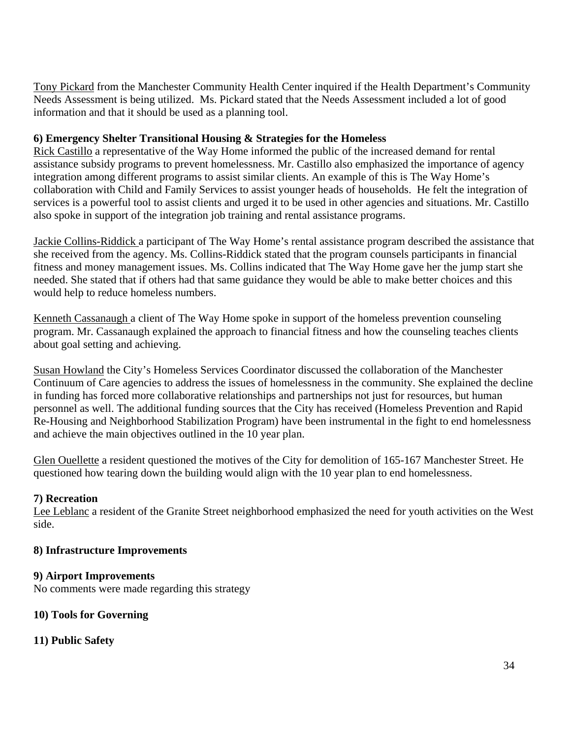Tony Pickard from the Manchester Community Health Center inquired if the Health Department's Community Needs Assessment is being utilized. Ms. Pickard stated that the Needs Assessment included a lot of good information and that it should be used as a planning tool.

## **6) Emergency Shelter Transitional Housing & Strategies for the Homeless**

Rick Castillo a representative of the Way Home informed the public of the increased demand for rental assistance subsidy programs to prevent homelessness. Mr. Castillo also emphasized the importance of agency integration among different programs to assist similar clients. An example of this is The Way Home's collaboration with Child and Family Services to assist younger heads of households. He felt the integration of services is a powerful tool to assist clients and urged it to be used in other agencies and situations. Mr. Castillo also spoke in support of the integration job training and rental assistance programs.

Jackie Collins-Riddick a participant of The Way Home's rental assistance program described the assistance that she received from the agency. Ms. Collins-Riddick stated that the program counsels participants in financial fitness and money management issues. Ms. Collins indicated that The Way Home gave her the jump start she needed. She stated that if others had that same guidance they would be able to make better choices and this would help to reduce homeless numbers.

Kenneth Cassanaugh a client of The Way Home spoke in support of the homeless prevention counseling program. Mr. Cassanaugh explained the approach to financial fitness and how the counseling teaches clients about goal setting and achieving.

Susan Howland the City's Homeless Services Coordinator discussed the collaboration of the Manchester Continuum of Care agencies to address the issues of homelessness in the community. She explained the decline in funding has forced more collaborative relationships and partnerships not just for resources, but human personnel as well. The additional funding sources that the City has received (Homeless Prevention and Rapid Re-Housing and Neighborhood Stabilization Program) have been instrumental in the fight to end homelessness and achieve the main objectives outlined in the 10 year plan.

Glen Ouellette a resident questioned the motives of the City for demolition of 165-167 Manchester Street. He questioned how tearing down the building would align with the 10 year plan to end homelessness.

## **7) Recreation**

Lee Leblanc a resident of the Granite Street neighborhood emphasized the need for youth activities on the West side.

## **8) Infrastructure Improvements**

## **9) Airport Improvements**

No comments were made regarding this strategy

## **10) Tools for Governing**

**11) Public Safety**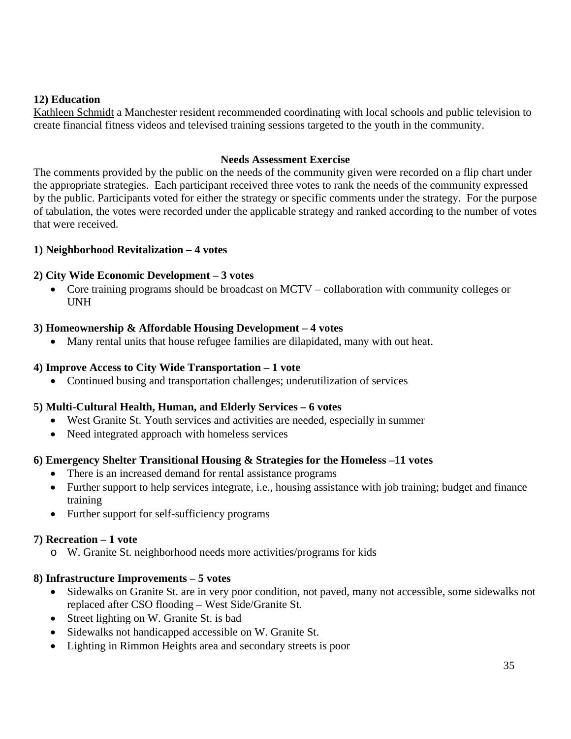## **12) Education**

Kathleen Schmidt a Manchester resident recommended coordinating with local schools and public television to create financial fitness videos and televised training sessions targeted to the youth in the community.

#### **Needs Assessment Exercise**

The comments provided by the public on the needs of the community given were recorded on a flip chart under the appropriate strategies. Each participant received three votes to rank the needs of the community expressed by the public. Participants voted for either the strategy or specific comments under the strategy. For the purpose of tabulation, the votes were recorded under the applicable strategy and ranked according to the number of votes that were received.

## **1) Neighborhood Revitalization – 4 votes**

### **2) City Wide Economic Development – 3 votes**

• Core training programs should be broadcast on MCTV – collaboration with community colleges or UNH

### **3) Homeownership & Affordable Housing Development – 4 votes**

• Many rental units that house refugee families are dilapidated, many with out heat.

### **4) Improve Access to City Wide Transportation – 1 vote**

• Continued busing and transportation challenges; underutilization of services

## **5) Multi-Cultural Health, Human, and Elderly Services – 6 votes**

- West Granite St. Youth services and activities are needed, especially in summer
- Need integrated approach with homeless services

## **6) Emergency Shelter Transitional Housing & Strategies for the Homeless –11 votes**

- There is an increased demand for rental assistance programs
- Further support to help services integrate, i.e., housing assistance with job training; budget and finance training
- Further support for self-sufficiency programs

#### **7) Recreation – 1 vote**

o W. Granite St. neighborhood needs more activities/programs for kids

## **8) Infrastructure Improvements – 5 votes**

- Sidewalks on Granite St. are in very poor condition, not paved, many not accessible, some sidewalks not replaced after CSO flooding – West Side/Granite St.
- Street lighting on W. Granite St. is bad
- Sidewalks not handicapped accessible on W. Granite St.
- Lighting in Rimmon Heights area and secondary streets is poor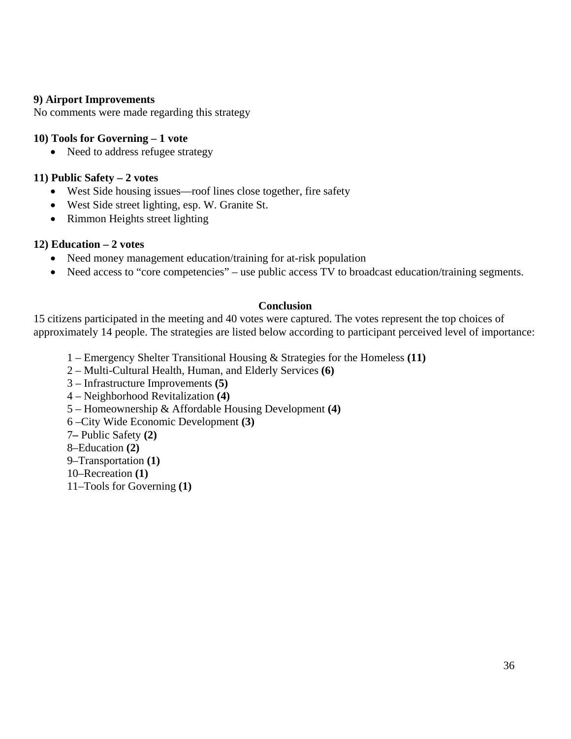### **9) Airport Improvements**

No comments were made regarding this strategy

#### **10) Tools for Governing – 1 vote**

• Need to address refugee strategy

### **11) Public Safety – 2 votes**

- West Side housing issues—roof lines close together, fire safety
- West Side street lighting, esp. W. Granite St.
- Rimmon Heights street lighting

### **12) Education – 2 votes**

- Need money management education/training for at-risk population
- Need access to "core competencies" use public access TV to broadcast education/training segments.

#### **Conclusion**

15 citizens participated in the meeting and 40 votes were captured. The votes represent the top choices of approximately 14 people. The strategies are listed below according to participant perceived level of importance:

- 1 Emergency Shelter Transitional Housing & Strategies for the Homeless **(11)**
- 2 Multi-Cultural Health, Human, and Elderly Services **(6)**
- 3 Infrastructure Improvements **(5)**
- 4 Neighborhood Revitalization **(4)**
- 5 Homeownership & Affordable Housing Development **(4)**
- 6 –City Wide Economic Development **(3)**
- 7**–** Public Safety **(2)**
- 8–Education **(2)**
- 9–Transportation **(1)**
- 10–Recreation **(1)**
- 11–Tools for Governing **(1)**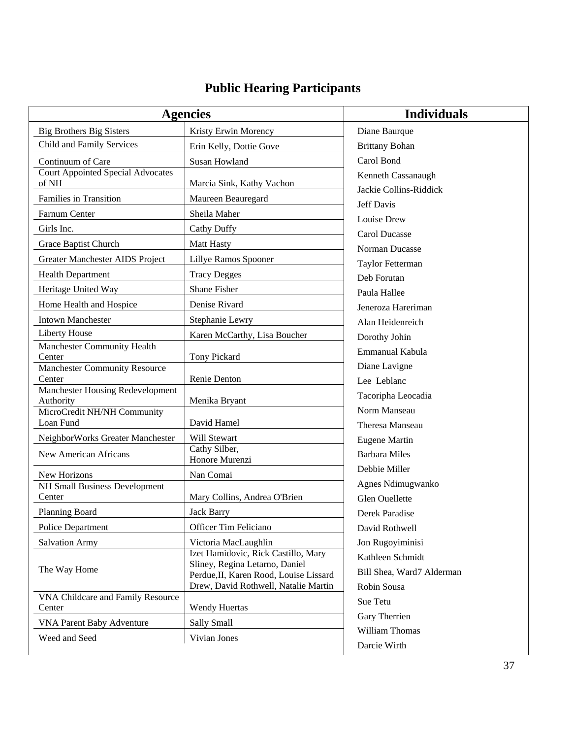# **Public Hearing Participants**

| <b>Agencies</b>                                      |                                                                          | <b>Individuals</b>                           |
|------------------------------------------------------|--------------------------------------------------------------------------|----------------------------------------------|
| <b>Big Brothers Big Sisters</b>                      | Kristy Erwin Morency                                                     | Diane Baurque                                |
| Child and Family Services                            | Erin Kelly, Dottie Gove                                                  | <b>Brittany Bohan</b>                        |
| Continuum of Care                                    | <b>Susan Howland</b>                                                     | Carol Bond                                   |
| <b>Court Appointed Special Advocates</b><br>of NH    | Marcia Sink, Kathy Vachon                                                | Kenneth Cassanaugh<br>Jackie Collins-Riddick |
| Families in Transition                               | Maureen Beauregard                                                       | Jeff Davis                                   |
| Farnum Center                                        | Sheila Maher                                                             | Louise Drew                                  |
| Girls Inc.                                           | <b>Cathy Duffy</b>                                                       | <b>Carol Ducasse</b>                         |
| Grace Baptist Church                                 | Matt Hasty                                                               | Norman Ducasse                               |
| Greater Manchester AIDS Project                      | Lillye Ramos Spooner                                                     | Taylor Fetterman                             |
| Health Department                                    | <b>Tracy Degges</b>                                                      | Deb Forutan                                  |
| Heritage United Way                                  | <b>Shane Fisher</b>                                                      | Paula Hallee                                 |
| Home Health and Hospice                              | Denise Rivard                                                            | Jeneroza Hareriman                           |
| <b>Intown Manchester</b>                             | Stephanie Lewry                                                          | Alan Heidenreich                             |
| <b>Liberty House</b>                                 | Karen McCarthy, Lisa Boucher                                             | Dorothy Johin                                |
| Manchester Community Health                          |                                                                          | Emmanual Kabula                              |
| Center                                               | <b>Tony Pickard</b>                                                      | Diane Lavigne                                |
| <b>Manchester Community Resource</b><br>Center       | Renie Denton                                                             | Lee Leblanc                                  |
| Manchester Housing Redevelopment                     |                                                                          | Tacoripha Leocadia                           |
| Authority                                            | Menika Bryant                                                            | Norm Manseau                                 |
| MicroCredit NH/NH Community<br>Loan Fund             | David Hamel                                                              | Theresa Manseau                              |
| NeighborWorks Greater Manchester                     | Will Stewart                                                             | <b>Eugene Martin</b>                         |
| New American Africans                                | Cathy Silber,                                                            | <b>Barbara Miles</b>                         |
|                                                      | Honore Murenzi                                                           | Debbie Miller                                |
| New Horizons<br><b>NH Small Business Development</b> | Nan Comai                                                                | Agnes Ndimugwanko                            |
| Center                                               | Mary Collins, Andrea O'Brien                                             | Glen Ouellette                               |
| Planning Board                                       | <b>Jack Barry</b>                                                        | Derek Paradise                               |
| Police Department                                    | Officer Tim Feliciano                                                    | David Rothwell                               |
| <b>Salvation Army</b>                                | Victoria MacLaughlin                                                     | Jon Rugoyiminisi                             |
| The Way Home                                         | Izet Hamidovic, Rick Castillo, Mary                                      | Kathleen Schmidt                             |
|                                                      | Sliney, Regina Letarno, Daniel<br>Perdue, II, Karen Rood, Louise Lissard | Bill Shea, Ward7 Alderman                    |
|                                                      | Drew, David Rothwell, Natalie Martin                                     | Robin Sousa                                  |
| VNA Childcare and Family Resource<br>Center          | <b>Wendy Huertas</b>                                                     | Sue Tetu                                     |
| <b>VNA Parent Baby Adventure</b>                     | Sally Small                                                              | Gary Therrien                                |
| Weed and Seed                                        | Vivian Jones                                                             | William Thomas                               |
|                                                      |                                                                          | Darcie Wirth                                 |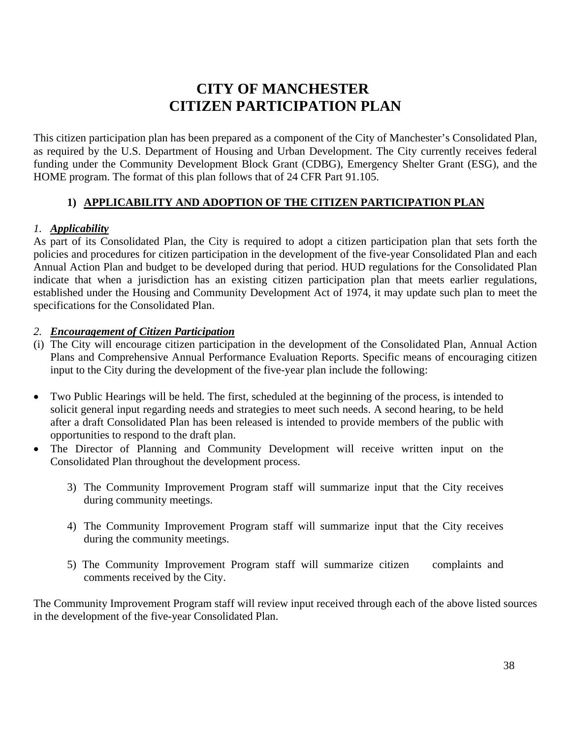# **CITY OF MANCHESTER CITIZEN PARTICIPATION PLAN**

This citizen participation plan has been prepared as a component of the City of Manchester's Consolidated Plan, as required by the U.S. Department of Housing and Urban Development. The City currently receives federal funding under the Community Development Block Grant (CDBG), Emergency Shelter Grant (ESG), and the HOME program. The format of this plan follows that of 24 CFR Part 91.105.

# **1) APPLICABILITY AND ADOPTION OF THE CITIZEN PARTICIPATION PLAN**

## *1. Applicability*

As part of its Consolidated Plan, the City is required to adopt a citizen participation plan that sets forth the policies and procedures for citizen participation in the development of the five-year Consolidated Plan and each Annual Action Plan and budget to be developed during that period. HUD regulations for the Consolidated Plan indicate that when a jurisdiction has an existing citizen participation plan that meets earlier regulations, established under the Housing and Community Development Act of 1974, it may update such plan to meet the specifications for the Consolidated Plan.

### *2. Encouragement of Citizen Participation*

- (i) The City will encourage citizen participation in the development of the Consolidated Plan, Annual Action Plans and Comprehensive Annual Performance Evaluation Reports. Specific means of encouraging citizen input to the City during the development of the five-year plan include the following:
- Two Public Hearings will be held. The first, scheduled at the beginning of the process, is intended to solicit general input regarding needs and strategies to meet such needs. A second hearing, to be held after a draft Consolidated Plan has been released is intended to provide members of the public with opportunities to respond to the draft plan.
- The Director of Planning and Community Development will receive written input on the Consolidated Plan throughout the development process.
	- 3) The Community Improvement Program staff will summarize input that the City receives during community meetings.
	- 4) The Community Improvement Program staff will summarize input that the City receives during the community meetings.
	- 5) The Community Improvement Program staff will summarize citizen complaints and comments received by the City.

The Community Improvement Program staff will review input received through each of the above listed sources in the development of the five-year Consolidated Plan.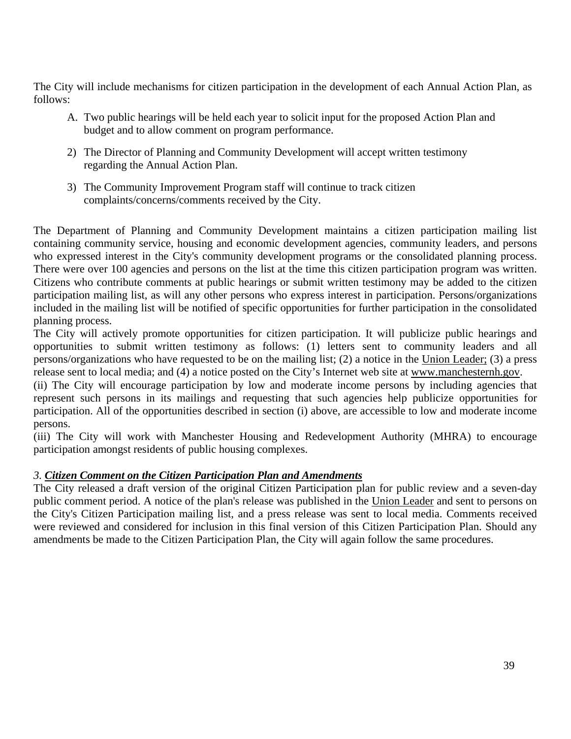The City will include mechanisms for citizen participation in the development of each Annual Action Plan, as follows:

- A. Two public hearings will be held each year to solicit input for the proposed Action Plan and budget and to allow comment on program performance.
- 2) The Director of Planning and Community Development will accept written testimony regarding the Annual Action Plan.
- 3) The Community Improvement Program staff will continue to track citizen complaints/concerns/comments received by the City.

The Department of Planning and Community Development maintains a citizen participation mailing list containing community service, housing and economic development agencies, community leaders, and persons who expressed interest in the City's community development programs or the consolidated planning process. There were over 100 agencies and persons on the list at the time this citizen participation program was written. Citizens who contribute comments at public hearings or submit written testimony may be added to the citizen participation mailing list, as will any other persons who express interest in participation. Persons/organizations included in the mailing list will be notified of specific opportunities for further participation in the consolidated planning process.

The City will actively promote opportunities for citizen participation. It will publicize public hearings and opportunities to submit written testimony as follows: (1) letters sent to community leaders and all persons/organizations who have requested to be on the mailing list; (2) a notice in the Union Leader; (3) a press release sent to local media; and (4) a notice posted on the City's Internet web site at [www.manchesternh.gov.](http://www.ci.manchester.nh.us/)

(ii) The City will encourage participation by low and moderate income persons by including agencies that represent such persons in its mailings and requesting that such agencies help publicize opportunities for participation. All of the opportunities described in section (i) above, are accessible to low and moderate income persons.

(iii) The City will work with Manchester Housing and Redevelopment Authority (MHRA) to encourage participation amongst residents of public housing complexes.

### *3. Citizen Comment on the Citizen Participation Plan and Amendments*

The City released a draft version of the original Citizen Participation plan for public review and a seven-day public comment period. A notice of the plan's release was published in the Union Leader and sent to persons on the City's Citizen Participation mailing list, and a press release was sent to local media. Comments received were reviewed and considered for inclusion in this final version of this Citizen Participation Plan. Should any amendments be made to the Citizen Participation Plan, the City will again follow the same procedures.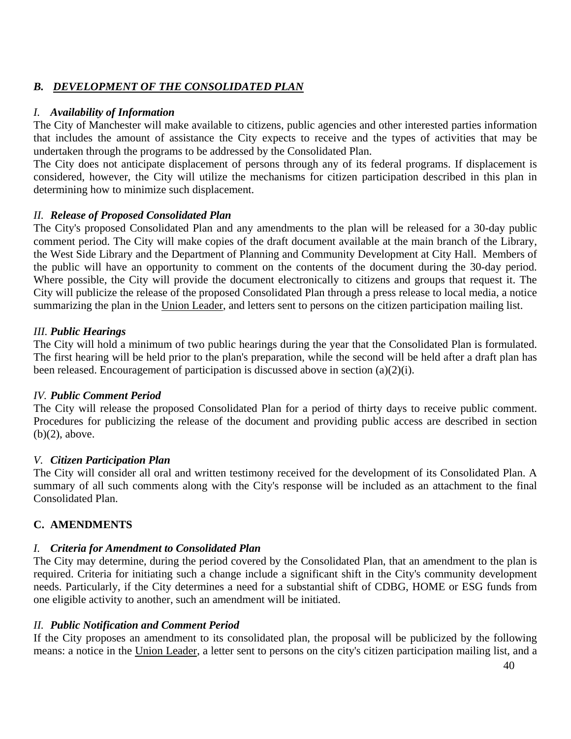# *B. DEVELOPMENT OF THE CONSOLIDATED PLAN*

## *I. Availability of Information*

The City of Manchester will make available to citizens, public agencies and other interested parties information that includes the amount of assistance the City expects to receive and the types of activities that may be undertaken through the programs to be addressed by the Consolidated Plan.

The City does not anticipate displacement of persons through any of its federal programs. If displacement is considered, however, the City will utilize the mechanisms for citizen participation described in this plan in determining how to minimize such displacement.

## *II. Release of Proposed Consolidated Plan*

The City's proposed Consolidated Plan and any amendments to the plan will be released for a 30-day public comment period. The City will make copies of the draft document available at the main branch of the Library, the West Side Library and the Department of Planning and Community Development at City Hall. Members of the public will have an opportunity to comment on the contents of the document during the 30-day period. Where possible, the City will provide the document electronically to citizens and groups that request it. The City will publicize the release of the proposed Consolidated Plan through a press release to local media, a notice summarizing the plan in the Union Leader, and letters sent to persons on the citizen participation mailing list.

## *III. Public Hearings*

The City will hold a minimum of two public hearings during the year that the Consolidated Plan is formulated. The first hearing will be held prior to the plan's preparation, while the second will be held after a draft plan has been released. Encouragement of participation is discussed above in section (a)(2)(i).

### *IV. Public Comment Period*

The City will release the proposed Consolidated Plan for a period of thirty days to receive public comment. Procedures for publicizing the release of the document and providing public access are described in section (b)(2), above.

### *V. Citizen Participation Plan*

The City will consider all oral and written testimony received for the development of its Consolidated Plan. A summary of all such comments along with the City's response will be included as an attachment to the final Consolidated Plan.

### **C. AMENDMENTS**

### *I. Criteria for Amendment to Consolidated Plan*

The City may determine, during the period covered by the Consolidated Plan, that an amendment to the plan is required. Criteria for initiating such a change include a significant shift in the City's community development needs. Particularly, if the City determines a need for a substantial shift of CDBG, HOME or ESG funds from one eligible activity to another, such an amendment will be initiated.

### *II. Public Notification and Comment Period*

If the City proposes an amendment to its consolidated plan, the proposal will be publicized by the following means: a notice in the Union Leader, a letter sent to persons on the city's citizen participation mailing list, and a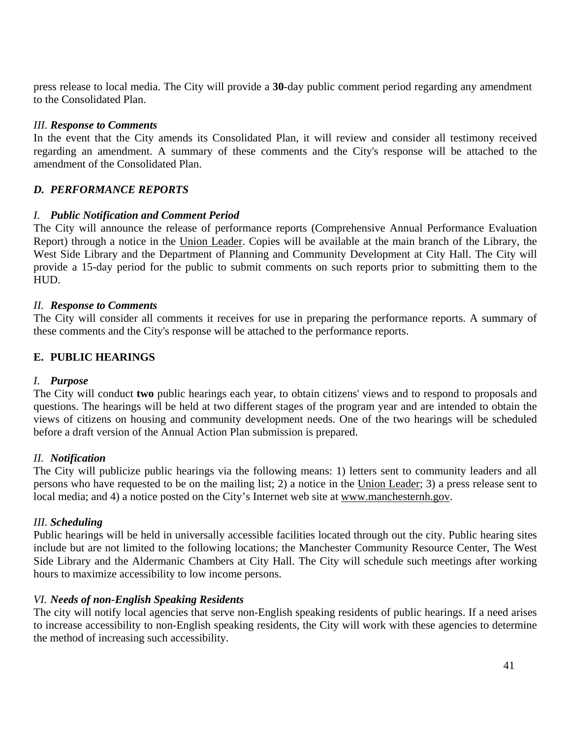press release to local media. The City will provide a **30**-day public comment period regarding any amendment to the Consolidated Plan.

#### *III. Response to Comments*

In the event that the City amends its Consolidated Plan, it will review and consider all testimony received regarding an amendment. A summary of these comments and the City's response will be attached to the amendment of the Consolidated Plan.

## *D. PERFORMANCE REPORTS*

### *I. Public Notification and Comment Period*

The City will announce the release of performance reports (Comprehensive Annual Performance Evaluation Report) through a notice in the Union Leader. Copies will be available at the main branch of the Library, the West Side Library and the Department of Planning and Community Development at City Hall. The City will provide a 15-day period for the public to submit comments on such reports prior to submitting them to the HUD.

#### *II. Response to Comments*

The City will consider all comments it receives for use in preparing the performance reports. A summary of these comments and the City's response will be attached to the performance reports.

#### **E. PUBLIC HEARINGS**

#### *I. Purpose*

The City will conduct **two** public hearings each year, to obtain citizens' views and to respond to proposals and questions. The hearings will be held at two different stages of the program year and are intended to obtain the views of citizens on housing and community development needs. One of the two hearings will be scheduled before a draft version of the Annual Action Plan submission is prepared.

#### *II. Notification*

The City will publicize public hearings via the following means: 1) letters sent to community leaders and all persons who have requested to be on the mailing list; 2) a notice in the Union Leader; 3) a press release sent to local media; and 4) a notice posted on the City's Internet web site at [www.manchesternh.gov.](http://www.manchesternh.gov/)

#### *III. Scheduling*

Public hearings will be held in universally accessible facilities located through out the city. Public hearing sites include but are not limited to the following locations; the Manchester Community Resource Center, The West Side Library and the Aldermanic Chambers at City Hall. The City will schedule such meetings after working hours to maximize accessibility to low income persons.

### *VI. Needs of non-English Speaking Residents*

The city will notify local agencies that serve non-English speaking residents of public hearings. If a need arises to increase accessibility to non-English speaking residents, the City will work with these agencies to determine the method of increasing such accessibility.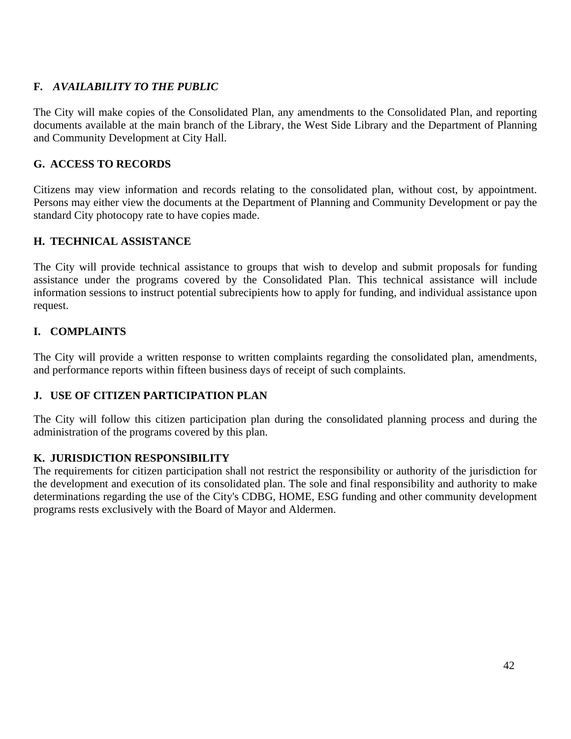# **F***. AVAILABILITY TO THE PUBLIC*

The City will make copies of the Consolidated Plan, any amendments to the Consolidated Plan, and reporting documents available at the main branch of the Library, the West Side Library and the Department of Planning and Community Development at City Hall.

## **G. ACCESS TO RECORDS**

Citizens may view information and records relating to the consolidated plan, without cost, by appointment. Persons may either view the documents at the Department of Planning and Community Development or pay the standard City photocopy rate to have copies made.

## **H. TECHNICAL ASSISTANCE**

The City will provide technical assistance to groups that wish to develop and submit proposals for funding assistance under the programs covered by the Consolidated Plan. This technical assistance will include information sessions to instruct potential subrecipients how to apply for funding, and individual assistance upon request.

# **I. COMPLAINTS**

The City will provide a written response to written complaints regarding the consolidated plan, amendments, and performance reports within fifteen business days of receipt of such complaints.

# **J. USE OF CITIZEN PARTICIPATION PLAN**

The City will follow this citizen participation plan during the consolidated planning process and during the administration of the programs covered by this plan.

### **K. JURISDICTION RESPONSIBILITY**

The requirements for citizen participation shall not restrict the responsibility or authority of the jurisdiction for the development and execution of its consolidated plan. The sole and final responsibility and authority to make determinations regarding the use of the City's CDBG, HOME, ESG funding and other community development programs rests exclusively with the Board of Mayor and Aldermen.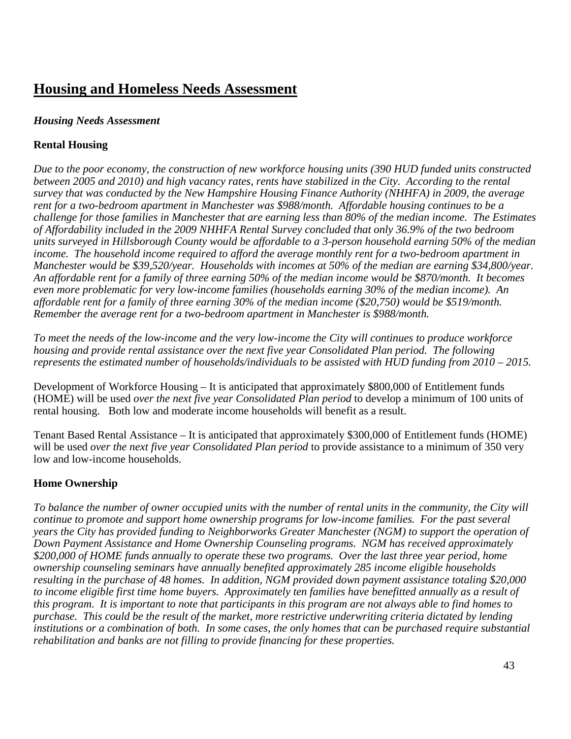# **Housing and Homeless Needs Assessment**

## *Housing Needs Assessment*

# **Rental Housing**

*Due to the poor economy, the construction of new workforce housing units (390 HUD funded units constructed between 2005 and 2010) and high vacancy rates, rents have stabilized in the City. According to the rental survey that was conducted by the New Hampshire Housing Finance Authority (NHHFA) in 2009, the average rent for a two-bedroom apartment in Manchester was \$988/month. Affordable housing continues to be a challenge for those families in Manchester that are earning less than 80% of the median income. The Estimates of Affordability included in the 2009 NHHFA Rental Survey concluded that only 36.9% of the two bedroom units surveyed in Hillsborough County would be affordable to a 3-person household earning 50% of the median income. The household income required to afford the average monthly rent for a two-bedroom apartment in Manchester would be \$39,520/year. Households with incomes at 50% of the median are earning \$34,800/year. An affordable rent for a family of three earning 50% of the median income would be \$870/month. It becomes even more problematic for very low-income families (households earning 30% of the median income). An affordable rent for a family of three earning 30% of the median income (\$20,750) would be \$519/month. Remember the average rent for a two-bedroom apartment in Manchester is \$988/month.* 

*To meet the needs of the low-income and the very low-income the City will continues to produce workforce housing and provide rental assistance over the next five year Consolidated Plan period. The following represents the estimated number of households/individuals to be assisted with HUD funding from 2010 – 2015.* 

Development of Workforce Housing – It is anticipated that approximately \$800,000 of Entitlement funds (HOME) will be used *over the next five year Consolidated Plan period* to develop a minimum of 100 units of rental housing. Both low and moderate income households will benefit as a result.

Tenant Based Rental Assistance – It is anticipated that approximately \$300,000 of Entitlement funds (HOME) will be used *over the next five year Consolidated Plan period* to provide assistance to a minimum of 350 very low and low-income households.

# **Home Ownership**

*To balance the number of owner occupied units with the number of rental units in the community, the City will continue to promote and support home ownership programs for low-income families. For the past several years the City has provided funding to Neighborworks Greater Manchester (NGM) to support the operation of Down Payment Assistance and Home Ownership Counseling programs. NGM has received approximately \$200,000 of HOME funds annually to operate these two programs. Over the last three year period, home ownership counseling seminars have annually benefited approximately 285 income eligible households resulting in the purchase of 48 homes. In addition, NGM provided down payment assistance totaling \$20,000 to income eligible first time home buyers. Approximately ten families have benefitted annually as a result of this program. It is important to note that participants in this program are not always able to find homes to purchase. This could be the result of the market, more restrictive underwriting criteria dictated by lending institutions or a combination of both. In some cases, the only homes that can be purchased require substantial rehabilitation and banks are not filling to provide financing for these properties.*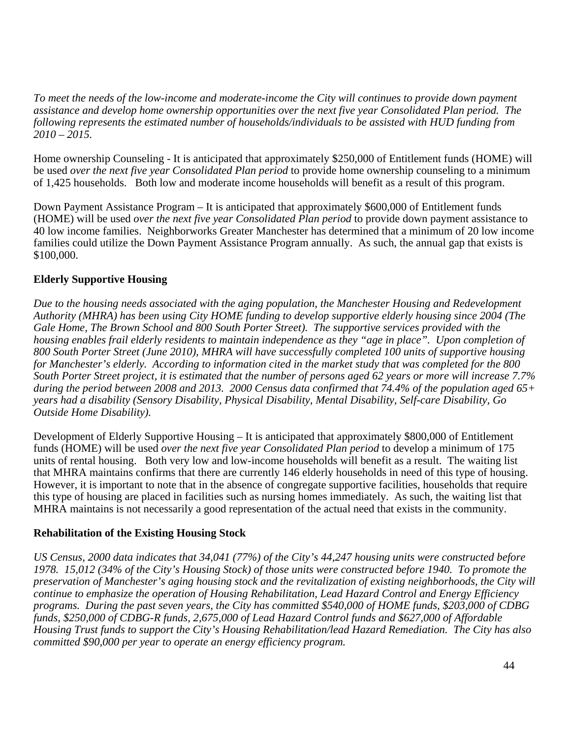*To meet the needs of the low-income and moderate-income the City will continues to provide down payment assistance and develop home ownership opportunities over the next five year Consolidated Plan period. The following represents the estimated number of households/individuals to be assisted with HUD funding from 2010 – 2015.* 

Home ownership Counseling - It is anticipated that approximately \$250,000 of Entitlement funds (HOME) will be used *over the next five year Consolidated Plan period* to provide home ownership counseling to a minimum of 1,425 households. Both low and moderate income households will benefit as a result of this program.

Down Payment Assistance Program – It is anticipated that approximately \$600,000 of Entitlement funds (HOME) will be used *over the next five year Consolidated Plan period* to provide down payment assistance to 40 low income families. Neighborworks Greater Manchester has determined that a minimum of 20 low income families could utilize the Down Payment Assistance Program annually. As such, the annual gap that exists is \$100,000.

## **Elderly Supportive Housing**

*Due to the housing needs associated with the aging population, the Manchester Housing and Redevelopment Authority (MHRA) has been using City HOME funding to develop supportive elderly housing since 2004 (The Gale Home, The Brown School and 800 South Porter Street). The supportive services provided with the housing enables frail elderly residents to maintain independence as they "age in place". Upon completion of 800 South Porter Street (June 2010), MHRA will have successfully completed 100 units of supportive housing for Manchester's elderly. According to information cited in the market study that was completed for the 800 South Porter Street project, it is estimated that the number of persons aged 62 years or more will increase 7.7% during the period between 2008 and 2013. 2000 Census data confirmed that 74.4% of the population aged 65+ years had a disability (Sensory Disability, Physical Disability, Mental Disability, Self-care Disability, Go Outside Home Disability).* 

Development of Elderly Supportive Housing – It is anticipated that approximately \$800,000 of Entitlement funds (HOME) will be used *over the next five year Consolidated Plan period* to develop a minimum of 175 units of rental housing. Both very low and low-income households will benefit as a result. The waiting list that MHRA maintains confirms that there are currently 146 elderly households in need of this type of housing. However, it is important to note that in the absence of congregate supportive facilities, households that require this type of housing are placed in facilities such as nursing homes immediately. As such, the waiting list that MHRA maintains is not necessarily a good representation of the actual need that exists in the community.

### **Rehabilitation of the Existing Housing Stock**

*US Census, 2000 data indicates that 34,041 (77%) of the City's 44,247 housing units were constructed before 1978. 15,012 (34% of the City's Housing Stock) of those units were constructed before 1940. To promote the preservation of Manchester's aging housing stock and the revitalization of existing neighborhoods, the City will continue to emphasize the operation of Housing Rehabilitation, Lead Hazard Control and Energy Efficiency programs. During the past seven years, the City has committed \$540,000 of HOME funds, \$203,000 of CDBG funds, \$250,000 of CDBG-R funds, 2,675,000 of Lead Hazard Control funds and \$627,000 of Affordable Housing Trust funds to support the City's Housing Rehabilitation/lead Hazard Remediation. The City has also committed \$90,000 per year to operate an energy efficiency program.*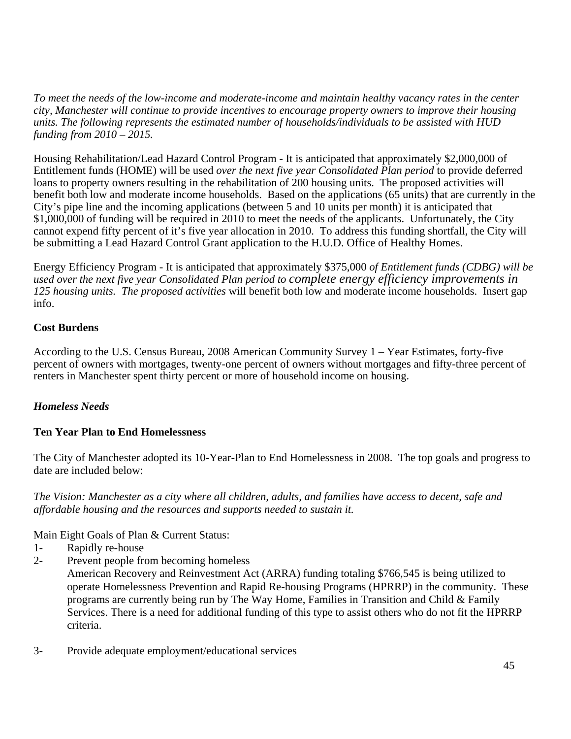*To meet the needs of the low-income and moderate-income and maintain healthy vacancy rates in the center city, Manchester will continue to provide incentives to encourage property owners to improve their housing units. The following represents the estimated number of households/individuals to be assisted with HUD funding from 2010 – 2015.* 

Housing Rehabilitation/Lead Hazard Control Program - It is anticipated that approximately \$2,000,000 of Entitlement funds (HOME) will be used *over the next five year Consolidated Plan period* to provide deferred loans to property owners resulting in the rehabilitation of 200 housing units. The proposed activities will benefit both low and moderate income households. Based on the applications (65 units) that are currently in the City's pipe line and the incoming applications (between 5 and 10 units per month) it is anticipated that \$1,000,000 of funding will be required in 2010 to meet the needs of the applicants. Unfortunately, the City cannot expend fifty percent of it's five year allocation in 2010. To address this funding shortfall, the City will be submitting a Lead Hazard Control Grant application to the H.U.D. Office of Healthy Homes.

Energy Efficiency Program - It is anticipated that approximately \$375,000 *of Entitlement funds (CDBG) will be used over the next five year Consolidated Plan period to complete energy efficiency improvements in 125 housing units. The proposed activities* will benefit both low and moderate income households. Insert gap info.

## **Cost Burdens**

According to the U.S. Census Bureau, 2008 American Community Survey 1 – Year Estimates, forty-five percent of owners with mortgages, twenty-one percent of owners without mortgages and fifty-three percent of renters in Manchester spent thirty percent or more of household income on housing.

# *Homeless Needs*

### **Ten Year Plan to End Homelessness**

The City of Manchester adopted its 10-Year-Plan to End Homelessness in 2008. The top goals and progress to date are included below:

*The Vision: Manchester as a city where all children, adults, and families have access to decent, safe and affordable housing and the resources and supports needed to sustain it.* 

Main Eight Goals of Plan & Current Status:

- 1- Rapidly re-house
- 2- Prevent people from becoming homeless American Recovery and Reinvestment Act (ARRA) funding totaling \$766,545 is being utilized to operate Homelessness Prevention and Rapid Re-housing Programs (HPRRP) in the community. These programs are currently being run by The Way Home, Families in Transition and Child & Family Services. There is a need for additional funding of this type to assist others who do not fit the HPRRP criteria.
- 3- Provide adequate employment/educational services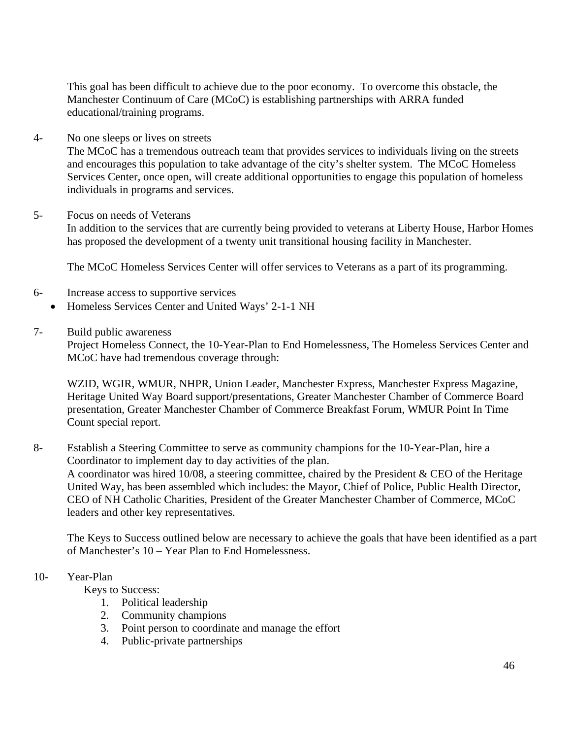This goal has been difficult to achieve due to the poor economy. To overcome this obstacle, the Manchester Continuum of Care (MCoC) is establishing partnerships with ARRA funded educational/training programs.

#### 4- No one sleeps or lives on streets

The MCoC has a tremendous outreach team that provides services to individuals living on the streets and encourages this population to take advantage of the city's shelter system. The MCoC Homeless Services Center, once open, will create additional opportunities to engage this population of homeless individuals in programs and services.

#### 5- Focus on needs of Veterans

In addition to the services that are currently being provided to veterans at Liberty House, Harbor Homes has proposed the development of a twenty unit transitional housing facility in Manchester.

The MCoC Homeless Services Center will offer services to Veterans as a part of its programming.

- 6- Increase access to supportive services • Homeless Services Center and United Ways' 2-1-1 NH
- 7- Build public awareness

Project Homeless Connect, the 10-Year-Plan to End Homelessness, The Homeless Services Center and MCoC have had tremendous coverage through:

WZID, WGIR, WMUR, NHPR, Union Leader, Manchester Express, Manchester Express Magazine, Heritage United Way Board support/presentations, Greater Manchester Chamber of Commerce Board presentation, Greater Manchester Chamber of Commerce Breakfast Forum, WMUR Point In Time Count special report.

### 8- Establish a Steering Committee to serve as community champions for the 10-Year-Plan, hire a Coordinator to implement day to day activities of the plan. A coordinator was hired 10/08, a steering committee, chaired by the President & CEO of the Heritage United Way, has been assembled which includes: the Mayor, Chief of Police, Public Health Director, CEO of NH Catholic Charities, President of the Greater Manchester Chamber of Commerce, MCoC leaders and other key representatives.

The Keys to Success outlined below are necessary to achieve the goals that have been identified as a part of Manchester's 10 – Year Plan to End Homelessness.

#### 10- Year-Plan

Keys to Success:

- 1. Political leadership
- 2. Community champions
- 3. Point person to coordinate and manage the effort
- 4. Public-private partnerships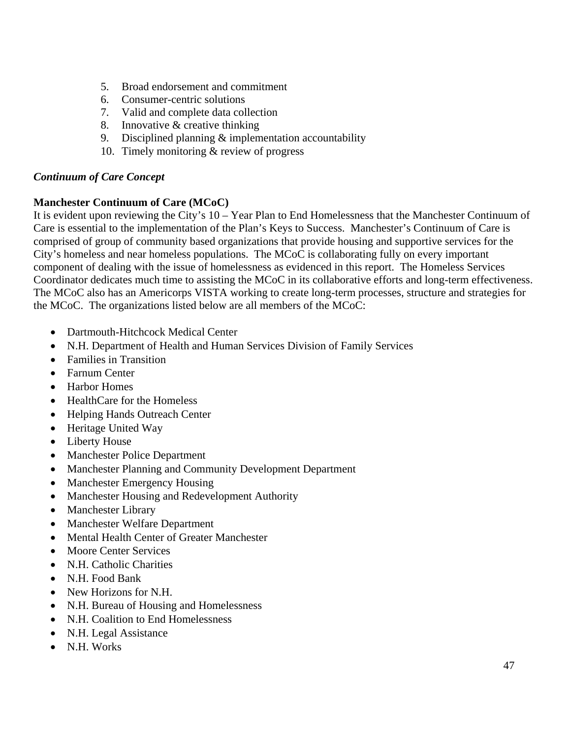- 5. Broad endorsement and commitment
- 6. Consumer-centric solutions
- 7. Valid and complete data collection
- 8. Innovative & creative thinking
- 9. Disciplined planning & implementation accountability
- 10. Timely monitoring & review of progress

#### *Continuum of Care Concept*

#### **Manchester Continuum of Care (MCoC)**

It is evident upon reviewing the City's 10 – Year Plan to End Homelessness that the Manchester Continuum of Care is essential to the implementation of the Plan's Keys to Success. Manchester's Continuum of Care is comprised of group of community based organizations that provide housing and supportive services for the City's homeless and near homeless populations. The MCoC is collaborating fully on every important component of dealing with the issue of homelessness as evidenced in this report. The Homeless Services Coordinator dedicates much time to assisting the MCoC in its collaborative efforts and long-term effectiveness. The MCoC also has an Americorps VISTA working to create long-term processes, structure and strategies for the MCoC. The organizations listed below are all members of the MCoC:

- Dartmouth-Hitchcock Medical Center
- N.H. Department of Health and Human Services Division of Family Services
- Families in Transition
- Farnum Center
- Harbor Homes
- HealthCare for the Homeless
- Helping Hands Outreach Center
- Heritage United Way
- Liberty House
- Manchester Police Department
- Manchester Planning and Community Development Department
- Manchester Emergency Housing
- Manchester Housing and Redevelopment Authority
- Manchester Library
- Manchester Welfare Department
- Mental Health Center of Greater Manchester
- Moore Center Services
- N.H. Catholic Charities
- N.H. Food Bank
- New Horizons for N.H.
- N.H. Bureau of Housing and Homelessness
- N.H. Coalition to End Homelessness
- N.H. Legal Assistance
- N.H. Works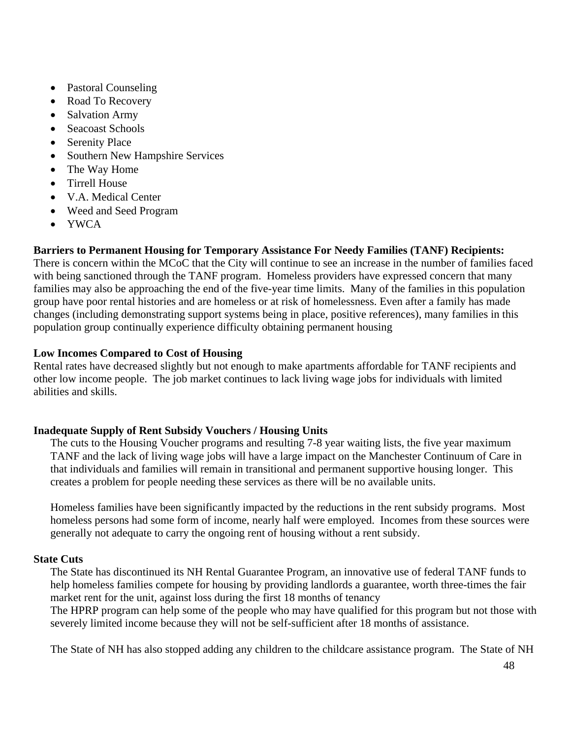- Pastoral Counseling
- Road To Recovery
- Salvation Army
- Seacoast Schools
- Serenity Place
- Southern New Hampshire Services
- The Way Home
- Tirrell House
- V.A. Medical Center
- Weed and Seed Program
- YWCA

# **Barriers to Permanent Housing for Temporary Assistance For Needy Families (TANF) Recipients:**

There is concern within the MCoC that the City will continue to see an increase in the number of families faced with being sanctioned through the TANF program. Homeless providers have expressed concern that many families may also be approaching the end of the five-year time limits. Many of the families in this population group have poor rental histories and are homeless or at risk of homelessness. Even after a family has made changes (including demonstrating support systems being in place, positive references), many families in this population group continually experience difficulty obtaining permanent housing

## **Low Incomes Compared to Cost of Housing**

Rental rates have decreased slightly but not enough to make apartments affordable for TANF recipients and other low income people. The job market continues to lack living wage jobs for individuals with limited abilities and skills.

### **Inadequate Supply of Rent Subsidy Vouchers / Housing Units**

The cuts to the Housing Voucher programs and resulting 7-8 year waiting lists, the five year maximum TANF and the lack of living wage jobs will have a large impact on the Manchester Continuum of Care in that individuals and families will remain in transitional and permanent supportive housing longer. This creates a problem for people needing these services as there will be no available units.

Homeless families have been significantly impacted by the reductions in the rent subsidy programs. Most homeless persons had some form of income, nearly half were employed. Incomes from these sources were generally not adequate to carry the ongoing rent of housing without a rent subsidy.

### **State Cuts**

The State has discontinued its NH Rental Guarantee Program, an innovative use of federal TANF funds to help homeless families compete for housing by providing landlords a guarantee, worth three-times the fair market rent for the unit, against loss during the first 18 months of tenancy

The HPRP program can help some of the people who may have qualified for this program but not those with severely limited income because they will not be self-sufficient after 18 months of assistance.

The State of NH has also stopped adding any children to the childcare assistance program. The State of NH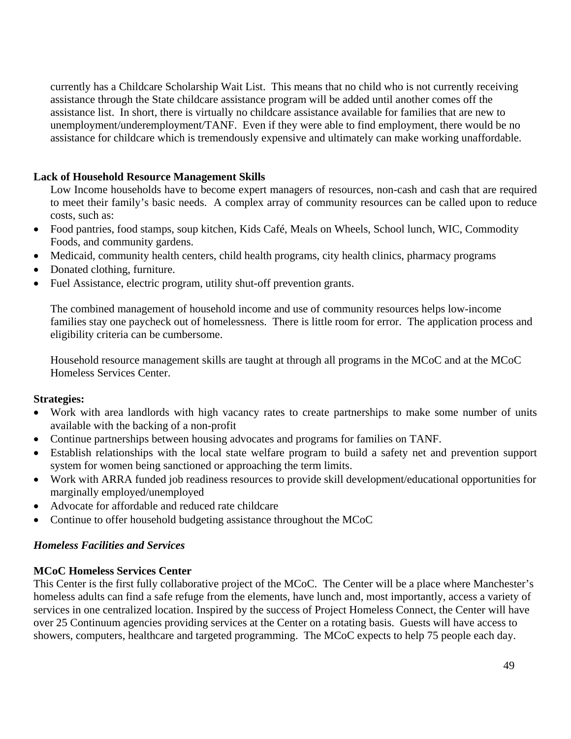currently has a Childcare Scholarship Wait List. This means that no child who is not currently receiving assistance through the State childcare assistance program will be added until another comes off the assistance list. In short, there is virtually no childcare assistance available for families that are new to unemployment/underemployment/TANF. Even if they were able to find employment, there would be no assistance for childcare which is tremendously expensive and ultimately can make working unaffordable.

## **Lack of Household Resource Management Skills**

Low Income households have to become expert managers of resources, non-cash and cash that are required to meet their family's basic needs. A complex array of community resources can be called upon to reduce costs, such as:

- Food pantries, food stamps, soup kitchen, Kids Café, Meals on Wheels, School lunch, WIC, Commodity Foods, and community gardens.
- Medicaid, community health centers, child health programs, city health clinics, pharmacy programs
- Donated clothing, furniture.
- Fuel Assistance, electric program, utility shut-off prevention grants.

The combined management of household income and use of community resources helps low-income families stay one paycheck out of homelessness. There is little room for error. The application process and eligibility criteria can be cumbersome.

Household resource management skills are taught at through all programs in the MCoC and at the MCoC Homeless Services Center.

### **Strategies:**

- Work with area landlords with high vacancy rates to create partnerships to make some number of units available with the backing of a non-profit
- Continue partnerships between housing advocates and programs for families on TANF.
- Establish relationships with the local state welfare program to build a safety net and prevention support system for women being sanctioned or approaching the term limits.
- Work with ARRA funded job readiness resources to provide skill development/educational opportunities for marginally employed/unemployed
- Advocate for affordable and reduced rate childcare
- Continue to offer household budgeting assistance throughout the MCoC

# *Homeless Facilities and Services*

### **MCoC Homeless Services Center**

This Center is the first fully collaborative project of the MCoC. The Center will be a place where Manchester's homeless adults can find a safe refuge from the elements, have lunch and, most importantly, access a variety of services in one centralized location. Inspired by the success of Project Homeless Connect, the Center will have over 25 Continuum agencies providing services at the Center on a rotating basis. Guests will have access to showers, computers, healthcare and targeted programming. The MCoC expects to help 75 people each day.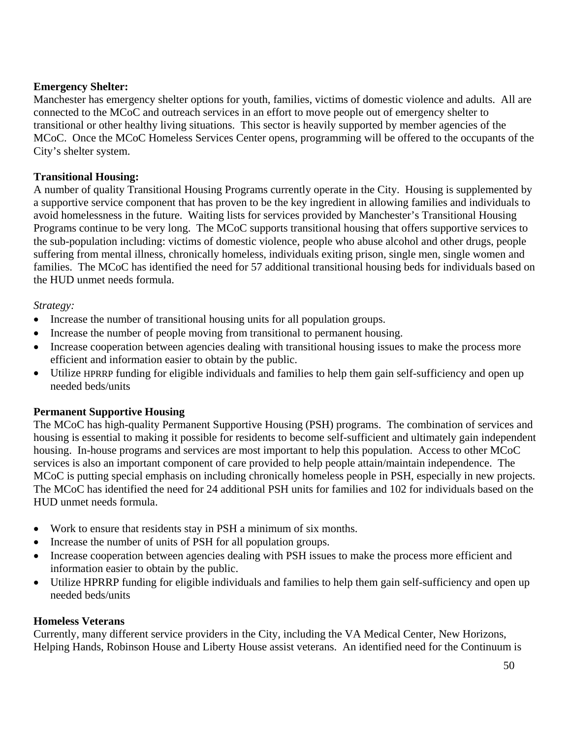## **Emergency Shelter:**

Manchester has emergency shelter options for youth, families, victims of domestic violence and adults. All are connected to the MCoC and outreach services in an effort to move people out of emergency shelter to transitional or other healthy living situations. This sector is heavily supported by member agencies of the MCoC. Once the MCoC Homeless Services Center opens, programming will be offered to the occupants of the City's shelter system.

## **Transitional Housing:**

A number of quality Transitional Housing Programs currently operate in the City. Housing is supplemented by a supportive service component that has proven to be the key ingredient in allowing families and individuals to avoid homelessness in the future. Waiting lists for services provided by Manchester's Transitional Housing Programs continue to be very long. The MCoC supports transitional housing that offers supportive services to the sub-population including: victims of domestic violence, people who abuse alcohol and other drugs, people suffering from mental illness, chronically homeless, individuals exiting prison, single men, single women and families. The MCoC has identified the need for 57 additional transitional housing beds for individuals based on the HUD unmet needs formula.

### *Strategy:*

- Increase the number of transitional housing units for all population groups.
- Increase the number of people moving from transitional to permanent housing.
- Increase cooperation between agencies dealing with transitional housing issues to make the process more efficient and information easier to obtain by the public.
- Utilize HPRRP funding for eligible individuals and families to help them gain self-sufficiency and open up needed beds/units

### **Permanent Supportive Housing**

The MCoC has high-quality Permanent Supportive Housing (PSH) programs. The combination of services and housing is essential to making it possible for residents to become self-sufficient and ultimately gain independent housing. In-house programs and services are most important to help this population. Access to other MCoC services is also an important component of care provided to help people attain/maintain independence. The MCoC is putting special emphasis on including chronically homeless people in PSH, especially in new projects. The MCoC has identified the need for 24 additional PSH units for families and 102 for individuals based on the HUD unmet needs formula.

- Work to ensure that residents stay in PSH a minimum of six months.
- Increase the number of units of PSH for all population groups.
- Increase cooperation between agencies dealing with PSH issues to make the process more efficient and information easier to obtain by the public.
- Utilize HPRRP funding for eligible individuals and families to help them gain self-sufficiency and open up needed beds/units

### **Homeless Veterans**

Currently, many different service providers in the City, including the VA Medical Center, New Horizons, Helping Hands, Robinson House and Liberty House assist veterans. An identified need for the Continuum is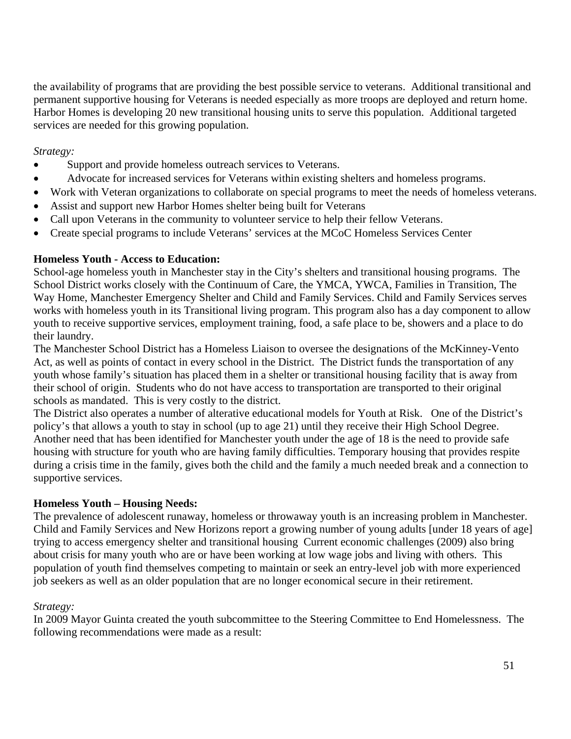the availability of programs that are providing the best possible service to veterans. Additional transitional and permanent supportive housing for Veterans is needed especially as more troops are deployed and return home. Harbor Homes is developing 20 new transitional housing units to serve this population. Additional targeted services are needed for this growing population.

*Strategy:* 

- Support and provide homeless outreach services to Veterans.
- Advocate for increased services for Veterans within existing shelters and homeless programs.
- Work with Veteran organizations to collaborate on special programs to meet the needs of homeless veterans.
- Assist and support new Harbor Homes shelter being built for Veterans
- Call upon Veterans in the community to volunteer service to help their fellow Veterans.
- Create special programs to include Veterans' services at the MCoC Homeless Services Center

## **Homeless Youth - Access to Education:**

School-age homeless youth in Manchester stay in the City's shelters and transitional housing programs. The School District works closely with the Continuum of Care, the YMCA, YWCA, Families in Transition, The Way Home, Manchester Emergency Shelter and Child and Family Services. Child and Family Services serves works with homeless youth in its Transitional living program. This program also has a day component to allow youth to receive supportive services, employment training, food, a safe place to be, showers and a place to do their laundry.

The Manchester School District has a Homeless Liaison to oversee the designations of the McKinney-Vento Act, as well as points of contact in every school in the District. The District funds the transportation of any youth whose family's situation has placed them in a shelter or transitional housing facility that is away from their school of origin. Students who do not have access to transportation are transported to their original schools as mandated. This is very costly to the district.

The District also operates a number of alterative educational models for Youth at Risk. One of the District's policy's that allows a youth to stay in school (up to age 21) until they receive their High School Degree. Another need that has been identified for Manchester youth under the age of 18 is the need to provide safe housing with structure for youth who are having family difficulties. Temporary housing that provides respite during a crisis time in the family, gives both the child and the family a much needed break and a connection to supportive services.

### **Homeless Youth – Housing Needs:**

The prevalence of adolescent runaway, homeless or throwaway youth is an increasing problem in Manchester. Child and Family Services and New Horizons report a growing number of young adults [under 18 years of age] trying to access emergency shelter and transitional housing Current economic challenges (2009) also bring about crisis for many youth who are or have been working at low wage jobs and living with others. This population of youth find themselves competing to maintain or seek an entry-level job with more experienced job seekers as well as an older population that are no longer economical secure in their retirement.

### *Strategy:*

In 2009 Mayor Guinta created the youth subcommittee to the Steering Committee to End Homelessness. The following recommendations were made as a result: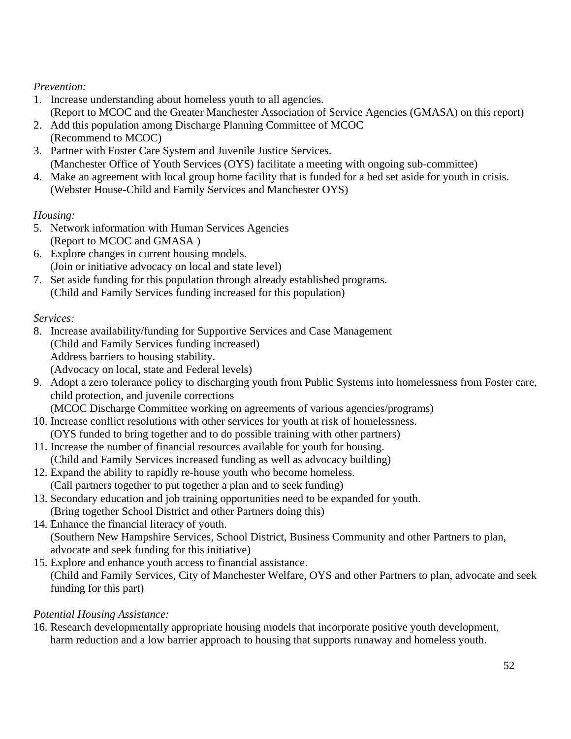# *Prevention:*

- 1. Increase understanding about homeless youth to all agencies. (Report to MCOC and the Greater Manchester Association of Service Agencies (GMASA) on this report)
- 2. Add this population among Discharge Planning Committee of MCOC (Recommend to MCOC)
- 3. Partner with Foster Care System and Juvenile Justice Services. (Manchester Office of Youth Services (OYS) facilitate a meeting with ongoing sub-committee)
- 4. Make an agreement with local group home facility that is funded for a bed set aside for youth in crisis. (Webster House-Child and Family Services and Manchester OYS)

# *Housing:*

- 5. Network information with Human Services Agencies (Report to MCOC and GMASA )
- 6. Explore changes in current housing models. (Join or initiative advocacy on local and state level)
- 7. Set aside funding for this population through already established programs. (Child and Family Services funding increased for this population)

# *Services:*

- 8. Increase availability/funding for Supportive Services and Case Management (Child and Family Services funding increased) Address barriers to housing stability. (Advocacy on local, state and Federal levels)
- 9. Adopt a zero tolerance policy to discharging youth from Public Systems into homelessness from Foster care, child protection, and juvenile corrections
	- (MCOC Discharge Committee working on agreements of various agencies/programs)
- 10. Increase conflict resolutions with other services for youth at risk of homelessness. (OYS funded to bring together and to do possible training with other partners)
- 11. Increase the number of financial resources available for youth for housing. (Child and Family Services increased funding as well as advocacy building)
- 12. Expand the ability to rapidly re-house youth who become homeless. (Call partners together to put together a plan and to seek funding)
- 13. Secondary education and job training opportunities need to be expanded for youth. (Bring together School District and other Partners doing this)
- 14. Enhance the financial literacy of youth. (Southern New Hampshire Services, School District, Business Community and other Partners to plan, advocate and seek funding for this initiative)
- 15. Explore and enhance youth access to financial assistance. (Child and Family Services, City of Manchester Welfare, OYS and other Partners to plan, advocate and seek funding for this part)

# *Potential Housing Assistance:*

16. Research developmentally appropriate housing models that incorporate positive youth development, harm reduction and a low barrier approach to housing that supports runaway and homeless youth.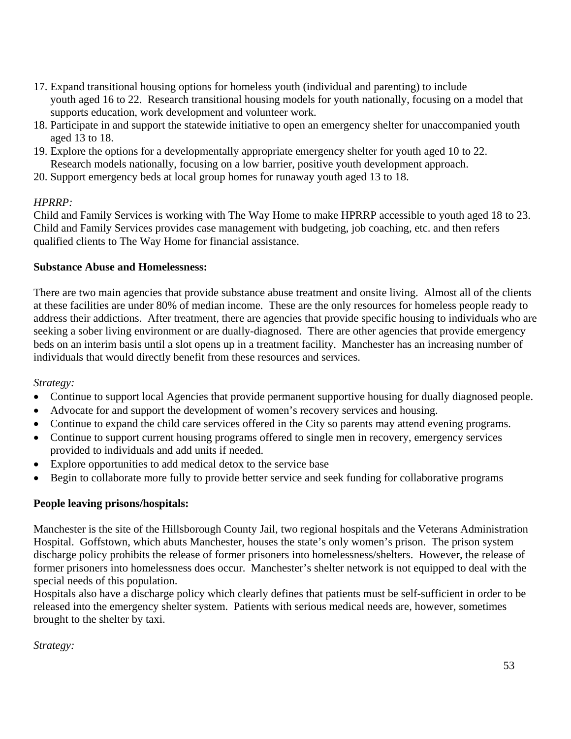- 17. Expand transitional housing options for homeless youth (individual and parenting) to include youth aged 16 to 22. Research transitional housing models for youth nationally, focusing on a model that supports education, work development and volunteer work.
- 18. Participate in and support the statewide initiative to open an emergency shelter for unaccompanied youth aged 13 to 18.
- 19. Explore the options for a developmentally appropriate emergency shelter for youth aged 10 to 22. Research models nationally, focusing on a low barrier, positive youth development approach.
- 20. Support emergency beds at local group homes for runaway youth aged 13 to 18.

### *HPRRP:*

Child and Family Services is working with The Way Home to make HPRRP accessible to youth aged 18 to 23. Child and Family Services provides case management with budgeting, job coaching, etc. and then refers qualified clients to The Way Home for financial assistance.

### **Substance Abuse and Homelessness:**

There are two main agencies that provide substance abuse treatment and onsite living. Almost all of the clients at these facilities are under 80% of median income. These are the only resources for homeless people ready to address their addictions. After treatment, there are agencies that provide specific housing to individuals who are seeking a sober living environment or are dually-diagnosed. There are other agencies that provide emergency beds on an interim basis until a slot opens up in a treatment facility. Manchester has an increasing number of individuals that would directly benefit from these resources and services.

### *Strategy:*

- Continue to support local Agencies that provide permanent supportive housing for dually diagnosed people.
- Advocate for and support the development of women's recovery services and housing.
- Continue to expand the child care services offered in the City so parents may attend evening programs.
- Continue to support current housing programs offered to single men in recovery, emergency services provided to individuals and add units if needed.
- Explore opportunities to add medical detox to the service base
- Begin to collaborate more fully to provide better service and seek funding for collaborative programs

### **People leaving prisons/hospitals:**

Manchester is the site of the Hillsborough County Jail, two regional hospitals and the Veterans Administration Hospital. Goffstown, which abuts Manchester, houses the state's only women's prison. The prison system discharge policy prohibits the release of former prisoners into homelessness/shelters. However, the release of former prisoners into homelessness does occur. Manchester's shelter network is not equipped to deal with the special needs of this population.

Hospitals also have a discharge policy which clearly defines that patients must be self-sufficient in order to be released into the emergency shelter system. Patients with serious medical needs are, however, sometimes brought to the shelter by taxi.

*Strategy:*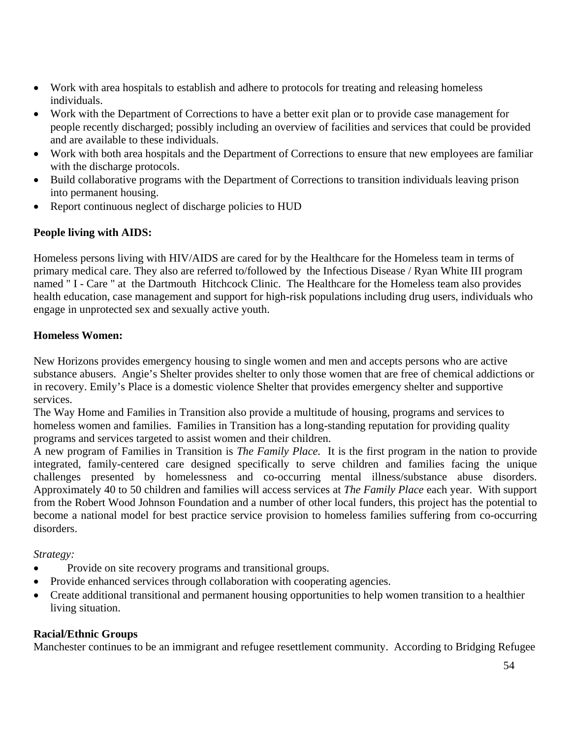- Work with area hospitals to establish and adhere to protocols for treating and releasing homeless individuals.
- Work with the Department of Corrections to have a better exit plan or to provide case management for people recently discharged; possibly including an overview of facilities and services that could be provided and are available to these individuals.
- Work with both area hospitals and the Department of Corrections to ensure that new employees are familiar with the discharge protocols.
- Build collaborative programs with the Department of Corrections to transition individuals leaving prison into permanent housing.
- Report continuous neglect of discharge policies to HUD

# **People living with AIDS:**

Homeless persons living with HIV/AIDS are cared for by the Healthcare for the Homeless team in terms of primary medical care. They also are referred to/followed by the Infectious Disease / Ryan White III program named " I - Care " at the Dartmouth Hitchcock Clinic. The Healthcare for the Homeless team also provides health education, case management and support for high-risk populations including drug users, individuals who engage in unprotected sex and sexually active youth.

# **Homeless Women:**

New Horizons provides emergency housing to single women and men and accepts persons who are active substance abusers. Angie's Shelter provides shelter to only those women that are free of chemical addictions or in recovery. Emily's Place is a domestic violence Shelter that provides emergency shelter and supportive services.

The Way Home and Families in Transition also provide a multitude of housing, programs and services to homeless women and families. Families in Transition has a long-standing reputation for providing quality programs and services targeted to assist women and their children.

A new program of Families in Transition is *The Family Place.* It is the first program in the nation to provide integrated, family-centered care designed specifically to serve children and families facing the unique challenges presented by homelessness and co-occurring mental illness/substance abuse disorders. Approximately 40 to 50 children and families will access services at *The Family Place* each year. With support from the Robert Wood Johnson Foundation and a number of other local funders, this project has the potential to become a national model for best practice service provision to homeless families suffering from co-occurring disorders.

*Strategy:* 

- Provide on site recovery programs and transitional groups.
- Provide enhanced services through collaboration with cooperating agencies.
- Create additional transitional and permanent housing opportunities to help women transition to a healthier living situation.

### **Racial/Ethnic Groups**

Manchester continues to be an immigrant and refugee resettlement community. According to Bridging Refugee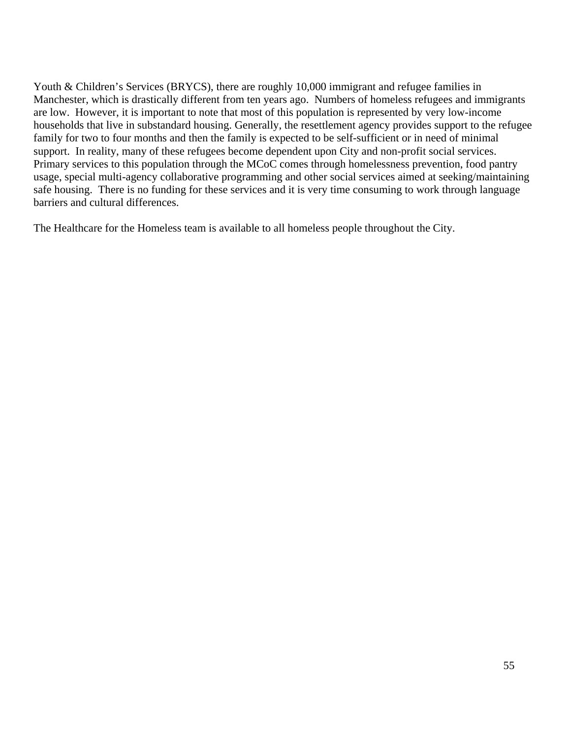Youth & Children's Services (BRYCS), there are roughly 10,000 immigrant and refugee families in Manchester, which is drastically different from ten years ago. Numbers of homeless refugees and immigrants are low. However, it is important to note that most of this population is represented by very low-income households that live in substandard housing. Generally, the resettlement agency provides support to the refugee family for two to four months and then the family is expected to be self-sufficient or in need of minimal support. In reality, many of these refugees become dependent upon City and non-profit social services. Primary services to this population through the MCoC comes through homelessness prevention, food pantry usage, special multi-agency collaborative programming and other social services aimed at seeking/maintaining safe housing. There is no funding for these services and it is very time consuming to work through language barriers and cultural differences.

The Healthcare for the Homeless team is available to all homeless people throughout the City.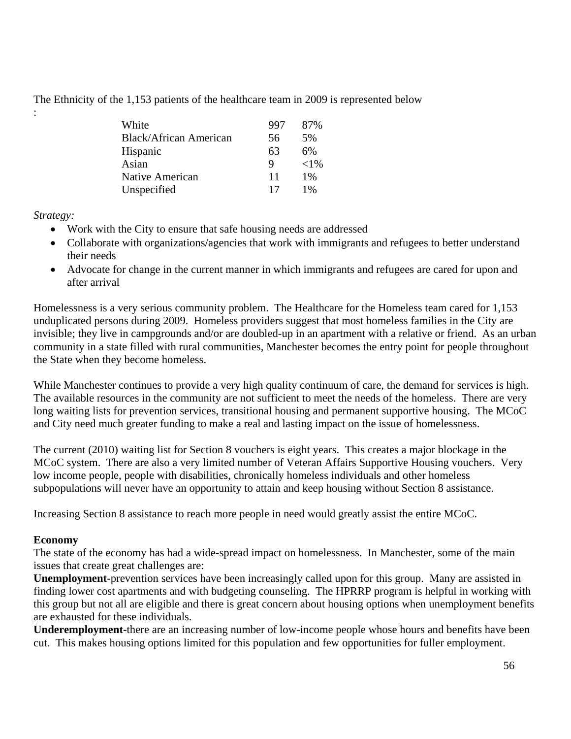The Ethnicity of the 1,153 patients of the healthcare team in 2009 is represented below

| White                  | 997 | 87%      |
|------------------------|-----|----------|
| Black/African American | 56  | 5%       |
| Hispanic               | 63  | 6%       |
| Asian                  | Q   | ${<}1\%$ |
| Native American        | 11  | $1\%$    |
| Unspecified            |     | $1\%$    |

*Strategy:* 

:

- Work with the City to ensure that safe housing needs are addressed
- Collaborate with organizations/agencies that work with immigrants and refugees to better understand their needs
- Advocate for change in the current manner in which immigrants and refugees are cared for upon and after arrival

Homelessness is a very serious community problem. The Healthcare for the Homeless team cared for 1,153 unduplicated persons during 2009. Homeless providers suggest that most homeless families in the City are invisible; they live in campgrounds and/or are doubled-up in an apartment with a relative or friend. As an urban community in a state filled with rural communities, Manchester becomes the entry point for people throughout the State when they become homeless.

While Manchester continues to provide a very high quality continuum of care, the demand for services is high. The available resources in the community are not sufficient to meet the needs of the homeless. There are very long waiting lists for prevention services, transitional housing and permanent supportive housing. The MCoC and City need much greater funding to make a real and lasting impact on the issue of homelessness.

The current (2010) waiting list for Section 8 vouchers is eight years. This creates a major blockage in the MCoC system. There are also a very limited number of Veteran Affairs Supportive Housing vouchers. Very low income people, people with disabilities, chronically homeless individuals and other homeless subpopulations will never have an opportunity to attain and keep housing without Section 8 assistance.

Increasing Section 8 assistance to reach more people in need would greatly assist the entire MCoC.

#### **Economy**

The state of the economy has had a wide-spread impact on homelessness. In Manchester, some of the main issues that create great challenges are:

**Unemployment-**prevention services have been increasingly called upon for this group. Many are assisted in finding lower cost apartments and with budgeting counseling. The HPRRP program is helpful in working with this group but not all are eligible and there is great concern about housing options when unemployment benefits are exhausted for these individuals.

**Underemployment-**there are an increasing number of low-income people whose hours and benefits have been cut. This makes housing options limited for this population and few opportunities for fuller employment.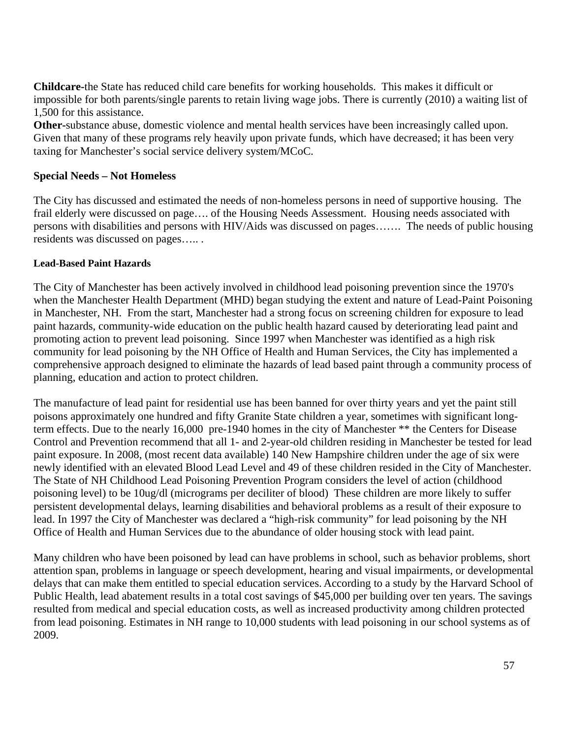**Childcare-**the State has reduced child care benefits for working households. This makes it difficult or impossible for both parents/single parents to retain living wage jobs. There is currently (2010) a waiting list of 1,500 for this assistance.

**Other-**substance abuse, domestic violence and mental health services have been increasingly called upon. Given that many of these programs rely heavily upon private funds, which have decreased; it has been very taxing for Manchester's social service delivery system/MCoC.

#### **Special Needs – Not Homeless**

The City has discussed and estimated the needs of non-homeless persons in need of supportive housing. The frail elderly were discussed on page…. of the Housing Needs Assessment. Housing needs associated with persons with disabilities and persons with HIV/Aids was discussed on pages……. The needs of public housing residents was discussed on pages….. .

#### **Lead-Based Paint Hazards**

The City of Manchester has been actively involved in childhood lead poisoning prevention since the 1970's when the Manchester Health Department (MHD) began studying the extent and nature of Lead-Paint Poisoning in Manchester, NH. From the start, Manchester had a strong focus on screening children for exposure to lead paint hazards, community-wide education on the public health hazard caused by deteriorating lead paint and promoting action to prevent lead poisoning. Since 1997 when Manchester was identified as a high risk community for lead poisoning by the NH Office of Health and Human Services, the City has implemented a comprehensive approach designed to eliminate the hazards of lead based paint through a community process of planning, education and action to protect children.

The manufacture of lead paint for residential use has been banned for over thirty years and yet the paint still poisons approximately one hundred and fifty Granite State children a year, sometimes with significant longterm effects. Due to the nearly 16,000 pre-1940 homes in the city of Manchester \*\* the Centers for Disease Control and Prevention recommend that all 1- and 2-year-old children residing in Manchester be tested for lead paint exposure. In 2008, (most recent data available) 140 New Hampshire children under the age of six were newly identified with an elevated Blood Lead Level and 49 of these children resided in the City of Manchester. The State of NH Childhood Lead Poisoning Prevention Program considers the level of action (childhood poisoning level) to be 10ug/dl (micrograms per deciliter of blood) These children are more likely to suffer persistent developmental delays, learning disabilities and behavioral problems as a result of their exposure to lead. In 1997 the City of Manchester was declared a "high-risk community" for lead poisoning by the NH Office of Health and Human Services due to the abundance of older housing stock with lead paint.

Many children who have been poisoned by lead can have problems in school, such as behavior problems, short attention span, problems in language or speech development, hearing and visual impairments, or developmental delays that can make them entitled to special education services. According to a study by the Harvard School of Public Health, lead abatement results in a total cost savings of \$45,000 per building over ten years. The savings resulted from medical and special education costs, as well as increased productivity among children protected from lead poisoning. Estimates in NH range to 10,000 students with lead poisoning in our school systems as of 2009.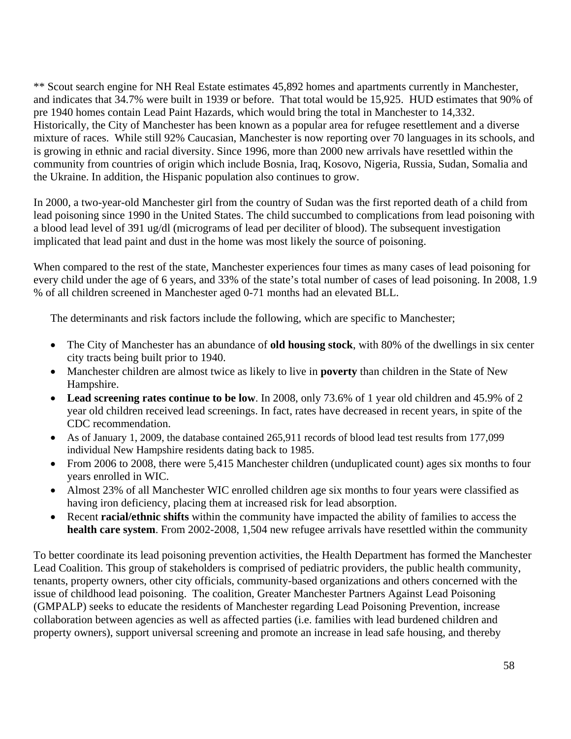\*\* Scout search engine for NH Real Estate estimates 45,892 homes and apartments currently in Manchester, and indicates that 34.7% were built in 1939 or before. That total would be 15,925. HUD estimates that 90% of pre 1940 homes contain Lead Paint Hazards, which would bring the total in Manchester to 14,332. Historically, the City of Manchester has been known as a popular area for refugee resettlement and a diverse mixture of races. While still 92% Caucasian, Manchester is now reporting over 70 languages in its schools, and is growing in ethnic and racial diversity. Since 1996, more than 2000 new arrivals have resettled within the community from countries of origin which include Bosnia, Iraq, Kosovo, Nigeria, Russia, Sudan, Somalia and the Ukraine. In addition, the Hispanic population also continues to grow.

In 2000, a two-year-old Manchester girl from the country of Sudan was the first reported death of a child from lead poisoning since 1990 in the United States. The child succumbed to complications from lead poisoning with a blood lead level of 391 ug/dl (micrograms of lead per deciliter of blood). The subsequent investigation implicated that lead paint and dust in the home was most likely the source of poisoning.

When compared to the rest of the state, Manchester experiences four times as many cases of lead poisoning for every child under the age of 6 years, and 33% of the state's total number of cases of lead poisoning. In 2008, 1.9 % of all children screened in Manchester aged 0-71 months had an elevated BLL.

The determinants and risk factors include the following, which are specific to Manchester;

- The City of Manchester has an abundance of **old housing stock**, with 80% of the dwellings in six center city tracts being built prior to 1940.
- Manchester children are almost twice as likely to live in **poverty** than children in the State of New Hampshire.
- **Lead screening rates continue to be low**. In 2008, only 73.6% of 1 year old children and 45.9% of 2 year old children received lead screenings. In fact, rates have decreased in recent years, in spite of the CDC recommendation.
- As of January 1, 2009, the database contained 265,911 records of blood lead test results from 177,099 individual New Hampshire residents dating back to 1985.
- From 2006 to 2008, there were 5,415 Manchester children (unduplicated count) ages six months to four years enrolled in WIC.
- Almost 23% of all Manchester WIC enrolled children age six months to four years were classified as having iron deficiency, placing them at increased risk for lead absorption.
- Recent **racial/ethnic shifts** within the community have impacted the ability of families to access the **health care system**. From 2002-2008, 1,504 new refugee arrivals have resettled within the community

To better coordinate its lead poisoning prevention activities, the Health Department has formed the Manchester Lead Coalition. This group of stakeholders is comprised of pediatric providers, the public health community, tenants, property owners, other city officials, community-based organizations and others concerned with the issue of childhood lead poisoning. The coalition, Greater Manchester Partners Against Lead Poisoning (GMPALP) seeks to educate the residents of Manchester regarding Lead Poisoning Prevention, increase collaboration between agencies as well as affected parties (i.e. families with lead burdened children and property owners), support universal screening and promote an increase in lead safe housing, and thereby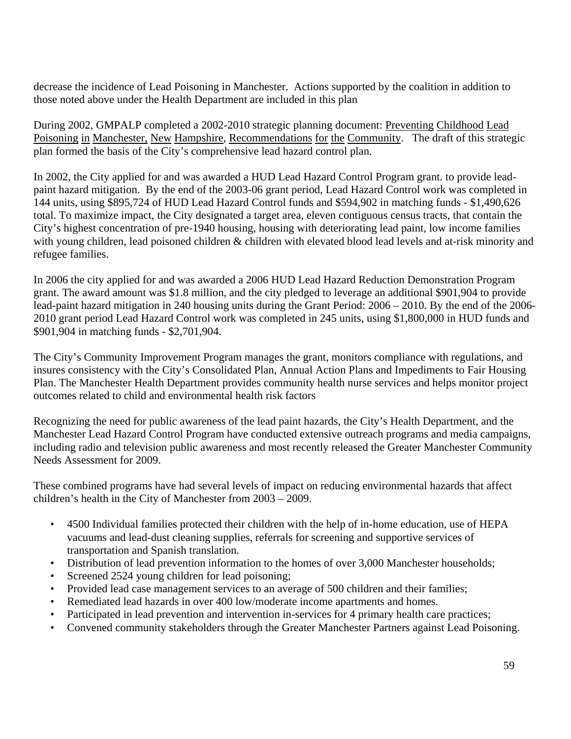decrease the incidence of Lead Poisoning in Manchester. Actions supported by the coalition in addition to those noted above under the Health Department are included in this plan

During 2002, GMPALP completed a 2002-2010 strategic planning document: Preventing Childhood Lead Poisoning in Manchester, New Hampshire, Recommendations for the Community. The draft of this strategic plan formed the basis of the City's comprehensive lead hazard control plan.

In 2002, the City applied for and was awarded a HUD Lead Hazard Control Program grant. to provide leadpaint hazard mitigation. By the end of the 2003-06 grant period, Lead Hazard Control work was completed in 144 units, using \$895,724 of HUD Lead Hazard Control funds and \$594,902 in matching funds - \$1,490,626 total. To maximize impact, the City designated a target area, eleven contiguous census tracts, that contain the City's highest concentration of pre-1940 housing, housing with deteriorating lead paint, low income families with young children, lead poisoned children & children with elevated blood lead levels and at-risk minority and refugee families.

In 2006 the city applied for and was awarded a 2006 HUD Lead Hazard Reduction Demonstration Program grant. The award amount was \$1.8 million, and the city pledged to leverage an additional \$901,904 to provide lead-paint hazard mitigation in 240 housing units during the Grant Period: 2006 – 2010. By the end of the 2006- 2010 grant period Lead Hazard Control work was completed in 245 units, using \$1,800,000 in HUD funds and \$901,904 in matching funds - \$2,701,904.

The City's Community Improvement Program manages the grant, monitors compliance with regulations, and insures consistency with the City's Consolidated Plan, Annual Action Plans and Impediments to Fair Housing Plan. The Manchester Health Department provides community health nurse services and helps monitor project outcomes related to child and environmental health risk factors

Recognizing the need for public awareness of the lead paint hazards, the City's Health Department, and the Manchester Lead Hazard Control Program have conducted extensive outreach programs and media campaigns, including radio and television public awareness and most recently released the Greater Manchester Community Needs Assessment for 2009.

These combined programs have had several levels of impact on reducing environmental hazards that affect children's health in the City of Manchester from 2003 – 2009.

- 4500 Individual families protected their children with the help of in-home education, use of HEPA vacuums and lead-dust cleaning supplies, referrals for screening and supportive services of transportation and Spanish translation.
- Distribution of lead prevention information to the homes of over 3,000 Manchester households;
- Screened 2524 young children for lead poisoning;
- Provided lead case management services to an average of 500 children and their families;
- Remediated lead hazards in over 400 low/moderate income apartments and homes.
- Participated in lead prevention and intervention in-services for 4 primary health care practices;
- Convened community stakeholders through the Greater Manchester Partners against Lead Poisoning.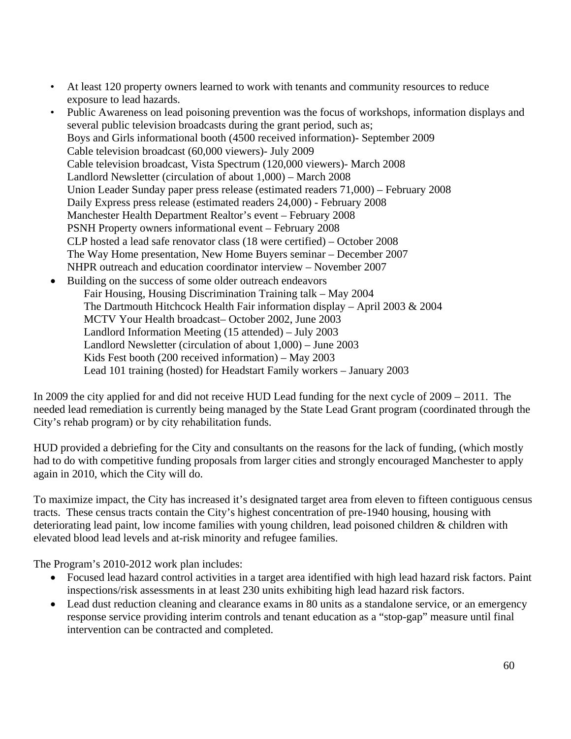- At least 120 property owners learned to work with tenants and community resources to reduce exposure to lead hazards.
- Public Awareness on lead poisoning prevention was the focus of workshops, information displays and several public television broadcasts during the grant period, such as; Boys and Girls informational booth (4500 received information)- September 2009 Cable television broadcast (60,000 viewers)- July 2009 Cable television broadcast, Vista Spectrum (120,000 viewers)- March 2008 Landlord Newsletter (circulation of about 1,000) – March 2008 Union Leader Sunday paper press release (estimated readers 71,000) – February 2008 Daily Express press release (estimated readers 24,000) - February 2008 Manchester Health Department Realtor's event – February 2008 PSNH Property owners informational event – February 2008 CLP hosted a lead safe renovator class (18 were certified) – October 2008 The Way Home presentation, New Home Buyers seminar – December 2007 NHPR outreach and education coordinator interview – November 2007 • Building on the success of some older outreach endeavors
	- Fair Housing, Housing Discrimination Training talk May 2004 The Dartmouth Hitchcock Health Fair information display – April 2003  $& 2004$ MCTV Your Health broadcast– October 2002, June 2003 Landlord Information Meeting (15 attended) – July 2003 Landlord Newsletter (circulation of about 1,000) – June 2003 Kids Fest booth (200 received information) – May 2003 Lead 101 training (hosted) for Headstart Family workers – January 2003

In 2009 the city applied for and did not receive HUD Lead funding for the next cycle of 2009 – 2011. The needed lead remediation is currently being managed by the State Lead Grant program (coordinated through the City's rehab program) or by city rehabilitation funds.

HUD provided a debriefing for the City and consultants on the reasons for the lack of funding, (which mostly had to do with competitive funding proposals from larger cities and strongly encouraged Manchester to apply again in 2010, which the City will do.

To maximize impact, the City has increased it's designated target area from eleven to fifteen contiguous census tracts. These census tracts contain the City's highest concentration of pre-1940 housing, housing with deteriorating lead paint, low income families with young children, lead poisoned children & children with elevated blood lead levels and at-risk minority and refugee families.

The Program's 2010-2012 work plan includes:

- Focused lead hazard control activities in a target area identified with high lead hazard risk factors. Paint inspections/risk assessments in at least 230 units exhibiting high lead hazard risk factors.
- Lead dust reduction cleaning and clearance exams in 80 units as a standalone service, or an emergency response service providing interim controls and tenant education as a "stop-gap" measure until final intervention can be contracted and completed.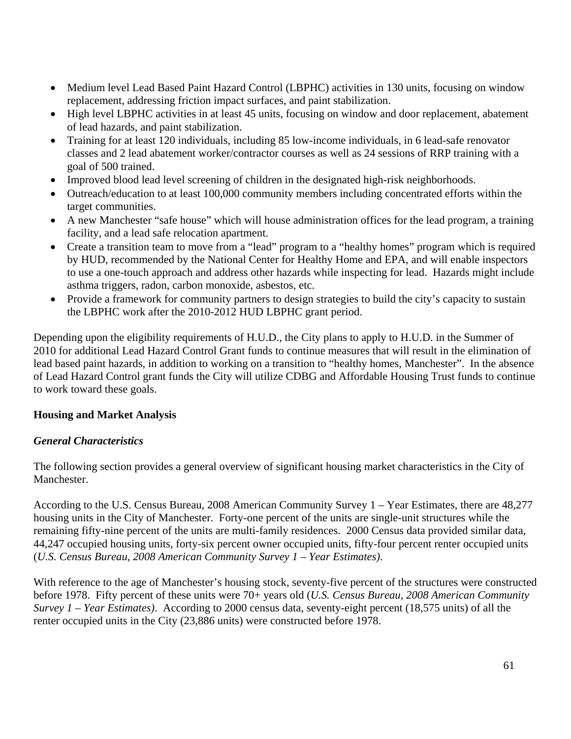- Medium level Lead Based Paint Hazard Control (LBPHC) activities in 130 units, focusing on window replacement, addressing friction impact surfaces, and paint stabilization.
- High level LBPHC activities in at least 45 units, focusing on window and door replacement, abatement of lead hazards, and paint stabilization.
- Training for at least 120 individuals, including 85 low-income individuals, in 6 lead-safe renovator classes and 2 lead abatement worker/contractor courses as well as 24 sessions of RRP training with a goal of 500 trained.
- Improved blood lead level screening of children in the designated high-risk neighborhoods.
- Outreach/education to at least 100,000 community members including concentrated efforts within the target communities.
- A new Manchester "safe house" which will house administration offices for the lead program, a training facility, and a lead safe relocation apartment.
- Create a transition team to move from a "lead" program to a "healthy homes" program which is required by HUD, recommended by the National Center for Healthy Home and EPA, and will enable inspectors to use a one-touch approach and address other hazards while inspecting for lead. Hazards might include asthma triggers, radon, carbon monoxide, asbestos, etc.
- Provide a framework for community partners to design strategies to build the city's capacity to sustain the LBPHC work after the 2010-2012 HUD LBPHC grant period.

Depending upon the eligibility requirements of H.U.D., the City plans to apply to H.U.D. in the Summer of 2010 for additional Lead Hazard Control Grant funds to continue measures that will result in the elimination of lead based paint hazards, in addition to working on a transition to "healthy homes, Manchester". In the absence of Lead Hazard Control grant funds the City will utilize CDBG and Affordable Housing Trust funds to continue to work toward these goals.

### **Housing and Market Analysis**

### *General Characteristics*

The following section provides a general overview of significant housing market characteristics in the City of Manchester.

According to the U.S. Census Bureau, 2008 American Community Survey 1 – Year Estimates, there are 48,277 housing units in the City of Manchester. Forty-one percent of the units are single-unit structures while the remaining fifty-nine percent of the units are multi-family residences. 2000 Census data provided similar data, 44,247 occupied housing units, forty-six percent owner occupied units, fifty-four percent renter occupied units (*U.S. Census Bureau, 2008 American Community Survey 1 – Year Estimates)*.

With reference to the age of Manchester's housing stock, seventy-five percent of the structures were constructed before 1978. Fifty percent of these units were 70+ years old (*U.S. Census Bureau, 2008 American Community Survey 1 – Year Estimates)*. According to 2000 census data, seventy-eight percent (18,575 units) of all the renter occupied units in the City (23,886 units) were constructed before 1978.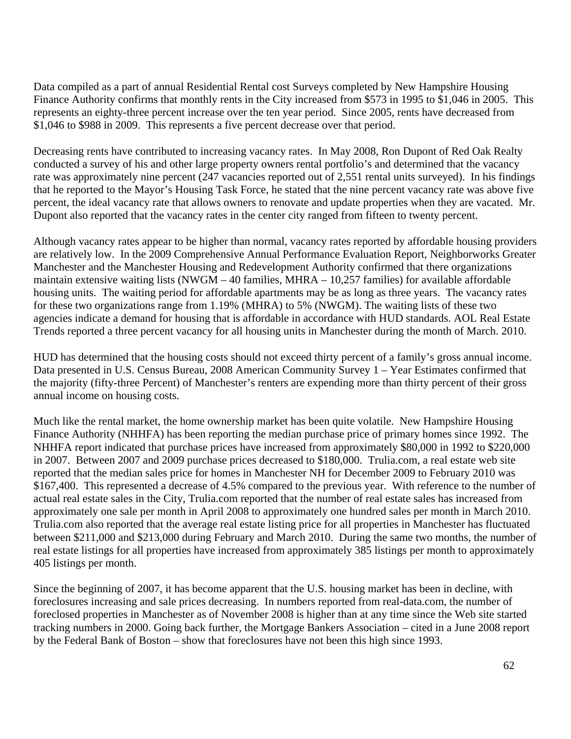Data compiled as a part of annual Residential Rental cost Surveys completed by New Hampshire Housing Finance Authority confirms that monthly rents in the City increased from \$573 in 1995 to \$1,046 in 2005. This represents an eighty-three percent increase over the ten year period. Since 2005, rents have decreased from \$1,046 to \$988 in 2009. This represents a five percent decrease over that period.

Decreasing rents have contributed to increasing vacancy rates. In May 2008, Ron Dupont of Red Oak Realty conducted a survey of his and other large property owners rental portfolio's and determined that the vacancy rate was approximately nine percent (247 vacancies reported out of 2,551 rental units surveyed). In his findings that he reported to the Mayor's Housing Task Force, he stated that the nine percent vacancy rate was above five percent, the ideal vacancy rate that allows owners to renovate and update properties when they are vacated. Mr. Dupont also reported that the vacancy rates in the center city ranged from fifteen to twenty percent.

Although vacancy rates appear to be higher than normal, vacancy rates reported by affordable housing providers are relatively low. In the 2009 Comprehensive Annual Performance Evaluation Report, Neighborworks Greater Manchester and the Manchester Housing and Redevelopment Authority confirmed that there organizations maintain extensive waiting lists (NWGM – 40 families, MHRA – 10,257 families) for available affordable housing units. The waiting period for affordable apartments may be as long as three years. The vacancy rates for these two organizations range from 1.19% (MHRA) to 5% (NWGM). The waiting lists of these two agencies indicate a demand for housing that is affordable in accordance with HUD standards. AOL Real Estate Trends reported a three percent vacancy for all housing units in Manchester during the month of March. 2010.

HUD has determined that the housing costs should not exceed thirty percent of a family's gross annual income. Data presented in U.S. Census Bureau, 2008 American Community Survey 1 – Year Estimates confirmed that the majority (fifty-three Percent) of Manchester's renters are expending more than thirty percent of their gross annual income on housing costs.

Much like the rental market, the home ownership market has been quite volatile. New Hampshire Housing Finance Authority (NHHFA) has been reporting the median purchase price of primary homes since 1992. The NHHFA report indicated that purchase prices have increased from approximately \$80,000 in 1992 to \$220,000 in 2007. Between 2007 and 2009 purchase prices decreased to \$180,000. Trulia.com, a real estate web site reported that the median sales price for homes in Manchester NH for December 2009 to February 2010 was \$167,400. This represented a decrease of 4.5% compared to the previous year. With reference to the number of actual real estate sales in the City, Trulia.com reported that the number of real estate sales has increased from approximately one sale per month in April 2008 to approximately one hundred sales per month in March 2010. Trulia.com also reported that the average real estate listing price for all properties in Manchester has fluctuated between \$211,000 and \$213,000 during February and March 2010. During the same two months, the number of real estate listings for all properties have increased from approximately 385 listings per month to approximately 405 listings per month.

Since the beginning of 2007, it has become apparent that the U.S. housing market has been in decline, with foreclosures increasing and sale prices decreasing. In numbers reported from real-data.com, the number of foreclosed properties in Manchester as of November 2008 is higher than at any time since the Web site started tracking numbers in 2000. Going back further, the Mortgage Bankers Association – cited in a June 2008 report by the Federal Bank of Boston – show that foreclosures have not been this high since 1993.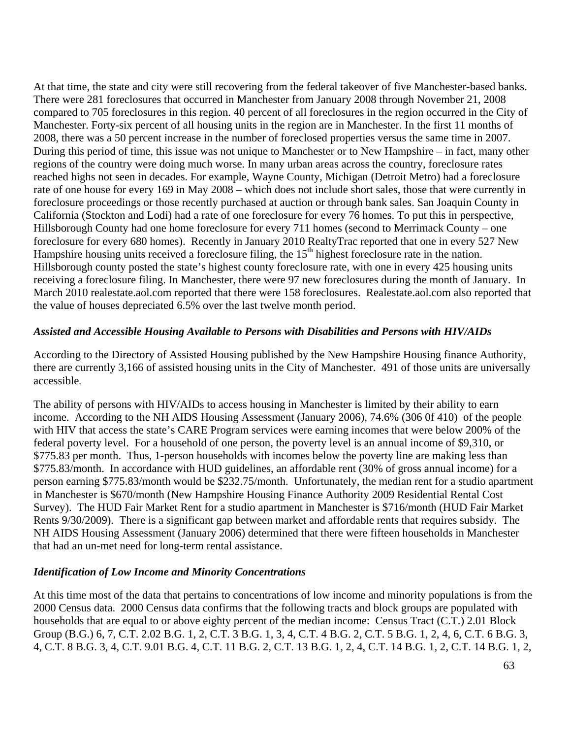At that time, the state and city were still recovering from the federal takeover of five Manchester-based banks. There were 281 foreclosures that occurred in Manchester from January 2008 through November 21, 2008 compared to 705 foreclosures in this region. 40 percent of all foreclosures in the region occurred in the City of Manchester. Forty-six percent of all housing units in the region are in Manchester. In the first 11 months of 2008, there was a 50 percent increase in the number of foreclosed properties versus the same time in 2007. During this period of time, this issue was not unique to Manchester or to New Hampshire – in fact, many other regions of the country were doing much worse. In many urban areas across the country, foreclosure rates reached highs not seen in decades. For example, Wayne County, Michigan (Detroit Metro) had a foreclosure rate of one house for every 169 in May 2008 – which does not include short sales, those that were currently in foreclosure proceedings or those recently purchased at auction or through bank sales. San Joaquin County in California (Stockton and Lodi) had a rate of one foreclosure for every 76 homes. To put this in perspective, Hillsborough County had one home foreclosure for every 711 homes (second to Merrimack County – one foreclosure for every 680 homes). Recently in January 2010 RealtyTrac reported that one in every 527 New Hampshire housing units received a foreclosure filing, the 15<sup>th</sup> highest foreclosure rate in the nation. Hillsborough county posted the state's highest county foreclosure rate, with one in every 425 housing units receiving a foreclosure filing. In Manchester, there were 97 new foreclosures during the month of January. In March 2010 realestate.aol.com reported that there were 158 foreclosures. Realestate.aol.com also reported that the value of houses depreciated 6.5% over the last twelve month period.

#### *Assisted and Accessible Housing Available to Persons with Disabilities and Persons with HIV/AIDs*

According to the Directory of Assisted Housing published by the New Hampshire Housing finance Authority, there are currently 3,166 of assisted housing units in the City of Manchester. 491 of those units are universally accessible.

The ability of persons with HIV/AIDs to access housing in Manchester is limited by their ability to earn income. According to the NH AIDS Housing Assessment (January 2006), 74.6% (306 0f 410) of the people with HIV that access the state's CARE Program services were earning incomes that were below 200% of the federal poverty level. For a household of one person, the poverty level is an annual income of \$9,310, or \$775.83 per month. Thus, 1-person households with incomes below the poverty line are making less than \$775.83/month. In accordance with HUD guidelines, an affordable rent (30% of gross annual income) for a person earning \$775.83/month would be \$232.75/month. Unfortunately, the median rent for a studio apartment in Manchester is \$670/month (New Hampshire Housing Finance Authority 2009 Residential Rental Cost Survey). The HUD Fair Market Rent for a studio apartment in Manchester is \$716/month (HUD Fair Market Rents 9/30/2009). There is a significant gap between market and affordable rents that requires subsidy. The NH AIDS Housing Assessment (January 2006) determined that there were fifteen households in Manchester that had an un-met need for long-term rental assistance.

### *Identification of Low Income and Minority Concentrations*

At this time most of the data that pertains to concentrations of low income and minority populations is from the 2000 Census data. 2000 Census data confirms that the following tracts and block groups are populated with households that are equal to or above eighty percent of the median income: Census Tract (C.T.) 2.01 Block Group (B.G.) 6, 7, C.T. 2.02 B.G. 1, 2, C.T. 3 B.G. 1, 3, 4, C.T. 4 B.G. 2, C.T. 5 B.G. 1, 2, 4, 6, C.T. 6 B.G. 3, 4, C.T. 8 B.G. 3, 4, C.T. 9.01 B.G. 4, C.T. 11 B.G. 2, C.T. 13 B.G. 1, 2, 4, C.T. 14 B.G. 1, 2, C.T. 14 B.G. 1, 2,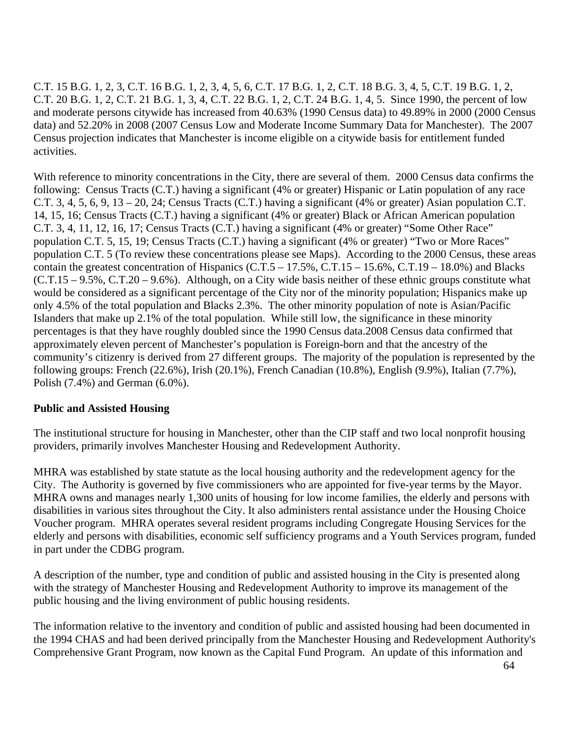C.T. 15 B.G. 1, 2, 3, C.T. 16 B.G. 1, 2, 3, 4, 5, 6, C.T. 17 B.G. 1, 2, C.T. 18 B.G. 3, 4, 5, C.T. 19 B.G. 1, 2, C.T. 20 B.G. 1, 2, C.T. 21 B.G. 1, 3, 4, C.T. 22 B.G. 1, 2, C.T. 24 B.G. 1, 4, 5. Since 1990, the percent of low and moderate persons citywide has increased from 40.63% (1990 Census data) to 49.89% in 2000 (2000 Census data) and 52.20% in 2008 (2007 Census Low and Moderate Income Summary Data for Manchester). The 2007 Census projection indicates that Manchester is income eligible on a citywide basis for entitlement funded activities.

With reference to minority concentrations in the City, there are several of them. 2000 Census data confirms the following: Census Tracts (C.T.) having a significant (4% or greater) Hispanic or Latin population of any race C.T. 3, 4, 5, 6, 9, 13 – 20, 24; Census Tracts (C.T.) having a significant (4% or greater) Asian population C.T. 14, 15, 16; Census Tracts (C.T.) having a significant (4% or greater) Black or African American population C.T. 3, 4, 11, 12, 16, 17; Census Tracts (C.T.) having a significant (4% or greater) "Some Other Race" population C.T. 5, 15, 19; Census Tracts (C.T.) having a significant (4% or greater) "Two or More Races" population C.T. 5 (To review these concentrations please see Maps). According to the 2000 Census, these areas contain the greatest concentration of Hispanics (C.T.5 – 17.5%, C.T.15 – 15.6%, C.T.19 – 18.0%) and Blacks (C.T.15 – 9.5%, C.T.20 – 9.6%). Although, on a City wide basis neither of these ethnic groups constitute what would be considered as a significant percentage of the City nor of the minority population; Hispanics make up only 4.5% of the total population and Blacks 2.3%. The other minority population of note is Asian/Pacific Islanders that make up 2.1% of the total population. While still low, the significance in these minority percentages is that they have roughly doubled since the 1990 Census data.2008 Census data confirmed that approximately eleven percent of Manchester's population is Foreign-born and that the ancestry of the community's citizenry is derived from 27 different groups. The majority of the population is represented by the following groups: French (22.6%), Irish (20.1%), French Canadian (10.8%), English (9.9%), Italian (7.7%), Polish (7.4%) and German (6.0%).

### **Public and Assisted Housing**

The institutional structure for housing in Manchester, other than the CIP staff and two local nonprofit housing providers, primarily involves Manchester Housing and Redevelopment Authority.

MHRA was established by state statute as the local housing authority and the redevelopment agency for the City. The Authority is governed by five commissioners who are appointed for five-year terms by the Mayor. MHRA owns and manages nearly 1,300 units of housing for low income families, the elderly and persons with disabilities in various sites throughout the City. It also administers rental assistance under the Housing Choice Voucher program. MHRA operates several resident programs including Congregate Housing Services for the elderly and persons with disabilities, economic self sufficiency programs and a Youth Services program, funded in part under the CDBG program.

A description of the number, type and condition of public and assisted housing in the City is presented along with the strategy of Manchester Housing and Redevelopment Authority to improve its management of the public housing and the living environment of public housing residents.

The information relative to the inventory and condition of public and assisted housing had been documented in the 1994 CHAS and had been derived principally from the Manchester Housing and Redevelopment Authority's Comprehensive Grant Program, now known as the Capital Fund Program. An update of this information and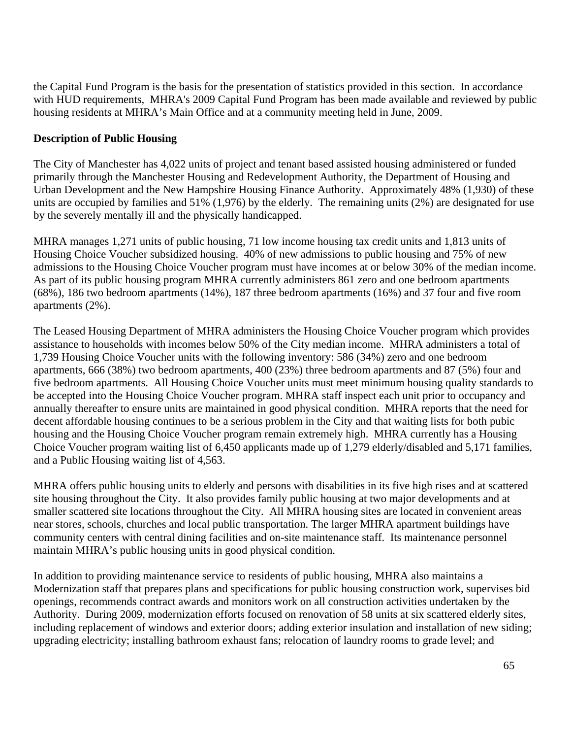the Capital Fund Program is the basis for the presentation of statistics provided in this section. In accordance with HUD requirements, MHRA's 2009 Capital Fund Program has been made available and reviewed by public housing residents at MHRA's Main Office and at a community meeting held in June, 2009.

## **Description of Public Housing**

The City of Manchester has 4,022 units of project and tenant based assisted housing administered or funded primarily through the Manchester Housing and Redevelopment Authority, the Department of Housing and Urban Development and the New Hampshire Housing Finance Authority. Approximately 48% (1,930) of these units are occupied by families and 51% (1,976) by the elderly. The remaining units (2%) are designated for use by the severely mentally ill and the physically handicapped.

MHRA manages 1,271 units of public housing, 71 low income housing tax credit units and 1,813 units of Housing Choice Voucher subsidized housing. 40% of new admissions to public housing and 75% of new admissions to the Housing Choice Voucher program must have incomes at or below 30% of the median income. As part of its public housing program MHRA currently administers 861 zero and one bedroom apartments (68%), 186 two bedroom apartments (14%), 187 three bedroom apartments (16%) and 37 four and five room apartments (2%).

The Leased Housing Department of MHRA administers the Housing Choice Voucher program which provides assistance to households with incomes below 50% of the City median income. MHRA administers a total of 1,739 Housing Choice Voucher units with the following inventory: 586 (34%) zero and one bedroom apartments, 666 (38%) two bedroom apartments, 400 (23%) three bedroom apartments and 87 (5%) four and five bedroom apartments. All Housing Choice Voucher units must meet minimum housing quality standards to be accepted into the Housing Choice Voucher program. MHRA staff inspect each unit prior to occupancy and annually thereafter to ensure units are maintained in good physical condition. MHRA reports that the need for decent affordable housing continues to be a serious problem in the City and that waiting lists for both pubic housing and the Housing Choice Voucher program remain extremely high. MHRA currently has a Housing Choice Voucher program waiting list of 6,450 applicants made up of 1,279 elderly/disabled and 5,171 families, and a Public Housing waiting list of 4,563.

MHRA offers public housing units to elderly and persons with disabilities in its five high rises and at scattered site housing throughout the City. It also provides family public housing at two major developments and at smaller scattered site locations throughout the City. All MHRA housing sites are located in convenient areas near stores, schools, churches and local public transportation. The larger MHRA apartment buildings have community centers with central dining facilities and on-site maintenance staff. Its maintenance personnel maintain MHRA's public housing units in good physical condition.

In addition to providing maintenance service to residents of public housing, MHRA also maintains a Modernization staff that prepares plans and specifications for public housing construction work, supervises bid openings, recommends contract awards and monitors work on all construction activities undertaken by the Authority. During 2009, modernization efforts focused on renovation of 58 units at six scattered elderly sites, including replacement of windows and exterior doors; adding exterior insulation and installation of new siding; upgrading electricity; installing bathroom exhaust fans; relocation of laundry rooms to grade level; and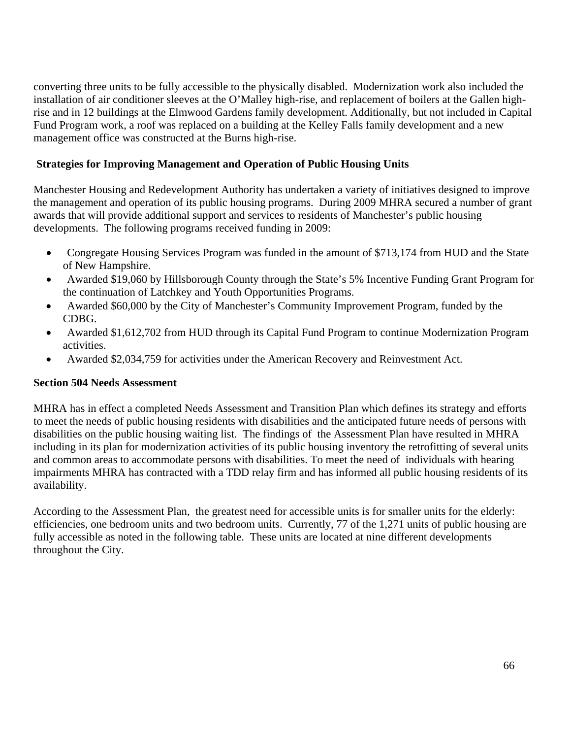converting three units to be fully accessible to the physically disabled. Modernization work also included the installation of air conditioner sleeves at the O'Malley high-rise, and replacement of boilers at the Gallen highrise and in 12 buildings at the Elmwood Gardens family development. Additionally, but not included in Capital Fund Program work, a roof was replaced on a building at the Kelley Falls family development and a new management office was constructed at the Burns high-rise.

## **Strategies for Improving Management and Operation of Public Housing Units**

Manchester Housing and Redevelopment Authority has undertaken a variety of initiatives designed to improve the management and operation of its public housing programs. During 2009 MHRA secured a number of grant awards that will provide additional support and services to residents of Manchester's public housing developments. The following programs received funding in 2009:

- Congregate Housing Services Program was funded in the amount of \$713,174 from HUD and the State of New Hampshire.
- Awarded \$19,060 by Hillsborough County through the State's 5% Incentive Funding Grant Program for the continuation of Latchkey and Youth Opportunities Programs.
- Awarded \$60,000 by the City of Manchester's Community Improvement Program, funded by the CDBG.
- Awarded \$1,612,702 from HUD through its Capital Fund Program to continue Modernization Program activities.
- Awarded \$2,034,759 for activities under the American Recovery and Reinvestment Act.

### **Section 504 Needs Assessment**

MHRA has in effect a completed Needs Assessment and Transition Plan which defines its strategy and efforts to meet the needs of public housing residents with disabilities and the anticipated future needs of persons with disabilities on the public housing waiting list. The findings of the Assessment Plan have resulted in MHRA including in its plan for modernization activities of its public housing inventory the retrofitting of several units and common areas to accommodate persons with disabilities. To meet the need of individuals with hearing impairments MHRA has contracted with a TDD relay firm and has informed all public housing residents of its availability.

According to the Assessment Plan, the greatest need for accessible units is for smaller units for the elderly: efficiencies, one bedroom units and two bedroom units. Currently, 77 of the 1,271 units of public housing are fully accessible as noted in the following table. These units are located at nine different developments throughout the City.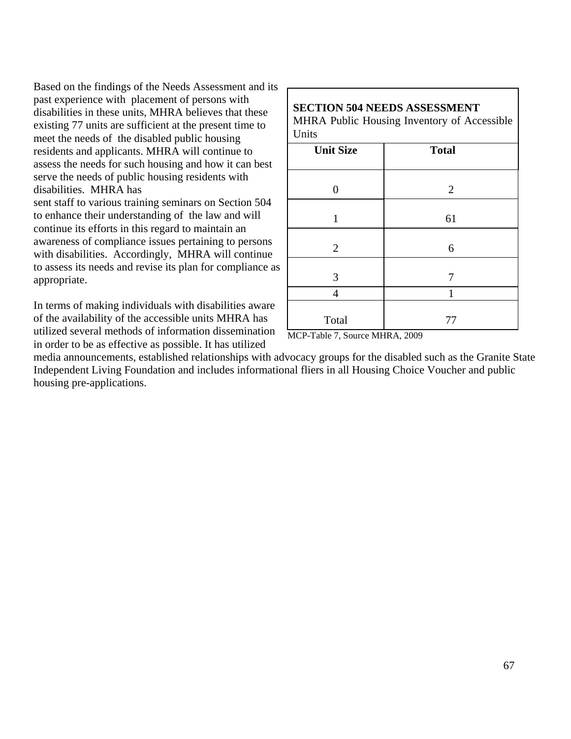Based on the findings of the Needs Assessment and its past experience with placement of persons with disabilities in these units, MHRA believes that these existing 77 units are sufficient at the present time to meet the needs of the disabled public housing residents and applicants. MHRA will continue to assess the needs for such housing and how it can best serve the needs of public housing residents with disabilities. MHRA has

sent staff to various training seminars on Section 504 to enhance their understanding of the law and will continue its efforts in this regard to maintain an awareness of compliance issues pertaining to persons with disabilities. Accordingly, MHRA will continue to assess its needs and revise its plan for compliance as appropriate.

In terms of making individuals with disabilities aware of the availability of the accessible units MHRA has utilized several methods of information dissemination in order to be as effective as possible. It has utilized

#### **SECTION 504 NEEDS ASSESSMENT** MHRA Public Housing Inventory of Accessible **Units**

| <b>Unit Size</b> | <b>Total</b>   |
|------------------|----------------|
| 0                | $\overline{2}$ |
| 1                | 61             |
| $\overline{2}$   | 6              |
| 3                | 7              |
| $\overline{4}$   | $\mathbf{1}$   |
| Total            | 77             |

MCP-Table 7, Source MHRA, 2009

media announcements, established relationships with advocacy groups for the disabled such as the Granite State Independent Living Foundation and includes informational fliers in all Housing Choice Voucher and public housing pre-applications.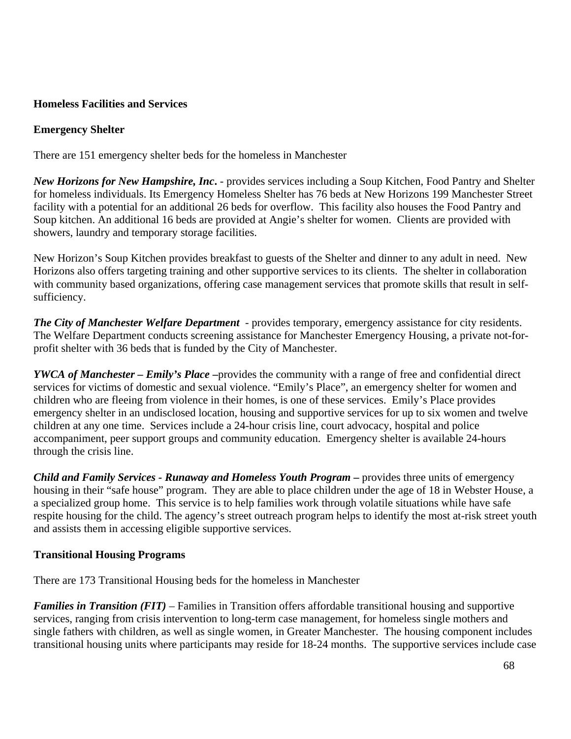## **Homeless Facilities and Services**

### **Emergency Shelter**

There are 151 emergency shelter beds for the homeless in Manchester

*New Horizons for New Hampshire, Inc***.** - provides services including a Soup Kitchen, Food Pantry and Shelter for homeless individuals. Its Emergency Homeless Shelter has 76 beds at New Horizons 199 Manchester Street facility with a potential for an additional 26 beds for overflow. This facility also houses the Food Pantry and Soup kitchen. An additional 16 beds are provided at Angie's shelter for women. Clients are provided with showers, laundry and temporary storage facilities.

New Horizon's Soup Kitchen provides breakfast to guests of the Shelter and dinner to any adult in need. New Horizons also offers targeting training and other supportive services to its clients. The shelter in collaboration with community based organizations, offering case management services that promote skills that result in selfsufficiency.

*The City of Manchester Welfare Department* - provides temporary, emergency assistance for city residents. The Welfare Department conducts screening assistance for Manchester Emergency Housing, a private not-forprofit shelter with 36 beds that is funded by the City of Manchester.

*YWCA of Manchester – Emily's Place* **–**provides the community with a range of free and confidential direct services for victims of domestic and sexual violence. "Emily's Place", an emergency shelter for women and children who are fleeing from violence in their homes, is one of these services. Emily's Place provides emergency shelter in an undisclosed location, housing and supportive services for up to six women and twelve children at any one time. Services include a 24-hour crisis line, court advocacy, hospital and police accompaniment, peer support groups and community education. Emergency shelter is available 24-hours through the crisis line.

*Child and Family Services - Runaway and Homeless Youth Program* **–** provides three units of emergency housing in their "safe house" program. They are able to place children under the age of 18 in Webster House, a a specialized group home. This service is to help families work through volatile situations while have safe respite housing for the child. The agency's street outreach program helps to identify the most at-risk street youth and assists them in accessing eligible supportive services.

### **Transitional Housing Programs**

There are 173 Transitional Housing beds for the homeless in Manchester

*Families in Transition (FIT)* – Families in Transition offers affordable transitional housing and supportive services, ranging from crisis intervention to long-term case management, for homeless single mothers and single fathers with children, as well as single women, in Greater Manchester. The housing component includes transitional housing units where participants may reside for 18-24 months. The supportive services include case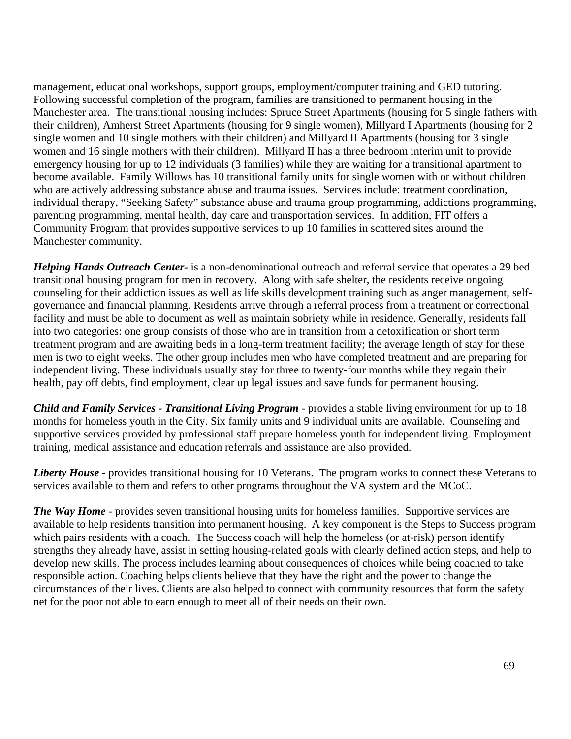management, educational workshops, support groups, employment/computer training and GED tutoring. Following successful completion of the program, families are transitioned to permanent housing in the Manchester area. The transitional housing includes: Spruce Street Apartments (housing for 5 single fathers with their children), Amherst Street Apartments (housing for 9 single women), Millyard I Apartments (housing for 2 single women and 10 single mothers with their children) and Millyard II Apartments (housing for 3 single women and 16 single mothers with their children). Millyard II has a three bedroom interim unit to provide emergency housing for up to 12 individuals (3 families) while they are waiting for a transitional apartment to become available. Family Willows has 10 transitional family units for single women with or without children who are actively addressing substance abuse and trauma issues. Services include: treatment coordination, individual therapy, "Seeking Safety" substance abuse and trauma group programming, addictions programming, parenting programming, mental health, day care and transportation services. In addition, FIT offers a Community Program that provides supportive services to up 10 families in scattered sites around the Manchester community.

*Helping Hands Outreach Center-* is a non-denominational outreach and referral service that operates a 29 bed transitional housing program for men in recovery. Along with safe shelter, the residents receive ongoing counseling for their addiction issues as well as life skills development training such as anger management, selfgovernance and financial planning. Residents arrive through a referral process from a treatment or correctional facility and must be able to document as well as maintain sobriety while in residence. Generally, residents fall into two categories: one group consists of those who are in transition from a detoxification or short term treatment program and are awaiting beds in a long-term treatment facility; the average length of stay for these men is two to eight weeks. The other group includes men who have completed treatment and are preparing for independent living. These individuals usually stay for three to twenty-four months while they regain their health, pay off debts, find employment, clear up legal issues and save funds for permanent housing.

*Child and Family Services - Transitional Living Program* - provides a stable living environment for up to 18 months for homeless youth in the City. Six family units and 9 individual units are available. Counseling and supportive services provided by professional staff prepare homeless youth for independent living. Employment training, medical assistance and education referrals and assistance are also provided.

*Liberty House* - provides transitional housing for 10 Veterans. The program works to connect these Veterans to services available to them and refers to other programs throughout the VA system and the MCoC.

*The Way Home* - provides seven transitional housing units for homeless families. Supportive services are available to help residents transition into permanent housing. A key component is the Steps to Success program which pairs residents with a coach. The Success coach will help the homeless (or at-risk) person identify strengths they already have, assist in setting housing-related goals with clearly defined action steps, and help to develop new skills. The process includes learning about consequences of choices while being coached to take responsible action. Coaching helps clients believe that they have the right and the power to change the circumstances of their lives. Clients are also helped to connect with community resources that form the safety net for the poor not able to earn enough to meet all of their needs on their own.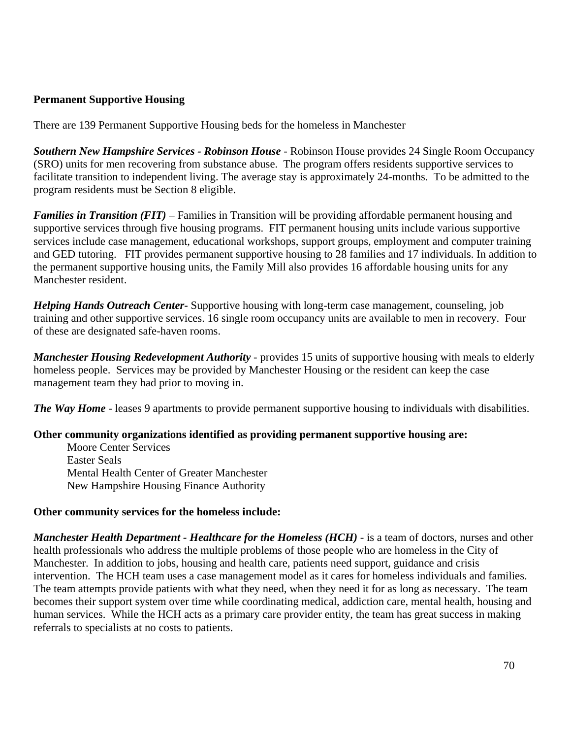#### **Permanent Supportive Housing**

There are 139 Permanent Supportive Housing beds for the homeless in Manchester

*Southern New Hampshire Services - Robinson House* - Robinson House provides 24 Single Room Occupancy (SRO) units for men recovering from substance abuse. The program offers residents supportive services to facilitate transition to independent living. The average stay is approximately 24-months. To be admitted to the program residents must be Section 8 eligible.

*Families in Transition (FIT)* – Families in Transition will be providing affordable permanent housing and supportive services through five housing programs. FIT permanent housing units include various supportive services include case management, educational workshops, support groups, employment and computer training and GED tutoring. FIT provides permanent supportive housing to 28 families and 17 individuals. In addition to the permanent supportive housing units, the Family Mill also provides 16 affordable housing units for any Manchester resident.

*Helping Hands Outreach Center***-** Supportive housing with long-term case management, counseling, job training and other supportive services. 16 single room occupancy units are available to men in recovery. Four of these are designated safe-haven rooms.

*Manchester Housing Redevelopment Authority* - provides 15 units of supportive housing with meals to elderly homeless people. Services may be provided by Manchester Housing or the resident can keep the case management team they had prior to moving in.

*The Way Home* - leases 9 apartments to provide permanent supportive housing to individuals with disabilities.

#### **Other community organizations identified as providing permanent supportive housing are:**

Moore Center Services Easter Seals Mental Health Center of Greater Manchester New Hampshire Housing Finance Authority

#### **Other community services for the homeless include:**

*Manchester Health Department - Healthcare for the Homeless (HCH)* - is a team of doctors, nurses and other health professionals who address the multiple problems of those people who are homeless in the City of Manchester. In addition to jobs, housing and health care, patients need support, guidance and crisis intervention. The HCH team uses a case management model as it cares for homeless individuals and families. The team attempts provide patients with what they need, when they need it for as long as necessary. The team becomes their support system over time while coordinating medical, addiction care, mental health, housing and human services. While the HCH acts as a primary care provider entity, the team has great success in making referrals to specialists at no costs to patients.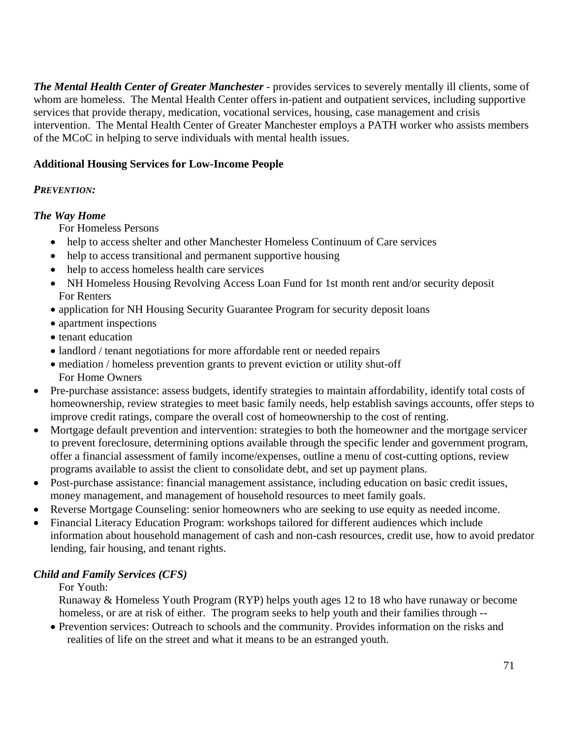*The Mental Health Center of Greater Manchester* - provides services to severely mentally ill clients, some of whom are homeless. The Mental Health Center offers in-patient and outpatient services, including supportive services that provide therapy, medication, vocational services, housing, case management and crisis intervention. The Mental Health Center of Greater Manchester employs a PATH worker who assists members of the MCoC in helping to serve individuals with mental health issues.

## **Additional Housing Services for Low-Income People**

### *PREVENTION:*

## *The Way Home*

For Homeless Persons

- help to access shelter and other Manchester Homeless Continuum of Care services
- help to access transitional and permanent supportive housing
- help to access homeless health care services
- NH Homeless Housing Revolving Access Loan Fund for 1st month rent and/or security deposit For Renters
- application for NH Housing Security Guarantee Program for security deposit loans
- apartment inspections
- tenant education
- landlord / tenant negotiations for more affordable rent or needed repairs
- mediation / homeless prevention grants to prevent eviction or utility shut-off For Home Owners
- Pre-purchase assistance: assess budgets, identify strategies to maintain affordability, identify total costs of homeownership, review strategies to meet basic family needs, help establish savings accounts, offer steps to improve credit ratings, compare the overall cost of homeownership to the cost of renting.
- Mortgage default prevention and intervention: strategies to both the homeowner and the mortgage servicer to prevent foreclosure, determining options available through the specific lender and government program, offer a financial assessment of family income/expenses, outline a menu of cost-cutting options, review programs available to assist the client to consolidate debt, and set up payment plans.
- Post-purchase assistance: financial management assistance, including education on basic credit issues, money management, and management of household resources to meet family goals.
- Reverse Mortgage Counseling: senior homeowners who are seeking to use equity as needed income.
- Financial Literacy Education Program: workshops tailored for different audiences which include information about household management of cash and non-cash resources, credit use, how to avoid predator lending, fair housing, and tenant rights.

# *Child and Family Services (CFS)*

# For Youth:

 Runaway & Homeless Youth Program (RYP) helps youth ages 12 to 18 who have runaway or become homeless, or are at risk of either. The program seeks to help youth and their families through --

• Prevention services: Outreach to schools and the community. Provides information on the risks and realities of life on the street and what it means to be an estranged youth.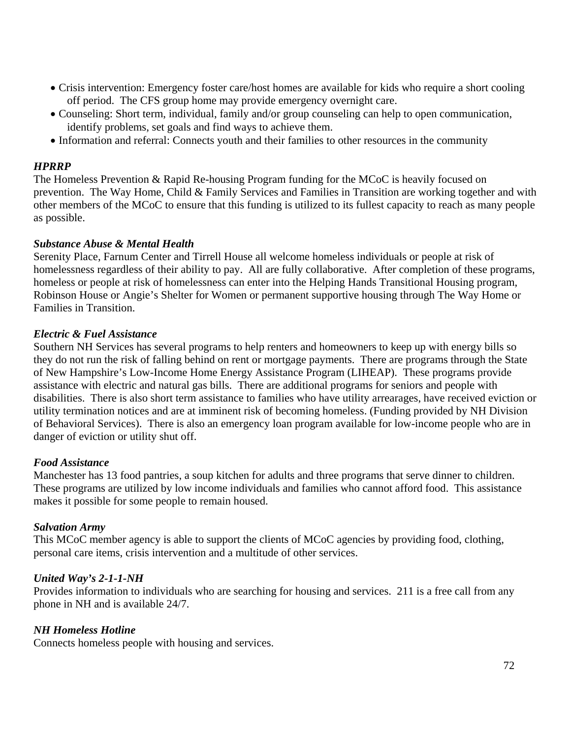- Crisis intervention: Emergency foster care/host homes are available for kids who require a short cooling off period. The CFS group home may provide emergency overnight care.
- Counseling: Short term, individual, family and/or group counseling can help to open communication, identify problems, set goals and find ways to achieve them.
- Information and referral: Connects youth and their families to other resources in the community

## *HPRRP*

The Homeless Prevention & Rapid Re-housing Program funding for the MCoC is heavily focused on prevention. The Way Home, Child & Family Services and Families in Transition are working together and with other members of the MCoC to ensure that this funding is utilized to its fullest capacity to reach as many people as possible.

#### *Substance Abuse & Mental Health*

Serenity Place, Farnum Center and Tirrell House all welcome homeless individuals or people at risk of homelessness regardless of their ability to pay. All are fully collaborative. After completion of these programs, homeless or people at risk of homelessness can enter into the Helping Hands Transitional Housing program, Robinson House or Angie's Shelter for Women or permanent supportive housing through The Way Home or Families in Transition.

#### *Electric & Fuel Assistance*

Southern NH Services has several programs to help renters and homeowners to keep up with energy bills so they do not run the risk of falling behind on rent or mortgage payments. There are programs through the State of New Hampshire's Low-Income Home Energy Assistance Program (LIHEAP). These programs provide assistance with electric and natural gas bills. There are additional programs for seniors and people with disabilities. There is also short term assistance to families who have utility arrearages, have received eviction or utility termination notices and are at imminent risk of becoming homeless. (Funding provided by NH Division of Behavioral Services). There is also an emergency loan program available for low-income people who are in danger of eviction or utility shut off.

#### *Food Assistance*

Manchester has 13 food pantries, a soup kitchen for adults and three programs that serve dinner to children. These programs are utilized by low income individuals and families who cannot afford food. This assistance makes it possible for some people to remain housed.

#### *Salvation Army*

This MCoC member agency is able to support the clients of MCoC agencies by providing food, clothing, personal care items, crisis intervention and a multitude of other services.

#### *United Way's 2-1-1-NH*

Provides information to individuals who are searching for housing and services. 211 is a free call from any phone in NH and is available 24/7.

### *NH Homeless Hotline*

Connects homeless people with housing and services.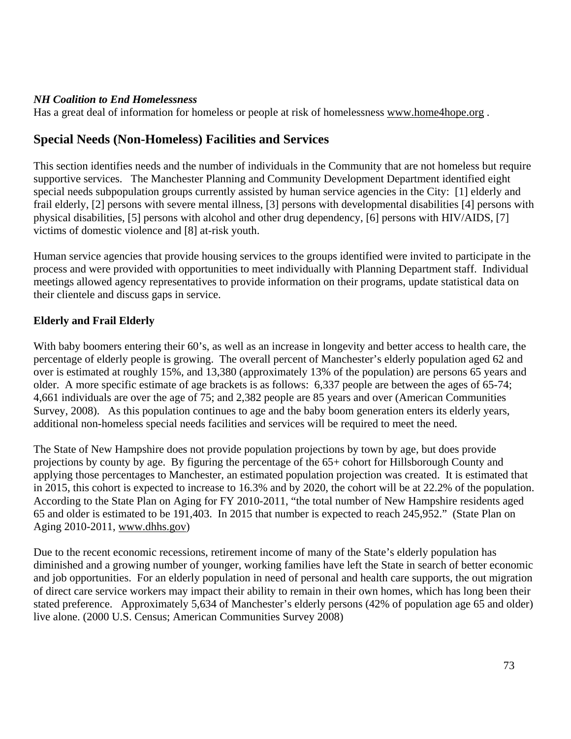### *NH Coalition to End Homelessness*

Has a great deal of information for homeless or people at risk of homelessness [www.home4hope.org](http://www.home4hope.org/).

# **Special Needs (Non-Homeless) Facilities and Services**

This section identifies needs and the number of individuals in the Community that are not homeless but require supportive services. The Manchester Planning and Community Development Department identified eight special needs subpopulation groups currently assisted by human service agencies in the City: [1] elderly and frail elderly, [2] persons with severe mental illness, [3] persons with developmental disabilities [4] persons with physical disabilities, [5] persons with alcohol and other drug dependency, [6] persons with HIV/AIDS, [7] victims of domestic violence and [8] at-risk youth.

Human service agencies that provide housing services to the groups identified were invited to participate in the process and were provided with opportunities to meet individually with Planning Department staff. Individual meetings allowed agency representatives to provide information on their programs, update statistical data on their clientele and discuss gaps in service.

### **Elderly and Frail Elderly**

With baby boomers entering their 60's, as well as an increase in longevity and better access to health care, the percentage of elderly people is growing. The overall percent of Manchester's elderly population aged 62 and over is estimated at roughly 15%, and 13,380 (approximately 13% of the population) are persons 65 years and older. A more specific estimate of age brackets is as follows: 6,337 people are between the ages of 65-74; 4,661 individuals are over the age of 75; and 2,382 people are 85 years and over (American Communities Survey, 2008). As this population continues to age and the baby boom generation enters its elderly years, additional non-homeless special needs facilities and services will be required to meet the need.

The State of New Hampshire does not provide population projections by town by age, but does provide projections by county by age. By figuring the percentage of the 65+ cohort for Hillsborough County and applying those percentages to Manchester, an estimated population projection was created. It is estimated that in 2015, this cohort is expected to increase to 16.3% and by 2020, the cohort will be at 22.2% of the population. According to the State Plan on Aging for FY 2010-2011, "the total number of New Hampshire residents aged 65 and older is estimated to be 191,403. In 2015 that number is expected to reach 245,952." (State Plan on Aging 2010-2011, www.dhhs.gov)

Due to the recent economic recessions, retirement income of many of the State's elderly population has diminished and a growing number of younger, working families have left the State in search of better economic and job opportunities. For an elderly population in need of personal and health care supports, the out migration of direct care service workers may impact their ability to remain in their own homes, which has long been their stated preference. Approximately 5,634 of Manchester's elderly persons (42% of population age 65 and older) live alone. (2000 U.S. Census; American Communities Survey 2008)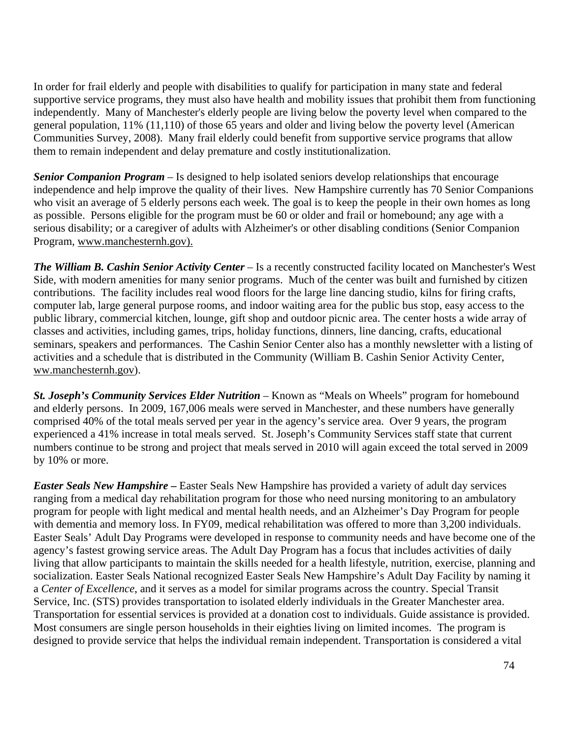In order for frail elderly and people with disabilities to qualify for participation in many state and federal supportive service programs, they must also have health and mobility issues that prohibit them from functioning independently. Many of Manchester's elderly people are living below the poverty level when compared to the general population, 11% (11,110) of those 65 years and older and living below the poverty level (American Communities Survey, 2008). Many frail elderly could benefit from supportive service programs that allow them to remain independent and delay premature and costly institutionalization.

*Senior Companion Program –* Is designed to help isolated seniors develop relationships that encourage independence and help improve the quality of their lives. New Hampshire currently has 70 Senior Companions who visit an average of 5 elderly persons each week. The goal is to keep the people in their own homes as long as possible. Persons eligible for the program must be 60 or older and frail or homebound; any age with a serious disability; or a caregiver of adults with Alzheimer's or other disabling conditions (Senior Companion Program, www.manchesternh.gov).

*The William B. Cashin Senior Activity Center –* Is a recently constructed facility located on Manchester's West Side, with modern amenities for many senior programs. Much of the center was built and furnished by citizen contributions. The facility includes real wood floors for the large line dancing studio, kilns for firing crafts, computer lab, large general purpose rooms, and indoor waiting area for the public bus stop, easy access to the public library, commercial kitchen, lounge, gift shop and outdoor picnic area. The center hosts a wide array of classes and activities, including games, trips, holiday functions, dinners, line dancing, crafts, educational seminars, speakers and performances. The Cashin Senior Center also has a monthly newsletter with a listing of activities and a schedule that is distributed in the Community (William B. Cashin Senior Activity Center, ww.manchesternh.gov).

*St. Joseph's Community Services Elder Nutrition –* Known as "Meals on Wheels" program for homebound and elderly persons. In 2009, 167,006 meals were served in Manchester, and these numbers have generally comprised 40% of the total meals served per year in the agency's service area. Over 9 years, the program experienced a 41% increase in total meals served. St. Joseph's Community Services staff state that current numbers continue to be strong and project that meals served in 2010 will again exceed the total served in 2009 by 10% or more.

*Easter Seals New Hampshire* **–** Easter Seals New Hampshire has provided a variety of adult day services ranging from a medical day rehabilitation program for those who need nursing monitoring to an ambulatory program for people with light medical and mental health needs, and an Alzheimer's Day Program for people with dementia and memory loss. In FY09, medical rehabilitation was offered to more than 3,200 individuals. Easter Seals' Adult Day Programs were developed in response to community needs and have become one of the agency's fastest growing service areas. The Adult Day Program has a focus that includes activities of daily living that allow participants to maintain the skills needed for a health lifestyle, nutrition, exercise, planning and socialization. Easter Seals National recognized Easter Seals New Hampshire's Adult Day Facility by naming it a *Center of Excellence*, and it serves as a model for similar programs across the country. Special Transit Service, Inc. (STS) provides transportation to isolated elderly individuals in the Greater Manchester area. Transportation for essential services is provided at a donation cost to individuals. Guide assistance is provided. Most consumers are single person households in their eighties living on limited incomes. The program is designed to provide service that helps the individual remain independent. Transportation is considered a vital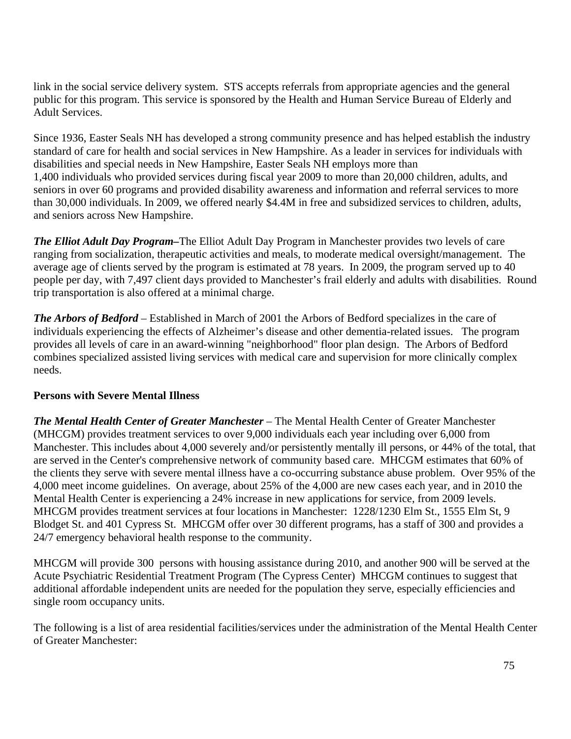link in the social service delivery system. STS accepts referrals from appropriate agencies and the general public for this program. This service is sponsored by the Health and Human Service Bureau of Elderly and Adult Services.

Since 1936, Easter Seals NH has developed a strong community presence and has helped establish the industry standard of care for health and social services in New Hampshire. As a leader in services for individuals with disabilities and special needs in New Hampshire, Easter Seals NH employs more than 1,400 individuals who provided services during fiscal year 2009 to more than 20,000 children, adults, and seniors in over 60 programs and provided disability awareness and information and referral services to more than 30,000 individuals. In 2009, we offered nearly \$4.4M in free and subsidized services to children, adults, and seniors across New Hampshire.

*The Elliot Adult Day Program–*The Elliot Adult Day Program in Manchester provides two levels of care ranging from socialization, therapeutic activities and meals, to moderate medical oversight/management. The average age of clients served by the program is estimated at 78 years. In 2009, the program served up to 40 people per day, with 7,497 client days provided to Manchester's frail elderly and adults with disabilities. Round trip transportation is also offered at a minimal charge.

*The Arbors of Bedford –* Established in March of 2001 the Arbors of Bedford specializes in the care of individuals experiencing the effects of Alzheimer's disease and other dementia-related issues. The program provides all levels of care in an award-winning "neighborhood" floor plan design. The Arbors of Bedford combines specialized assisted living services with medical care and supervision for more clinically complex needs.

### **Persons with Severe Mental Illness**

*The Mental Health Center of Greater Manchester –* The Mental Health Center of Greater Manchester (MHCGM) provides treatment services to over 9,000 individuals each year including over 6,000 from Manchester. This includes about 4,000 severely and/or persistently mentally ill persons, or 44% of the total, that are served in the Center's comprehensive network of community based care. MHCGM estimates that 60% of the clients they serve with severe mental illness have a co-occurring substance abuse problem. Over 95% of the 4,000 meet income guidelines. On average, about 25% of the 4,000 are new cases each year, and in 2010 the Mental Health Center is experiencing a 24% increase in new applications for service, from 2009 levels. MHCGM provides treatment services at four locations in Manchester: 1228/1230 Elm St., 1555 Elm St, 9 Blodget St. and 401 Cypress St. MHCGM offer over 30 different programs, has a staff of 300 and provides a 24/7 emergency behavioral health response to the community.

MHCGM will provide 300 persons with housing assistance during 2010, and another 900 will be served at the Acute Psychiatric Residential Treatment Program (The Cypress Center) MHCGM continues to suggest that additional affordable independent units are needed for the population they serve, especially efficiencies and single room occupancy units.

The following is a list of area residential facilities/services under the administration of the Mental Health Center of Greater Manchester: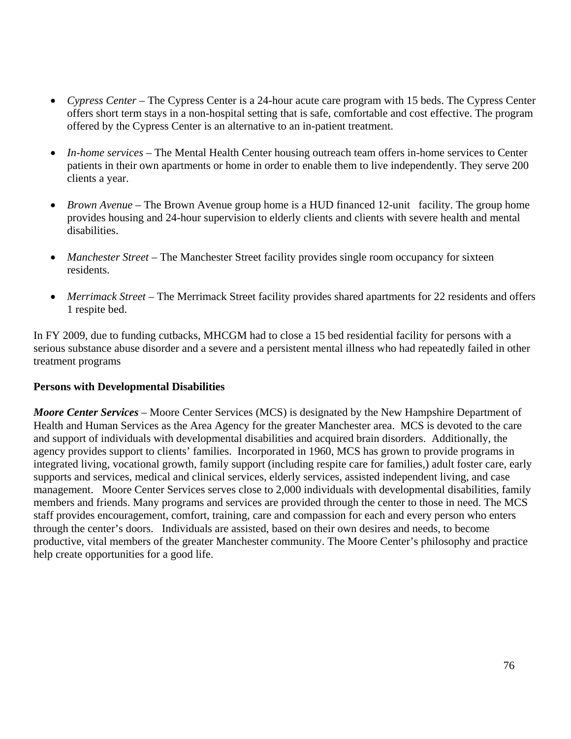- *Cypress Center* The Cypress Center is a 24-hour acute care program with 15 beds. The Cypress Center offers short term stays in a non-hospital setting that is safe, comfortable and cost effective. The program offered by the Cypress Center is an alternative to an in-patient treatment.
- *In-home services* The Mental Health Center housing outreach team offers in-home services to Center patients in their own apartments or home in order to enable them to live independently. They serve 200 clients a year.
- *Brown Avenue* The Brown Avenue group home is a HUD financed 12-unit facility. The group home provides housing and 24-hour supervision to elderly clients and clients with severe health and mental disabilities.
- *Manchester Street* The Manchester Street facility provides single room occupancy for sixteen residents.
- *Merrimack Street* The Merrimack Street facility provides shared apartments for 22 residents and offers 1 respite bed.

In FY 2009, due to funding cutbacks, MHCGM had to close a 15 bed residential facility for persons with a serious substance abuse disorder and a severe and a persistent mental illness who had repeatedly failed in other treatment programs

### **Persons with Developmental Disabilities**

*Moore Center Services –* Moore Center Services (MCS) is designated by the New Hampshire Department of Health and Human Services as the Area Agency for the greater Manchester area. MCS is devoted to the care and support of individuals with developmental disabilities and acquired brain disorders. Additionally, the agency provides support to clients' families. Incorporated in 1960, MCS has grown to provide programs in integrated living, vocational growth, family support (including respite care for families,) adult foster care, early supports and services, medical and clinical services, elderly services, assisted independent living, and case management. Moore Center Services serves close to 2,000 individuals with developmental disabilities, family members and friends. Many programs and services are provided through the center to those in need. The MCS staff provides encouragement, comfort, training, care and compassion for each and every person who enters through the center's doors. Individuals are assisted, based on their own desires and needs, to become productive, vital members of the greater Manchester community. The Moore Center's philosophy and practice help create opportunities for a good life.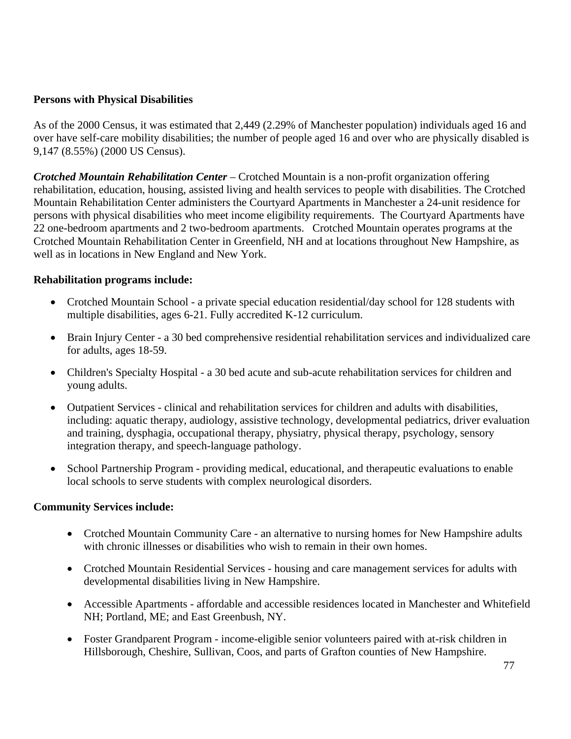### **Persons with Physical Disabilities**

As of the 2000 Census, it was estimated that 2,449 (2.29% of Manchester population) individuals aged 16 and over have self-care mobility disabilities; the number of people aged 16 and over who are physically disabled is 9,147 (8.55%) (2000 US Census).

*Crotched Mountain Rehabilitation Center –* Crotched Mountain is a non-profit organization offering rehabilitation, education, housing, assisted living and health services to people with disabilities. The Crotched Mountain Rehabilitation Center administers the Courtyard Apartments in Manchester a 24-unit residence for persons with physical disabilities who meet income eligibility requirements. The Courtyard Apartments have 22 one-bedroom apartments and 2 two-bedroom apartments. Crotched Mountain operates programs at the Crotched Mountain Rehabilitation Center in Greenfield, NH and at locations throughout New Hampshire, as well as in locations in New England and New York.

#### **Rehabilitation programs include:**

- Crotched Mountain School a private special education residential/day school for 128 students with multiple disabilities, ages 6-21. Fully accredited K-12 curriculum.
- Brain Injury Center a 30 bed comprehensive residential rehabilitation services and individualized care for adults, ages 18-59.
- Children's Specialty Hospital a 30 bed acute and sub-acute rehabilitation services for children and young adults.
- Outpatient Services clinical and rehabilitation services for children and adults with disabilities, including: aquatic therapy, audiology, assistive technology, developmental pediatrics, driver evaluation and training, dysphagia, occupational therapy, physiatry, physical therapy, psychology, sensory integration therapy, and speech-language pathology.
- School Partnership Program providing medical, educational, and therapeutic evaluations to enable local schools to serve students with complex neurological disorders.

#### **Community Services include:**

- Crotched Mountain Community Care an alternative to nursing homes for New Hampshire adults with chronic illnesses or disabilities who wish to remain in their own homes.
- Crotched Mountain Residential Services housing and care management services for adults with developmental disabilities living in New Hampshire.
- Accessible Apartments affordable and accessible residences located in Manchester and Whitefield NH; Portland, ME; and East Greenbush, NY.
- Foster Grandparent Program income-eligible senior volunteers paired with at-risk children in Hillsborough, Cheshire, Sullivan, Coos, and parts of Grafton counties of New Hampshire.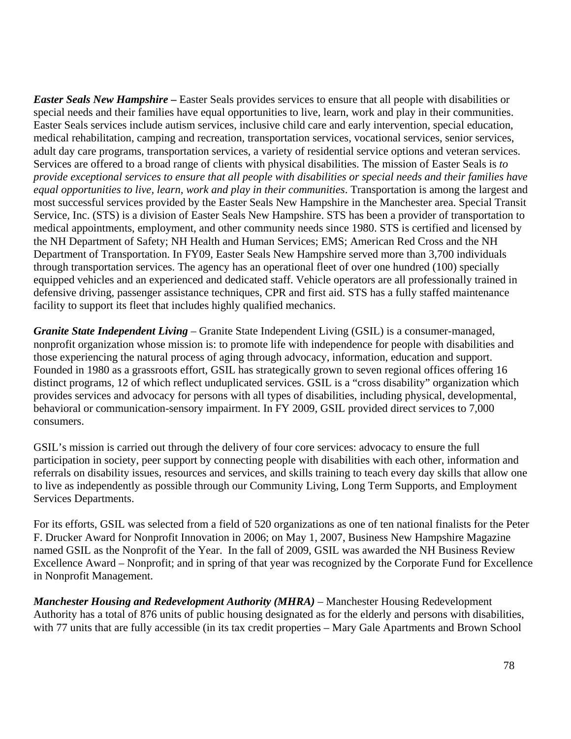*Easter Seals New Hampshire* **–** Easter Seals provides services to ensure that all people with disabilities or special needs and their families have equal opportunities to live, learn, work and play in their communities. Easter Seals services include autism services, inclusive child care and early intervention, special education, medical rehabilitation, camping and recreation, transportation services, vocational services, senior services, adult day care programs, transportation services, a variety of residential service options and veteran services. Services are offered to a broad range of clients with physical disabilities. The mission of Easter Seals is *to provide exceptional services to ensure that all people with disabilities or special needs and their families have equal opportunities to live, learn, work and play in their communities*. Transportation is among the largest and most successful services provided by the Easter Seals New Hampshire in the Manchester area. Special Transit Service, Inc. (STS) is a division of Easter Seals New Hampshire. STS has been a provider of transportation to medical appointments, employment, and other community needs since 1980. STS is certified and licensed by the NH Department of Safety; NH Health and Human Services; EMS; American Red Cross and the NH Department of Transportation. In FY09, Easter Seals New Hampshire served more than 3,700 individuals through transportation services. The agency has an operational fleet of over one hundred (100) specially equipped vehicles and an experienced and dedicated staff. Vehicle operators are all professionally trained in defensive driving, passenger assistance techniques, CPR and first aid. STS has a fully staffed maintenance facility to support its fleet that includes highly qualified mechanics.

*Granite State Independent Living –* Granite State Independent Living (GSIL) is a consumer-managed, nonprofit organization whose mission is: to promote life with independence for people with disabilities and those experiencing the natural process of aging through advocacy, information, education and support. Founded in 1980 as a grassroots effort, GSIL has strategically grown to seven regional offices offering 16 distinct programs, 12 of which reflect unduplicated services. GSIL is a "cross disability" organization which provides services and advocacy for persons with all types of disabilities, including physical, developmental, behavioral or communication-sensory impairment. In FY 2009, GSIL provided direct services to 7,000 consumers.

GSIL's mission is carried out through the delivery of four core services: advocacy to ensure the full participation in society, peer support by connecting people with disabilities with each other, information and referrals on disability issues, resources and services, and skills training to teach every day skills that allow one to live as independently as possible through our Community Living, Long Term Supports, and Employment Services Departments.

For its efforts, GSIL was selected from a field of 520 organizations as one of ten national finalists for the Peter F. Drucker Award for Nonprofit Innovation in 2006; on May 1, 2007, Business New Hampshire Magazine named GSIL as the Nonprofit of the Year. In the fall of 2009, GSIL was awarded the NH Business Review Excellence Award – Nonprofit; and in spring of that year was recognized by the Corporate Fund for Excellence in Nonprofit Management.

*Manchester Housing and Redevelopment Authority (MHRA)* – Manchester Housing Redevelopment Authority has a total of 876 units of public housing designated as for the elderly and persons with disabilities, with 77 units that are fully accessible (in its tax credit properties – Mary Gale Apartments and Brown School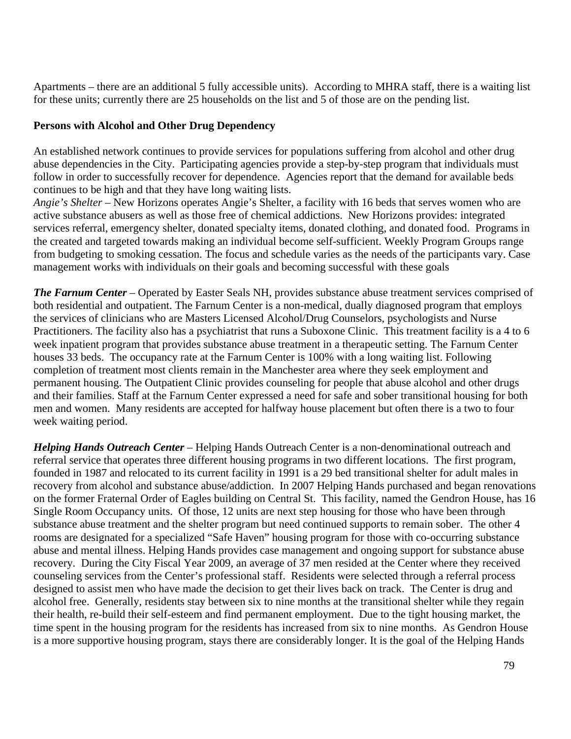Apartments – there are an additional 5 fully accessible units). According to MHRA staff, there is a waiting list for these units; currently there are 25 households on the list and 5 of those are on the pending list.

### **Persons with Alcohol and Other Drug Dependency**

An established network continues to provide services for populations suffering from alcohol and other drug abuse dependencies in the City. Participating agencies provide a step-by-step program that individuals must follow in order to successfully recover for dependence. Agencies report that the demand for available beds continues to be high and that they have long waiting lists.

*Angie's Shelter –* New Horizons operates Angie's Shelter, a facility with 16 beds that serves women who are active substance abusers as well as those free of chemical addictions. New Horizons provides: integrated services referral, emergency shelter, donated specialty items, donated clothing, and donated food. Programs in the created and targeted towards making an individual become self-sufficient. Weekly Program Groups range from budgeting to smoking cessation. The focus and schedule varies as the needs of the participants vary. Case management works with individuals on their goals and becoming successful with these goals

*The Farnum Center –* Operated by Easter Seals NH, provides substance abuse treatment services comprised of both residential and outpatient. The Farnum Center is a non-medical, dually diagnosed program that employs the services of clinicians who are Masters Licensed Alcohol/Drug Counselors, psychologists and Nurse Practitioners. The facility also has a psychiatrist that runs a Suboxone Clinic. This treatment facility is a 4 to 6 week inpatient program that provides substance abuse treatment in a therapeutic setting. The Farnum Center houses 33 beds. The occupancy rate at the Farnum Center is 100% with a long waiting list. Following completion of treatment most clients remain in the Manchester area where they seek employment and permanent housing. The Outpatient Clinic provides counseling for people that abuse alcohol and other drugs and their families. Staff at the Farnum Center expressed a need for safe and sober transitional housing for both men and women. Many residents are accepted for halfway house placement but often there is a two to four week waiting period.

*Helping Hands Outreach Center –* Helping Hands Outreach Center is a non-denominational outreach and referral service that operates three different housing programs in two different locations. The first program, founded in 1987 and relocated to its current facility in 1991 is a 29 bed transitional shelter for adult males in recovery from alcohol and substance abuse/addiction. In 2007 Helping Hands purchased and began renovations on the former Fraternal Order of Eagles building on Central St. This facility, named the Gendron House, has 16 Single Room Occupancy units. Of those, 12 units are next step housing for those who have been through substance abuse treatment and the shelter program but need continued supports to remain sober. The other 4 rooms are designated for a specialized "Safe Haven" housing program for those with co-occurring substance abuse and mental illness. Helping Hands provides case management and ongoing support for substance abuse recovery. During the City Fiscal Year 2009, an average of 37 men resided at the Center where they received counseling services from the Center's professional staff. Residents were selected through a referral process designed to assist men who have made the decision to get their lives back on track. The Center is drug and alcohol free. Generally, residents stay between six to nine months at the transitional shelter while they regain their health, re-build their self-esteem and find permanent employment. Due to the tight housing market, the time spent in the housing program for the residents has increased from six to nine months. As Gendron House is a more supportive housing program, stays there are considerably longer. It is the goal of the Helping Hands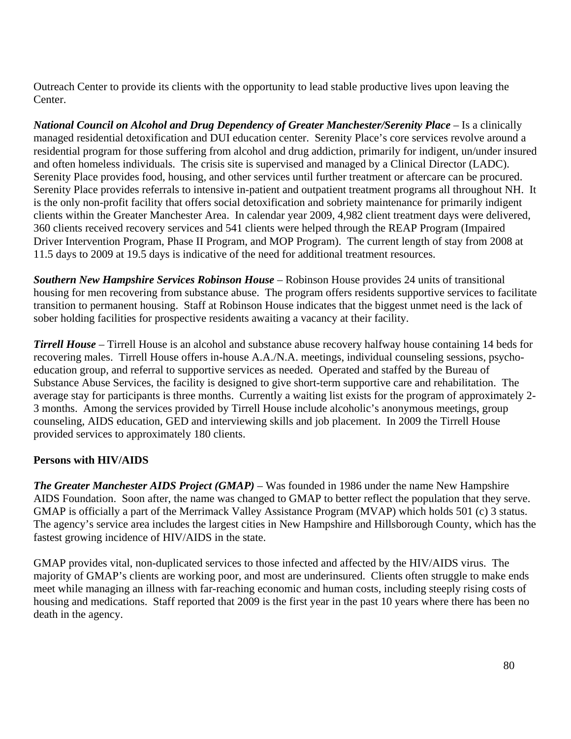Outreach Center to provide its clients with the opportunity to lead stable productive lives upon leaving the Center.

*National Council on Alcohol and Drug Dependency of Greater Manchester/Serenity Place –* Is a clinically managed residential detoxification and DUI education center. Serenity Place's core services revolve around a residential program for those suffering from alcohol and drug addiction, primarily for indigent, un/under insured and often homeless individuals. The crisis site is supervised and managed by a Clinical Director (LADC). Serenity Place provides food, housing, and other services until further treatment or aftercare can be procured. Serenity Place provides referrals to intensive in-patient and outpatient treatment programs all throughout NH. It is the only non-profit facility that offers social detoxification and sobriety maintenance for primarily indigent clients within the Greater Manchester Area. In calendar year 2009, 4,982 client treatment days were delivered, 360 clients received recovery services and 541 clients were helped through the REAP Program (Impaired Driver Intervention Program, Phase II Program, and MOP Program). The current length of stay from 2008 at 11.5 days to 2009 at 19.5 days is indicative of the need for additional treatment resources.

*Southern New Hampshire Services Robinson House –* Robinson House provides 24 units of transitional housing for men recovering from substance abuse. The program offers residents supportive services to facilitate transition to permanent housing. Staff at Robinson House indicates that the biggest unmet need is the lack of sober holding facilities for prospective residents awaiting a vacancy at their facility.

*Tirrell House –* Tirrell House is an alcohol and substance abuse recovery halfway house containing 14 beds for recovering males. Tirrell House offers in-house A.A./N.A. meetings, individual counseling sessions, psychoeducation group, and referral to supportive services as needed. Operated and staffed by the Bureau of Substance Abuse Services, the facility is designed to give short-term supportive care and rehabilitation. The average stay for participants is three months. Currently a waiting list exists for the program of approximately 2- 3 months. Among the services provided by Tirrell House include alcoholic's anonymous meetings, group counseling, AIDS education, GED and interviewing skills and job placement. In 2009 the Tirrell House provided services to approximately 180 clients.

### **Persons with HIV/AIDS**

*The Greater Manchester AIDS Project (GMAP) –* Was founded in 1986 under the name New Hampshire AIDS Foundation. Soon after, the name was changed to GMAP to better reflect the population that they serve. GMAP is officially a part of the Merrimack Valley Assistance Program (MVAP) which holds 501 (c) 3 status. The agency's service area includes the largest cities in New Hampshire and Hillsborough County, which has the fastest growing incidence of HIV/AIDS in the state.

GMAP provides vital, non-duplicated services to those infected and affected by the HIV/AIDS virus. The majority of GMAP's clients are working poor, and most are underinsured. Clients often struggle to make ends meet while managing an illness with far-reaching economic and human costs, including steeply rising costs of housing and medications. Staff reported that 2009 is the first year in the past 10 years where there has been no death in the agency.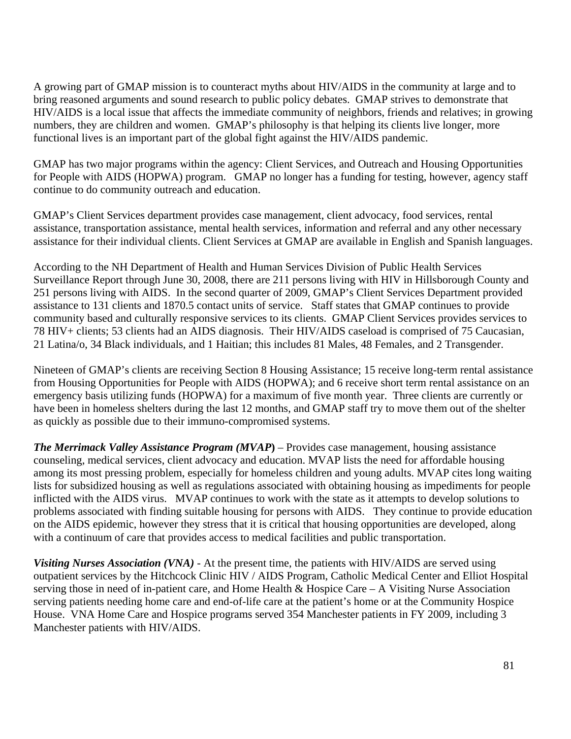A growing part of GMAP mission is to counteract myths about HIV/AIDS in the community at large and to bring reasoned arguments and sound research to public policy debates. GMAP strives to demonstrate that HIV/AIDS is a local issue that affects the immediate community of neighbors, friends and relatives; in growing numbers, they are children and women. GMAP's philosophy is that helping its clients live longer, more functional lives is an important part of the global fight against the HIV/AIDS pandemic.

GMAP has two major programs within the agency: Client Services, and Outreach and Housing Opportunities for People with AIDS (HOPWA) program. GMAP no longer has a funding for testing, however, agency staff continue to do community outreach and education.

GMAP's Client Services department provides case management, client advocacy, food services, rental assistance, transportation assistance, mental health services, information and referral and any other necessary assistance for their individual clients. Client Services at GMAP are available in English and Spanish languages.

According to the NH Department of Health and Human Services Division of Public Health Services Surveillance Report through June 30, 2008, there are 211 persons living with HIV in Hillsborough County and 251 persons living with AIDS. In the second quarter of 2009, GMAP's Client Services Department provided assistance to 131 clients and 1870.5 contact units of service. Staff states that GMAP continues to provide community based and culturally responsive services to its clients. GMAP Client Services provides services to 78 HIV+ clients; 53 clients had an AIDS diagnosis. Their HIV/AIDS caseload is comprised of 75 Caucasian, 21 Latina/o, 34 Black individuals, and 1 Haitian; this includes 81 Males, 48 Females, and 2 Transgender.

Nineteen of GMAP's clients are receiving Section 8 Housing Assistance; 15 receive long-term rental assistance from Housing Opportunities for People with AIDS (HOPWA); and 6 receive short term rental assistance on an emergency basis utilizing funds (HOPWA) for a maximum of five month year. Three clients are currently or have been in homeless shelters during the last 12 months, and GMAP staff try to move them out of the shelter as quickly as possible due to their immuno-compromised systems.

*The Merrimack Valley Assistance Program (MVAP***)** – Provides case management, housing assistance counseling, medical services, client advocacy and education. MVAP lists the need for affordable housing among its most pressing problem, especially for homeless children and young adults. MVAP cites long waiting lists for subsidized housing as well as regulations associated with obtaining housing as impediments for people inflicted with the AIDS virus. MVAP continues to work with the state as it attempts to develop solutions to problems associated with finding suitable housing for persons with AIDS. They continue to provide education on the AIDS epidemic, however they stress that it is critical that housing opportunities are developed, along with a continuum of care that provides access to medical facilities and public transportation.

*Visiting Nurses Association (VNA)* - At the present time, the patients with HIV/AIDS are served using outpatient services by the Hitchcock Clinic HIV / AIDS Program, Catholic Medical Center and Elliot Hospital serving those in need of in-patient care, and Home Health & Hospice Care – A Visiting Nurse Association serving patients needing home care and end-of-life care at the patient's home or at the Community Hospice House. VNA Home Care and Hospice programs served 354 Manchester patients in FY 2009, including 3 Manchester patients with HIV/AIDS.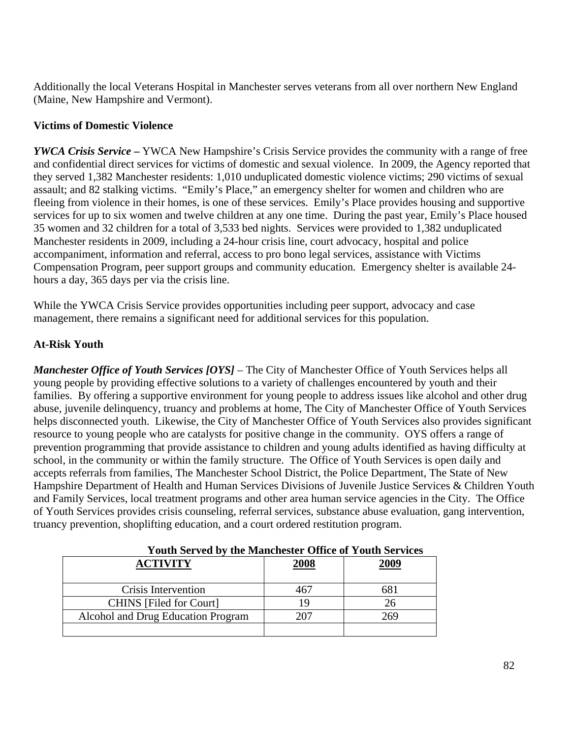Additionally the local Veterans Hospital in Manchester serves veterans from all over northern New England (Maine, New Hampshire and Vermont).

# **Victims of Domestic Violence**

*YWCA Crisis Service* **–** YWCA New Hampshire's Crisis Service provides the community with a range of free and confidential direct services for victims of domestic and sexual violence. In 2009, the Agency reported that they served 1,382 Manchester residents: 1,010 unduplicated domestic violence victims; 290 victims of sexual assault; and 82 stalking victims. "Emily's Place," an emergency shelter for women and children who are fleeing from violence in their homes, is one of these services. Emily's Place provides housing and supportive services for up to six women and twelve children at any one time. During the past year, Emily's Place housed 35 women and 32 children for a total of 3,533 bed nights. Services were provided to 1,382 unduplicated Manchester residents in 2009, including a 24-hour crisis line, court advocacy, hospital and police accompaniment, information and referral, access to pro bono legal services, assistance with Victims Compensation Program, peer support groups and community education. Emergency shelter is available 24 hours a day, 365 days per via the crisis line.

While the YWCA Crisis Service provides opportunities including peer support, advocacy and case management, there remains a significant need for additional services for this population.

### **At-Risk Youth**

*Manchester Office of Youth Services [OYS] –* The City of Manchester Office of Youth Services helps all young people by providing effective solutions to a variety of challenges encountered by youth and their families. By offering a supportive environment for young people to address issues like alcohol and other drug abuse, juvenile delinquency, truancy and problems at home, The City of Manchester Office of Youth Services helps disconnected youth. Likewise, the City of Manchester Office of Youth Services also provides significant resource to young people who are catalysts for positive change in the community. OYS offers a range of prevention programming that provide assistance to children and young adults identified as having difficulty at school, in the community or within the family structure. The Office of Youth Services is open daily and accepts referrals from families, The Manchester School District, the Police Department, The State of New Hampshire Department of Health and Human Services Divisions of Juvenile Justice Services & Children Youth and Family Services, local treatment programs and other area human service agencies in the City. The Office of Youth Services provides crisis counseling, referral services, substance abuse evaluation, gang intervention, truancy prevention, shoplifting education, and a court ordered restitution program.

| <b>ACTIVITY</b>                    | 2008 | 2009 |
|------------------------------------|------|------|
| Crisis Intervention                | 467  | 681  |
| <b>CHINS</b> [Filed for Court]     | 19   | 26   |
| Alcohol and Drug Education Program | 207  | 269  |
|                                    |      |      |

# **Youth Served by the Manchester Office of Youth Services**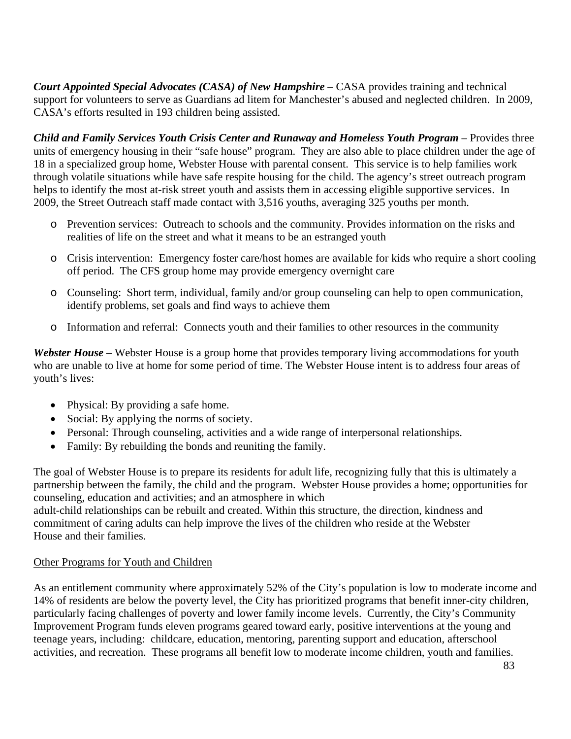*Court Appointed Special Advocates (CASA) of New Hampshire –* CASA provides training and technical support for volunteers to serve as Guardians ad litem for Manchester's abused and neglected children. In 2009, CASA's efforts resulted in 193 children being assisted.

*Child and Family Services Youth Crisis Center and Runaway and Homeless Youth Program* – Provides three units of emergency housing in their "safe house" program. They are also able to place children under the age of 18 in a specialized group home, Webster House with parental consent. This service is to help families work through volatile situations while have safe respite housing for the child. The agency's street outreach program helps to identify the most at-risk street youth and assists them in accessing eligible supportive services. In 2009, the Street Outreach staff made contact with 3,516 youths, averaging 325 youths per month.

- o Prevention services: Outreach to schools and the community. Provides information on the risks and realities of life on the street and what it means to be an estranged youth
- o Crisis intervention: Emergency foster care/host homes are available for kids who require a short cooling off period. The CFS group home may provide emergency overnight care
- o Counseling: Short term, individual, family and/or group counseling can help to open communication, identify problems, set goals and find ways to achieve them
- o Information and referral: Connects youth and their families to other resources in the community

*Webster House –* Webster House is a group home that provides temporary living accommodations for youth who are unable to live at home for some period of time. The Webster House intent is to address four areas of youth's lives:

- Physical: By providing a safe home.
- Social: By applying the norms of society.
- Personal: Through counseling, activities and a wide range of interpersonal relationships.
- Family: By rebuilding the bonds and reuniting the family.

The goal of Webster House is to prepare its residents for adult life, recognizing fully that this is ultimately a partnership between the family, the child and the program. Webster House provides a home; opportunities for counseling, education and activities; and an atmosphere in which

adult-child relationships can be rebuilt and created. Within this structure, the direction, kindness and commitment of caring adults can help improve the lives of the children who reside at the Webster House and their families.

### Other Programs for Youth and Children

As an entitlement community where approximately 52% of the City's population is low to moderate income and 14% of residents are below the poverty level, the City has prioritized programs that benefit inner-city children, particularly facing challenges of poverty and lower family income levels. Currently, the City's Community Improvement Program funds eleven programs geared toward early, positive interventions at the young and teenage years, including: childcare, education, mentoring, parenting support and education, afterschool activities, and recreation. These programs all benefit low to moderate income children, youth and families.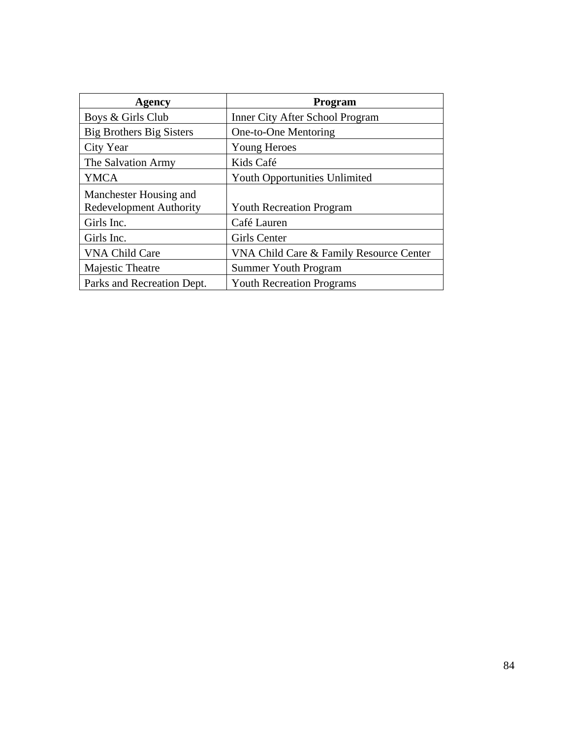| Agency                          | Program                                 |  |  |
|---------------------------------|-----------------------------------------|--|--|
| Boys & Girls Club               | <b>Inner City After School Program</b>  |  |  |
| <b>Big Brothers Big Sisters</b> | One-to-One Mentoring                    |  |  |
| City Year                       | Young Heroes                            |  |  |
| The Salvation Army              | Kids Café                               |  |  |
| <b>YMCA</b>                     | <b>Youth Opportunities Unlimited</b>    |  |  |
| Manchester Housing and          |                                         |  |  |
| <b>Redevelopment Authority</b>  | <b>Youth Recreation Program</b>         |  |  |
| Girls Inc.                      | Café Lauren                             |  |  |
| Girls Inc.                      | <b>Girls Center</b>                     |  |  |
| <b>VNA Child Care</b>           | VNA Child Care & Family Resource Center |  |  |
| Majestic Theatre                | <b>Summer Youth Program</b>             |  |  |
| Parks and Recreation Dept.      | <b>Youth Recreation Programs</b>        |  |  |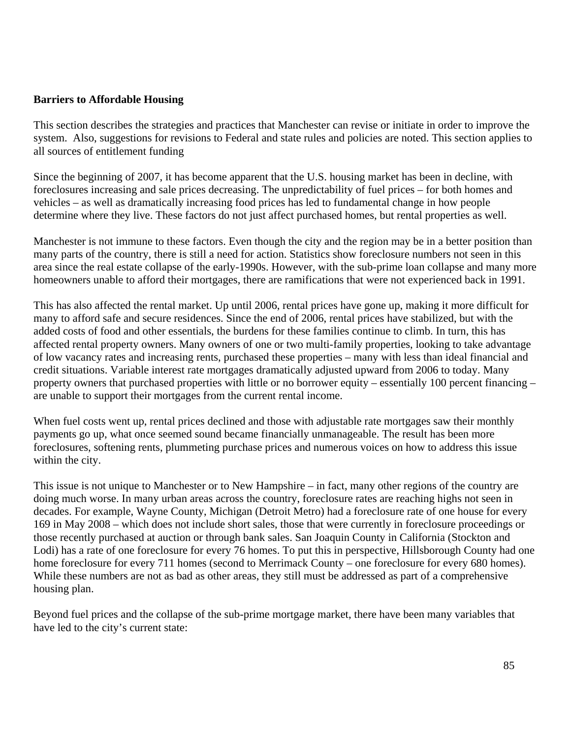#### **Barriers to Affordable Housing**

This section describes the strategies and practices that Manchester can revise or initiate in order to improve the system. Also, suggestions for revisions to Federal and state rules and policies are noted. This section applies to all sources of entitlement funding

Since the beginning of 2007, it has become apparent that the U.S. housing market has been in decline, with foreclosures increasing and sale prices decreasing. The unpredictability of fuel prices – for both homes and vehicles – as well as dramatically increasing food prices has led to fundamental change in how people determine where they live. These factors do not just affect purchased homes, but rental properties as well.

Manchester is not immune to these factors. Even though the city and the region may be in a better position than many parts of the country, there is still a need for action. Statistics show foreclosure numbers not seen in this area since the real estate collapse of the early-1990s. However, with the sub-prime loan collapse and many more homeowners unable to afford their mortgages, there are ramifications that were not experienced back in 1991.

This has also affected the rental market. Up until 2006, rental prices have gone up, making it more difficult for many to afford safe and secure residences. Since the end of 2006, rental prices have stabilized, but with the added costs of food and other essentials, the burdens for these families continue to climb. In turn, this has affected rental property owners. Many owners of one or two multi-family properties, looking to take advantage of low vacancy rates and increasing rents, purchased these properties – many with less than ideal financial and credit situations. Variable interest rate mortgages dramatically adjusted upward from 2006 to today. Many property owners that purchased properties with little or no borrower equity – essentially 100 percent financing – are unable to support their mortgages from the current rental income.

When fuel costs went up, rental prices declined and those with adjustable rate mortgages saw their monthly payments go up, what once seemed sound became financially unmanageable. The result has been more foreclosures, softening rents, plummeting purchase prices and numerous voices on how to address this issue within the city.

This issue is not unique to Manchester or to New Hampshire – in fact, many other regions of the country are doing much worse. In many urban areas across the country, foreclosure rates are reaching highs not seen in decades. For example, Wayne County, Michigan (Detroit Metro) had a foreclosure rate of one house for every 169 in May 2008 – which does not include short sales, those that were currently in foreclosure proceedings or those recently purchased at auction or through bank sales. San Joaquin County in California (Stockton and Lodi) has a rate of one foreclosure for every 76 homes. To put this in perspective, Hillsborough County had one home foreclosure for every 711 homes (second to Merrimack County – one foreclosure for every 680 homes). While these numbers are not as bad as other areas, they still must be addressed as part of a comprehensive housing plan.

Beyond fuel prices and the collapse of the sub-prime mortgage market, there have been many variables that have led to the city's current state: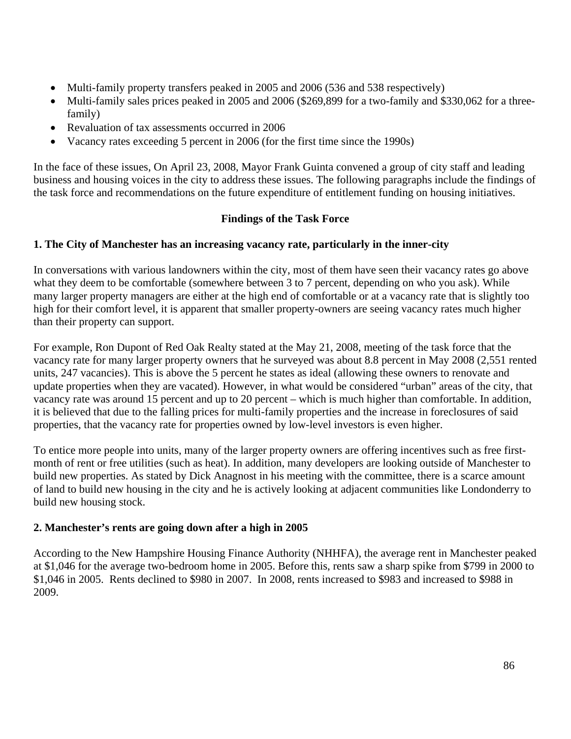- Multi-family property transfers peaked in 2005 and 2006 (536 and 538 respectively)
- Multi-family sales prices peaked in 2005 and 2006 (\$269,899 for a two-family and \$330,062 for a threefamily)
- Revaluation of tax assessments occurred in 2006
- Vacancy rates exceeding 5 percent in 2006 (for the first time since the 1990s)

In the face of these issues, On April 23, 2008, Mayor Frank Guinta convened a group of city staff and leading business and housing voices in the city to address these issues. The following paragraphs include the findings of the task force and recommendations on the future expenditure of entitlement funding on housing initiatives.

### **Findings of the Task Force**

### **1. The City of Manchester has an increasing vacancy rate, particularly in the inner-city**

In conversations with various landowners within the city, most of them have seen their vacancy rates go above what they deem to be comfortable (somewhere between 3 to 7 percent, depending on who you ask). While many larger property managers are either at the high end of comfortable or at a vacancy rate that is slightly too high for their comfort level, it is apparent that smaller property-owners are seeing vacancy rates much higher than their property can support.

For example, Ron Dupont of Red Oak Realty stated at the May 21, 2008, meeting of the task force that the vacancy rate for many larger property owners that he surveyed was about 8.8 percent in May 2008 (2,551 rented units, 247 vacancies). This is above the 5 percent he states as ideal (allowing these owners to renovate and update properties when they are vacated). However, in what would be considered "urban" areas of the city, that vacancy rate was around 15 percent and up to 20 percent – which is much higher than comfortable. In addition, it is believed that due to the falling prices for multi-family properties and the increase in foreclosures of said properties, that the vacancy rate for properties owned by low-level investors is even higher.

To entice more people into units, many of the larger property owners are offering incentives such as free firstmonth of rent or free utilities (such as heat). In addition, many developers are looking outside of Manchester to build new properties. As stated by Dick Anagnost in his meeting with the committee, there is a scarce amount of land to build new housing in the city and he is actively looking at adjacent communities like Londonderry to build new housing stock.

### **2. Manchester's rents are going down after a high in 2005**

According to the New Hampshire Housing Finance Authority (NHHFA), the average rent in Manchester peaked at \$1,046 for the average two-bedroom home in 2005. Before this, rents saw a sharp spike from \$799 in 2000 to \$1,046 in 2005. Rents declined to \$980 in 2007. In 2008, rents increased to \$983 and increased to \$988 in 2009.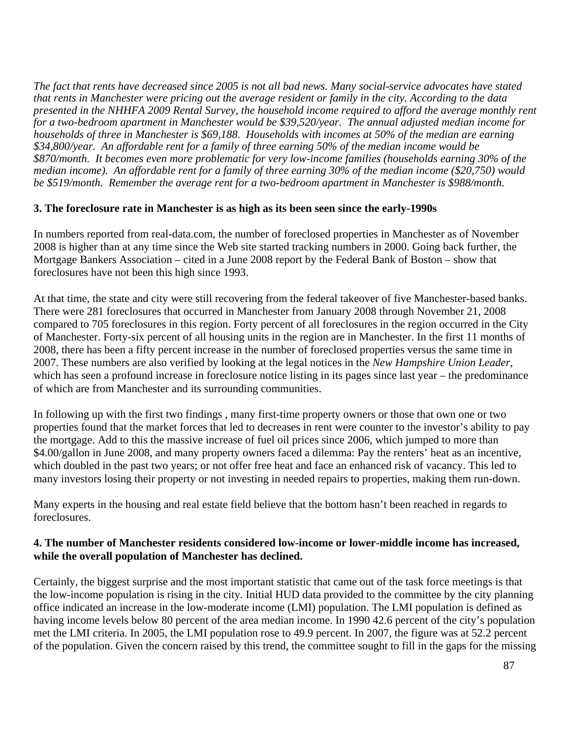*The fact that rents have decreased since 2005 is not all bad news. Many social-service advocates have stated that rents in Manchester were pricing out the average resident or family in the city. According to the data presented in the NHHFA 2009 Rental Survey, the household income required to afford the average monthly rent for a two-bedroom apartment in Manchester would be \$39,520/year. The annual adjusted median income for households of three in Manchester is \$69,188. Households with incomes at 50% of the median are earning \$34,800/year. An affordable rent for a family of three earning 50% of the median income would be \$870/month. It becomes even more problematic for very low-income families (households earning 30% of the median income). An affordable rent for a family of three earning 30% of the median income (\$20,750) would be \$519/month. Remember the average rent for a two-bedroom apartment in Manchester is \$988/month.* 

#### **3. The foreclosure rate in Manchester is as high as its been seen since the early-1990s**

In numbers reported from real-data.com, the number of foreclosed properties in Manchester as of November 2008 is higher than at any time since the Web site started tracking numbers in 2000. Going back further, the Mortgage Bankers Association – cited in a June 2008 report by the Federal Bank of Boston – show that foreclosures have not been this high since 1993.

At that time, the state and city were still recovering from the federal takeover of five Manchester-based banks. There were 281 foreclosures that occurred in Manchester from January 2008 through November 21, 2008 compared to 705 foreclosures in this region. Forty percent of all foreclosures in the region occurred in the City of Manchester. Forty-six percent of all housing units in the region are in Manchester. In the first 11 months of 2008, there has been a fifty percent increase in the number of foreclosed properties versus the same time in 2007. These numbers are also verified by looking at the legal notices in the *New Hampshire Union Leader*, which has seen a profound increase in foreclosure notice listing in its pages since last year – the predominance of which are from Manchester and its surrounding communities.

In following up with the first two findings , many first-time property owners or those that own one or two properties found that the market forces that led to decreases in rent were counter to the investor's ability to pay the mortgage. Add to this the massive increase of fuel oil prices since 2006, which jumped to more than \$4.00/gallon in June 2008, and many property owners faced a dilemma: Pay the renters' heat as an incentive, which doubled in the past two years; or not offer free heat and face an enhanced risk of vacancy. This led to many investors losing their property or not investing in needed repairs to properties, making them run-down.

Many experts in the housing and real estate field believe that the bottom hasn't been reached in regards to foreclosures.

### **4. The number of Manchester residents considered low-income or lower-middle income has increased, while the overall population of Manchester has declined.**

Certainly, the biggest surprise and the most important statistic that came out of the task force meetings is that the low-income population is rising in the city. Initial HUD data provided to the committee by the city planning office indicated an increase in the low-moderate income (LMI) population. The LMI population is defined as having income levels below 80 percent of the area median income. In 1990 42.6 percent of the city's population met the LMI criteria. In 2005, the LMI population rose to 49.9 percent. In 2007, the figure was at 52.2 percent of the population. Given the concern raised by this trend, the committee sought to fill in the gaps for the missing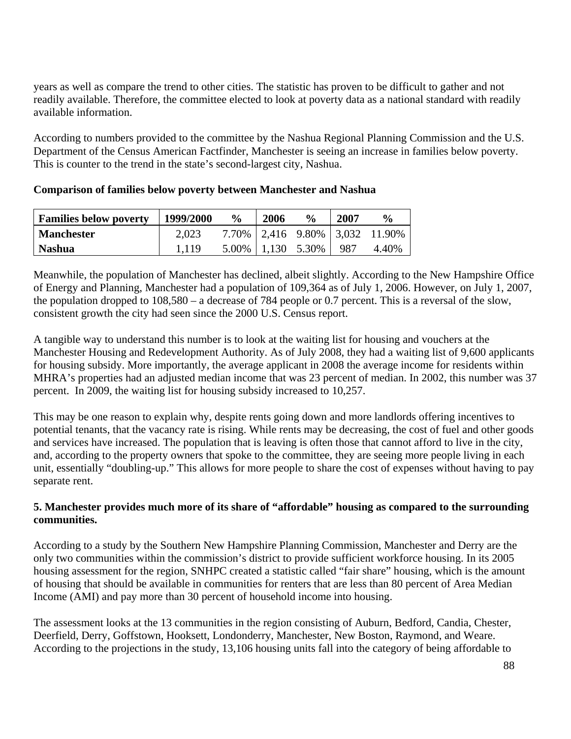years as well as compare the trend to other cities. The statistic has proven to be difficult to gather and not readily available. Therefore, the committee elected to look at poverty data as a national standard with readily available information.

According to numbers provided to the committee by the Nashua Regional Planning Commission and the U.S. Department of the Census American Factfinder, Manchester is seeing an increase in families below poverty. This is counter to the trend in the state's second-largest city, Nashua.

| <b>Families below poverty</b> | 1999/2000 | $\frac{6}{9}$ | 2006 | $\frac{0}{0}$             | 2007  | $\frac{0}{0}$                      |
|-------------------------------|-----------|---------------|------|---------------------------|-------|------------------------------------|
| Manchester                    | 2,023     |               |      |                           |       | 7.70%   2,416 9.80%   3,032 11.90% |
| <b>Nashua</b>                 |           |               |      | $5.00\%$   1,130 $5.30\%$ | - 987 | 4.40%                              |

#### **Comparison of families below poverty between Manchester and Nashua**

Meanwhile, the population of Manchester has declined, albeit slightly. According to the New Hampshire Office of Energy and Planning, Manchester had a population of 109,364 as of July 1, 2006. However, on July 1, 2007, the population dropped to 108,580 – a decrease of 784 people or 0.7 percent. This is a reversal of the slow, consistent growth the city had seen since the 2000 U.S. Census report.

A tangible way to understand this number is to look at the waiting list for housing and vouchers at the Manchester Housing and Redevelopment Authority. As of July 2008, they had a waiting list of 9,600 applicants for housing subsidy. More importantly, the average applicant in 2008 the average income for residents within MHRA's properties had an adjusted median income that was 23 percent of median. In 2002, this number was 37 percent. In 2009, the waiting list for housing subsidy increased to 10,257.

This may be one reason to explain why, despite rents going down and more landlords offering incentives to potential tenants, that the vacancy rate is rising. While rents may be decreasing, the cost of fuel and other goods and services have increased. The population that is leaving is often those that cannot afford to live in the city, and, according to the property owners that spoke to the committee, they are seeing more people living in each unit, essentially "doubling-up." This allows for more people to share the cost of expenses without having to pay separate rent.

### **5. Manchester provides much more of its share of "affordable" housing as compared to the surrounding communities.**

According to a study by the Southern New Hampshire Planning Commission, Manchester and Derry are the only two communities within the commission's district to provide sufficient workforce housing. In its 2005 housing assessment for the region, SNHPC created a statistic called "fair share" housing, which is the amount of housing that should be available in communities for renters that are less than 80 percent of Area Median Income (AMI) and pay more than 30 percent of household income into housing.

The assessment looks at the 13 communities in the region consisting of Auburn, Bedford, Candia, Chester, Deerfield, Derry, Goffstown, Hooksett, Londonderry, Manchester, New Boston, Raymond, and Weare. According to the projections in the study, 13,106 housing units fall into the category of being affordable to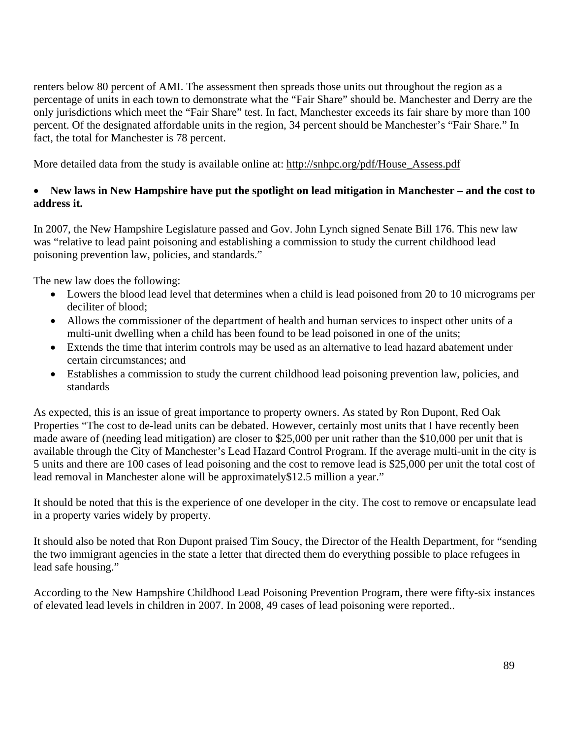renters below 80 percent of AMI. The assessment then spreads those units out throughout the region as a percentage of units in each town to demonstrate what the "Fair Share" should be. Manchester and Derry are the only jurisdictions which meet the "Fair Share" test. In fact, Manchester exceeds its fair share by more than 100 percent. Of the designated affordable units in the region, 34 percent should be Manchester's "Fair Share." In fact, the total for Manchester is 78 percent.

More detailed data from the study is available online at: [http://snhpc.org/pdf/House\\_Assess.pdf](http://snhpc.org/pdf/House_Assess.pdf)

### • **New laws in New Hampshire have put the spotlight on lead mitigation in Manchester – and the cost to address it.**

In 2007, the New Hampshire Legislature passed and Gov. John Lynch signed Senate Bill 176. This new law was "relative to lead paint poisoning and establishing a commission to study the current childhood lead poisoning prevention law, policies, and standards."

The new law does the following:

- Lowers the blood lead level that determines when a child is lead poisoned from 20 to 10 micrograms per deciliter of blood;
- Allows the commissioner of the department of health and human services to inspect other units of a multi-unit dwelling when a child has been found to be lead poisoned in one of the units;
- Extends the time that interim controls may be used as an alternative to lead hazard abatement under certain circumstances; and
- Establishes a commission to study the current childhood lead poisoning prevention law, policies, and standards

As expected, this is an issue of great importance to property owners. As stated by Ron Dupont, Red Oak Properties "The cost to de-lead units can be debated. However, certainly most units that I have recently been made aware of (needing lead mitigation) are closer to \$25,000 per unit rather than the \$10,000 per unit that is available through the City of Manchester's Lead Hazard Control Program. If the average multi-unit in the city is 5 units and there are 100 cases of lead poisoning and the cost to remove lead is \$25,000 per unit the total cost of lead removal in Manchester alone will be approximately\$12.5 million a year."

It should be noted that this is the experience of one developer in the city. The cost to remove or encapsulate lead in a property varies widely by property.

It should also be noted that Ron Dupont praised Tim Soucy, the Director of the Health Department, for "sending the two immigrant agencies in the state a letter that directed them do everything possible to place refugees in lead safe housing."

According to the New Hampshire Childhood Lead Poisoning Prevention Program, there were fifty-six instances of elevated lead levels in children in 2007. In 2008, 49 cases of lead poisoning were reported..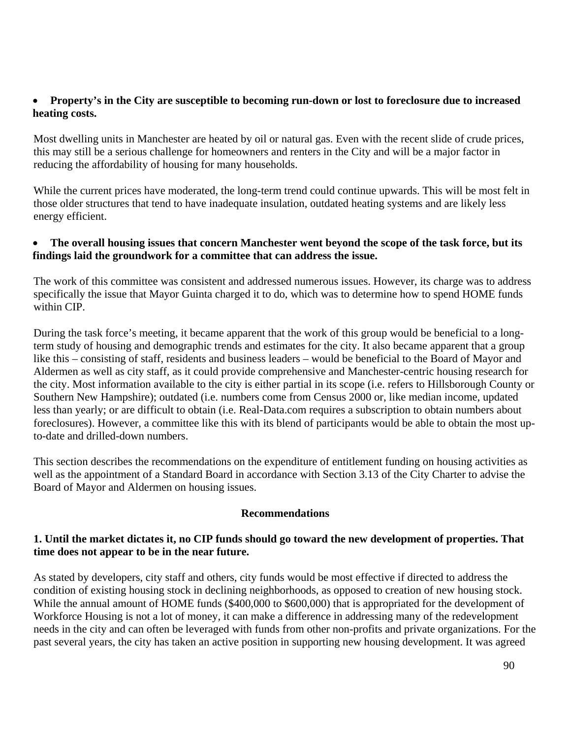### • **Property's in the City are susceptible to becoming run-down or lost to foreclosure due to increased heating costs.**

Most dwelling units in Manchester are heated by oil or natural gas. Even with the recent slide of crude prices, this may still be a serious challenge for homeowners and renters in the City and will be a major factor in reducing the affordability of housing for many households.

While the current prices have moderated, the long-term trend could continue upwards. This will be most felt in those older structures that tend to have inadequate insulation, outdated heating systems and are likely less energy efficient.

### • **The overall housing issues that concern Manchester went beyond the scope of the task force, but its findings laid the groundwork for a committee that can address the issue.**

The work of this committee was consistent and addressed numerous issues. However, its charge was to address specifically the issue that Mayor Guinta charged it to do, which was to determine how to spend HOME funds within CIP.

During the task force's meeting, it became apparent that the work of this group would be beneficial to a longterm study of housing and demographic trends and estimates for the city. It also became apparent that a group like this – consisting of staff, residents and business leaders – would be beneficial to the Board of Mayor and Aldermen as well as city staff, as it could provide comprehensive and Manchester-centric housing research for the city. Most information available to the city is either partial in its scope (i.e. refers to Hillsborough County or Southern New Hampshire); outdated (i.e. numbers come from Census 2000 or, like median income, updated less than yearly; or are difficult to obtain (i.e. Real-Data.com requires a subscription to obtain numbers about foreclosures). However, a committee like this with its blend of participants would be able to obtain the most upto-date and drilled-down numbers.

This section describes the recommendations on the expenditure of entitlement funding on housing activities as well as the appointment of a Standard Board in accordance with Section 3.13 of the City Charter to advise the Board of Mayor and Aldermen on housing issues.

### **Recommendations**

### **1. Until the market dictates it, no CIP funds should go toward the new development of properties. That time does not appear to be in the near future.**

As stated by developers, city staff and others, city funds would be most effective if directed to address the condition of existing housing stock in declining neighborhoods, as opposed to creation of new housing stock. While the annual amount of HOME funds (\$400,000 to \$600,000) that is appropriated for the development of Workforce Housing is not a lot of money, it can make a difference in addressing many of the redevelopment needs in the city and can often be leveraged with funds from other non-profits and private organizations. For the past several years, the city has taken an active position in supporting new housing development. It was agreed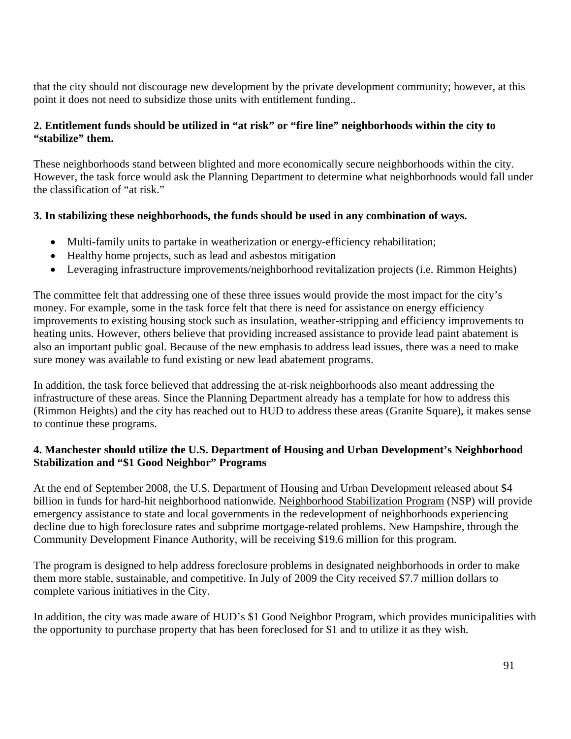that the city should not discourage new development by the private development community; however, at this point it does not need to subsidize those units with entitlement funding..

# **2. Entitlement funds should be utilized in "at risk" or "fire line" neighborhoods within the city to "stabilize" them.**

These neighborhoods stand between blighted and more economically secure neighborhoods within the city. However, the task force would ask the Planning Department to determine what neighborhoods would fall under the classification of "at risk."

# **3. In stabilizing these neighborhoods, the funds should be used in any combination of ways.**

- Multi-family units to partake in weatherization or energy-efficiency rehabilitation;
- Healthy home projects, such as lead and asbestos mitigation
- Leveraging infrastructure improvements/neighborhood revitalization projects (i.e. Rimmon Heights)

The committee felt that addressing one of these three issues would provide the most impact for the city's money. For example, some in the task force felt that there is need for assistance on energy efficiency improvements to existing housing stock such as insulation, weather-stripping and efficiency improvements to heating units. However, others believe that providing increased assistance to provide lead paint abatement is also an important public goal. Because of the new emphasis to address lead issues, there was a need to make sure money was available to fund existing or new lead abatement programs.

In addition, the task force believed that addressing the at-risk neighborhoods also meant addressing the infrastructure of these areas. Since the Planning Department already has a template for how to address this (Rimmon Heights) and the city has reached out to HUD to address these areas (Granite Square), it makes sense to continue these programs.

### **4. Manchester should utilize the U.S. Department of Housing and Urban Development's Neighborhood Stabilization and "\$1 Good Neighbor" Programs**

At the end of September 2008, the U.S. Department of Housing and Urban Development released about \$4 billion in funds for hard-hit neighborhood nationwide. [Neighborhood Stabilization Program](http://www.nhcdfa.org/web/neighborhood_stabilization_program/nsp_overview.html) (NSP) will provide emergency assistance to state and local governments in the redevelopment of neighborhoods experiencing decline due to high foreclosure rates and subprime mortgage-related problems. New Hampshire, through the Community Development Finance Authority, will be receiving \$19.6 million for this program.

The program is designed to help address foreclosure problems in designated neighborhoods in order to make them more stable, sustainable, and competitive. In July of 2009 the City received \$7.7 million dollars to complete various initiatives in the City.

In addition, the city was made aware of HUD's \$1 Good Neighbor Program, which provides municipalities with the opportunity to purchase property that has been foreclosed for \$1 and to utilize it as they wish.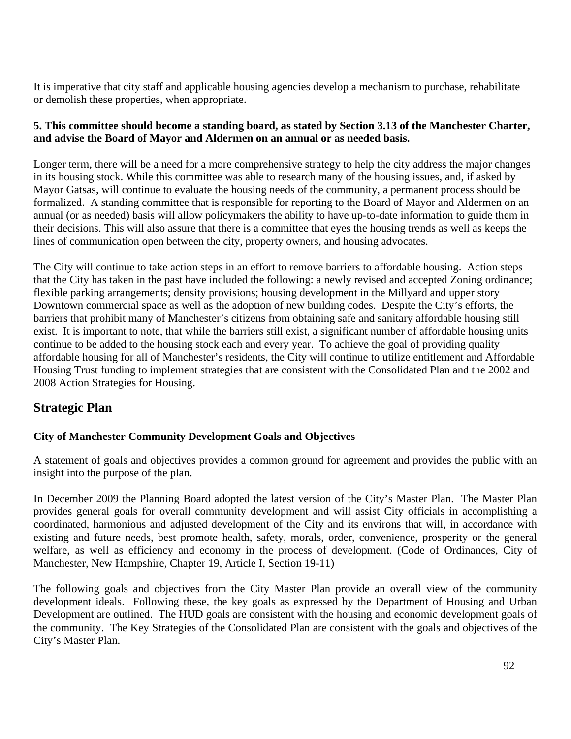It is imperative that city staff and applicable housing agencies develop a mechanism to purchase, rehabilitate or demolish these properties, when appropriate.

# **5. This committee should become a standing board, as stated by Section 3.13 of the Manchester Charter, and advise the Board of Mayor and Aldermen on an annual or as needed basis.**

Longer term, there will be a need for a more comprehensive strategy to help the city address the major changes in its housing stock. While this committee was able to research many of the housing issues, and, if asked by Mayor Gatsas, will continue to evaluate the housing needs of the community, a permanent process should be formalized. A standing committee that is responsible for reporting to the Board of Mayor and Aldermen on an annual (or as needed) basis will allow policymakers the ability to have up-to-date information to guide them in their decisions. This will also assure that there is a committee that eyes the housing trends as well as keeps the lines of communication open between the city, property owners, and housing advocates.

The City will continue to take action steps in an effort to remove barriers to affordable housing. Action steps that the City has taken in the past have included the following: a newly revised and accepted Zoning ordinance; flexible parking arrangements; density provisions; housing development in the Millyard and upper story Downtown commercial space as well as the adoption of new building codes. Despite the City's efforts, the barriers that prohibit many of Manchester's citizens from obtaining safe and sanitary affordable housing still exist. It is important to note, that while the barriers still exist, a significant number of affordable housing units continue to be added to the housing stock each and every year. To achieve the goal of providing quality affordable housing for all of Manchester's residents, the City will continue to utilize entitlement and Affordable Housing Trust funding to implement strategies that are consistent with the Consolidated Plan and the 2002 and 2008 Action Strategies for Housing.

# **Strategic Plan**

# **City of Manchester Community Development Goals and Objectives**

A statement of goals and objectives provides a common ground for agreement and provides the public with an insight into the purpose of the plan.

In December 2009 the Planning Board adopted the latest version of the City's Master Plan. The Master Plan provides general goals for overall community development and will assist City officials in accomplishing a coordinated, harmonious and adjusted development of the City and its environs that will, in accordance with existing and future needs, best promote health, safety, morals, order, convenience, prosperity or the general welfare, as well as efficiency and economy in the process of development. (Code of Ordinances, City of Manchester, New Hampshire, Chapter 19, Article I, Section 19-11)

The following goals and objectives from the City Master Plan provide an overall view of the community development ideals. Following these, the key goals as expressed by the Department of Housing and Urban Development are outlined. The HUD goals are consistent with the housing and economic development goals of the community. The Key Strategies of the Consolidated Plan are consistent with the goals and objectives of the City's Master Plan.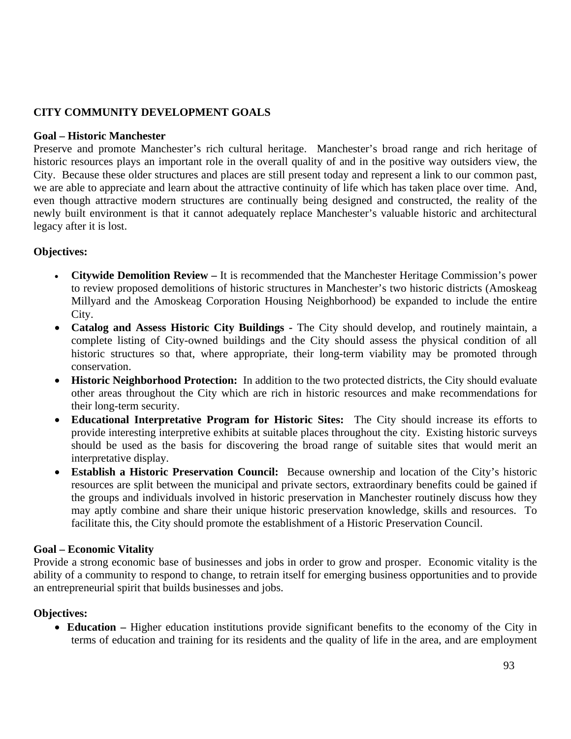### **CITY COMMUNITY DEVELOPMENT GOALS**

#### **Goal – Historic Manchester**

Preserve and promote Manchester's rich cultural heritage. Manchester's broad range and rich heritage of historic resources plays an important role in the overall quality of and in the positive way outsiders view, the City. Because these older structures and places are still present today and represent a link to our common past, we are able to appreciate and learn about the attractive continuity of life which has taken place over time. And, even though attractive modern structures are continually being designed and constructed, the reality of the newly built environment is that it cannot adequately replace Manchester's valuable historic and architectural legacy after it is lost.

### **Objectives:**

- **Citywide Demolition Review** It is recommended that the Manchester Heritage Commission's power to review proposed demolitions of historic structures in Manchester's two historic districts (Amoskeag Millyard and the Amoskeag Corporation Housing Neighborhood) be expanded to include the entire City.
- **Catalog and Assess Historic City Buildings** The City should develop, and routinely maintain, a complete listing of City-owned buildings and the City should assess the physical condition of all historic structures so that, where appropriate, their long-term viability may be promoted through conservation.
- **Historic Neighborhood Protection:** In addition to the two protected districts, the City should evaluate other areas throughout the City which are rich in historic resources and make recommendations for their long-term security.
- **Educational Interpretative Program for Historic Sites:** The City should increase its efforts to provide interesting interpretive exhibits at suitable places throughout the city. Existing historic surveys should be used as the basis for discovering the broad range of suitable sites that would merit an interpretative display.
- **Establish a Historic Preservation Council:** Because ownership and location of the City's historic resources are split between the municipal and private sectors, extraordinary benefits could be gained if the groups and individuals involved in historic preservation in Manchester routinely discuss how they may aptly combine and share their unique historic preservation knowledge, skills and resources. To facilitate this, the City should promote the establishment of a Historic Preservation Council.

#### **Goal – Economic Vitality**

Provide a strong economic base of businesses and jobs in order to grow and prosper. Economic vitality is the ability of a community to respond to change, to retrain itself for emerging business opportunities and to provide an entrepreneurial spirit that builds businesses and jobs.

#### **Objectives:**

• **Education –** Higher education institutions provide significant benefits to the economy of the City in terms of education and training for its residents and the quality of life in the area, and are employment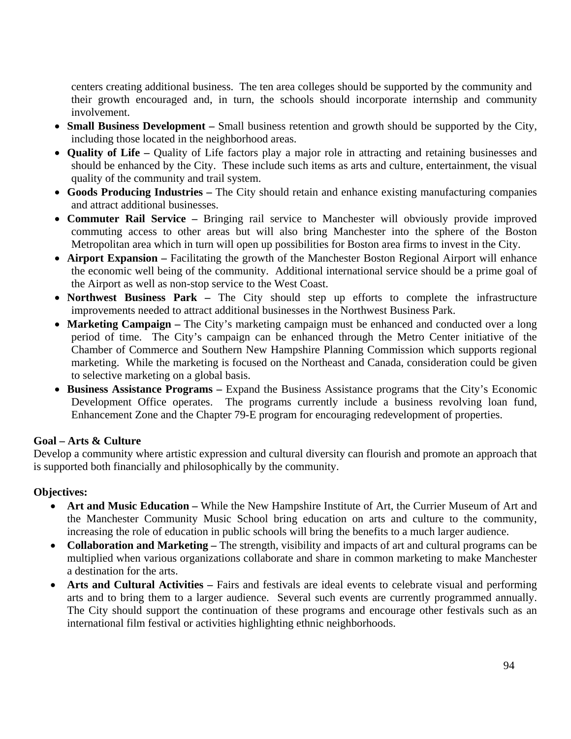centers creating additional business. The ten area colleges should be supported by the community and their growth encouraged and, in turn, the schools should incorporate internship and community involvement.

- **Small Business Development** Small business retention and growth should be supported by the City, including those located in the neighborhood areas.
- **Quality of Life** Quality of Life factors play a major role in attracting and retaining businesses and should be enhanced by the City. These include such items as arts and culture, entertainment, the visual quality of the community and trail system.
- **Goods Producing Industries** The City should retain and enhance existing manufacturing companies and attract additional businesses.
- **Commuter Rail Service –** Bringing rail service to Manchester will obviously provide improved commuting access to other areas but will also bring Manchester into the sphere of the Boston Metropolitan area which in turn will open up possibilities for Boston area firms to invest in the City.
- **Airport Expansion** Facilitating the growth of the Manchester Boston Regional Airport will enhance the economic well being of the community. Additional international service should be a prime goal of the Airport as well as non-stop service to the West Coast.
- **Northwest Business Park** The City should step up efforts to complete the infrastructure improvements needed to attract additional businesses in the Northwest Business Park.
- **Marketing Campaign** The City's marketing campaign must be enhanced and conducted over a long period of time. The City's campaign can be enhanced through the Metro Center initiative of the Chamber of Commerce and Southern New Hampshire Planning Commission which supports regional marketing. While the marketing is focused on the Northeast and Canada, consideration could be given to selective marketing on a global basis.
- **Business Assistance Programs** Expand the Business Assistance programs that the City's Economic Development Office operates. The programs currently include a business revolving loan fund, Enhancement Zone and the Chapter 79-E program for encouraging redevelopment of properties.

### **Goal – Arts & Culture**

Develop a community where artistic expression and cultural diversity can flourish and promote an approach that is supported both financially and philosophically by the community.

- **Art and Music Education** While the New Hampshire Institute of Art, the Currier Museum of Art and the Manchester Community Music School bring education on arts and culture to the community, increasing the role of education in public schools will bring the benefits to a much larger audience.
- **Collaboration and Marketing** The strength, visibility and impacts of art and cultural programs can be multiplied when various organizations collaborate and share in common marketing to make Manchester a destination for the arts.
- Arts and Cultural Activities Fairs and festivals are ideal events to celebrate visual and performing arts and to bring them to a larger audience. Several such events are currently programmed annually. The City should support the continuation of these programs and encourage other festivals such as an international film festival or activities highlighting ethnic neighborhoods.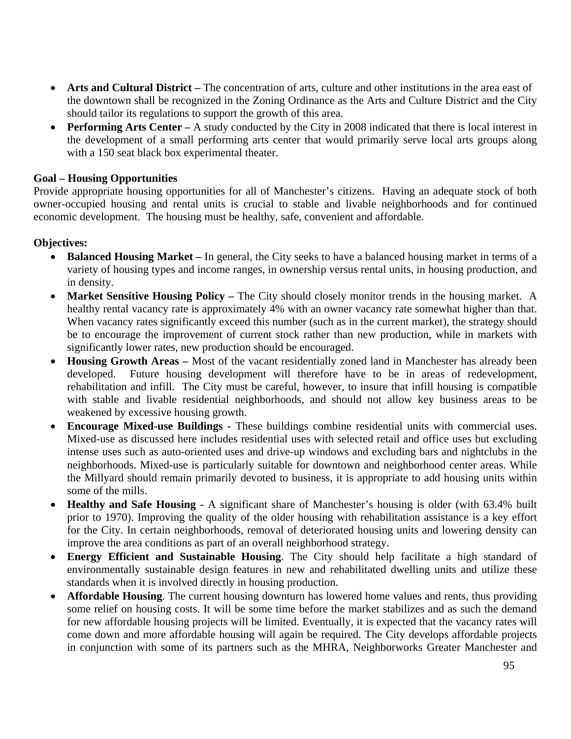- **Arts and Cultural District** The concentration of arts, culture and other institutions in the area east of the downtown shall be recognized in the Zoning Ordinance as the Arts and Culture District and the City should tailor its regulations to support the growth of this area.
- **Performing Arts Center** A study conducted by the City in 2008 indicated that there is local interest in the development of a small performing arts center that would primarily serve local arts groups along with a 150 seat black box experimental theater.

#### **Goal – Housing Opportunities**

Provide appropriate housing opportunities for all of Manchester's citizens. Having an adequate stock of both owner-occupied housing and rental units is crucial to stable and livable neighborhoods and for continued economic development. The housing must be healthy, safe, convenient and affordable.

- **Balanced Housing Market** In general, the City seeks to have a balanced housing market in terms of a variety of housing types and income ranges, in ownership versus rental units, in housing production, and in density.
- **Market Sensitive Housing Policy** The City should closely monitor trends in the housing market. A healthy rental vacancy rate is approximately 4% with an owner vacancy rate somewhat higher than that. When vacancy rates significantly exceed this number (such as in the current market), the strategy should be to encourage the improvement of current stock rather than new production, while in markets with significantly lower rates, new production should be encouraged.
- **Housing Growth Areas** Most of the vacant residentially zoned land in Manchester has already been developed. Future housing development will therefore have to be in areas of redevelopment, rehabilitation and infill. The City must be careful, however, to insure that infill housing is compatible with stable and livable residential neighborhoods, and should not allow key business areas to be weakened by excessive housing growth.
- **Encourage Mixed-use Buildings** These buildings combine residential units with commercial uses. Mixed-use as discussed here includes residential uses with selected retail and office uses but excluding intense uses such as auto-oriented uses and drive-up windows and excluding bars and nightclubs in the neighborhoods. Mixed-use is particularly suitable for downtown and neighborhood center areas. While the Millyard should remain primarily devoted to business, it is appropriate to add housing units within some of the mills.
- **Healthy and Safe Housing** A significant share of Manchester's housing is older (with 63.4% built prior to 1970). Improving the quality of the older housing with rehabilitation assistance is a key effort for the City. In certain neighborhoods, removal of deteriorated housing units and lowering density can improve the area conditions as part of an overall neighborhood strategy.
- **Energy Efficient and Sustainable Housing**. The City should help facilitate a high standard of environmentally sustainable design features in new and rehabilitated dwelling units and utilize these standards when it is involved directly in housing production.
- **Affordable Housing**. The current housing downturn has lowered home values and rents, thus providing some relief on housing costs. It will be some time before the market stabilizes and as such the demand for new affordable housing projects will be limited. Eventually, it is expected that the vacancy rates will come down and more affordable housing will again be required. The City develops affordable projects in conjunction with some of its partners such as the MHRA, Neighborworks Greater Manchester and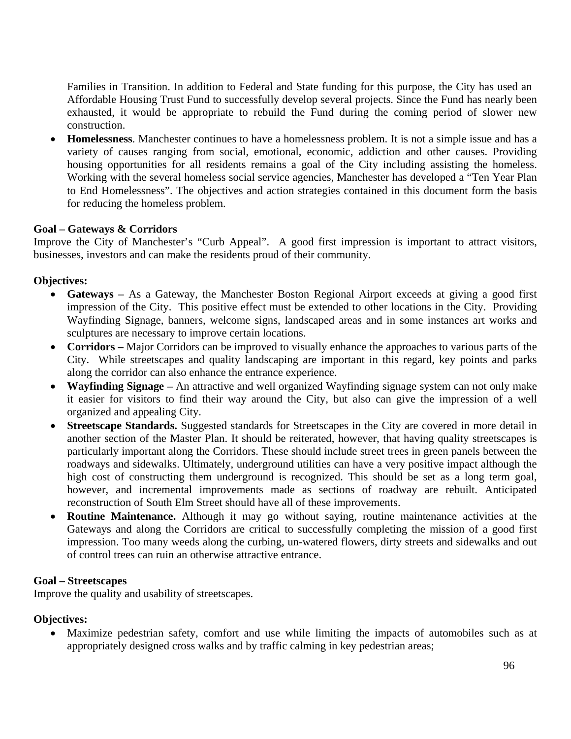Families in Transition. In addition to Federal and State funding for this purpose, the City has used an Affordable Housing Trust Fund to successfully develop several projects. Since the Fund has nearly been exhausted, it would be appropriate to rebuild the Fund during the coming period of slower new construction.

• **Homelessness**. Manchester continues to have a homelessness problem. It is not a simple issue and has a variety of causes ranging from social, emotional, economic, addiction and other causes. Providing housing opportunities for all residents remains a goal of the City including assisting the homeless. Working with the several homeless social service agencies, Manchester has developed a "Ten Year Plan to End Homelessness". The objectives and action strategies contained in this document form the basis for reducing the homeless problem.

#### **Goal – Gateways & Corridors**

Improve the City of Manchester's "Curb Appeal". A good first impression is important to attract visitors, businesses, investors and can make the residents proud of their community.

#### **Objectives:**

- **Gateways** As a Gateway, the Manchester Boston Regional Airport exceeds at giving a good first impression of the City. This positive effect must be extended to other locations in the City. Providing Wayfinding Signage, banners, welcome signs, landscaped areas and in some instances art works and sculptures are necessary to improve certain locations.
- **Corridors** Major Corridors can be improved to visually enhance the approaches to various parts of the City. While streetscapes and quality landscaping are important in this regard, key points and parks along the corridor can also enhance the entrance experience.
- **Wayfinding Signage** An attractive and well organized Wayfinding signage system can not only make it easier for visitors to find their way around the City, but also can give the impression of a well organized and appealing City.
- **Streetscape Standards.** Suggested standards for Streetscapes in the City are covered in more detail in another section of the Master Plan. It should be reiterated, however, that having quality streetscapes is particularly important along the Corridors. These should include street trees in green panels between the roadways and sidewalks. Ultimately, underground utilities can have a very positive impact although the high cost of constructing them underground is recognized. This should be set as a long term goal, however, and incremental improvements made as sections of roadway are rebuilt. Anticipated reconstruction of South Elm Street should have all of these improvements.
- **Routine Maintenance.** Although it may go without saying, routine maintenance activities at the Gateways and along the Corridors are critical to successfully completing the mission of a good first impression. Too many weeds along the curbing, un-watered flowers, dirty streets and sidewalks and out of control trees can ruin an otherwise attractive entrance.

#### **Goal – Streetscapes**

Improve the quality and usability of streetscapes.

#### **Objectives:**

• Maximize pedestrian safety, comfort and use while limiting the impacts of automobiles such as at appropriately designed cross walks and by traffic calming in key pedestrian areas;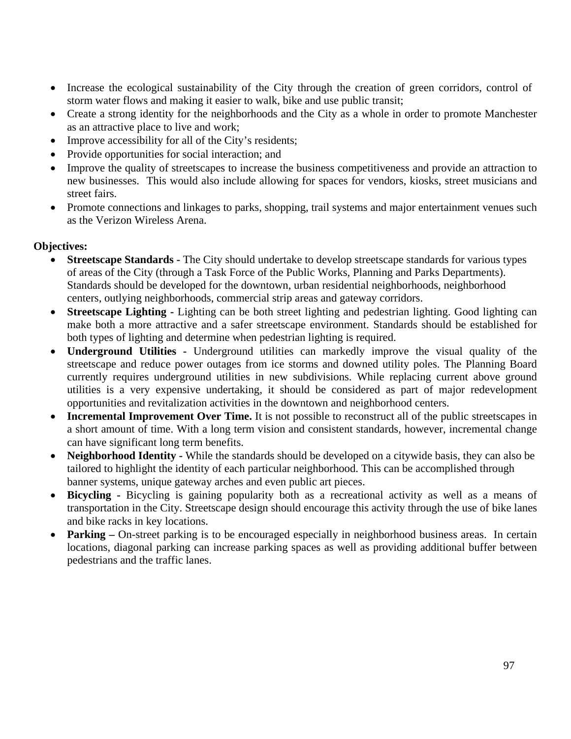- Increase the ecological sustainability of the City through the creation of green corridors, control of storm water flows and making it easier to walk, bike and use public transit;
- Create a strong identity for the neighborhoods and the City as a whole in order to promote Manchester as an attractive place to live and work;
- Improve accessibility for all of the City's residents;
- Provide opportunities for social interaction; and
- Improve the quality of streetscapes to increase the business competitiveness and provide an attraction to new businesses. This would also include allowing for spaces for vendors, kiosks, street musicians and street fairs.
- Promote connections and linkages to parks, shopping, trail systems and major entertainment venues such as the Verizon Wireless Arena.

- **Streetscape Standards** The City should undertake to develop streetscape standards for various types of areas of the City (through a Task Force of the Public Works, Planning and Parks Departments). Standards should be developed for the downtown, urban residential neighborhoods, neighborhood centers, outlying neighborhoods, commercial strip areas and gateway corridors.
- **Streetscape Lighting -** Lighting can be both street lighting and pedestrian lighting. Good lighting can make both a more attractive and a safer streetscape environment. Standards should be established for both types of lighting and determine when pedestrian lighting is required.
- **Underground Utilities** Underground utilities can markedly improve the visual quality of the streetscape and reduce power outages from ice storms and downed utility poles. The Planning Board currently requires underground utilities in new subdivisions. While replacing current above ground utilities is a very expensive undertaking, it should be considered as part of major redevelopment opportunities and revitalization activities in the downtown and neighborhood centers.
- **Incremental Improvement Over Time.** It is not possible to reconstruct all of the public streetscapes in a short amount of time. With a long term vision and consistent standards, however, incremental change can have significant long term benefits.
- Neighborhood Identity While the standards should be developed on a citywide basis, they can also be tailored to highlight the identity of each particular neighborhood. This can be accomplished through banner systems, unique gateway arches and even public art pieces.
- **Bicycling** Bicycling is gaining popularity both as a recreational activity as well as a means of transportation in the City. Streetscape design should encourage this activity through the use of bike lanes and bike racks in key locations.
- **Parking** On-street parking is to be encouraged especially in neighborhood business areas. In certain locations, diagonal parking can increase parking spaces as well as providing additional buffer between pedestrians and the traffic lanes.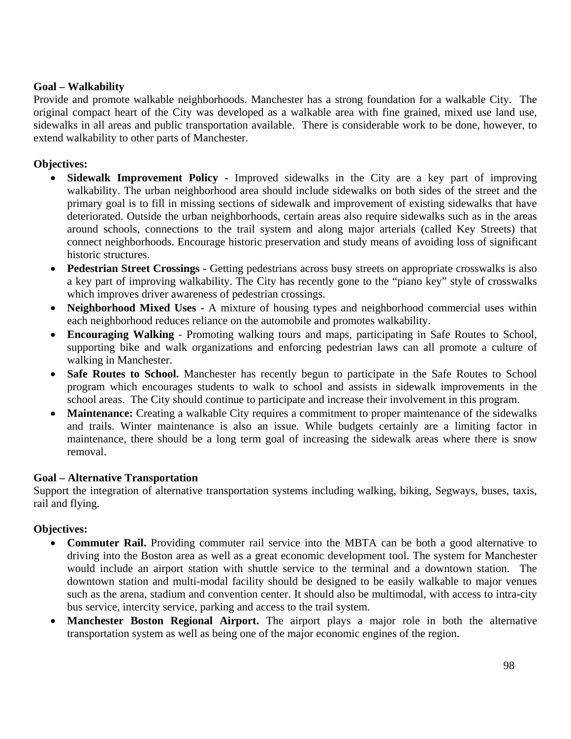### **Goal – Walkability**

Provide and promote walkable neighborhoods. Manchester has a strong foundation for a walkable City. The original compact heart of the City was developed as a walkable area with fine grained, mixed use land use, sidewalks in all areas and public transportation available. There is considerable work to be done, however, to extend walkability to other parts of Manchester.

### **Objectives:**

- **Sidewalk Improvement Policy** Improved sidewalks in the City are a key part of improving walkability. The urban neighborhood area should include sidewalks on both sides of the street and the primary goal is to fill in missing sections of sidewalk and improvement of existing sidewalks that have deteriorated. Outside the urban neighborhoods, certain areas also require sidewalks such as in the areas around schools, connections to the trail system and along major arterials (called Key Streets) that connect neighborhoods. Encourage historic preservation and study means of avoiding loss of significant historic structures.
- **Pedestrian Street Crossings** Getting pedestrians across busy streets on appropriate crosswalks is also a key part of improving walkability. The City has recently gone to the "piano key" style of crosswalks which improves driver awareness of pedestrian crossings.
- **Neighborhood Mixed Uses** A mixture of housing types and neighborhood commercial uses within each neighborhood reduces reliance on the automobile and promotes walkability.
- **Encouraging Walking** Promoting walking tours and maps, participating in Safe Routes to School, supporting bike and walk organizations and enforcing pedestrian laws can all promote a culture of walking in Manchester.
- **Safe Routes to School.** Manchester has recently begun to participate in the Safe Routes to School program which encourages students to walk to school and assists in sidewalk improvements in the school areas. The City should continue to participate and increase their involvement in this program.
- **Maintenance:** Creating a walkable City requires a commitment to proper maintenance of the sidewalks and trails. Winter maintenance is also an issue. While budgets certainly are a limiting factor in maintenance, there should be a long term goal of increasing the sidewalk areas where there is snow removal.

### **Goal – Alternative Transportation**

Support the integration of alternative transportation systems including walking, biking, Segways, buses, taxis, rail and flying.

- **Commuter Rail.** Providing commuter rail service into the MBTA can be both a good alternative to driving into the Boston area as well as a great economic development tool. The system for Manchester would include an airport station with shuttle service to the terminal and a downtown station. The downtown station and multi-modal facility should be designed to be easily walkable to major venues such as the arena, stadium and convention center. It should also be multimodal, with access to intra**-**city bus service, intercity service, parking and access to the trail system.
- **Manchester Boston Regional Airport.** The airport plays a major role in both the alternative transportation system as well as being one of the major economic engines of the region.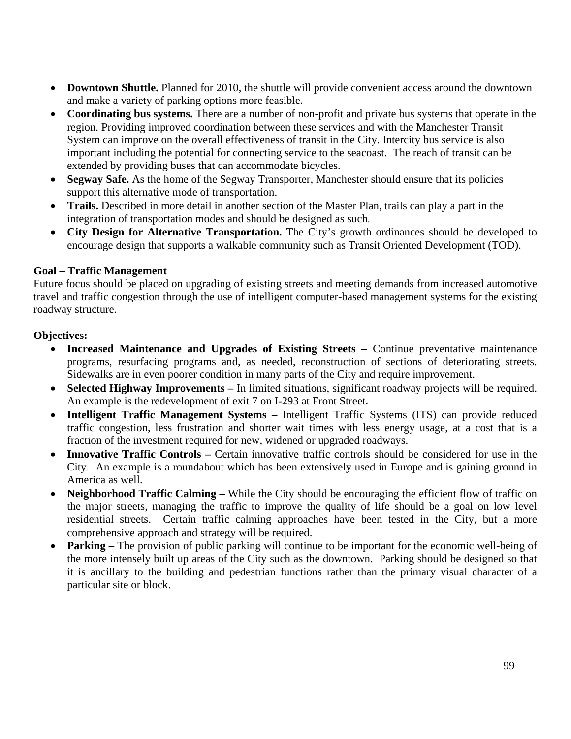- **Downtown Shuttle.** Planned for 2010, the shuttle will provide convenient access around the downtown and make a variety of parking options more feasible.
- **Coordinating bus systems.** There are a number of non-profit and private bus systems that operate in the region. Providing improved coordination between these services and with the Manchester Transit System can improve on the overall effectiveness of transit in the City. Intercity bus service is also important including the potential for connecting service to the seacoast. The reach of transit can be extended by providing buses that can accommodate bicycles.
- **Segway Safe.** As the home of the Segway Transporter, Manchester should ensure that its policies support this alternative mode of transportation.
- **Trails.** Described in more detail in another section of the Master Plan, trails can play a part in the integration of transportation modes and should be designed as such.
- **City Design for Alternative Transportation.** The City's growth ordinances should be developed to encourage design that supports a walkable community such as Transit Oriented Development (TOD).

### **Goal – Traffic Management**

Future focus should be placed on upgrading of existing streets and meeting demands from increased automotive travel and traffic congestion through the use of intelligent computer-based management systems for the existing roadway structure.

- **Increased Maintenance and Upgrades of Existing Streets Continue preventative maintenance** programs, resurfacing programs and, as needed, reconstruction of sections of deteriorating streets. Sidewalks are in even poorer condition in many parts of the City and require improvement.
- **Selected Highway Improvements** In limited situations, significant roadway projects will be required. An example is the redevelopment of exit 7 on I-293 at Front Street.
- **Intelligent Traffic Management Systems** Intelligent Traffic Systems (ITS) can provide reduced traffic congestion, less frustration and shorter wait times with less energy usage, at a cost that is a fraction of the investment required for new, widened or upgraded roadways.
- **Innovative Traffic Controls** Certain innovative traffic controls should be considered for use in the City. An example is a roundabout which has been extensively used in Europe and is gaining ground in America as well.
- **Neighborhood Traffic Calming While the City should be encouraging the efficient flow of traffic on** the major streets, managing the traffic to improve the quality of life should be a goal on low level residential streets. Certain traffic calming approaches have been tested in the City, but a more comprehensive approach and strategy will be required.
- **Parking** The provision of public parking will continue to be important for the economic well-being of the more intensely built up areas of the City such as the downtown. Parking should be designed so that it is ancillary to the building and pedestrian functions rather than the primary visual character of a particular site or block.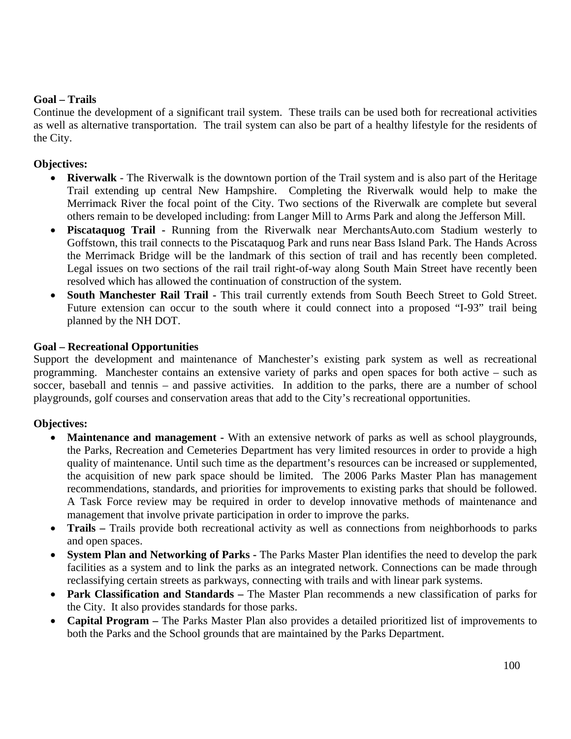### **Goal – Trails**

Continue the development of a significant trail system. These trails can be used both for recreational activities as well as alternative transportation. The trail system can also be part of a healthy lifestyle for the residents of the City.

#### **Objectives:**

- **Riverwalk** The Riverwalk is the downtown portion of the Trail system and is also part of the Heritage Trail extending up central New Hampshire. Completing the Riverwalk would help to make the Merrimack River the focal point of the City. Two sections of the Riverwalk are complete but several others remain to be developed including: from Langer Mill to Arms Park and along the Jefferson Mill.
- **Piscataquog Trail** Running from the Riverwalk near MerchantsAuto.com Stadium westerly to Goffstown, this trail connects to the Piscataquog Park and runs near Bass Island Park. The Hands Across the Merrimack Bridge will be the landmark of this section of trail and has recently been completed. Legal issues on two sections of the rail trail right-of-way along South Main Street have recently been resolved which has allowed the continuation of construction of the system.
- **South Manchester Rail Trail** This trail currently extends from South Beech Street to Gold Street. Future extension can occur to the south where it could connect into a proposed "I-93" trail being planned by the NH DOT.

#### **Goal – Recreational Opportunities**

Support the development and maintenance of Manchester's existing park system as well as recreational programming. Manchester contains an extensive variety of parks and open spaces for both active – such as soccer, baseball and tennis – and passive activities. In addition to the parks, there are a number of school playgrounds, golf courses and conservation areas that add to the City's recreational opportunities.

- **Maintenance and management -** With an extensive network of parks as well as school playgrounds, the Parks, Recreation and Cemeteries Department has very limited resources in order to provide a high quality of maintenance. Until such time as the department's resources can be increased or supplemented, the acquisition of new park space should be limited. The 2006 Parks Master Plan has management recommendations, standards, and priorities for improvements to existing parks that should be followed. A Task Force review may be required in order to develop innovative methods of maintenance and management that involve private participation in order to improve the parks.
- **Trails** Trails provide both recreational activity as well as connections from neighborhoods to parks and open spaces.
- **System Plan and Networking of Parks -** The Parks Master Plan identifies the need to develop the park facilities as a system and to link the parks as an integrated network. Connections can be made through reclassifying certain streets as parkways, connecting with trails and with linear park systems.
- **Park Classification and Standards –** The Master Plan recommends a new classification of parks for the City. It also provides standards for those parks.
- **Capital Program –** The Parks Master Plan also provides a detailed prioritized list of improvements to both the Parks and the School grounds that are maintained by the Parks Department.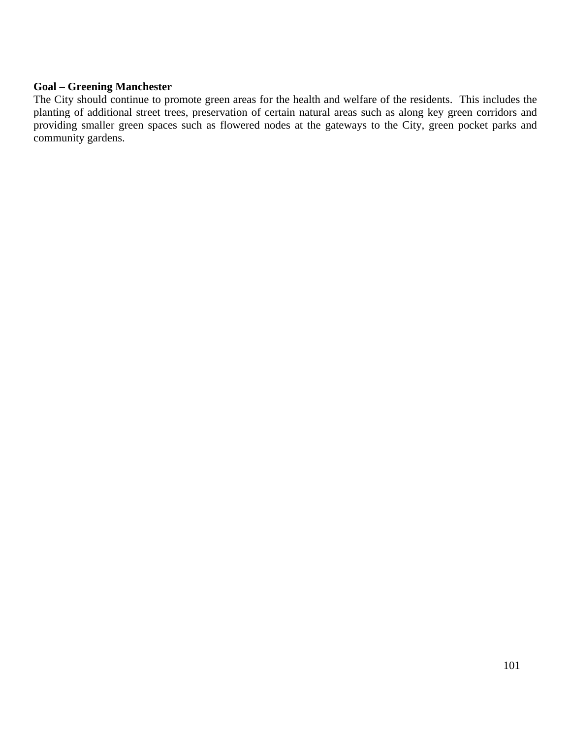#### **Goal – Greening Manchester**

The City should continue to promote green areas for the health and welfare of the residents. This includes the planting of additional street trees, preservation of certain natural areas such as along key green corridors and providing smaller green spaces such as flowered nodes at the gateways to the City, green pocket parks and community gardens.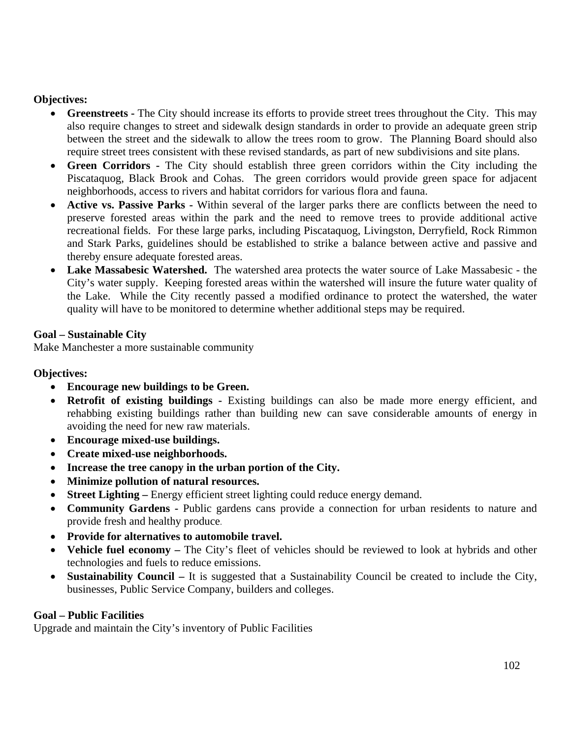### **Objectives:**

- **Greenstreets** The City should increase its efforts to provide street trees throughout the City. This may also require changes to street and sidewalk design standards in order to provide an adequate green strip between the street and the sidewalk to allow the trees room to grow. The Planning Board should also require street trees consistent with these revised standards, as part of new subdivisions and site plans.
- **Green Corridors -** The City should establish three green corridors within the City including the Piscataquog, Black Brook and Cohas. The green corridors would provide green space for adjacent neighborhoods, access to rivers and habitat corridors for various flora and fauna.
- **Active vs. Passive Parks -** Within several of the larger parks there are conflicts between the need to preserve forested areas within the park and the need to remove trees to provide additional active recreational fields. For these large parks, including Piscataquog, Livingston, Derryfield, Rock Rimmon and Stark Parks, guidelines should be established to strike a balance between active and passive and thereby ensure adequate forested areas.
- **Lake Massabesic Watershed.** The watershed area protects the water source of Lake Massabesic the City's water supply. Keeping forested areas within the watershed will insure the future water quality of the Lake. While the City recently passed a modified ordinance to protect the watershed, the water quality will have to be monitored to determine whether additional steps may be required.

### **Goal – Sustainable City**

Make Manchester a more sustainable community

# **Objectives:**

- **Encourage new buildings to be Green.**
- **Retrofit of existing buildings** Existing buildings can also be made more energy efficient, and rehabbing existing buildings rather than building new can save considerable amounts of energy in avoiding the need for new raw materials.
- **Encourage mixed-use buildings.**
- **Create mixed-use neighborhoods.**
- **Increase the tree canopy in the urban portion of the City.**
- **Minimize pollution of natural resources.**
- **Street Lighting Energy efficient street lighting could reduce energy demand.**
- **Community Gardens** Public gardens cans provide a connection for urban residents to nature and provide fresh and healthy produce.
- **Provide for alternatives to automobile travel.**
- **Vehicle fuel economy** The City's fleet of vehicles should be reviewed to look at hybrids and other technologies and fuels to reduce emissions.
- **Sustainability Council –** It is suggested that a Sustainability Council be created to include the City, businesses, Public Service Company, builders and colleges.

### **Goal – Public Facilities**

Upgrade and maintain the City's inventory of Public Facilities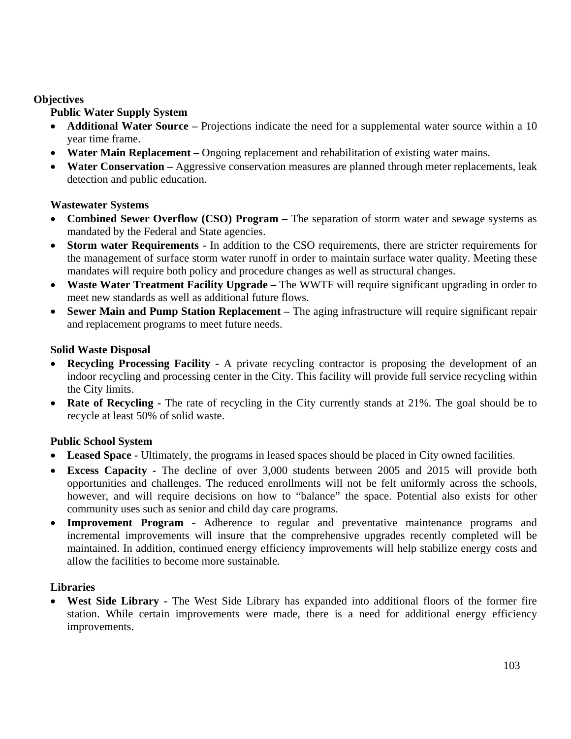### **Objectives**

# **Public Water Supply System**

- **Additional Water Source** Projections indicate the need for a supplemental water source within a 10 year time frame.
- **Water Main Replacement** Ongoing replacement and rehabilitation of existing water mains.
- **Water Conservation** Aggressive conservation measures are planned through meter replacements, leak detection and public education.

### **Wastewater Systems**

- **Combined Sewer Overflow (CSO) Program** The separation of storm water and sewage systems as mandated by the Federal and State agencies.
- **Storm water Requirements** In addition to the CSO requirements, there are stricter requirements for the management of surface storm water runoff in order to maintain surface water quality. Meeting these mandates will require both policy and procedure changes as well as structural changes.
- Waste Water Treatment Facility Upgrade The WWTF will require significant upgrading in order to meet new standards as well as additional future flows.
- **Sewer Main and Pump Station Replacement –** The aging infrastructure will require significant repair and replacement programs to meet future needs.

### **Solid Waste Disposal**

- **Recycling Processing Facility** A private recycling contractor is proposing the development of an indoor recycling and processing center in the City. This facility will provide full service recycling within the City limits.
- **Rate of Recycling -** The rate of recycling in the City currently stands at 21%. The goal should be to recycle at least 50% of solid waste.

# **Public School System**

- Leased Space Ultimately, the programs in leased spaces should be placed in City owned facilities.
- **Excess Capacity** The decline of over 3,000 students between 2005 and 2015 will provide both opportunities and challenges. The reduced enrollments will not be felt uniformly across the schools, however, and will require decisions on how to "balance" the space. Potential also exists for other community uses such as senior and child day care programs.
- **Improvement Program** Adherence to regular and preventative maintenance programs and incremental improvements will insure that the comprehensive upgrades recently completed will be maintained. In addition, continued energy efficiency improvements will help stabilize energy costs and allow the facilities to become more sustainable.

### **Libraries**

• **West Side Library -** The West Side Library has expanded into additional floors of the former fire station. While certain improvements were made, there is a need for additional energy efficiency improvements.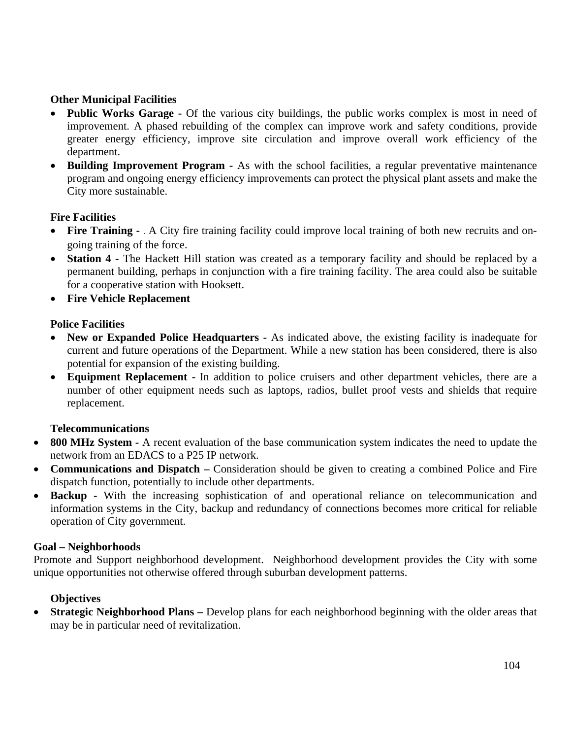### **Other Municipal Facilities**

- **Public Works Garage** Of the various city buildings, the public works complex is most in need of improvement. A phased rebuilding of the complex can improve work and safety conditions, provide greater energy efficiency, improve site circulation and improve overall work efficiency of the department.
- **Building Improvement Program** As with the school facilities, a regular preventative maintenance program and ongoing energy efficiency improvements can protect the physical plant assets and make the City more sustainable.

### **Fire Facilities**

- **Fire Training** . A City fire training facility could improve local training of both new recruits and ongoing training of the force.
- **Station 4** The Hackett Hill station was created as a temporary facility and should be replaced by a permanent building, perhaps in conjunction with a fire training facility. The area could also be suitable for a cooperative station with Hooksett.
- **Fire Vehicle Replacement**

### **Police Facilities**

- **New or Expanded Police Headquarters** As indicated above, the existing facility is inadequate for current and future operations of the Department. While a new station has been considered, there is also potential for expansion of the existing building.
- **Equipment Replacement -** In addition to police cruisers and other department vehicles, there are a number of other equipment needs such as laptops, radios, bullet proof vests and shields that require replacement.

### **Telecommunications**

- **800 MHz System -** A recent evaluation of the base communication system indicates the need to update the network from an EDACS to a P25 IP network.
- **Communications and Dispatch** Consideration should be given to creating a combined Police and Fire dispatch function, potentially to include other departments.
- **Backup** With the increasing sophistication of and operational reliance on telecommunication and information systems in the City, backup and redundancy of connections becomes more critical for reliable operation of City government.

#### **Goal – Neighborhoods**

Promote and Support neighborhood development. Neighborhood development provides the City with some unique opportunities not otherwise offered through suburban development patterns.

### **Objectives**

• **Strategic Neighborhood Plans** – Develop plans for each neighborhood beginning with the older areas that may be in particular need of revitalization.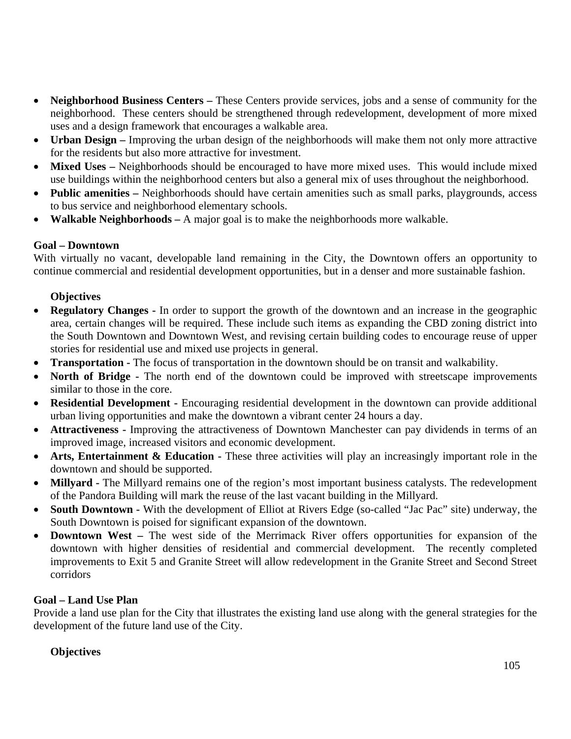- **Neighborhood Business Centers** These Centers provide services, jobs and a sense of community for the neighborhood. These centers should be strengthened through redevelopment, development of more mixed uses and a design framework that encourages a walkable area.
- **Urban Design** Improving the urban design of the neighborhoods will make them not only more attractive for the residents but also more attractive for investment.
- Mixed Uses Neighborhoods should be encouraged to have more mixed uses. This would include mixed use buildings within the neighborhood centers but also a general mix of uses throughout the neighborhood.
- **Public amenities** Neighborhoods should have certain amenities such as small parks, playgrounds, access to bus service and neighborhood elementary schools.
- **Walkable Neighborhoods** A major goal is to make the neighborhoods more walkable.

### **Goal – Downtown**

With virtually no vacant, developable land remaining in the City, the Downtown offers an opportunity to continue commercial and residential development opportunities, but in a denser and more sustainable fashion.

# **Objectives**

- **Regulatory Changes** In order to support the growth of the downtown and an increase in the geographic area, certain changes will be required. These include such items as expanding the CBD zoning district into the South Downtown and Downtown West, and revising certain building codes to encourage reuse of upper stories for residential use and mixed use projects in general.
- **Transportation** The focus of transportation in the downtown should be on transit and walkability.
- **North of Bridge** The north end of the downtown could be improved with streetscape improvements similar to those in the core.
- **Residential Development** Encouraging residential development in the downtown can provide additional urban living opportunities and make the downtown a vibrant center 24 hours a day.
- **Attractiveness** Improving the attractiveness of Downtown Manchester can pay dividends in terms of an improved image, increased visitors and economic development.
- **Arts, Entertainment & Education** These three activities will play an increasingly important role in the downtown and should be supported.
- **Millyard** The Millyard remains one of the region's most important business catalysts. The redevelopment of the Pandora Building will mark the reuse of the last vacant building in the Millyard.
- **South Downtown -** With the development of Elliot at Rivers Edge (so-called "Jac Pac" site) underway, the South Downtown is poised for significant expansion of the downtown.
- **Downtown West** The west side of the Merrimack River offers opportunities for expansion of the downtown with higher densities of residential and commercial development. The recently completed improvements to Exit 5 and Granite Street will allow redevelopment in the Granite Street and Second Street corridors

# **Goal – Land Use Plan**

Provide a land use plan for the City that illustrates the existing land use along with the general strategies for the development of the future land use of the City.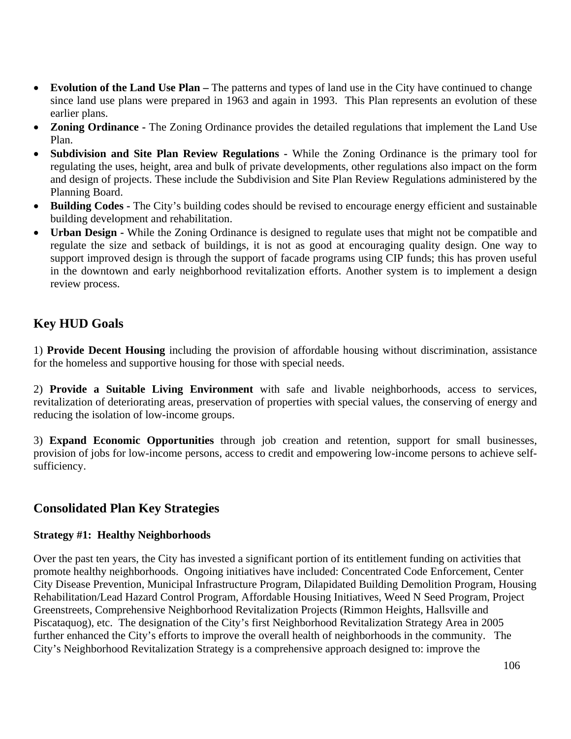- **Evolution of the Land Use Plan** The patterns and types of land use in the City have continued to change since land use plans were prepared in 1963 and again in 1993. This Plan represents an evolution of these earlier plans.
- **Zoning Ordinance** The Zoning Ordinance provides the detailed regulations that implement the Land Use Plan.
- **Subdivision and Site Plan Review Regulations** While the Zoning Ordinance is the primary tool for regulating the uses, height, area and bulk of private developments, other regulations also impact on the form and design of projects. These include the Subdivision and Site Plan Review Regulations administered by the Planning Board.
- **Building Codes** The City's building codes should be revised to encourage energy efficient and sustainable building development and rehabilitation.
- **Urban Design** While the Zoning Ordinance is designed to regulate uses that might not be compatible and regulate the size and setback of buildings, it is not as good at encouraging quality design. One way to support improved design is through the support of facade programs using CIP funds; this has proven useful in the downtown and early neighborhood revitalization efforts. Another system is to implement a design review process.

# **Key HUD Goals**

1) **Provide Decent Housing** including the provision of affordable housing without discrimination, assistance for the homeless and supportive housing for those with special needs.

2) **Provide a Suitable Living Environment** with safe and livable neighborhoods, access to services, revitalization of deteriorating areas, preservation of properties with special values, the conserving of energy and reducing the isolation of low-income groups.

3) **Expand Economic Opportunities** through job creation and retention, support for small businesses, provision of jobs for low-income persons, access to credit and empowering low-income persons to achieve selfsufficiency.

# **Consolidated Plan Key Strategies**

### **Strategy #1: Healthy Neighborhoods**

Over the past ten years, the City has invested a significant portion of its entitlement funding on activities that promote healthy neighborhoods. Ongoing initiatives have included: Concentrated Code Enforcement, Center City Disease Prevention, Municipal Infrastructure Program, Dilapidated Building Demolition Program, Housing Rehabilitation/Lead Hazard Control Program, Affordable Housing Initiatives, Weed N Seed Program, Project Greenstreets, Comprehensive Neighborhood Revitalization Projects (Rimmon Heights, Hallsville and Piscataquog), etc. The designation of the City's first Neighborhood Revitalization Strategy Area in 2005 further enhanced the City's efforts to improve the overall health of neighborhoods in the community. The City's Neighborhood Revitalization Strategy is a comprehensive approach designed to: improve the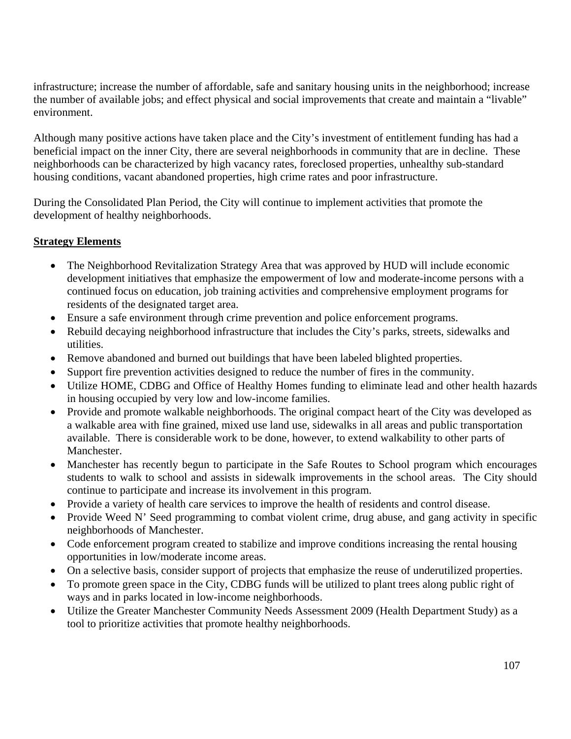infrastructure; increase the number of affordable, safe and sanitary housing units in the neighborhood; increase the number of available jobs; and effect physical and social improvements that create and maintain a "livable" environment.

Although many positive actions have taken place and the City's investment of entitlement funding has had a beneficial impact on the inner City, there are several neighborhoods in community that are in decline. These neighborhoods can be characterized by high vacancy rates, foreclosed properties, unhealthy sub-standard housing conditions, vacant abandoned properties, high crime rates and poor infrastructure.

During the Consolidated Plan Period, the City will continue to implement activities that promote the development of healthy neighborhoods.

# **Strategy Elements**

- The Neighborhood Revitalization Strategy Area that was approved by HUD will include economic development initiatives that emphasize the empowerment of low and moderate-income persons with a continued focus on education, job training activities and comprehensive employment programs for residents of the designated target area.
- Ensure a safe environment through crime prevention and police enforcement programs.
- Rebuild decaying neighborhood infrastructure that includes the City's parks, streets, sidewalks and utilities.
- Remove abandoned and burned out buildings that have been labeled blighted properties.
- Support fire prevention activities designed to reduce the number of fires in the community.
- Utilize HOME, CDBG and Office of Healthy Homes funding to eliminate lead and other health hazards in housing occupied by very low and low-income families.
- Provide and promote walkable neighborhoods. The original compact heart of the City was developed as a walkable area with fine grained, mixed use land use, sidewalks in all areas and public transportation available. There is considerable work to be done, however, to extend walkability to other parts of Manchester.
- Manchester has recently begun to participate in the Safe Routes to School program which encourages students to walk to school and assists in sidewalk improvements in the school areas. The City should continue to participate and increase its involvement in this program.
- Provide a variety of health care services to improve the health of residents and control disease.
- Provide Weed N' Seed programming to combat violent crime, drug abuse, and gang activity in specific neighborhoods of Manchester.
- Code enforcement program created to stabilize and improve conditions increasing the rental housing opportunities in low/moderate income areas.
- On a selective basis, consider support of projects that emphasize the reuse of underutilized properties.
- To promote green space in the City, CDBG funds will be utilized to plant trees along public right of ways and in parks located in low-income neighborhoods.
- Utilize the Greater Manchester Community Needs Assessment 2009 (Health Department Study) as a tool to prioritize activities that promote healthy neighborhoods.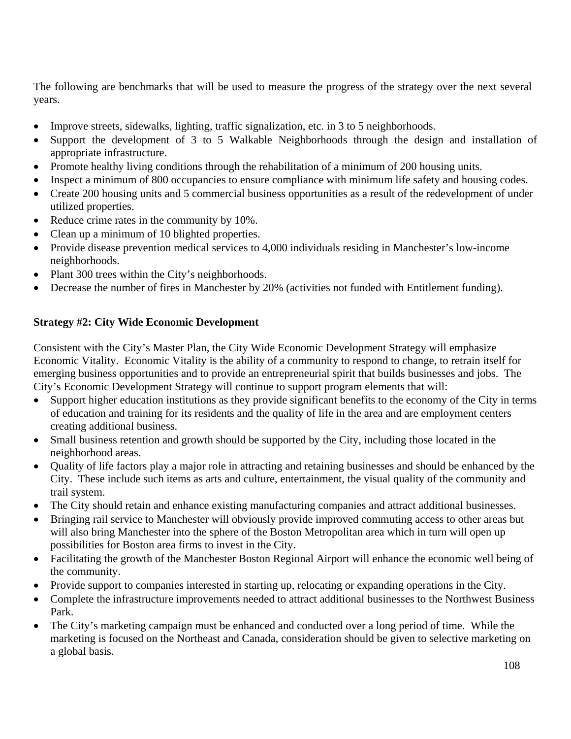The following are benchmarks that will be used to measure the progress of the strategy over the next several years.

- Improve streets, sidewalks, lighting, traffic signalization, etc. in 3 to 5 neighborhoods.
- Support the development of 3 to 5 Walkable Neighborhoods through the design and installation of appropriate infrastructure.
- Promote healthy living conditions through the rehabilitation of a minimum of 200 housing units.
- Inspect a minimum of 800 occupancies to ensure compliance with minimum life safety and housing codes.
- Create 200 housing units and 5 commercial business opportunities as a result of the redevelopment of under utilized properties.
- Reduce crime rates in the community by 10%.
- Clean up a minimum of 10 blighted properties.
- Provide disease prevention medical services to 4,000 individuals residing in Manchester's low-income neighborhoods.
- Plant 300 trees within the City's neighborhoods.
- Decrease the number of fires in Manchester by 20% (activities not funded with Entitlement funding).

### **Strategy #2: City Wide Economic Development**

Consistent with the City's Master Plan, the City Wide Economic Development Strategy will emphasize Economic Vitality. Economic Vitality is the ability of a community to respond to change, to retrain itself for emerging business opportunities and to provide an entrepreneurial spirit that builds businesses and jobs. The City's Economic Development Strategy will continue to support program elements that will:

- Support higher education institutions as they provide significant benefits to the economy of the City in terms of education and training for its residents and the quality of life in the area and are employment centers creating additional business.
- Small business retention and growth should be supported by the City, including those located in the neighborhood areas.
- Quality of life factors play a major role in attracting and retaining businesses and should be enhanced by the City. These include such items as arts and culture, entertainment, the visual quality of the community and trail system.
- The City should retain and enhance existing manufacturing companies and attract additional businesses.
- Bringing rail service to Manchester will obviously provide improved commuting access to other areas but will also bring Manchester into the sphere of the Boston Metropolitan area which in turn will open up possibilities for Boston area firms to invest in the City.
- Facilitating the growth of the Manchester Boston Regional Airport will enhance the economic well being of the community.
- Provide support to companies interested in starting up, relocating or expanding operations in the City.
- Complete the infrastructure improvements needed to attract additional businesses to the Northwest Business Park.
- The City's marketing campaign must be enhanced and conducted over a long period of time. While the marketing is focused on the Northeast and Canada, consideration should be given to selective marketing on a global basis.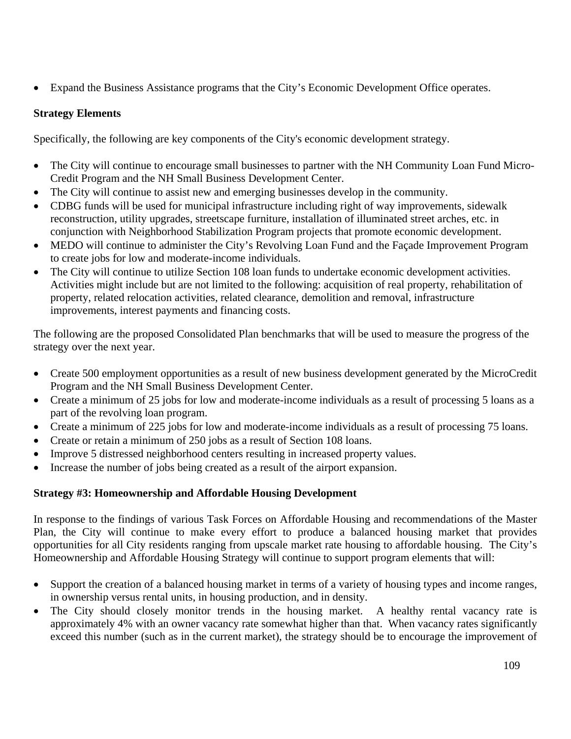• Expand the Business Assistance programs that the City's Economic Development Office operates.

# **Strategy Elements**

Specifically, the following are key components of the City's economic development strategy.

- The City will continue to encourage small businesses to partner with the NH Community Loan Fund Micro-Credit Program and the NH Small Business Development Center.
- The City will continue to assist new and emerging businesses develop in the community.
- CDBG funds will be used for municipal infrastructure including right of way improvements, sidewalk reconstruction, utility upgrades, streetscape furniture, installation of illuminated street arches, etc. in conjunction with Neighborhood Stabilization Program projects that promote economic development.
- MEDO will continue to administer the City's Revolving Loan Fund and the Façade Improvement Program to create jobs for low and moderate-income individuals.
- The City will continue to utilize Section 108 loan funds to undertake economic development activities. Activities might include but are not limited to the following: acquisition of real property, rehabilitation of property, related relocation activities, related clearance, demolition and removal, infrastructure improvements, interest payments and financing costs.

The following are the proposed Consolidated Plan benchmarks that will be used to measure the progress of the strategy over the next year.

- Create 500 employment opportunities as a result of new business development generated by the MicroCredit Program and the NH Small Business Development Center.
- Create a minimum of 25 jobs for low and moderate-income individuals as a result of processing 5 loans as a part of the revolving loan program.
- Create a minimum of 225 jobs for low and moderate-income individuals as a result of processing 75 loans.
- Create or retain a minimum of 250 jobs as a result of Section 108 loans.
- Improve 5 distressed neighborhood centers resulting in increased property values.
- Increase the number of jobs being created as a result of the airport expansion.

# **Strategy #3: Homeownership and Affordable Housing Development**

In response to the findings of various Task Forces on Affordable Housing and recommendations of the Master Plan, the City will continue to make every effort to produce a balanced housing market that provides opportunities for all City residents ranging from upscale market rate housing to affordable housing. The City's Homeownership and Affordable Housing Strategy will continue to support program elements that will:

- Support the creation of a balanced housing market in terms of a variety of housing types and income ranges, in ownership versus rental units, in housing production, and in density.
- The City should closely monitor trends in the housing market. A healthy rental vacancy rate is approximately 4% with an owner vacancy rate somewhat higher than that. When vacancy rates significantly exceed this number (such as in the current market), the strategy should be to encourage the improvement of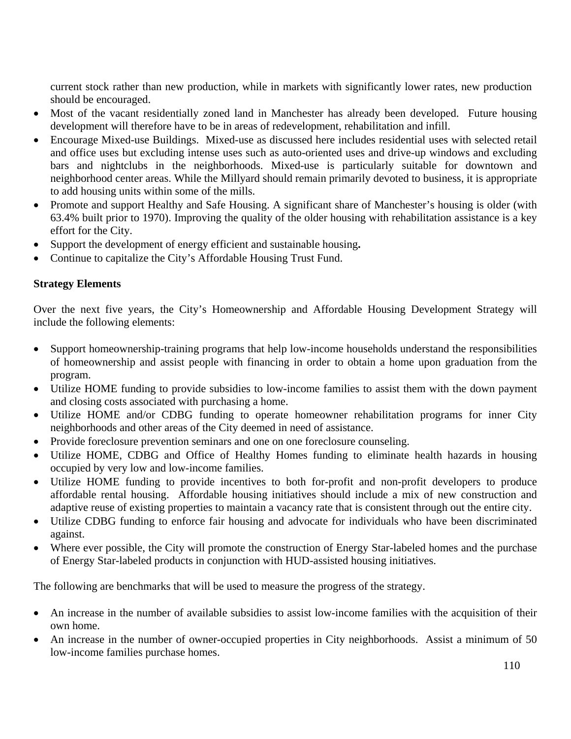current stock rather than new production, while in markets with significantly lower rates, new production should be encouraged.

- Most of the vacant residentially zoned land in Manchester has already been developed. Future housing development will therefore have to be in areas of redevelopment, rehabilitation and infill.
- Encourage Mixed-use Buildings. Mixed-use as discussed here includes residential uses with selected retail and office uses but excluding intense uses such as auto-oriented uses and drive-up windows and excluding bars and nightclubs in the neighborhoods. Mixed-use is particularly suitable for downtown and neighborhood center areas. While the Millyard should remain primarily devoted to business, it is appropriate to add housing units within some of the mills.
- Promote and support Healthy and Safe Housing. A significant share of Manchester's housing is older (with 63.4% built prior to 1970). Improving the quality of the older housing with rehabilitation assistance is a key effort for the City.
- Support the development of energy efficient and sustainable housing**.**
- Continue to capitalize the City's Affordable Housing Trust Fund.

## **Strategy Elements**

Over the next five years, the City's Homeownership and Affordable Housing Development Strategy will include the following elements:

- Support homeownership-training programs that help low-income households understand the responsibilities of homeownership and assist people with financing in order to obtain a home upon graduation from the program.
- Utilize HOME funding to provide subsidies to low-income families to assist them with the down payment and closing costs associated with purchasing a home.
- Utilize HOME and/or CDBG funding to operate homeowner rehabilitation programs for inner City neighborhoods and other areas of the City deemed in need of assistance.
- Provide foreclosure prevention seminars and one on one foreclosure counseling.
- Utilize HOME, CDBG and Office of Healthy Homes funding to eliminate health hazards in housing occupied by very low and low-income families.
- Utilize HOME funding to provide incentives to both for-profit and non-profit developers to produce affordable rental housing. Affordable housing initiatives should include a mix of new construction and adaptive reuse of existing properties to maintain a vacancy rate that is consistent through out the entire city.
- Utilize CDBG funding to enforce fair housing and advocate for individuals who have been discriminated against.
- Where ever possible, the City will promote the construction of Energy Star-labeled homes and the purchase of Energy Star-labeled products in conjunction with HUD-assisted housing initiatives.

The following are benchmarks that will be used to measure the progress of the strategy.

- An increase in the number of available subsidies to assist low-income families with the acquisition of their own home.
- An increase in the number of owner-occupied properties in City neighborhoods. Assist a minimum of 50 low-income families purchase homes.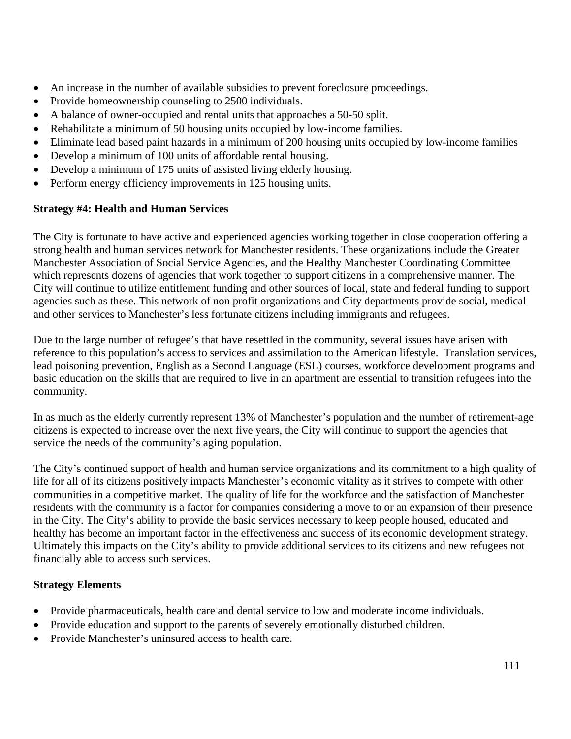- An increase in the number of available subsidies to prevent foreclosure proceedings.
- Provide homeownership counseling to 2500 individuals.
- A balance of owner-occupied and rental units that approaches a 50-50 split.
- Rehabilitate a minimum of 50 housing units occupied by low-income families.
- Eliminate lead based paint hazards in a minimum of 200 housing units occupied by low-income families
- Develop a minimum of 100 units of affordable rental housing.
- Develop a minimum of 175 units of assisted living elderly housing.
- Perform energy efficiency improvements in 125 housing units.

## **Strategy #4: Health and Human Services**

The City is fortunate to have active and experienced agencies working together in close cooperation offering a strong health and human services network for Manchester residents. These organizations include the Greater Manchester Association of Social Service Agencies, and the Healthy Manchester Coordinating Committee which represents dozens of agencies that work together to support citizens in a comprehensive manner. The City will continue to utilize entitlement funding and other sources of local, state and federal funding to support agencies such as these. This network of non profit organizations and City departments provide social, medical and other services to Manchester's less fortunate citizens including immigrants and refugees.

Due to the large number of refugee's that have resettled in the community, several issues have arisen with reference to this population's access to services and assimilation to the American lifestyle. Translation services, lead poisoning prevention, English as a Second Language (ESL) courses, workforce development programs and basic education on the skills that are required to live in an apartment are essential to transition refugees into the community.

In as much as the elderly currently represent 13% of Manchester's population and the number of retirement-age citizens is expected to increase over the next five years, the City will continue to support the agencies that service the needs of the community's aging population.

The City's continued support of health and human service organizations and its commitment to a high quality of life for all of its citizens positively impacts Manchester's economic vitality as it strives to compete with other communities in a competitive market. The quality of life for the workforce and the satisfaction of Manchester residents with the community is a factor for companies considering a move to or an expansion of their presence in the City. The City's ability to provide the basic services necessary to keep people housed, educated and healthy has become an important factor in the effectiveness and success of its economic development strategy. Ultimately this impacts on the City's ability to provide additional services to its citizens and new refugees not financially able to access such services.

# **Strategy Elements**

- Provide pharmaceuticals, health care and dental service to low and moderate income individuals.
- Provide education and support to the parents of severely emotionally disturbed children.
- Provide Manchester's uninsured access to health care.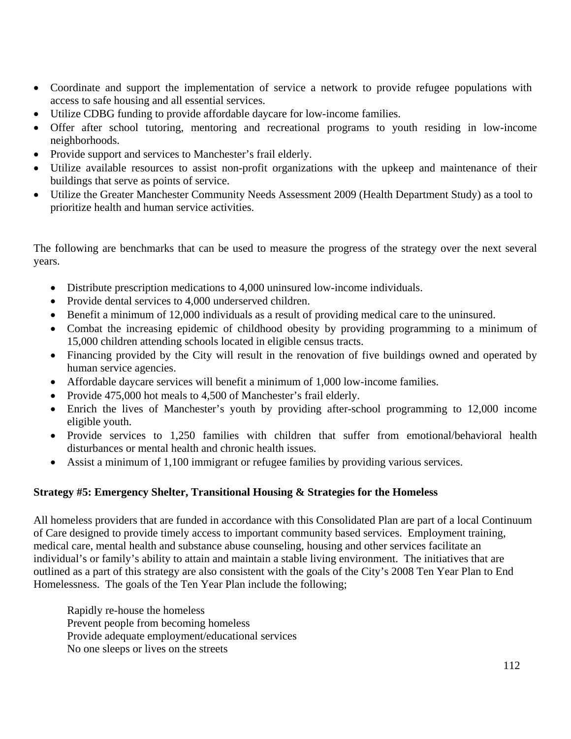- Coordinate and support the implementation of service a network to provide refugee populations with access to safe housing and all essential services.
- Utilize CDBG funding to provide affordable daycare for low-income families.
- Offer after school tutoring, mentoring and recreational programs to youth residing in low-income neighborhoods.
- Provide support and services to Manchester's frail elderly.
- Utilize available resources to assist non-profit organizations with the upkeep and maintenance of their buildings that serve as points of service.
- Utilize the Greater Manchester Community Needs Assessment 2009 (Health Department Study) as a tool to prioritize health and human service activities.

The following are benchmarks that can be used to measure the progress of the strategy over the next several years.

- Distribute prescription medications to 4,000 uninsured low-income individuals.
- Provide dental services to 4,000 underserved children.
- Benefit a minimum of 12,000 individuals as a result of providing medical care to the uninsured.
- Combat the increasing epidemic of childhood obesity by providing programming to a minimum of 15,000 children attending schools located in eligible census tracts.
- Financing provided by the City will result in the renovation of five buildings owned and operated by human service agencies.
- Affordable daycare services will benefit a minimum of 1,000 low-income families.
- Provide 475,000 hot meals to 4,500 of Manchester's frail elderly.
- Enrich the lives of Manchester's youth by providing after-school programming to 12,000 income eligible youth.
- Provide services to 1,250 families with children that suffer from emotional/behavioral health disturbances or mental health and chronic health issues.
- Assist a minimum of 1,100 immigrant or refugee families by providing various services.

# **Strategy #5: Emergency Shelter, Transitional Housing & Strategies for the Homeless**

All homeless providers that are funded in accordance with this Consolidated Plan are part of a local Continuum of Care designed to provide timely access to important community based services. Employment training, medical care, mental health and substance abuse counseling, housing and other services facilitate an individual's or family's ability to attain and maintain a stable living environment. The initiatives that are outlined as a part of this strategy are also consistent with the goals of the City's 2008 Ten Year Plan to End Homelessness. The goals of the Ten Year Plan include the following;

Rapidly re-house the homeless Prevent people from becoming homeless Provide adequate employment/educational services No one sleeps or lives on the streets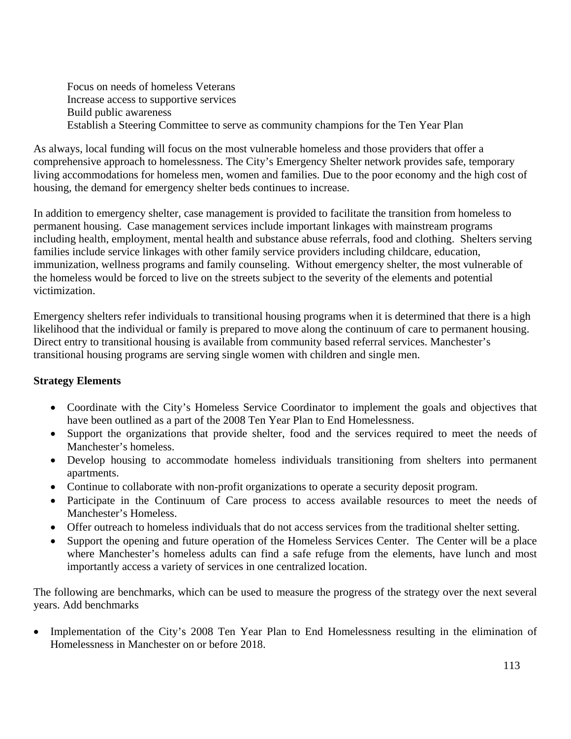Focus on needs of homeless Veterans Increase access to supportive services Build public awareness Establish a Steering Committee to serve as community champions for the Ten Year Plan

As always, local funding will focus on the most vulnerable homeless and those providers that offer a comprehensive approach to homelessness. The City's Emergency Shelter network provides safe, temporary living accommodations for homeless men, women and families. Due to the poor economy and the high cost of housing, the demand for emergency shelter beds continues to increase.

In addition to emergency shelter, case management is provided to facilitate the transition from homeless to permanent housing. Case management services include important linkages with mainstream programs including health, employment, mental health and substance abuse referrals, food and clothing. Shelters serving families include service linkages with other family service providers including childcare, education, immunization, wellness programs and family counseling. Without emergency shelter, the most vulnerable of the homeless would be forced to live on the streets subject to the severity of the elements and potential victimization.

Emergency shelters refer individuals to transitional housing programs when it is determined that there is a high likelihood that the individual or family is prepared to move along the continuum of care to permanent housing. Direct entry to transitional housing is available from community based referral services. Manchester's transitional housing programs are serving single women with children and single men.

#### **Strategy Elements**

- Coordinate with the City's Homeless Service Coordinator to implement the goals and objectives that have been outlined as a part of the 2008 Ten Year Plan to End Homelessness.
- Support the organizations that provide shelter, food and the services required to meet the needs of Manchester's homeless.
- Develop housing to accommodate homeless individuals transitioning from shelters into permanent apartments.
- Continue to collaborate with non-profit organizations to operate a security deposit program.
- Participate in the Continuum of Care process to access available resources to meet the needs of Manchester's Homeless.
- Offer outreach to homeless individuals that do not access services from the traditional shelter setting.
- Support the opening and future operation of the Homeless Services Center. The Center will be a place where Manchester's homeless adults can find a safe refuge from the elements, have lunch and most importantly access a variety of services in one centralized location.

The following are benchmarks, which can be used to measure the progress of the strategy over the next several years. Add benchmarks

• Implementation of the City's 2008 Ten Year Plan to End Homelessness resulting in the elimination of Homelessness in Manchester on or before 2018.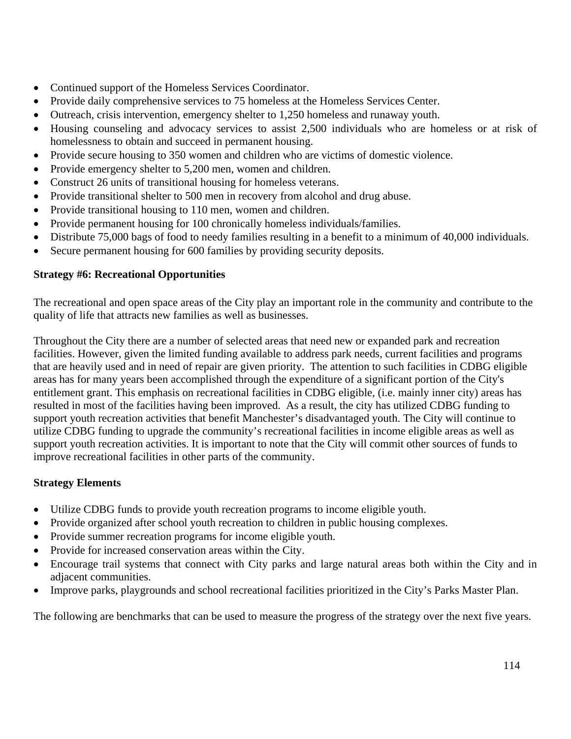- Continued support of the Homeless Services Coordinator.
- Provide daily comprehensive services to 75 homeless at the Homeless Services Center.
- Outreach, crisis intervention, emergency shelter to 1,250 homeless and runaway youth.
- Housing counseling and advocacy services to assist 2,500 individuals who are homeless or at risk of homelessness to obtain and succeed in permanent housing.
- Provide secure housing to 350 women and children who are victims of domestic violence.
- Provide emergency shelter to 5,200 men, women and children.
- Construct 26 units of transitional housing for homeless veterans.
- Provide transitional shelter to 500 men in recovery from alcohol and drug abuse.
- Provide transitional housing to 110 men, women and children.
- Provide permanent housing for 100 chronically homeless individuals/families.
- Distribute 75,000 bags of food to needy families resulting in a benefit to a minimum of 40,000 individuals.
- Secure permanent housing for 600 families by providing security deposits.

#### **Strategy #6: Recreational Opportunities**

The recreational and open space areas of the City play an important role in the community and contribute to the quality of life that attracts new families as well as businesses.

Throughout the City there are a number of selected areas that need new or expanded park and recreation facilities. However, given the limited funding available to address park needs, current facilities and programs that are heavily used and in need of repair are given priority. The attention to such facilities in CDBG eligible areas has for many years been accomplished through the expenditure of a significant portion of the City's entitlement grant. This emphasis on recreational facilities in CDBG eligible, (i.e. mainly inner city) areas has resulted in most of the facilities having been improved. As a result, the city has utilized CDBG funding to support youth recreation activities that benefit Manchester's disadvantaged youth. The City will continue to utilize CDBG funding to upgrade the community's recreational facilities in income eligible areas as well as support youth recreation activities. It is important to note that the City will commit other sources of funds to improve recreational facilities in other parts of the community.

# **Strategy Elements**

- Utilize CDBG funds to provide youth recreation programs to income eligible youth.
- Provide organized after school youth recreation to children in public housing complexes.
- Provide summer recreation programs for income eligible youth.
- Provide for increased conservation areas within the City.
- Encourage trail systems that connect with City parks and large natural areas both within the City and in adjacent communities.
- Improve parks, playgrounds and school recreational facilities prioritized in the City's Parks Master Plan.

The following are benchmarks that can be used to measure the progress of the strategy over the next five years.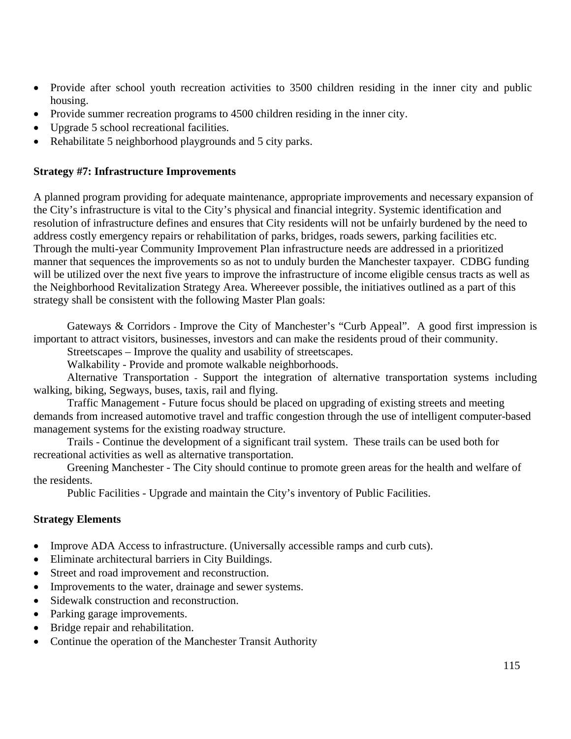- Provide after school youth recreation activities to 3500 children residing in the inner city and public housing.
- Provide summer recreation programs to 4500 children residing in the inner city.
- Upgrade 5 school recreational facilities.
- Rehabilitate 5 neighborhood playgrounds and 5 city parks.

#### **Strategy #7: Infrastructure Improvements**

A planned program providing for adequate maintenance, appropriate improvements and necessary expansion of the City's infrastructure is vital to the City's physical and financial integrity. Systemic identification and resolution of infrastructure defines and ensures that City residents will not be unfairly burdened by the need to address costly emergency repairs or rehabilitation of parks, bridges, roads sewers, parking facilities etc. Through the multi-year Community Improvement Plan infrastructure needs are addressed in a prioritized manner that sequences the improvements so as not to unduly burden the Manchester taxpayer. CDBG funding will be utilized over the next five years to improve the infrastructure of income eligible census tracts as well as the Neighborhood Revitalization Strategy Area. Whereever possible, the initiatives outlined as a part of this strategy shall be consistent with the following Master Plan goals:

Gateways & Corridors - Improve the City of Manchester's "Curb Appeal". A good first impression is important to attract visitors, businesses, investors and can make the residents proud of their community.

Streetscapes – Improve the quality and usability of streetscapes.

Walkability - Provide and promote walkable neighborhoods.

Alternative Transportation - Support the integration of alternative transportation systems including walking, biking, Segways, buses, taxis, rail and flying.

Traffic Management - Future focus should be placed on upgrading of existing streets and meeting demands from increased automotive travel and traffic congestion through the use of intelligent computer-based management systems for the existing roadway structure.

Trails - Continue the development of a significant trail system. These trails can be used both for recreational activities as well as alternative transportation.

Greening Manchester - The City should continue to promote green areas for the health and welfare of the residents.

Public Facilities - Upgrade and maintain the City's inventory of Public Facilities.

#### **Strategy Elements**

- Improve ADA Access to infrastructure. (Universally accessible ramps and curb cuts).
- Eliminate architectural barriers in City Buildings.
- Street and road improvement and reconstruction.
- Improvements to the water, drainage and sewer systems.
- Sidewalk construction and reconstruction.
- Parking garage improvements.
- Bridge repair and rehabilitation.
- Continue the operation of the Manchester Transit Authority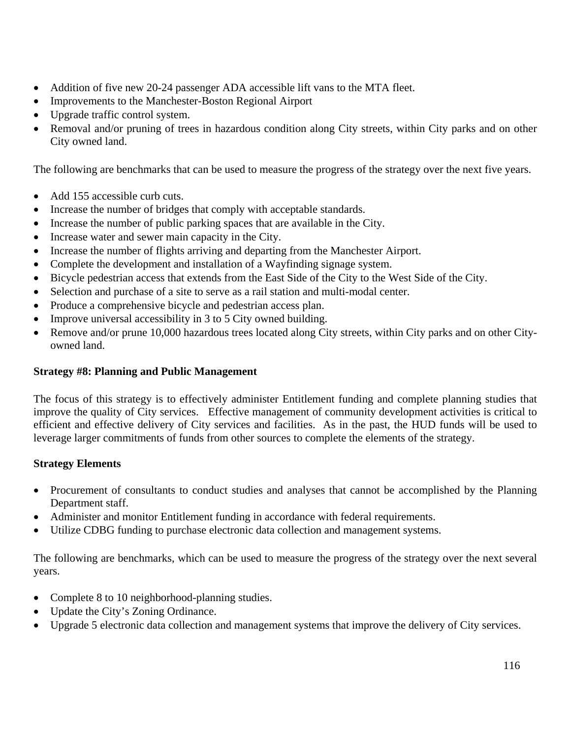- Addition of five new 20-24 passenger ADA accessible lift vans to the MTA fleet.
- Improvements to the Manchester-Boston Regional Airport
- Upgrade traffic control system.
- Removal and/or pruning of trees in hazardous condition along City streets, within City parks and on other City owned land.

The following are benchmarks that can be used to measure the progress of the strategy over the next five years.

- Add 155 accessible curb cuts.
- Increase the number of bridges that comply with acceptable standards.
- Increase the number of public parking spaces that are available in the City.
- Increase water and sewer main capacity in the City.
- Increase the number of flights arriving and departing from the Manchester Airport.
- Complete the development and installation of a Wayfinding signage system.
- Bicycle pedestrian access that extends from the East Side of the City to the West Side of the City.
- Selection and purchase of a site to serve as a rail station and multi-modal center.
- Produce a comprehensive bicycle and pedestrian access plan.
- Improve universal accessibility in 3 to 5 City owned building.
- Remove and/or prune 10,000 hazardous trees located along City streets, within City parks and on other Cityowned land.

#### **Strategy #8: Planning and Public Management**

The focus of this strategy is to effectively administer Entitlement funding and complete planning studies that improve the quality of City services. Effective management of community development activities is critical to efficient and effective delivery of City services and facilities. As in the past, the HUD funds will be used to leverage larger commitments of funds from other sources to complete the elements of the strategy.

#### **Strategy Elements**

- Procurement of consultants to conduct studies and analyses that cannot be accomplished by the Planning Department staff.
- Administer and monitor Entitlement funding in accordance with federal requirements.
- Utilize CDBG funding to purchase electronic data collection and management systems.

The following are benchmarks, which can be used to measure the progress of the strategy over the next several years.

- Complete 8 to 10 neighborhood-planning studies.
- Update the City's Zoning Ordinance.
- Upgrade 5 electronic data collection and management systems that improve the delivery of City services.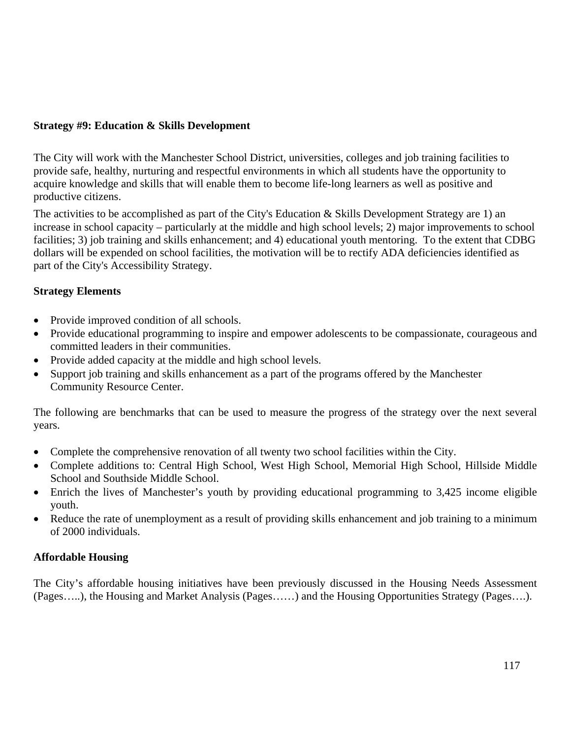#### **Strategy #9: Education & Skills Development**

The City will work with the Manchester School District, universities, colleges and job training facilities to provide safe, healthy, nurturing and respectful environments in which all students have the opportunity to acquire knowledge and skills that will enable them to become life-long learners as well as positive and productive citizens.

The activities to be accomplished as part of the City's Education & Skills Development Strategy are 1) an increase in school capacity – particularly at the middle and high school levels; 2) major improvements to school facilities; 3) job training and skills enhancement; and 4) educational youth mentoring. To the extent that CDBG dollars will be expended on school facilities, the motivation will be to rectify ADA deficiencies identified as part of the City's Accessibility Strategy.

#### **Strategy Elements**

- Provide improved condition of all schools.
- Provide educational programming to inspire and empower adolescents to be compassionate, courageous and committed leaders in their communities.
- Provide added capacity at the middle and high school levels.
- Support job training and skills enhancement as a part of the programs offered by the Manchester Community Resource Center.

The following are benchmarks that can be used to measure the progress of the strategy over the next several years.

- Complete the comprehensive renovation of all twenty two school facilities within the City.
- Complete additions to: Central High School, West High School, Memorial High School, Hillside Middle School and Southside Middle School.
- Enrich the lives of Manchester's youth by providing educational programming to 3,425 income eligible youth.
- Reduce the rate of unemployment as a result of providing skills enhancement and job training to a minimum of 2000 individuals.

#### **Affordable Housing**

The City's affordable housing initiatives have been previously discussed in the Housing Needs Assessment (Pages…..), the Housing and Market Analysis (Pages……) and the Housing Opportunities Strategy (Pages….).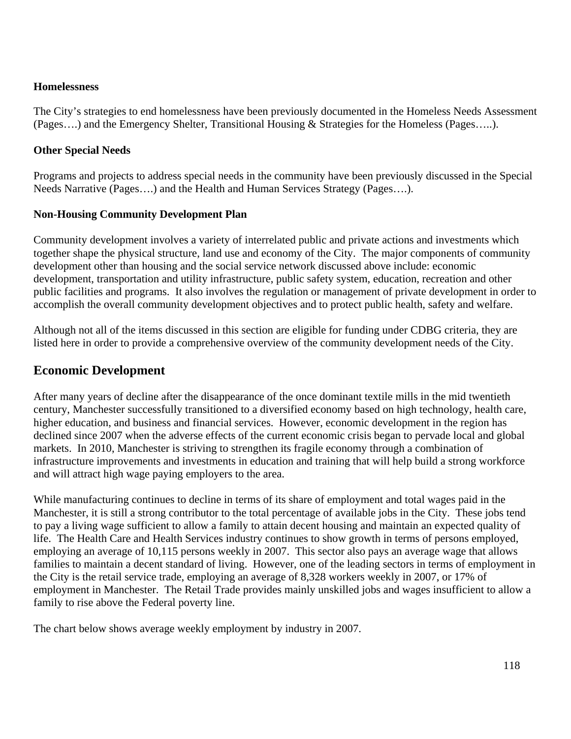#### **Homelessness**

The City's strategies to end homelessness have been previously documented in the Homeless Needs Assessment (Pages….) and the Emergency Shelter, Transitional Housing & Strategies for the Homeless (Pages…..).

#### **Other Special Needs**

Programs and projects to address special needs in the community have been previously discussed in the Special Needs Narrative (Pages….) and the Health and Human Services Strategy (Pages….).

#### **Non-Housing Community Development Plan**

Community development involves a variety of interrelated public and private actions and investments which together shape the physical structure, land use and economy of the City. The major components of community development other than housing and the social service network discussed above include: economic development, transportation and utility infrastructure, public safety system, education, recreation and other public facilities and programs. It also involves the regulation or management of private development in order to accomplish the overall community development objectives and to protect public health, safety and welfare.

Although not all of the items discussed in this section are eligible for funding under CDBG criteria, they are listed here in order to provide a comprehensive overview of the community development needs of the City.

## **Economic Development**

After many years of decline after the disappearance of the once dominant textile mills in the mid twentieth century, Manchester successfully transitioned to a diversified economy based on high technology, health care, higher education, and business and financial services. However, economic development in the region has declined since 2007 when the adverse effects of the current economic crisis began to pervade local and global markets. In 2010, Manchester is striving to strengthen its fragile economy through a combination of infrastructure improvements and investments in education and training that will help build a strong workforce and will attract high wage paying employers to the area.

While manufacturing continues to decline in terms of its share of employment and total wages paid in the Manchester, it is still a strong contributor to the total percentage of available jobs in the City. These jobs tend to pay a living wage sufficient to allow a family to attain decent housing and maintain an expected quality of life. The Health Care and Health Services industry continues to show growth in terms of persons employed, employing an average of 10,115 persons weekly in 2007. This sector also pays an average wage that allows families to maintain a decent standard of living. However, one of the leading sectors in terms of employment in the City is the retail service trade, employing an average of 8,328 workers weekly in 2007, or 17% of employment in Manchester. The Retail Trade provides mainly unskilled jobs and wages insufficient to allow a family to rise above the Federal poverty line.

The chart below shows average weekly employment by industry in 2007.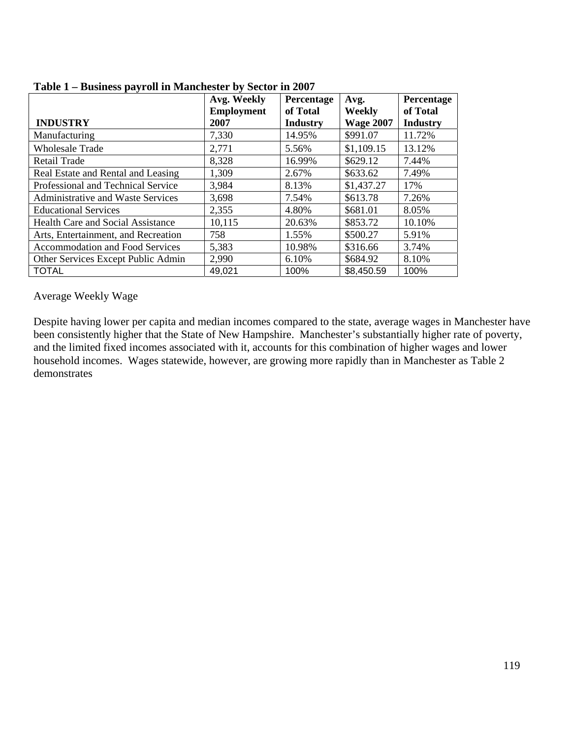|                                          | Avg. Weekly       | Percentage      | Avg.             | Percentage      |
|------------------------------------------|-------------------|-----------------|------------------|-----------------|
|                                          | <b>Employment</b> | of Total        | Weekly           | of Total        |
| <b>INDUSTRY</b>                          | 2007              | <b>Industry</b> | <b>Wage 2007</b> | <b>Industry</b> |
| Manufacturing                            | 7,330             | 14.95%          | \$991.07         | 11.72%          |
| <b>Wholesale Trade</b>                   | 2,771             | 5.56%           | \$1,109.15       | 13.12%          |
| Retail Trade                             | 8,328             | 16.99%          | \$629.12         | 7.44%           |
| Real Estate and Rental and Leasing       | 1,309             | 2.67%           | \$633.62         | 7.49%           |
| Professional and Technical Service       | 3,984             | 8.13%           | \$1,437.27       | 17%             |
| Administrative and Waste Services        | 3,698             | 7.54%           | \$613.78         | 7.26%           |
| <b>Educational Services</b>              | 2,355             | 4.80%           | \$681.01         | 8.05%           |
| <b>Health Care and Social Assistance</b> | 10,115            | 20.63%          | \$853.72         | 10.10%          |
| Arts, Entertainment, and Recreation      | 758               | 1.55%           | \$500.27         | 5.91%           |
| <b>Accommodation and Food Services</b>   | 5,383             | 10.98%          | \$316.66         | 3.74%           |
| Other Services Except Public Admin       | 2,990             | 6.10%           | \$684.92         | 8.10%           |
| <b>TOTAL</b>                             | 49,021            | 100%            | \$8,450.59       | 100%            |

#### **Table 1 – Business payroll in Manchester by Sector in 2007**

#### Average Weekly Wage

Despite having lower per capita and median incomes compared to the state, average wages in Manchester have been consistently higher that the State of New Hampshire. Manchester's substantially higher rate of poverty, and the limited fixed incomes associated with it, accounts for this combination of higher wages and lower household incomes. Wages statewide, however, are growing more rapidly than in Manchester as Table 2 demonstrates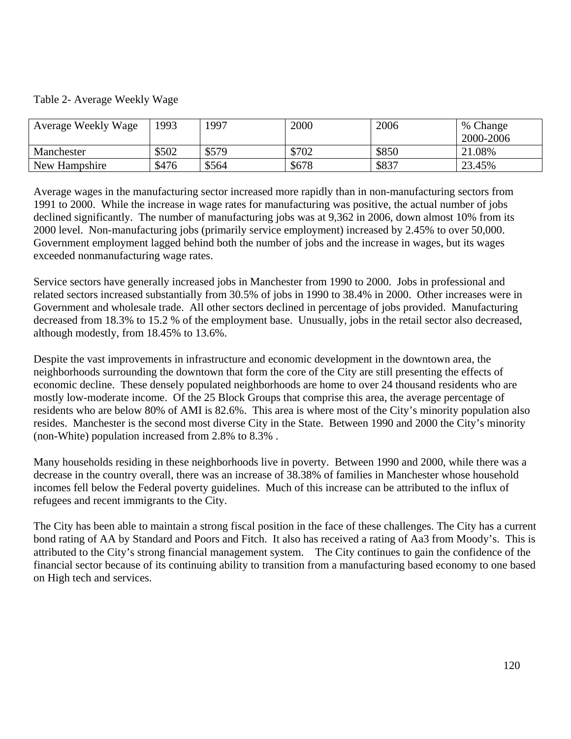#### Table 2- Average Weekly Wage

| Average Weekly Wage | 1993  | 1997  | 2000  | 2006  | % Change<br>2000-2006 |
|---------------------|-------|-------|-------|-------|-----------------------|
| Manchester          | \$502 | \$579 | \$702 | \$850 | 21.08%                |
| New Hampshire       | \$476 | \$564 | \$678 | \$837 | 23.45%                |

Average wages in the manufacturing sector increased more rapidly than in non-manufacturing sectors from 1991 to 2000. While the increase in wage rates for manufacturing was positive, the actual number of jobs declined significantly. The number of manufacturing jobs was at 9,362 in 2006, down almost 10% from its 2000 level. Non-manufacturing jobs (primarily service employment) increased by 2.45% to over 50,000. Government employment lagged behind both the number of jobs and the increase in wages, but its wages exceeded nonmanufacturing wage rates.

Service sectors have generally increased jobs in Manchester from 1990 to 2000. Jobs in professional and related sectors increased substantially from 30.5% of jobs in 1990 to 38.4% in 2000. Other increases were in Government and wholesale trade. All other sectors declined in percentage of jobs provided. Manufacturing decreased from 18.3% to 15.2 % of the employment base. Unusually, jobs in the retail sector also decreased, although modestly, from 18.45% to 13.6%.

Despite the vast improvements in infrastructure and economic development in the downtown area, the neighborhoods surrounding the downtown that form the core of the City are still presenting the effects of economic decline. These densely populated neighborhoods are home to over 24 thousand residents who are mostly low-moderate income. Of the 25 Block Groups that comprise this area, the average percentage of residents who are below 80% of AMI is 82.6%. This area is where most of the City's minority population also resides. Manchester is the second most diverse City in the State. Between 1990 and 2000 the City's minority (non-White) population increased from 2.8% to 8.3% .

Many households residing in these neighborhoods live in poverty. Between 1990 and 2000, while there was a decrease in the country overall, there was an increase of 38.38% of families in Manchester whose household incomes fell below the Federal poverty guidelines. Much of this increase can be attributed to the influx of refugees and recent immigrants to the City.

The City has been able to maintain a strong fiscal position in the face of these challenges. The City has a current bond rating of AA by Standard and Poors and Fitch. It also has received a rating of Aa3 from Moody's. This is attributed to the City's strong financial management system. The City continues to gain the confidence of the financial sector because of its continuing ability to transition from a manufacturing based economy to one based on High tech and services.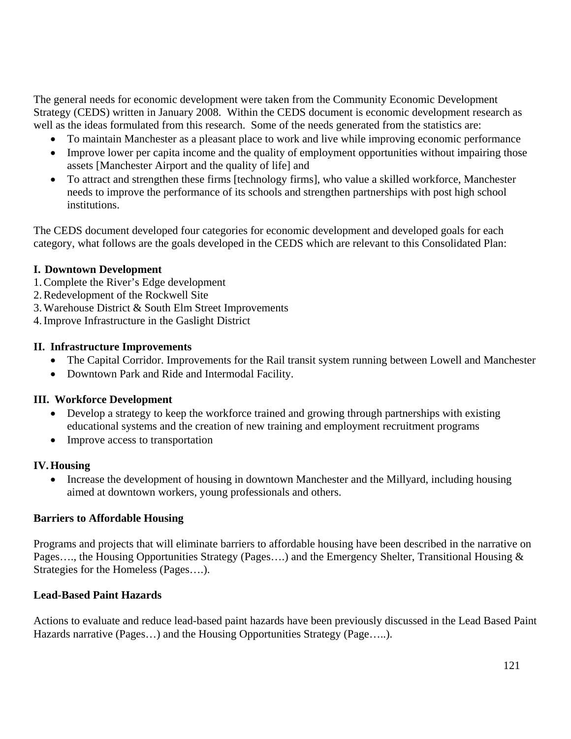The general needs for economic development were taken from the Community Economic Development Strategy (CEDS) written in January 2008. Within the CEDS document is economic development research as well as the ideas formulated from this research. Some of the needs generated from the statistics are:

- To maintain Manchester as a pleasant place to work and live while improving economic performance
- Improve lower per capita income and the quality of employment opportunities without impairing those assets [Manchester Airport and the quality of life] and
- To attract and strengthen these firms [technology firms], who value a skilled workforce, Manchester needs to improve the performance of its schools and strengthen partnerships with post high school institutions.

The CEDS document developed four categories for economic development and developed goals for each category, what follows are the goals developed in the CEDS which are relevant to this Consolidated Plan:

#### **I. Downtown Development**

- 1.Complete the River's Edge development
- 2.Redevelopment of the Rockwell Site
- 3.Warehouse District & South Elm Street Improvements

4.Improve Infrastructure in the Gaslight District

## **II. Infrastructure Improvements**

- The Capital Corridor. Improvements for the Rail transit system running between Lowell and Manchester
- Downtown Park and Ride and Intermodal Facility.

#### **III. Workforce Development**

- Develop a strategy to keep the workforce trained and growing through partnerships with existing educational systems and the creation of new training and employment recruitment programs
- Improve access to transportation

#### **IV. Housing**

• Increase the development of housing in downtown Manchester and the Millyard, including housing aimed at downtown workers, young professionals and others.

#### **Barriers to Affordable Housing**

Programs and projects that will eliminate barriers to affordable housing have been described in the narrative on Pages…., the Housing Opportunities Strategy (Pages….) and the Emergency Shelter, Transitional Housing & Strategies for the Homeless (Pages….).

# **Lead-Based Paint Hazards**

Actions to evaluate and reduce lead-based paint hazards have been previously discussed in the Lead Based Paint Hazards narrative (Pages…) and the Housing Opportunities Strategy (Page…..).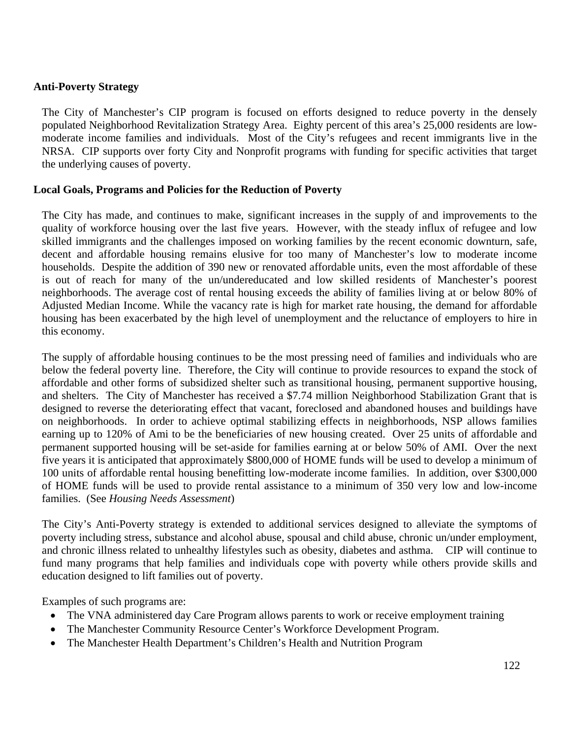#### **Anti-Poverty Strategy**

The City of Manchester's CIP program is focused on efforts designed to reduce poverty in the densely populated Neighborhood Revitalization Strategy Area. Eighty percent of this area's 25,000 residents are lowmoderate income families and individuals. Most of the City's refugees and recent immigrants live in the NRSA. CIP supports over forty City and Nonprofit programs with funding for specific activities that target the underlying causes of poverty.

#### **Local Goals, Programs and Policies for the Reduction of Poverty**

The City has made, and continues to make, significant increases in the supply of and improvements to the quality of workforce housing over the last five years. However, with the steady influx of refugee and low skilled immigrants and the challenges imposed on working families by the recent economic downturn, safe, decent and affordable housing remains elusive for too many of Manchester's low to moderate income households. Despite the addition of 390 new or renovated affordable units, even the most affordable of these is out of reach for many of the un/undereducated and low skilled residents of Manchester's poorest neighborhoods. The average cost of rental housing exceeds the ability of families living at or below 80% of Adjusted Median Income. While the vacancy rate is high for market rate housing, the demand for affordable housing has been exacerbated by the high level of unemployment and the reluctance of employers to hire in this economy.

The supply of affordable housing continues to be the most pressing need of families and individuals who are below the federal poverty line. Therefore, the City will continue to provide resources to expand the stock of affordable and other forms of subsidized shelter such as transitional housing, permanent supportive housing, and shelters. The City of Manchester has received a \$7.74 million Neighborhood Stabilization Grant that is designed to reverse the deteriorating effect that vacant, foreclosed and abandoned houses and buildings have on neighborhoods. In order to achieve optimal stabilizing effects in neighborhoods, NSP allows families earning up to 120% of Ami to be the beneficiaries of new housing created. Over 25 units of affordable and permanent supported housing will be set-aside for families earning at or below 50% of AMI. Over the next five years it is anticipated that approximately \$800,000 of HOME funds will be used to develop a minimum of 100 units of affordable rental housing benefitting low-moderate income families. In addition, over \$300,000 of HOME funds will be used to provide rental assistance to a minimum of 350 very low and low-income families. (See *Housing Needs Assessment*)

The City's Anti-Poverty strategy is extended to additional services designed to alleviate the symptoms of poverty including stress, substance and alcohol abuse, spousal and child abuse, chronic un/under employment, and chronic illness related to unhealthy lifestyles such as obesity, diabetes and asthma. CIP will continue to fund many programs that help families and individuals cope with poverty while others provide skills and education designed to lift families out of poverty.

Examples of such programs are:

- The VNA administered day Care Program allows parents to work or receive employment training
- The Manchester Community Resource Center's Workforce Development Program.
- The Manchester Health Department's Children's Health and Nutrition Program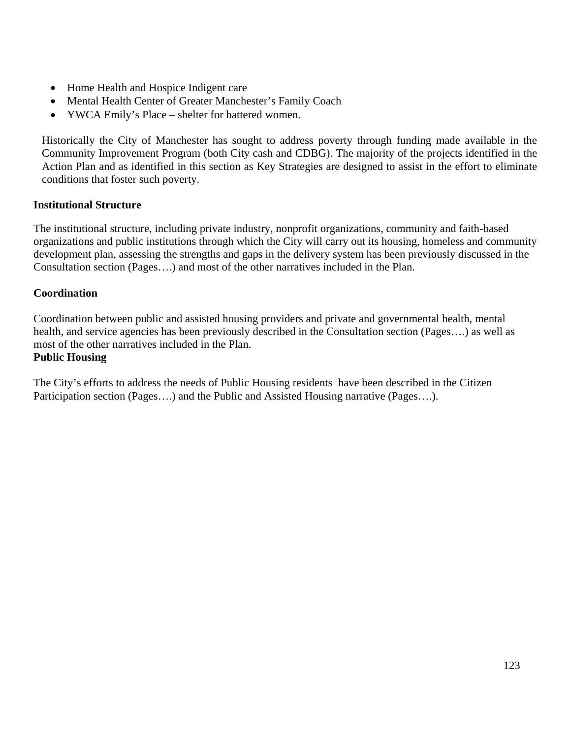- Home Health and Hospice Indigent care
- Mental Health Center of Greater Manchester's Family Coach
- YWCA Emily's Place shelter for battered women.

Historically the City of Manchester has sought to address poverty through funding made available in the Community Improvement Program (both City cash and CDBG). The majority of the projects identified in the Action Plan and as identified in this section as Key Strategies are designed to assist in the effort to eliminate conditions that foster such poverty.

#### **Institutional Structure**

The institutional structure, including private industry, nonprofit organizations, community and faith-based organizations and public institutions through which the City will carry out its housing, homeless and community development plan, assessing the strengths and gaps in the delivery system has been previously discussed in the Consultation section (Pages….) and most of the other narratives included in the Plan.

#### **Coordination**

Coordination between public and assisted housing providers and private and governmental health, mental health, and service agencies has been previously described in the Consultation section (Pages….) as well as most of the other narratives included in the Plan.

#### **Public Housing**

The City's efforts to address the needs of Public Housing residents have been described in the Citizen Participation section (Pages….) and the Public and Assisted Housing narrative (Pages….).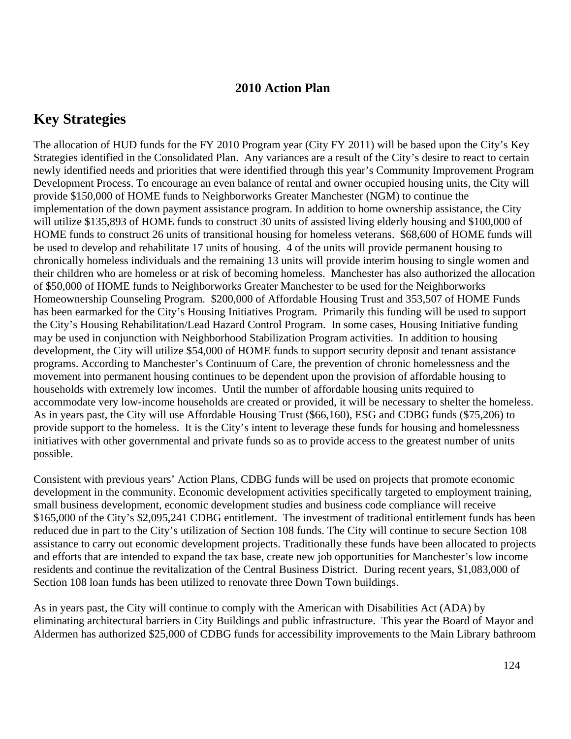# **2010 Action Plan**

# **Key Strategies**

The allocation of HUD funds for the FY 2010 Program year (City FY 2011) will be based upon the City's Key Strategies identified in the Consolidated Plan. Any variances are a result of the City's desire to react to certain newly identified needs and priorities that were identified through this year's Community Improvement Program Development Process. To encourage an even balance of rental and owner occupied housing units, the City will provide \$150,000 of HOME funds to Neighborworks Greater Manchester (NGM) to continue the implementation of the down payment assistance program. In addition to home ownership assistance, the City will utilize \$135,893 of HOME funds to construct 30 units of assisted living elderly housing and \$100,000 of HOME funds to construct 26 units of transitional housing for homeless veterans. \$68,600 of HOME funds will be used to develop and rehabilitate 17 units of housing. 4 of the units will provide permanent housing to chronically homeless individuals and the remaining 13 units will provide interim housing to single women and their children who are homeless or at risk of becoming homeless. Manchester has also authorized the allocation of \$50,000 of HOME funds to Neighborworks Greater Manchester to be used for the Neighborworks Homeownership Counseling Program. \$200,000 of Affordable Housing Trust and 353,507 of HOME Funds has been earmarked for the City's Housing Initiatives Program. Primarily this funding will be used to support the City's Housing Rehabilitation/Lead Hazard Control Program. In some cases, Housing Initiative funding may be used in conjunction with Neighborhood Stabilization Program activities. In addition to housing development, the City will utilize \$54,000 of HOME funds to support security deposit and tenant assistance programs. According to Manchester's Continuum of Care, the prevention of chronic homelessness and the movement into permanent housing continues to be dependent upon the provision of affordable housing to households with extremely low incomes. Until the number of affordable housing units required to accommodate very low-income households are created or provided, it will be necessary to shelter the homeless. As in years past, the City will use Affordable Housing Trust (\$66,160), ESG and CDBG funds (\$75,206) to provide support to the homeless. It is the City's intent to leverage these funds for housing and homelessness initiatives with other governmental and private funds so as to provide access to the greatest number of units possible.

Consistent with previous years' Action Plans, CDBG funds will be used on projects that promote economic development in the community. Economic development activities specifically targeted to employment training, small business development, economic development studies and business code compliance will receive \$165,000 of the City's \$2,095,241 CDBG entitlement. The investment of traditional entitlement funds has been reduced due in part to the City's utilization of Section 108 funds. The City will continue to secure Section 108 assistance to carry out economic development projects. Traditionally these funds have been allocated to projects and efforts that are intended to expand the tax base, create new job opportunities for Manchester's low income residents and continue the revitalization of the Central Business District. During recent years, \$1,083,000 of Section 108 loan funds has been utilized to renovate three Down Town buildings.

As in years past, the City will continue to comply with the American with Disabilities Act (ADA) by eliminating architectural barriers in City Buildings and public infrastructure. This year the Board of Mayor and Aldermen has authorized \$25,000 of CDBG funds for accessibility improvements to the Main Library bathroom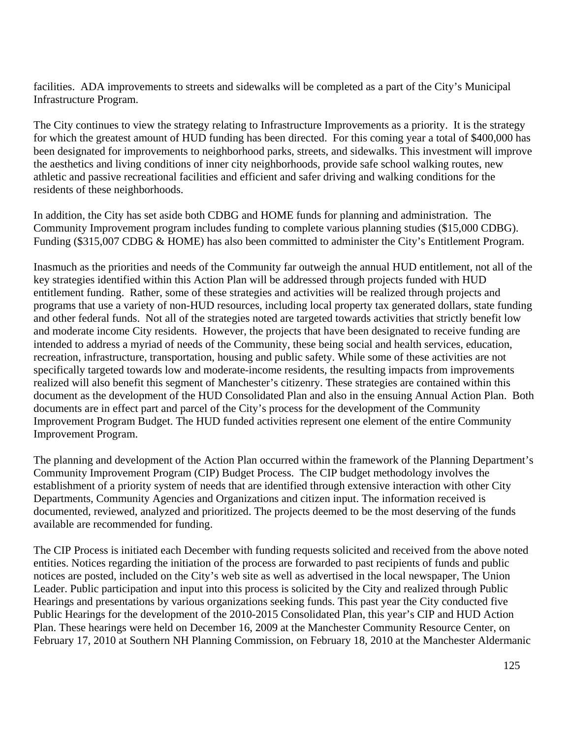facilities. ADA improvements to streets and sidewalks will be completed as a part of the City's Municipal Infrastructure Program.

The City continues to view the strategy relating to Infrastructure Improvements as a priority. It is the strategy for which the greatest amount of HUD funding has been directed. For this coming year a total of \$400,000 has been designated for improvements to neighborhood parks, streets, and sidewalks. This investment will improve the aesthetics and living conditions of inner city neighborhoods, provide safe school walking routes, new athletic and passive recreational facilities and efficient and safer driving and walking conditions for the residents of these neighborhoods.

In addition, the City has set aside both CDBG and HOME funds for planning and administration. The Community Improvement program includes funding to complete various planning studies (\$15,000 CDBG). Funding (\$315,007 CDBG & HOME) has also been committed to administer the City's Entitlement Program.

Inasmuch as the priorities and needs of the Community far outweigh the annual HUD entitlement, not all of the key strategies identified within this Action Plan will be addressed through projects funded with HUD entitlement funding. Rather, some of these strategies and activities will be realized through projects and programs that use a variety of non-HUD resources, including local property tax generated dollars, state funding and other federal funds. Not all of the strategies noted are targeted towards activities that strictly benefit low and moderate income City residents. However, the projects that have been designated to receive funding are intended to address a myriad of needs of the Community, these being social and health services, education, recreation, infrastructure, transportation, housing and public safety. While some of these activities are not specifically targeted towards low and moderate-income residents, the resulting impacts from improvements realized will also benefit this segment of Manchester's citizenry. These strategies are contained within this document as the development of the HUD Consolidated Plan and also in the ensuing Annual Action Plan. Both documents are in effect part and parcel of the City's process for the development of the Community Improvement Program Budget. The HUD funded activities represent one element of the entire Community Improvement Program.

The planning and development of the Action Plan occurred within the framework of the Planning Department's Community Improvement Program (CIP) Budget Process. The CIP budget methodology involves the establishment of a priority system of needs that are identified through extensive interaction with other City Departments, Community Agencies and Organizations and citizen input. The information received is documented, reviewed, analyzed and prioritized. The projects deemed to be the most deserving of the funds available are recommended for funding.

The CIP Process is initiated each December with funding requests solicited and received from the above noted entities. Notices regarding the initiation of the process are forwarded to past recipients of funds and public notices are posted, included on the City's web site as well as advertised in the local newspaper, The Union Leader. Public participation and input into this process is solicited by the City and realized through Public Hearings and presentations by various organizations seeking funds. This past year the City conducted five Public Hearings for the development of the 2010-2015 Consolidated Plan, this year's CIP and HUD Action Plan. These hearings were held on December 16, 2009 at the Manchester Community Resource Center, on February 17, 2010 at Southern NH Planning Commission, on February 18, 2010 at the Manchester Aldermanic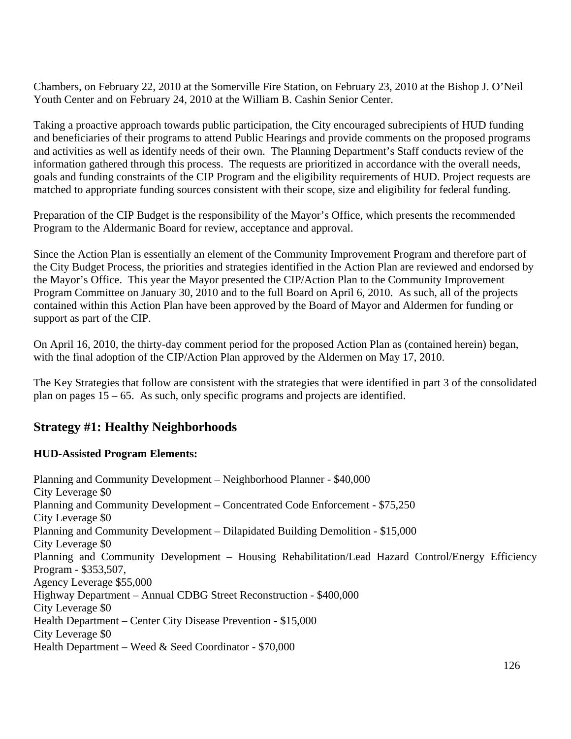Chambers, on February 22, 2010 at the Somerville Fire Station, on February 23, 2010 at the Bishop J. O'Neil Youth Center and on February 24, 2010 at the William B. Cashin Senior Center.

Taking a proactive approach towards public participation, the City encouraged subrecipients of HUD funding and beneficiaries of their programs to attend Public Hearings and provide comments on the proposed programs and activities as well as identify needs of their own. The Planning Department's Staff conducts review of the information gathered through this process. The requests are prioritized in accordance with the overall needs, goals and funding constraints of the CIP Program and the eligibility requirements of HUD. Project requests are matched to appropriate funding sources consistent with their scope, size and eligibility for federal funding.

Preparation of the CIP Budget is the responsibility of the Mayor's Office, which presents the recommended Program to the Aldermanic Board for review, acceptance and approval.

Since the Action Plan is essentially an element of the Community Improvement Program and therefore part of the City Budget Process, the priorities and strategies identified in the Action Plan are reviewed and endorsed by the Mayor's Office. This year the Mayor presented the CIP/Action Plan to the Community Improvement Program Committee on January 30, 2010 and to the full Board on April 6, 2010. As such, all of the projects contained within this Action Plan have been approved by the Board of Mayor and Aldermen for funding or support as part of the CIP.

On April 16, 2010, the thirty-day comment period for the proposed Action Plan as (contained herein) began, with the final adoption of the CIP/Action Plan approved by the Aldermen on May 17, 2010.

The Key Strategies that follow are consistent with the strategies that were identified in part 3 of the consolidated plan on pages 15 – 65. As such, only specific programs and projects are identified.

# **Strategy #1: Healthy Neighborhoods**

# **HUD-Assisted Program Elements:**

Planning and Community Development – Neighborhood Planner - \$40,000 City Leverage \$0 Planning and Community Development – Concentrated Code Enforcement - \$75,250 City Leverage \$0 Planning and Community Development – Dilapidated Building Demolition - \$15,000 City Leverage \$0 Planning and Community Development – Housing Rehabilitation/Lead Hazard Control/Energy Efficiency Program - \$353,507, Agency Leverage \$55,000 Highway Department – Annual CDBG Street Reconstruction - \$400,000 City Leverage \$0 Health Department – Center City Disease Prevention - \$15,000 City Leverage \$0 Health Department – Weed & Seed Coordinator - \$70,000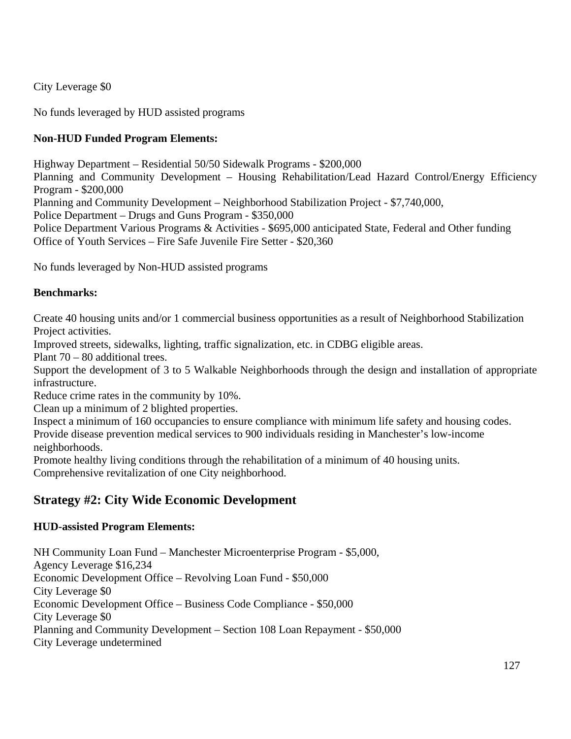City Leverage \$0

No funds leveraged by HUD assisted programs

# **Non-HUD Funded Program Elements:**

Highway Department – Residential 50/50 Sidewalk Programs - \$200,000 Planning and Community Development – Housing Rehabilitation/Lead Hazard Control/Energy Efficiency Program - \$200,000 Planning and Community Development – Neighborhood Stabilization Project - \$7,740,000, Police Department – Drugs and Guns Program - \$350,000 Police Department Various Programs & Activities - \$695,000 anticipated State, Federal and Other funding Office of Youth Services – Fire Safe Juvenile Fire Setter - \$20,360

No funds leveraged by Non-HUD assisted programs

## **Benchmarks:**

Create 40 housing units and/or 1 commercial business opportunities as a result of Neighborhood Stabilization Project activities.

Improved streets, sidewalks, lighting, traffic signalization, etc. in CDBG eligible areas.

Plant 70 – 80 additional trees.

Support the development of 3 to 5 Walkable Neighborhoods through the design and installation of appropriate infrastructure.

Reduce crime rates in the community by 10%.

Clean up a minimum of 2 blighted properties.

Inspect a minimum of 160 occupancies to ensure compliance with minimum life safety and housing codes. Provide disease prevention medical services to 900 individuals residing in Manchester's low-income neighborhoods.

Promote healthy living conditions through the rehabilitation of a minimum of 40 housing units. Comprehensive revitalization of one City neighborhood.

# **Strategy #2: City Wide Economic Development**

# **HUD-assisted Program Elements:**

NH Community Loan Fund – Manchester Microenterprise Program - \$5,000, Agency Leverage \$16,234 Economic Development Office – Revolving Loan Fund - \$50,000 City Leverage \$0 Economic Development Office – Business Code Compliance - \$50,000 City Leverage \$0 Planning and Community Development – Section 108 Loan Repayment - \$50,000 City Leverage undetermined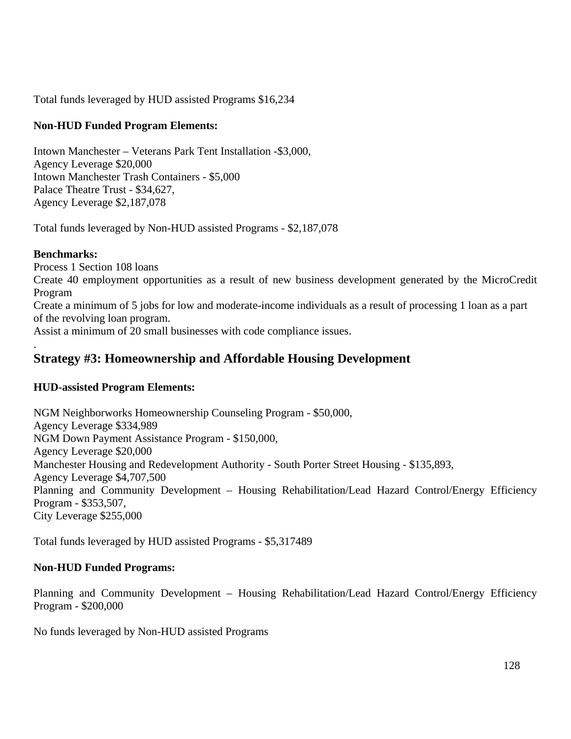Total funds leveraged by HUD assisted Programs \$16,234

## **Non-HUD Funded Program Elements:**

Intown Manchester – Veterans Park Tent Installation -\$3,000, Agency Leverage \$20,000 Intown Manchester Trash Containers - \$5,000 Palace Theatre Trust - \$34,627, Agency Leverage \$2,187,078

Total funds leveraged by Non-HUD assisted Programs - \$2,187,078

## **Benchmarks:**

Process 1 Section 108 loans Create 40 employment opportunities as a result of new business development generated by the MicroCredit Program Create a minimum of 5 jobs for low and moderate-income individuals as a result of processing 1 loan as a part of the revolving loan program. Assist a minimum of 20 small businesses with code compliance issues. .

# **Strategy #3: Homeownership and Affordable Housing Development**

# **HUD-assisted Program Elements:**

NGM Neighborworks Homeownership Counseling Program - \$50,000, Agency Leverage \$334,989 NGM Down Payment Assistance Program - \$150,000, Agency Leverage \$20,000 Manchester Housing and Redevelopment Authority - South Porter Street Housing - \$135,893, Agency Leverage \$4,707,500 Planning and Community Development – Housing Rehabilitation/Lead Hazard Control/Energy Efficiency Program - \$353,507, City Leverage \$255,000

Total funds leveraged by HUD assisted Programs - \$5,317489

# **Non-HUD Funded Programs:**

Planning and Community Development – Housing Rehabilitation/Lead Hazard Control/Energy Efficiency Program - \$200,000

No funds leveraged by Non-HUD assisted Programs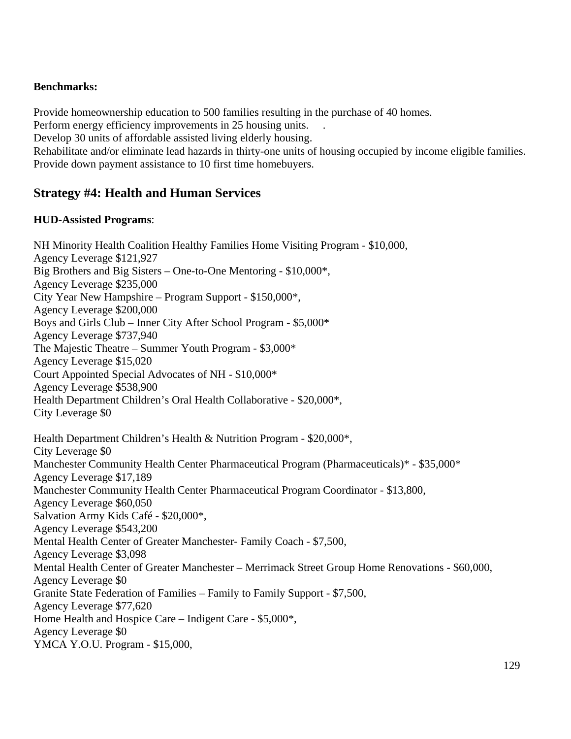#### **Benchmarks:**

Provide homeownership education to 500 families resulting in the purchase of 40 homes.

Perform energy efficiency improvements in 25 housing units. .

Develop 30 units of affordable assisted living elderly housing.

Rehabilitate and/or eliminate lead hazards in thirty-one units of housing occupied by income eligible families. Provide down payment assistance to 10 first time homebuyers.

# **Strategy #4: Health and Human Services**

#### **HUD-Assisted Programs**:

NH Minority Health Coalition Healthy Families Home Visiting Program - \$10,000, Agency Leverage \$121,927 Big Brothers and Big Sisters – One-to-One Mentoring - \$10,000\*, Agency Leverage \$235,000 City Year New Hampshire – Program Support - \$150,000\*, Agency Leverage \$200,000 Boys and Girls Club – Inner City After School Program - \$5,000\* Agency Leverage \$737,940 The Majestic Theatre – Summer Youth Program - \$3,000\* Agency Leverage \$15,020 Court Appointed Special Advocates of NH - \$10,000\* Agency Leverage \$538,900 Health Department Children's Oral Health Collaborative - \$20,000\*, City Leverage \$0 Health Department Children's Health & Nutrition Program - \$20,000\*, City Leverage \$0 Manchester Community Health Center Pharmaceutical Program (Pharmaceuticals)\* - \$35,000\* Agency Leverage \$17,189 Manchester Community Health Center Pharmaceutical Program Coordinator - \$13,800, Agency Leverage \$60,050 Salvation Army Kids Café - \$20,000\*, Agency Leverage \$543,200 Mental Health Center of Greater Manchester- Family Coach - \$7,500, Agency Leverage \$3,098 Mental Health Center of Greater Manchester – Merrimack Street Group Home Renovations - \$60,000, Agency Leverage \$0 Granite State Federation of Families – Family to Family Support - \$7,500, Agency Leverage \$77,620 Home Health and Hospice Care – Indigent Care - \$5,000\*, Agency Leverage \$0 YMCA Y.O.U. Program - \$15,000,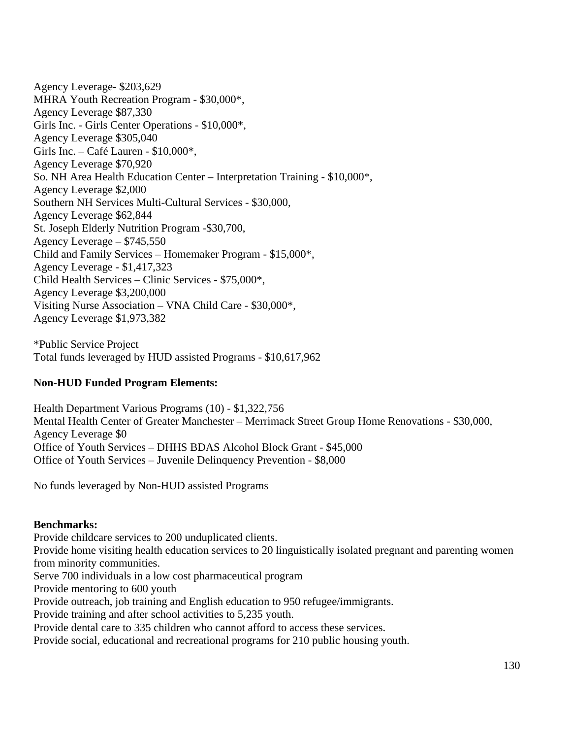Agency Leverage- \$203,629 MHRA Youth Recreation Program - \$30,000\*, Agency Leverage \$87,330 Girls Inc. - Girls Center Operations - \$10,000\*, Agency Leverage \$305,040 Girls Inc. – Café Lauren - \$10,000\*, Agency Leverage \$70,920 So. NH Area Health Education Center – Interpretation Training - \$10,000\*, Agency Leverage \$2,000 Southern NH Services Multi-Cultural Services - \$30,000, Agency Leverage \$62,844 St. Joseph Elderly Nutrition Program -\$30,700, Agency Leverage – \$745,550 Child and Family Services – Homemaker Program - \$15,000\*, Agency Leverage - \$1,417,323 Child Health Services – Clinic Services - \$75,000\*, Agency Leverage \$3,200,000 Visiting Nurse Association – VNA Child Care - \$30,000\*, Agency Leverage \$1,973,382

\*Public Service Project Total funds leveraged by HUD assisted Programs - \$10,617,962

#### **Non-HUD Funded Program Elements:**

Health Department Various Programs (10) - \$1,322,756 Mental Health Center of Greater Manchester – Merrimack Street Group Home Renovations - \$30,000, Agency Leverage \$0 Office of Youth Services – DHHS BDAS Alcohol Block Grant - \$45,000 Office of Youth Services – Juvenile Delinquency Prevention - \$8,000

No funds leveraged by Non-HUD assisted Programs

#### **Benchmarks:**

Provide childcare services to 200 unduplicated clients. Provide home visiting health education services to 20 linguistically isolated pregnant and parenting women from minority communities. Serve 700 individuals in a low cost pharmaceutical program Provide mentoring to 600 youth Provide outreach, job training and English education to 950 refugee/immigrants. Provide training and after school activities to 5,235 youth. Provide dental care to 335 children who cannot afford to access these services.

Provide social, educational and recreational programs for 210 public housing youth.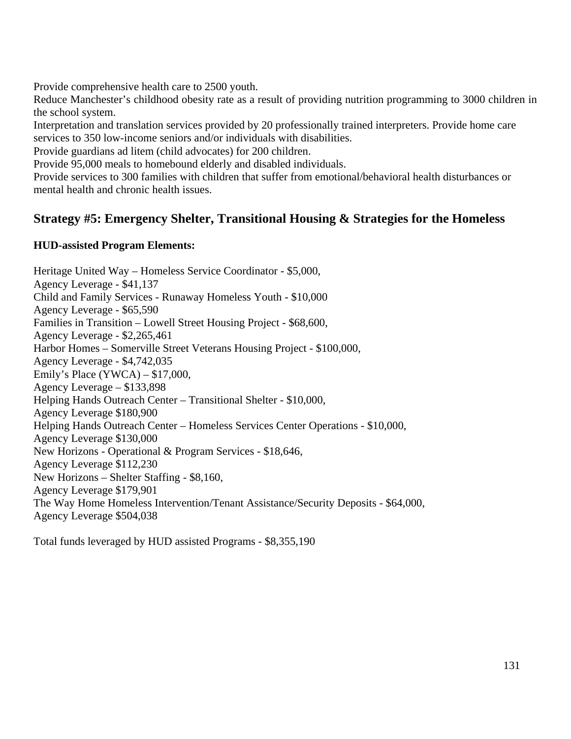Provide comprehensive health care to 2500 youth.

Reduce Manchester's childhood obesity rate as a result of providing nutrition programming to 3000 children in the school system.

Interpretation and translation services provided by 20 professionally trained interpreters. Provide home care services to 350 low-income seniors and/or individuals with disabilities.

Provide guardians ad litem (child advocates) for 200 children.

Provide 95,000 meals to homebound elderly and disabled individuals.

Provide services to 300 families with children that suffer from emotional/behavioral health disturbances or mental health and chronic health issues.

# **Strategy #5: Emergency Shelter, Transitional Housing & Strategies for the Homeless**

## **HUD-assisted Program Elements:**

Heritage United Way – Homeless Service Coordinator - \$5,000, Agency Leverage - \$41,137 Child and Family Services - Runaway Homeless Youth - \$10,000 Agency Leverage - \$65,590 Families in Transition – Lowell Street Housing Project - \$68,600, Agency Leverage - \$2,265,461 Harbor Homes – Somerville Street Veterans Housing Project - \$100,000, Agency Leverage - \$4,742,035 Emily's Place (YWCA) – \$17,000, Agency Leverage – \$133,898 Helping Hands Outreach Center – Transitional Shelter - \$10,000, Agency Leverage \$180,900 Helping Hands Outreach Center – Homeless Services Center Operations - \$10,000, Agency Leverage \$130,000 New Horizons - Operational & Program Services - \$18,646, Agency Leverage \$112,230 New Horizons – Shelter Staffing - \$8,160, Agency Leverage \$179,901 The Way Home Homeless Intervention/Tenant Assistance/Security Deposits - \$64,000, Agency Leverage \$504,038

Total funds leveraged by HUD assisted Programs - \$8,355,190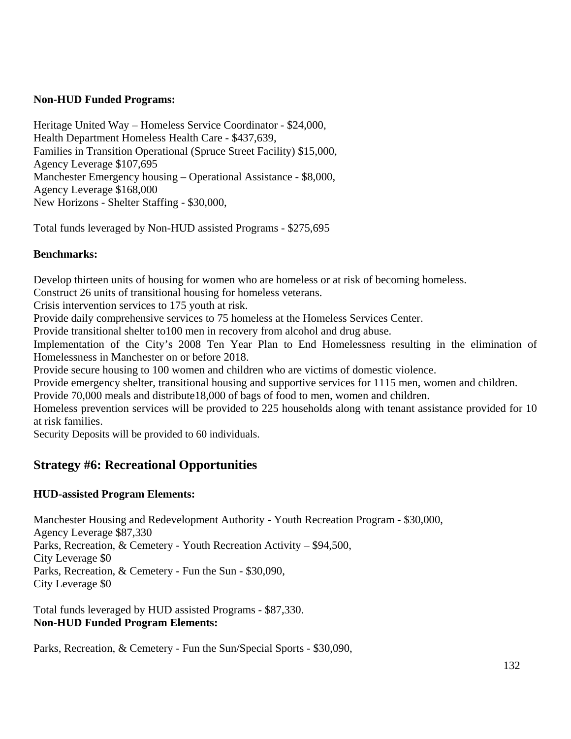#### **Non-HUD Funded Programs:**

Heritage United Way – Homeless Service Coordinator - \$24,000, Health Department Homeless Health Care - \$437,639, Families in Transition Operational (Spruce Street Facility) \$15,000, Agency Leverage \$107,695 Manchester Emergency housing – Operational Assistance - \$8,000, Agency Leverage \$168,000 New Horizons - Shelter Staffing - \$30,000,

Total funds leveraged by Non-HUD assisted Programs - \$275,695

## **Benchmarks:**

Develop thirteen units of housing for women who are homeless or at risk of becoming homeless.

Construct 26 units of transitional housing for homeless veterans.

Crisis intervention services to 175 youth at risk.

Provide daily comprehensive services to 75 homeless at the Homeless Services Center.

Provide transitional shelter to100 men in recovery from alcohol and drug abuse.

Implementation of the City's 2008 Ten Year Plan to End Homelessness resulting in the elimination of Homelessness in Manchester on or before 2018.

Provide secure housing to 100 women and children who are victims of domestic violence.

Provide emergency shelter, transitional housing and supportive services for 1115 men, women and children.

Provide 70,000 meals and distribute18,000 of bags of food to men, women and children.

Homeless prevention services will be provided to 225 households along with tenant assistance provided for 10 at risk families.

Security Deposits will be provided to 60 individuals.

# **Strategy #6: Recreational Opportunities**

#### **HUD-assisted Program Elements:**

Manchester Housing and Redevelopment Authority - Youth Recreation Program - \$30,000, Agency Leverage \$87,330 Parks, Recreation, & Cemetery - Youth Recreation Activity – \$94,500, City Leverage \$0 Parks, Recreation, & Cemetery - Fun the Sun - \$30,090, City Leverage \$0

Total funds leveraged by HUD assisted Programs - \$87,330. **Non-HUD Funded Program Elements:**

Parks, Recreation, & Cemetery - Fun the Sun/Special Sports - \$30,090,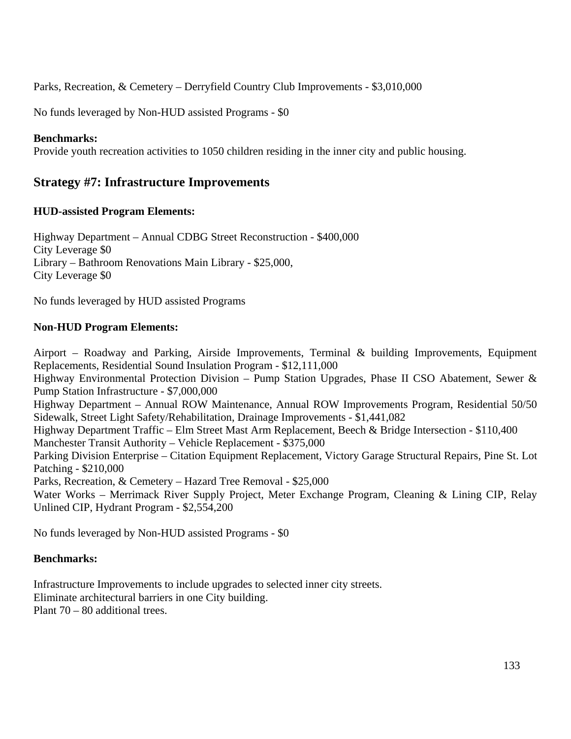Parks, Recreation, & Cemetery – Derryfield Country Club Improvements - \$3,010,000

No funds leveraged by Non-HUD assisted Programs - \$0

#### **Benchmarks:**

Provide youth recreation activities to 1050 children residing in the inner city and public housing.

## **Strategy #7: Infrastructure Improvements**

#### **HUD-assisted Program Elements:**

Highway Department – Annual CDBG Street Reconstruction - \$400,000 City Leverage \$0 Library – Bathroom Renovations Main Library - \$25,000, City Leverage \$0

No funds leveraged by HUD assisted Programs

#### **Non-HUD Program Elements:**

Airport – Roadway and Parking, Airside Improvements, Terminal & building Improvements, Equipment Replacements, Residential Sound Insulation Program - \$12,111,000 Highway Environmental Protection Division – Pump Station Upgrades, Phase II CSO Abatement, Sewer & Pump Station Infrastructure - \$7,000,000 Highway Department – Annual ROW Maintenance, Annual ROW Improvements Program, Residential 50/50 Sidewalk, Street Light Safety/Rehabilitation, Drainage Improvements - \$1,441,082 Highway Department Traffic – Elm Street Mast Arm Replacement, Beech & Bridge Intersection - \$110,400 Manchester Transit Authority – Vehicle Replacement - \$375,000 Parking Division Enterprise – Citation Equipment Replacement, Victory Garage Structural Repairs, Pine St. Lot Patching - \$210,000 Parks, Recreation, & Cemetery – Hazard Tree Removal - \$25,000 Water Works – Merrimack River Supply Project, Meter Exchange Program, Cleaning & Lining CIP, Relay Unlined CIP, Hydrant Program - \$2,554,200

No funds leveraged by Non-HUD assisted Programs - \$0

#### **Benchmarks:**

Infrastructure Improvements to include upgrades to selected inner city streets. Eliminate architectural barriers in one City building. Plant 70 – 80 additional trees.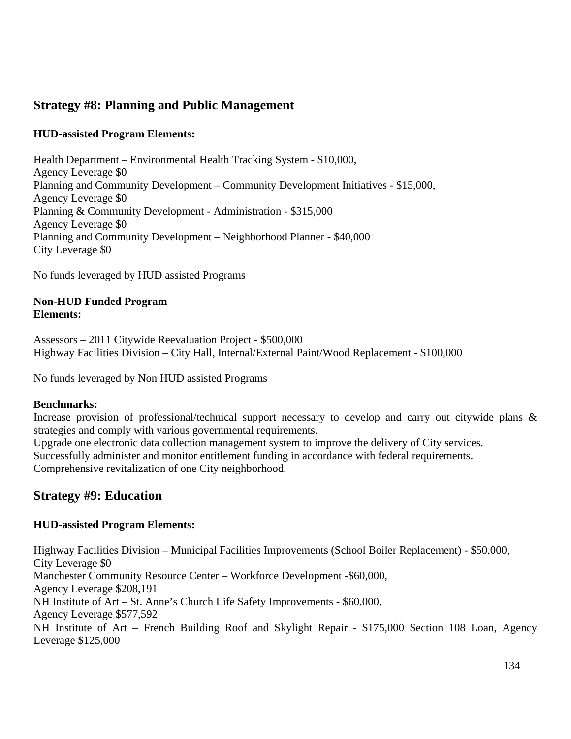# **Strategy #8: Planning and Public Management**

## **HUD-assisted Program Elements:**

Health Department – Environmental Health Tracking System - \$10,000, Agency Leverage \$0 Planning and Community Development – Community Development Initiatives - \$15,000, Agency Leverage \$0 Planning & Community Development - Administration - \$315,000 Agency Leverage \$0 Planning and Community Development – Neighborhood Planner - \$40,000 City Leverage \$0

No funds leveraged by HUD assisted Programs

#### **Non-HUD Funded Program Elements:**

Assessors – 2011 Citywide Reevaluation Project - \$500,000 Highway Facilities Division – City Hall, Internal/External Paint/Wood Replacement - \$100,000

No funds leveraged by Non HUD assisted Programs

#### **Benchmarks:**

Increase provision of professional/technical support necessary to develop and carry out citywide plans & strategies and comply with various governmental requirements. Upgrade one electronic data collection management system to improve the delivery of City services. Successfully administer and monitor entitlement funding in accordance with federal requirements.

Comprehensive revitalization of one City neighborhood.

# **Strategy #9: Education**

#### **HUD-assisted Program Elements:**

Highway Facilities Division – Municipal Facilities Improvements (School Boiler Replacement) - \$50,000, City Leverage \$0 Manchester Community Resource Center – Workforce Development -\$60,000, Agency Leverage \$208,191 NH Institute of Art – St. Anne's Church Life Safety Improvements - \$60,000, Agency Leverage \$577,592 NH Institute of Art – French Building Roof and Skylight Repair - \$175,000 Section 108 Loan, Agency Leverage \$125,000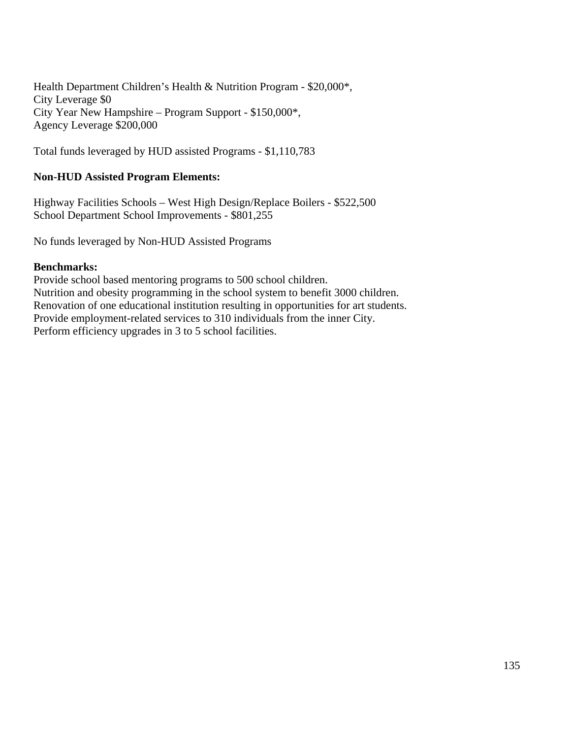Health Department Children's Health & Nutrition Program - \$20,000\*, City Leverage \$0 City Year New Hampshire – Program Support - \$150,000\*, Agency Leverage \$200,000

Total funds leveraged by HUD assisted Programs - \$1,110,783

#### **Non-HUD Assisted Program Elements:**

Highway Facilities Schools – West High Design/Replace Boilers - \$522,500 School Department School Improvements - \$801,255

No funds leveraged by Non-HUD Assisted Programs

#### **Benchmarks:**

Provide school based mentoring programs to 500 school children. Nutrition and obesity programming in the school system to benefit 3000 children. Renovation of one educational institution resulting in opportunities for art students. Provide employment-related services to 310 individuals from the inner City. Perform efficiency upgrades in 3 to 5 school facilities.